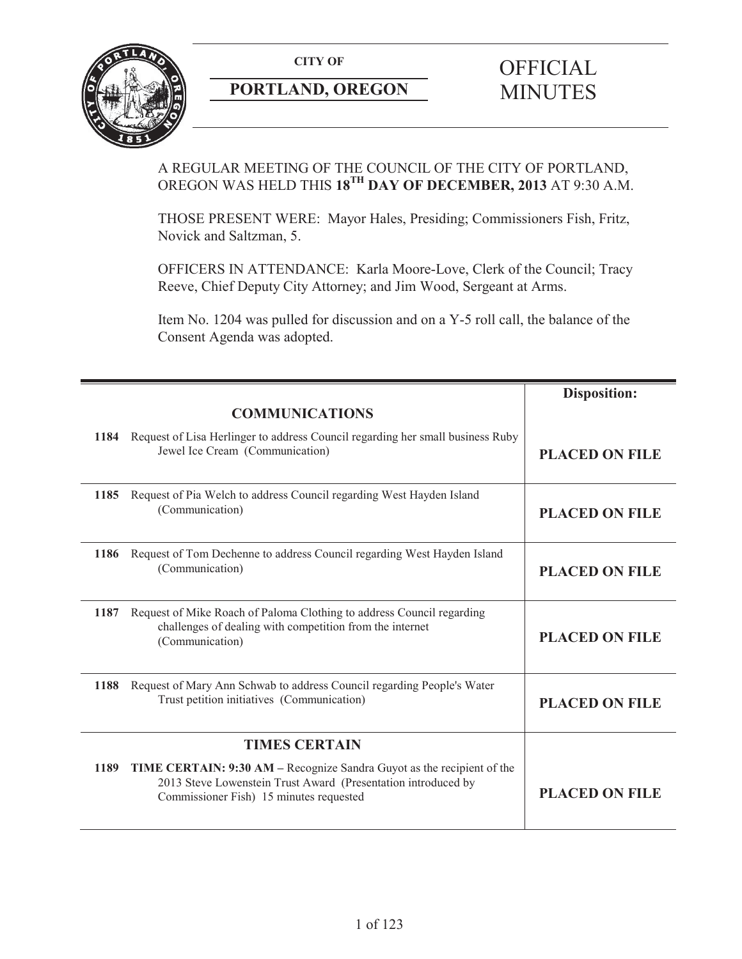

# **PORTLAND, OREGON** MINUTES

# A REGULAR MEETING OF THE COUNCIL OF THE CITY OF PORTLAND, OREGON WAS HELD THIS **18TH DAY OF DECEMBER, 2013** AT 9:30 A.M.

THOSE PRESENT WERE: Mayor Hales, Presiding; Commissioners Fish, Fritz, Novick and Saltzman, 5.

OFFICERS IN ATTENDANCE: Karla Moore-Love, Clerk of the Council; Tracy Reeve, Chief Deputy City Attorney; and Jim Wood, Sergeant at Arms.

Item No. 1204 was pulled for discussion and on a Y-5 roll call, the balance of the Consent Agenda was adopted.

|      |                                                                                                                                                                                    | <b>Disposition:</b>   |
|------|------------------------------------------------------------------------------------------------------------------------------------------------------------------------------------|-----------------------|
|      | <b>COMMUNICATIONS</b>                                                                                                                                                              |                       |
| 1184 | Request of Lisa Herlinger to address Council regarding her small business Ruby<br>Jewel Ice Cream (Communication)                                                                  | <b>PLACED ON FILE</b> |
| 1185 | Request of Pia Welch to address Council regarding West Hayden Island<br>(Communication)                                                                                            | <b>PLACED ON FILE</b> |
| 1186 | Request of Tom Dechenne to address Council regarding West Hayden Island<br>(Communication)                                                                                         | <b>PLACED ON FILE</b> |
| 1187 | Request of Mike Roach of Paloma Clothing to address Council regarding<br>challenges of dealing with competition from the internet<br>(Communication)                               | <b>PLACED ON FILE</b> |
| 1188 | Request of Mary Ann Schwab to address Council regarding People's Water<br>Trust petition initiatives (Communication)                                                               | <b>PLACED ON FILE</b> |
|      | <b>TIMES CERTAIN</b>                                                                                                                                                               |                       |
| 1189 | TIME CERTAIN: 9:30 AM – Recognize Sandra Guyot as the recipient of the<br>2013 Steve Lowenstein Trust Award (Presentation introduced by<br>Commissioner Fish) 15 minutes requested | <b>PLACED ON FILE</b> |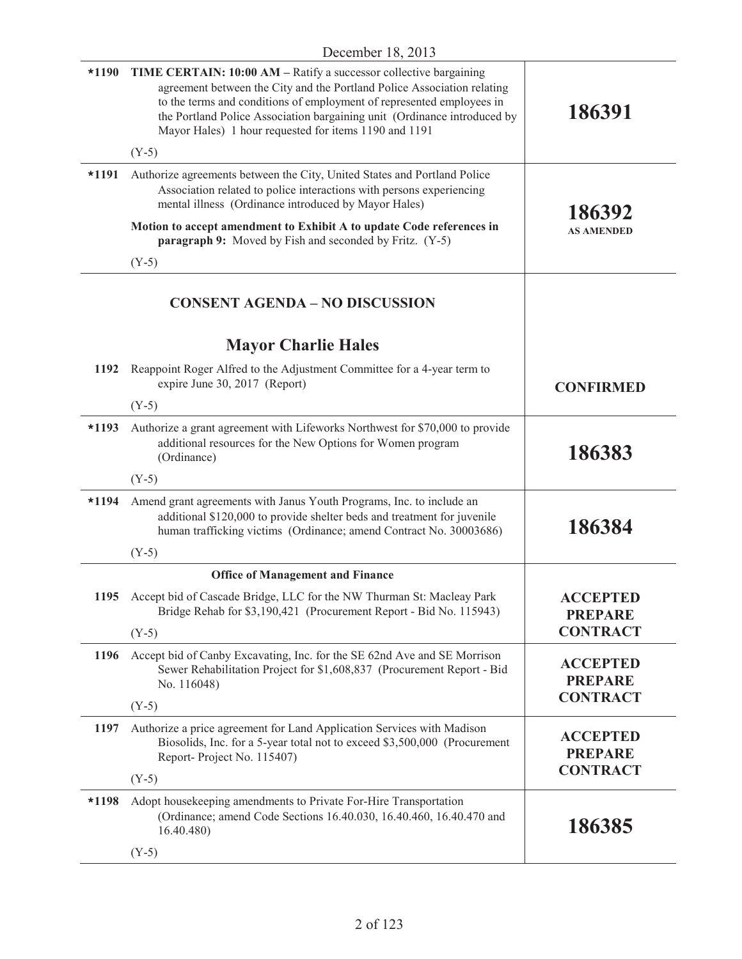| $*1190$ | <b>TIME CERTAIN: 10:00 AM – Ratify a successor collective bargaining</b><br>agreement between the City and the Portland Police Association relating<br>to the terms and conditions of employment of represented employees in<br>the Portland Police Association bargaining unit (Ordinance introduced by<br>Mayor Hales) 1 hour requested for items 1190 and 1191 | 186391                                               |
|---------|-------------------------------------------------------------------------------------------------------------------------------------------------------------------------------------------------------------------------------------------------------------------------------------------------------------------------------------------------------------------|------------------------------------------------------|
|         | $(Y-5)$                                                                                                                                                                                                                                                                                                                                                           |                                                      |
| $*1191$ | Authorize agreements between the City, United States and Portland Police<br>Association related to police interactions with persons experiencing<br>mental illness (Ordinance introduced by Mayor Hales)                                                                                                                                                          | 186392                                               |
|         | Motion to accept amendment to Exhibit A to update Code references in<br><b>paragraph 9:</b> Moved by Fish and seconded by Fritz. (Y-5)                                                                                                                                                                                                                            | <b>AS AMENDED</b>                                    |
|         | $(Y-5)$                                                                                                                                                                                                                                                                                                                                                           |                                                      |
|         | <b>CONSENT AGENDA - NO DISCUSSION</b>                                                                                                                                                                                                                                                                                                                             |                                                      |
|         | <b>Mayor Charlie Hales</b>                                                                                                                                                                                                                                                                                                                                        |                                                      |
| 1192    | Reappoint Roger Alfred to the Adjustment Committee for a 4-year term to<br>expire June 30, 2017 (Report)                                                                                                                                                                                                                                                          | <b>CONFIRMED</b>                                     |
|         | $(Y-5)$                                                                                                                                                                                                                                                                                                                                                           |                                                      |
| $*1193$ | Authorize a grant agreement with Lifeworks Northwest for \$70,000 to provide<br>additional resources for the New Options for Women program<br>(Ordinance)                                                                                                                                                                                                         | 186383                                               |
|         | $(Y-5)$                                                                                                                                                                                                                                                                                                                                                           |                                                      |
| $*1194$ | Amend grant agreements with Janus Youth Programs, Inc. to include an<br>additional \$120,000 to provide shelter beds and treatment for juvenile<br>human trafficking victims (Ordinance; amend Contract No. 30003686)                                                                                                                                             | 186384                                               |
|         | $(Y-5)$                                                                                                                                                                                                                                                                                                                                                           |                                                      |
|         | <b>Office of Management and Finance</b>                                                                                                                                                                                                                                                                                                                           |                                                      |
| 1195    | Accept bid of Cascade Bridge, LLC for the NW Thurman St: Macleay Park<br>Bridge Rehab for \$3,190,421 (Procurement Report - Bid No. 115943)                                                                                                                                                                                                                       | ACCEPTED<br><b>PREPARE</b>                           |
|         | $(Y-5)$                                                                                                                                                                                                                                                                                                                                                           | <b>CONTRACT</b>                                      |
| 1196    | Accept bid of Canby Excavating, Inc. for the SE 62nd Ave and SE Morrison<br>Sewer Rehabilitation Project for \$1,608,837 (Procurement Report - Bid<br>No. 116048)                                                                                                                                                                                                 | <b>ACCEPTED</b><br><b>PREPARE</b>                    |
|         | $(Y-5)$                                                                                                                                                                                                                                                                                                                                                           | <b>CONTRACT</b>                                      |
| 1197    | Authorize a price agreement for Land Application Services with Madison<br>Biosolids, Inc. for a 5-year total not to exceed \$3,500,000 (Procurement<br>Report-Project No. 115407)                                                                                                                                                                                 | <b>ACCEPTED</b><br><b>PREPARE</b><br><b>CONTRACT</b> |
|         | $(Y-5)$                                                                                                                                                                                                                                                                                                                                                           |                                                      |
| *1198   | Adopt housekeeping amendments to Private For-Hire Transportation<br>(Ordinance; amend Code Sections 16.40.030, 16.40.460, 16.40.470 and<br>16.40.480)<br>$(Y-5)$                                                                                                                                                                                                  | 186385                                               |
|         |                                                                                                                                                                                                                                                                                                                                                                   |                                                      |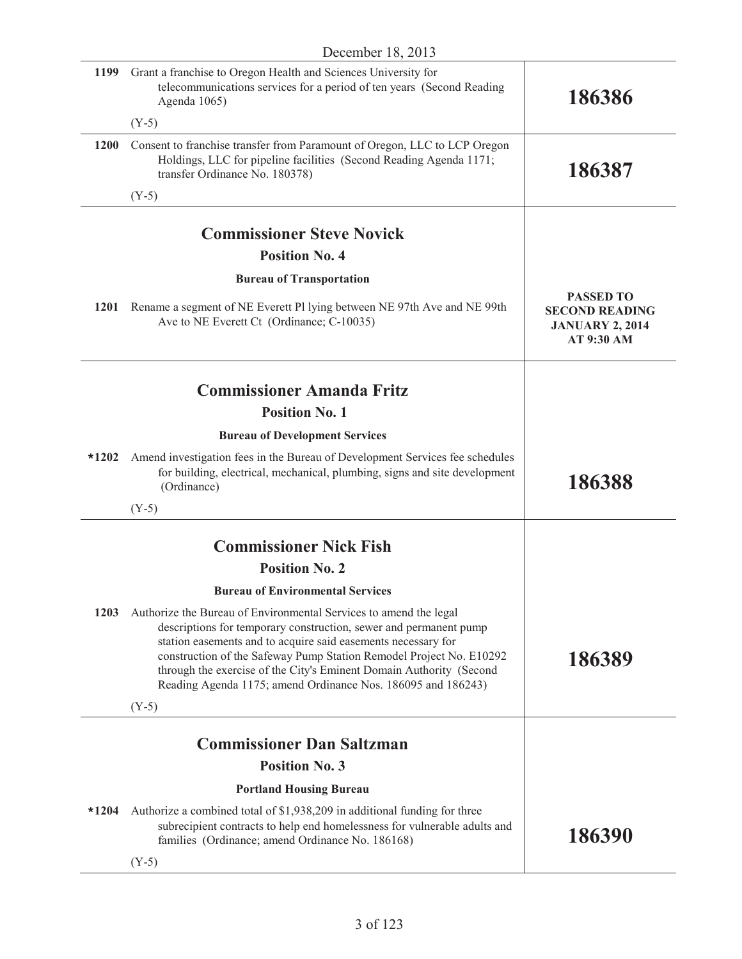| 1199        | Grant a franchise to Oregon Health and Sciences University for<br>telecommunications services for a period of ten years (Second Reading<br>Agenda 1065)                                                                                                                                                                                                                                                               | 186386                                                                            |
|-------------|-----------------------------------------------------------------------------------------------------------------------------------------------------------------------------------------------------------------------------------------------------------------------------------------------------------------------------------------------------------------------------------------------------------------------|-----------------------------------------------------------------------------------|
|             | $(Y-5)$                                                                                                                                                                                                                                                                                                                                                                                                               |                                                                                   |
| 1200        | Consent to franchise transfer from Paramount of Oregon, LLC to LCP Oregon<br>Holdings, LLC for pipeline facilities (Second Reading Agenda 1171;<br>transfer Ordinance No. 180378)                                                                                                                                                                                                                                     | 186387                                                                            |
|             | $(Y-5)$                                                                                                                                                                                                                                                                                                                                                                                                               |                                                                                   |
|             |                                                                                                                                                                                                                                                                                                                                                                                                                       |                                                                                   |
|             | <b>Commissioner Steve Novick</b>                                                                                                                                                                                                                                                                                                                                                                                      |                                                                                   |
|             | <b>Position No. 4</b>                                                                                                                                                                                                                                                                                                                                                                                                 |                                                                                   |
| <b>1201</b> | <b>Bureau of Transportation</b><br>Rename a segment of NE Everett Pl lying between NE 97th Ave and NE 99th<br>Ave to NE Everett Ct (Ordinance; C-10035)                                                                                                                                                                                                                                                               | <b>PASSED TO</b><br><b>SECOND READING</b><br><b>JANUARY 2, 2014</b><br>AT 9:30 AM |
|             | <b>Commissioner Amanda Fritz</b>                                                                                                                                                                                                                                                                                                                                                                                      |                                                                                   |
|             | <b>Position No. 1</b>                                                                                                                                                                                                                                                                                                                                                                                                 |                                                                                   |
|             | <b>Bureau of Development Services</b>                                                                                                                                                                                                                                                                                                                                                                                 |                                                                                   |
| $*1202$     | Amend investigation fees in the Bureau of Development Services fee schedules<br>for building, electrical, mechanical, plumbing, signs and site development<br>(Ordinance)                                                                                                                                                                                                                                             | 186388                                                                            |
|             | $(Y-5)$                                                                                                                                                                                                                                                                                                                                                                                                               |                                                                                   |
|             | <b>Commissioner Nick Fish</b>                                                                                                                                                                                                                                                                                                                                                                                         |                                                                                   |
|             | <b>Position No. 2</b>                                                                                                                                                                                                                                                                                                                                                                                                 |                                                                                   |
|             | <b>Bureau of Environmental Services</b>                                                                                                                                                                                                                                                                                                                                                                               |                                                                                   |
| 1203        | Authorize the Bureau of Environmental Services to amend the legal<br>descriptions for temporary construction, sewer and permanent pump<br>station easements and to acquire said easements necessary for<br>construction of the Safeway Pump Station Remodel Project No. E10292<br>through the exercise of the City's Eminent Domain Authority (Second<br>Reading Agenda 1175; amend Ordinance Nos. 186095 and 186243) | 186389                                                                            |
|             | $(Y-5)$                                                                                                                                                                                                                                                                                                                                                                                                               |                                                                                   |
|             | <b>Commissioner Dan Saltzman</b>                                                                                                                                                                                                                                                                                                                                                                                      |                                                                                   |
|             | <b>Position No. 3</b>                                                                                                                                                                                                                                                                                                                                                                                                 |                                                                                   |
|             | <b>Portland Housing Bureau</b>                                                                                                                                                                                                                                                                                                                                                                                        |                                                                                   |
| $*1204$     | Authorize a combined total of \$1,938,209 in additional funding for three<br>subrecipient contracts to help end homelessness for vulnerable adults and<br>families (Ordinance; amend Ordinance No. 186168)                                                                                                                                                                                                            | 186390                                                                            |
|             | $(Y-5)$                                                                                                                                                                                                                                                                                                                                                                                                               |                                                                                   |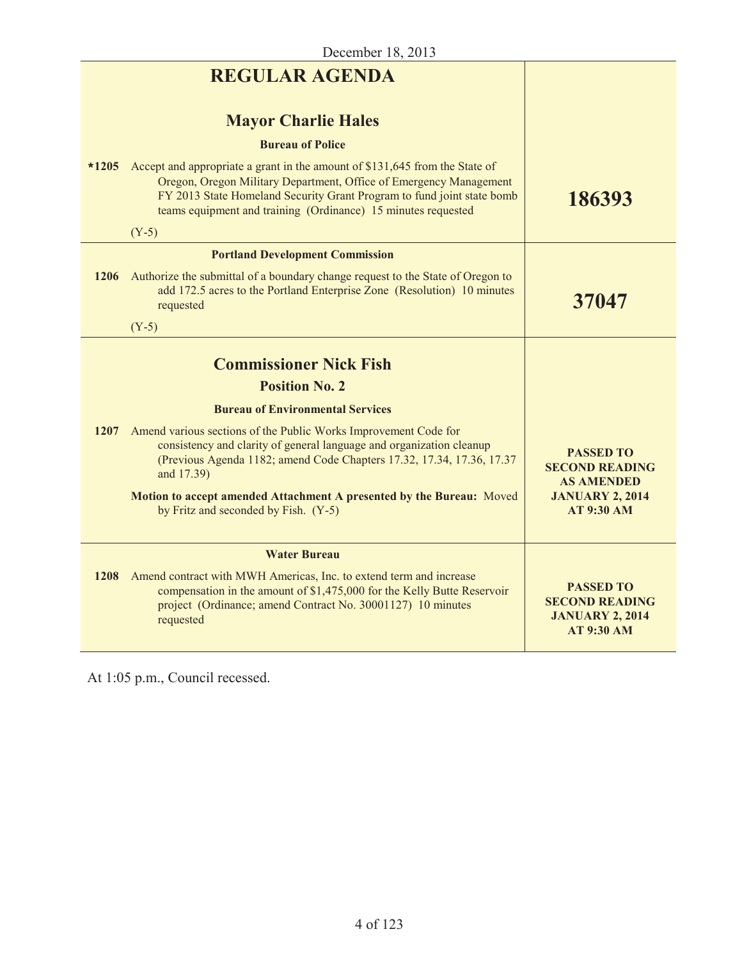| <b>REGULAR AGENDA</b>                                                                                                                                                                                                                                                                        |                                                                                          |
|----------------------------------------------------------------------------------------------------------------------------------------------------------------------------------------------------------------------------------------------------------------------------------------------|------------------------------------------------------------------------------------------|
| <b>Mayor Charlie Hales</b>                                                                                                                                                                                                                                                                   |                                                                                          |
| <b>Bureau of Police</b>                                                                                                                                                                                                                                                                      |                                                                                          |
| Accept and appropriate a grant in the amount of \$131,645 from the State of<br>Oregon, Oregon Military Department, Office of Emergency Management<br>FY 2013 State Homeland Security Grant Program to fund joint state bomb<br>teams equipment and training (Ordinance) 15 minutes requested | 186393                                                                                   |
| $(Y-5)$                                                                                                                                                                                                                                                                                      |                                                                                          |
| <b>Portland Development Commission</b>                                                                                                                                                                                                                                                       |                                                                                          |
| Authorize the submittal of a boundary change request to the State of Oregon to<br>add 172.5 acres to the Portland Enterprise Zone (Resolution) 10 minutes<br>requested                                                                                                                       | 37047                                                                                    |
| $(Y-5)$                                                                                                                                                                                                                                                                                      |                                                                                          |
| <b>Commissioner Nick Fish</b>                                                                                                                                                                                                                                                                |                                                                                          |
|                                                                                                                                                                                                                                                                                              |                                                                                          |
|                                                                                                                                                                                                                                                                                              |                                                                                          |
| Amend various sections of the Public Works Improvement Code for<br>consistency and clarity of general language and organization cleanup<br>(Previous Agenda 1182; amend Code Chapters 17.32, 17.34, 17.36, 17.37<br>and 17.39)                                                               | <b>PASSED TO</b><br><b>SECOND READING</b><br><b>AS AMENDED</b>                           |
| Motion to accept amended Attachment A presented by the Bureau: Moved<br>by Fritz and seconded by Fish. (Y-5)                                                                                                                                                                                 | <b>JANUARY 2, 2014</b><br><b>AT 9:30 AM</b>                                              |
| <b>Water Bureau</b>                                                                                                                                                                                                                                                                          |                                                                                          |
| Amend contract with MWH Americas, Inc. to extend term and increase<br>compensation in the amount of \$1,475,000 for the Kelly Butte Reservoir<br>project (Ordinance; amend Contract No. 30001127) 10 minutes<br>requested                                                                    | <b>PASSED TO</b><br><b>SECOND READING</b><br><b>JANUARY 2, 2014</b><br><b>AT 9:30 AM</b> |
|                                                                                                                                                                                                                                                                                              | <b>Position No. 2</b><br><b>Bureau of Environmental Services</b><br>1208                 |

At 1:05 p.m., Council recessed.

L

L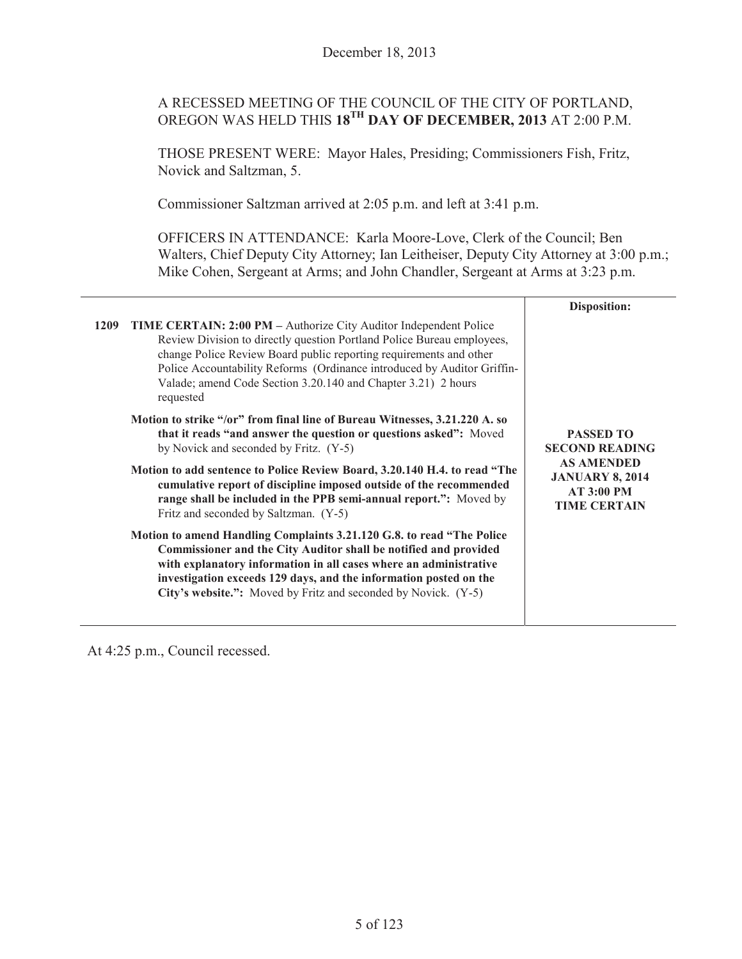# A RECESSED MEETING OF THE COUNCIL OF THE CITY OF PORTLAND, OREGON WAS HELD THIS **18TH DAY OF DECEMBER, 2013** AT 2:00 P.M.

THOSE PRESENT WERE: Mayor Hales, Presiding; Commissioners Fish, Fritz, Novick and Saltzman, 5.

Commissioner Saltzman arrived at 2:05 p.m. and left at 3:41 p.m.

OFFICERS IN ATTENDANCE: Karla Moore-Love, Clerk of the Council; Ben Walters, Chief Deputy City Attorney; Ian Leitheiser, Deputy City Attorney at 3:00 p.m.; Mike Cohen, Sergeant at Arms; and John Chandler, Sergeant at Arms at 3:23 p.m.

|                                                                                                                                                                                                                                                                                                                                                                                    | <b>Disposition:</b>                                                                                                                  |
|------------------------------------------------------------------------------------------------------------------------------------------------------------------------------------------------------------------------------------------------------------------------------------------------------------------------------------------------------------------------------------|--------------------------------------------------------------------------------------------------------------------------------------|
| 1209<br>TIME CERTAIN: 2:00 PM - Authorize City Auditor Independent Police<br>Review Division to directly question Portland Police Bureau employees,<br>change Police Review Board public reporting requirements and other<br>Police Accountability Reforms (Ordinance introduced by Auditor Griffin-<br>Valade; amend Code Section 3.20.140 and Chapter 3.21) 2 hours<br>requested | <b>PASSED TO</b><br><b>SECOND READING</b><br><b>AS AMENDED</b><br><b>JANUARY 8, 2014</b><br><b>AT 3:00 PM</b><br><b>TIME CERTAIN</b> |
| Motion to strike "/or" from final line of Bureau Witnesses, 3.21.220 A. so<br>that it reads "and answer the question or questions asked": Moved<br>by Novick and seconded by Fritz. (Y-5)                                                                                                                                                                                          |                                                                                                                                      |
| Motion to add sentence to Police Review Board, 3.20.140 H.4. to read "The<br>cumulative report of discipline imposed outside of the recommended<br>range shall be included in the PPB semi-annual report.": Moved by<br>Fritz and seconded by Saltzman. (Y-5)                                                                                                                      |                                                                                                                                      |
| Motion to amend Handling Complaints 3.21.120 G.8. to read "The Police"<br>Commissioner and the City Auditor shall be notified and provided<br>with explanatory information in all cases where an administrative<br>investigation exceeds 129 days, and the information posted on the<br>City's website.": Moved by Fritz and seconded by Novick. (Y-5)                             |                                                                                                                                      |

At 4:25 p.m., Council recessed.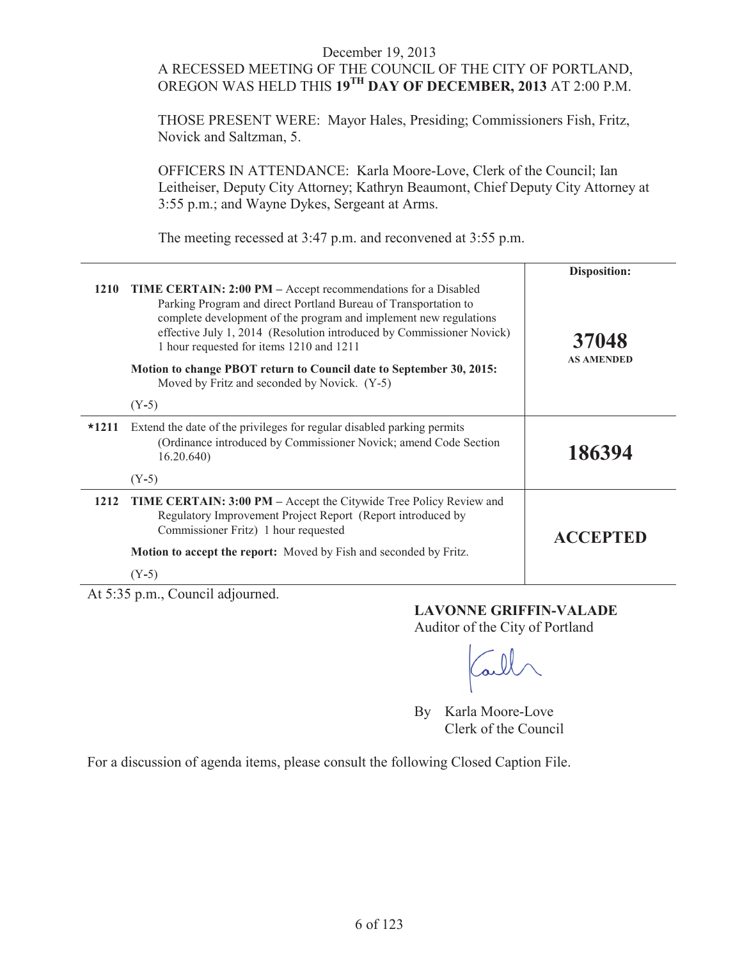# A RECESSED MEETING OF THE COUNCIL OF THE CITY OF PORTLAND, OREGON WAS HELD THIS **19TH DAY OF DECEMBER, 2013** AT 2:00 P.M.

THOSE PRESENT WERE: Mayor Hales, Presiding; Commissioners Fish, Fritz, Novick and Saltzman, 5.

OFFICERS IN ATTENDANCE: Karla Moore-Love, Clerk of the Council; Ian Leitheiser, Deputy City Attorney; Kathryn Beaumont, Chief Deputy City Attorney at 3:55 p.m.; and Wayne Dykes, Sergeant at Arms.

The meeting recessed at 3:47 p.m. and reconvened at 3:55 p.m.

|         |                                                                                                                                                                                                                                                                                                                                   | Disposition:               |
|---------|-----------------------------------------------------------------------------------------------------------------------------------------------------------------------------------------------------------------------------------------------------------------------------------------------------------------------------------|----------------------------|
| 1210    | <b>TIME CERTAIN: 2:00 PM</b> – Accept recommendations for a Disabled<br>Parking Program and direct Portland Bureau of Transportation to<br>complete development of the program and implement new regulations<br>effective July 1, 2014 (Resolution introduced by Commissioner Novick)<br>1 hour requested for items 1210 and 1211 | 37048<br><b>AS AMENDED</b> |
|         | Motion to change PBOT return to Council date to September 30, 2015:<br>Moved by Fritz and seconded by Novick. (Y-5)                                                                                                                                                                                                               |                            |
|         | $(Y-5)$                                                                                                                                                                                                                                                                                                                           |                            |
| $*1211$ | Extend the date of the privileges for regular disabled parking permits<br>(Ordinance introduced by Commissioner Novick; amend Code Section<br>16.20.640                                                                                                                                                                           | 186394                     |
|         | $(Y-5)$                                                                                                                                                                                                                                                                                                                           |                            |
| 1212    | <b>TIME CERTAIN: 3:00 PM</b> – Accept the Citywide Tree Policy Review and<br>Regulatory Improvement Project Report (Report introduced by<br>Commissioner Fritz) 1 hour requested                                                                                                                                                  | <b>ACCEPTED</b>            |
|         | <b>Motion to accept the report:</b> Moved by Fish and seconded by Fritz.                                                                                                                                                                                                                                                          |                            |
|         | $(Y-5)$                                                                                                                                                                                                                                                                                                                           |                            |

At 5:35 p.m., Council adjourned.

#### **LAVONNE GRIFFIN-VALADE**

Auditor of the City of Portland

By Karla Moore-Love Clerk of the Council

For a discussion of agenda items, please consult the following Closed Caption File.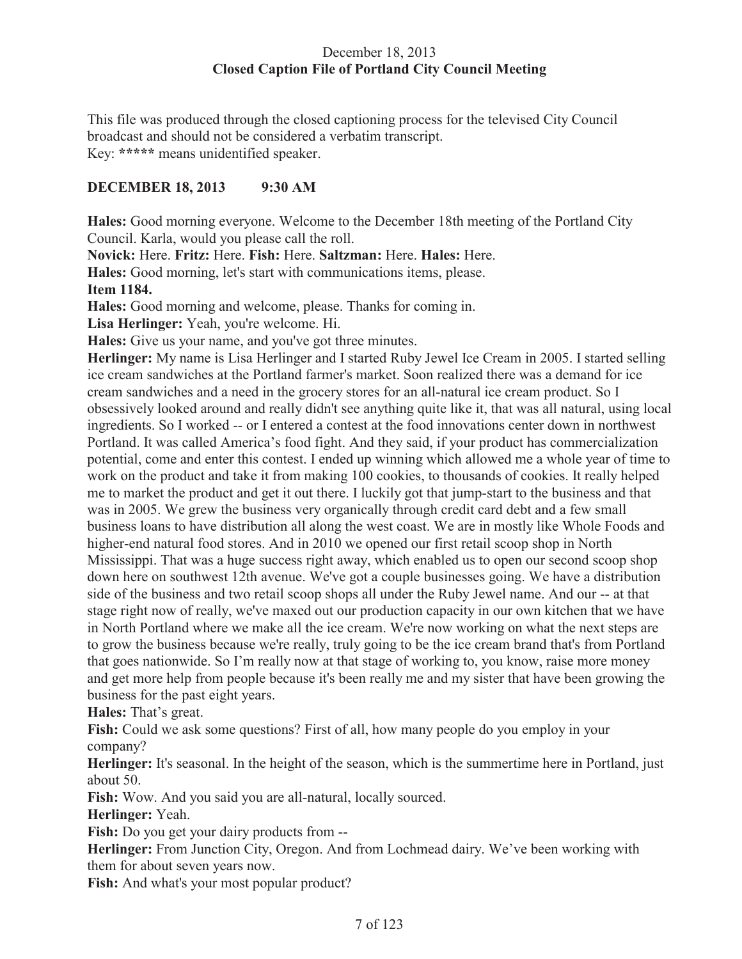# December 18, 2013 **Closed Caption File of Portland City Council Meeting**

This file was produced through the closed captioning process for the televised City Council broadcast and should not be considered a verbatim transcript. Key: **\*\*\*\*\*** means unidentified speaker.

# **DECEMBER 18, 2013 9:30 AM**

**Hales:** Good morning everyone. Welcome to the December 18th meeting of the Portland City Council. Karla, would you please call the roll.

**Novick:** Here. **Fritz:** Here. **Fish:** Here. **Saltzman:** Here. **Hales:** Here.

**Hales:** Good morning, let's start with communications items, please.

**Item 1184.**

**Hales:** Good morning and welcome, please. Thanks for coming in.

**Lisa Herlinger:** Yeah, you're welcome. Hi.

**Hales:** Give us your name, and you've got three minutes.

**Herlinger:** My name is Lisa Herlinger and I started Ruby Jewel Ice Cream in 2005. I started selling ice cream sandwiches at the Portland farmer's market. Soon realized there was a demand for ice cream sandwiches and a need in the grocery stores for an all-natural ice cream product. So I obsessively looked around and really didn't see anything quite like it, that was all natural, using local ingredients. So I worked -- or I entered a contest at the food innovations center down in northwest Portland. It was called America's food fight. And they said, if your product has commercialization potential, come and enter this contest. I ended up winning which allowed me a whole year of time to work on the product and take it from making 100 cookies, to thousands of cookies. It really helped me to market the product and get it out there. I luckily got that jump-start to the business and that was in 2005. We grew the business very organically through credit card debt and a few small business loans to have distribution all along the west coast. We are in mostly like Whole Foods and higher-end natural food stores. And in 2010 we opened our first retail scoop shop in North Mississippi. That was a huge success right away, which enabled us to open our second scoop shop down here on southwest 12th avenue. We've got a couple businesses going. We have a distribution side of the business and two retail scoop shops all under the Ruby Jewel name. And our -- at that stage right now of really, we've maxed out our production capacity in our own kitchen that we have in North Portland where we make all the ice cream. We're now working on what the next steps are to grow the business because we're really, truly going to be the ice cream brand that's from Portland that goes nationwide. So I'm really now at that stage of working to, you know, raise more money and get more help from people because it's been really me and my sister that have been growing the business for the past eight years.

**Hales:** That's great.

**Fish:** Could we ask some questions? First of all, how many people do you employ in your company?

**Herlinger:** It's seasonal. In the height of the season, which is the summertime here in Portland, just about 50.

**Fish:** Wow. And you said you are all-natural, locally sourced.

**Herlinger:** Yeah.

**Fish:** Do you get your dairy products from --

**Herlinger:** From Junction City, Oregon. And from Lochmead dairy. We've been working with them for about seven years now.

**Fish:** And what's your most popular product?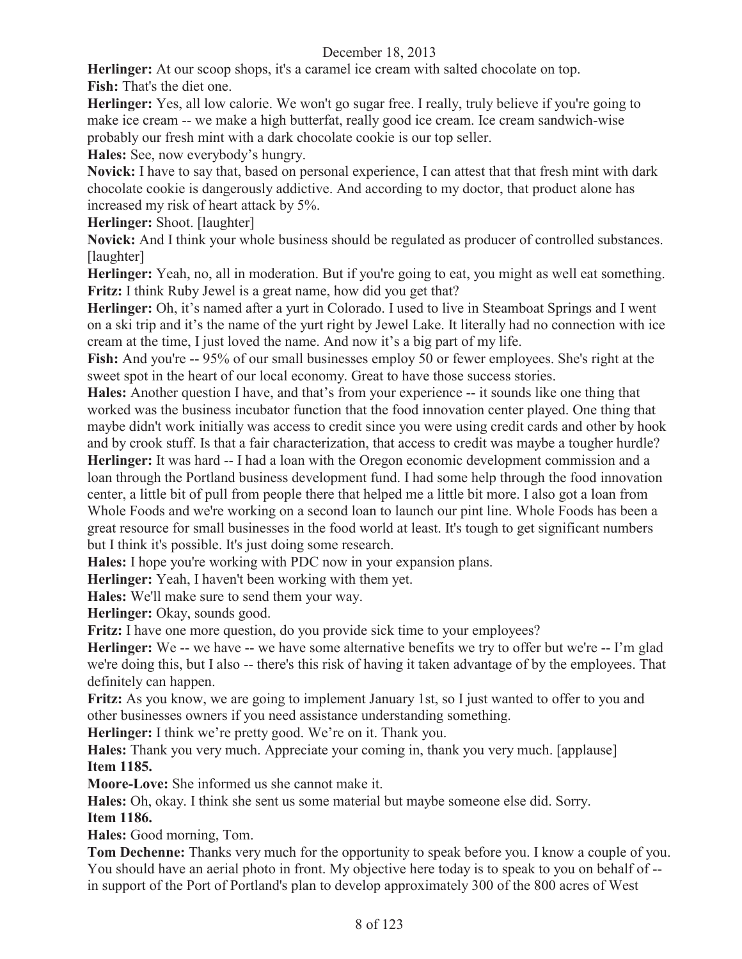**Herlinger:** At our scoop shops, it's a caramel ice cream with salted chocolate on top. **Fish:** That's the diet one.

**Herlinger:** Yes, all low calorie. We won't go sugar free. I really, truly believe if you're going to make ice cream -- we make a high butterfat, really good ice cream. Ice cream sandwich-wise probably our fresh mint with a dark chocolate cookie is our top seller.

**Hales:** See, now everybody's hungry.

**Novick:** I have to say that, based on personal experience, I can attest that that fresh mint with dark chocolate cookie is dangerously addictive. And according to my doctor, that product alone has increased my risk of heart attack by 5%.

**Herlinger:** Shoot. [laughter]

**Novick:** And I think your whole business should be regulated as producer of controlled substances. [laughter]

**Herlinger:** Yeah, no, all in moderation. But if you're going to eat, you might as well eat something. **Fritz:** I think Ruby Jewel is a great name, how did you get that?

**Herlinger:** Oh, it's named after a yurt in Colorado. I used to live in Steamboat Springs and I went on a ski trip and it's the name of the yurt right by Jewel Lake. It literally had no connection with ice cream at the time, I just loved the name. And now it's a big part of my life.

Fish: And you're -- 95% of our small businesses employ 50 or fewer employees. She's right at the sweet spot in the heart of our local economy. Great to have those success stories.

**Hales:** Another question I have, and that's from your experience -- it sounds like one thing that worked was the business incubator function that the food innovation center played. One thing that maybe didn't work initially was access to credit since you were using credit cards and other by hook and by crook stuff. Is that a fair characterization, that access to credit was maybe a tougher hurdle?

**Herlinger:** It was hard -- I had a loan with the Oregon economic development commission and a loan through the Portland business development fund. I had some help through the food innovation center, a little bit of pull from people there that helped me a little bit more. I also got a loan from Whole Foods and we're working on a second loan to launch our pint line. Whole Foods has been a great resource for small businesses in the food world at least. It's tough to get significant numbers but I think it's possible. It's just doing some research.

**Hales:** I hope you're working with PDC now in your expansion plans.

**Herlinger:** Yeah, I haven't been working with them yet.

**Hales:** We'll make sure to send them your way.

Herlinger: Okay, sounds good.

**Fritz:** I have one more question, do you provide sick time to your employees?

**Herlinger:** We -- we have -- we have some alternative benefits we try to offer but we're -- I'm glad we're doing this, but I also -- there's this risk of having it taken advantage of by the employees. That definitely can happen.

**Fritz:** As you know, we are going to implement January 1st, so I just wanted to offer to you and other businesses owners if you need assistance understanding something.

**Herlinger:** I think we're pretty good. We're on it. Thank you.

**Hales:** Thank you very much. Appreciate your coming in, thank you very much. [applause] **Item 1185.**

**Moore-Love:** She informed us she cannot make it.

**Hales:** Oh, okay. I think she sent us some material but maybe someone else did. Sorry.

**Item 1186.** 

**Hales:** Good morning, Tom.

**Tom Dechenne:** Thanks very much for the opportunity to speak before you. I know a couple of you. You should have an aerial photo in front. My objective here today is to speak to you on behalf of - in support of the Port of Portland's plan to develop approximately 300 of the 800 acres of West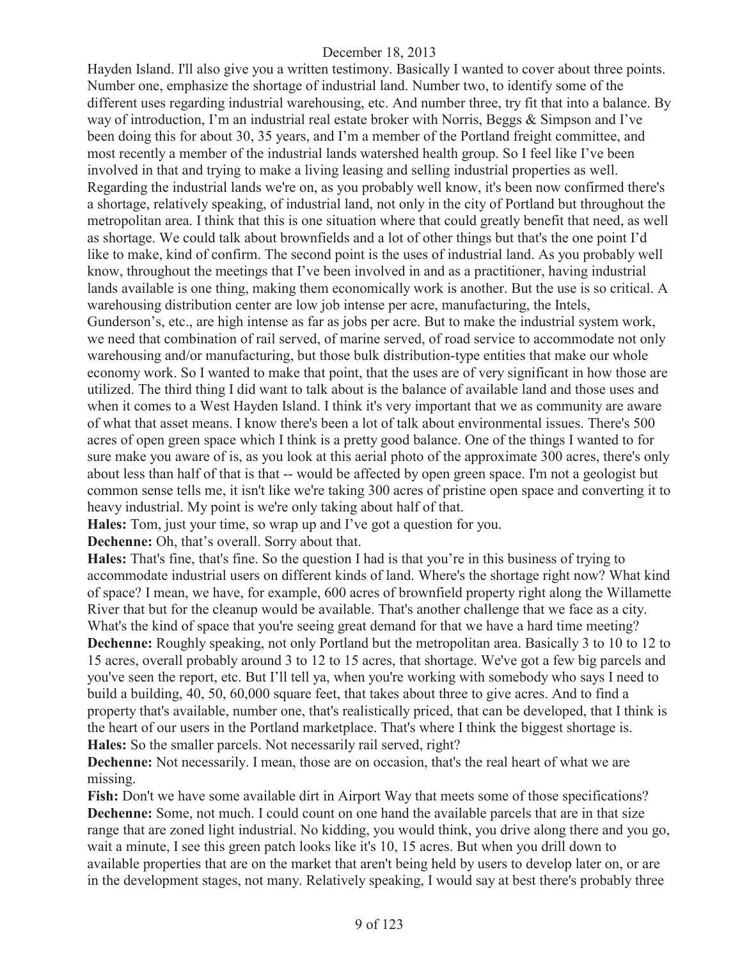Hayden Island. I'll also give you a written testimony. Basically I wanted to cover about three points. Number one, emphasize the shortage of industrial land. Number two, to identify some of the different uses regarding industrial warehousing, etc. And number three, try fit that into a balance. By way of introduction, I'm an industrial real estate broker with Norris, Beggs & Simpson and I've been doing this for about 30, 35 years, and I'm a member of the Portland freight committee, and most recently a member of the industrial lands watershed health group. So I feel like I've been involved in that and trying to make a living leasing and selling industrial properties as well. Regarding the industrial lands we're on, as you probably well know, it's been now confirmed there's a shortage, relatively speaking, of industrial land, not only in the city of Portland but throughout the metropolitan area. I think that this is one situation where that could greatly benefit that need, as well as shortage. We could talk about brownfields and a lot of other things but that's the one point I'd like to make, kind of confirm. The second point is the uses of industrial land. As you probably well know, throughout the meetings that I've been involved in and as a practitioner, having industrial lands available is one thing, making them economically work is another. But the use is so critical. A warehousing distribution center are low job intense per acre, manufacturing, the Intels, Gunderson's, etc., are high intense as far as jobs per acre. But to make the industrial system work, we need that combination of rail served, of marine served, of road service to accommodate not only warehousing and/or manufacturing, but those bulk distribution-type entities that make our whole economy work. So I wanted to make that point, that the uses are of very significant in how those are utilized. The third thing I did want to talk about is the balance of available land and those uses and when it comes to a West Hayden Island. I think it's very important that we as community are aware of what that asset means. I know there's been a lot of talk about environmental issues. There's 500 acres of open green space which I think is a pretty good balance. One of the things I wanted to for sure make you aware of is, as you look at this aerial photo of the approximate 300 acres, there's only about less than half of that is that -- would be affected by open green space. I'm not a geologist but common sense tells me, it isn't like we're taking 300 acres of pristine open space and converting it to heavy industrial. My point is we're only taking about half of that.

**Hales:** Tom, just your time, so wrap up and I've got a question for you.

**Dechenne:** Oh, that's overall. Sorry about that.

**Hales:** That's fine, that's fine. So the question I had is that you're in this business of trying to accommodate industrial users on different kinds of land. Where's the shortage right now? What kind of space? I mean, we have, for example, 600 acres of brownfield property right along the Willamette River that but for the cleanup would be available. That's another challenge that we face as a city. What's the kind of space that you're seeing great demand for that we have a hard time meeting? **Dechenne:** Roughly speaking, not only Portland but the metropolitan area. Basically 3 to 10 to 12 to 15 acres, overall probably around 3 to 12 to 15 acres, that shortage. We've got a few big parcels and you've seen the report, etc. But I'll tell ya, when you're working with somebody who says I need to build a building, 40, 50, 60,000 square feet, that takes about three to give acres. And to find a property that's available, number one, that's realistically priced, that can be developed, that I think is the heart of our users in the Portland marketplace. That's where I think the biggest shortage is. **Hales:** So the smaller parcels. Not necessarily rail served, right?

**Dechenne:** Not necessarily. I mean, those are on occasion, that's the real heart of what we are missing.

Fish: Don't we have some available dirt in Airport Way that meets some of those specifications? **Dechenne:** Some, not much. I could count on one hand the available parcels that are in that size range that are zoned light industrial. No kidding, you would think, you drive along there and you go, wait a minute, I see this green patch looks like it's 10, 15 acres. But when you drill down to available properties that are on the market that aren't being held by users to develop later on, or are in the development stages, not many. Relatively speaking, I would say at best there's probably three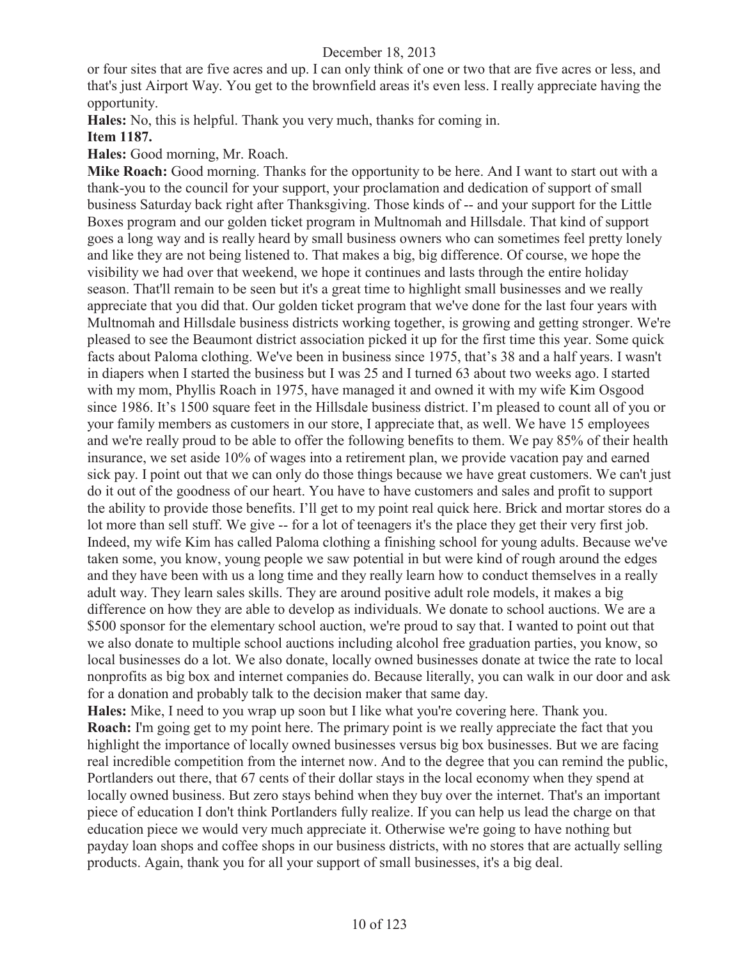or four sites that are five acres and up. I can only think of one or two that are five acres or less, and that's just Airport Way. You get to the brownfield areas it's even less. I really appreciate having the opportunity.

**Hales:** No, this is helpful. Thank you very much, thanks for coming in.

#### **Item 1187.**

**Hales:** Good morning, Mr. Roach.

**Mike Roach:** Good morning. Thanks for the opportunity to be here. And I want to start out with a thank-you to the council for your support, your proclamation and dedication of support of small business Saturday back right after Thanksgiving. Those kinds of -- and your support for the Little Boxes program and our golden ticket program in Multnomah and Hillsdale. That kind of support goes a long way and is really heard by small business owners who can sometimes feel pretty lonely and like they are not being listened to. That makes a big, big difference. Of course, we hope the visibility we had over that weekend, we hope it continues and lasts through the entire holiday season. That'll remain to be seen but it's a great time to highlight small businesses and we really appreciate that you did that. Our golden ticket program that we've done for the last four years with Multnomah and Hillsdale business districts working together, is growing and getting stronger. We're pleased to see the Beaumont district association picked it up for the first time this year. Some quick facts about Paloma clothing. We've been in business since 1975, that's 38 and a half years. I wasn't in diapers when I started the business but I was 25 and I turned 63 about two weeks ago. I started with my mom, Phyllis Roach in 1975, have managed it and owned it with my wife Kim Osgood since 1986. It's 1500 square feet in the Hillsdale business district. I'm pleased to count all of you or your family members as customers in our store, I appreciate that, as well. We have 15 employees and we're really proud to be able to offer the following benefits to them. We pay 85% of their health insurance, we set aside 10% of wages into a retirement plan, we provide vacation pay and earned sick pay. I point out that we can only do those things because we have great customers. We can't just do it out of the goodness of our heart. You have to have customers and sales and profit to support the ability to provide those benefits. I'll get to my point real quick here. Brick and mortar stores do a lot more than sell stuff. We give -- for a lot of teenagers it's the place they get their very first job. Indeed, my wife Kim has called Paloma clothing a finishing school for young adults. Because we've taken some, you know, young people we saw potential in but were kind of rough around the edges and they have been with us a long time and they really learn how to conduct themselves in a really adult way. They learn sales skills. They are around positive adult role models, it makes a big difference on how they are able to develop as individuals. We donate to school auctions. We are a \$500 sponsor for the elementary school auction, we're proud to say that. I wanted to point out that we also donate to multiple school auctions including alcohol free graduation parties, you know, so local businesses do a lot. We also donate, locally owned businesses donate at twice the rate to local nonprofits as big box and internet companies do. Because literally, you can walk in our door and ask for a donation and probably talk to the decision maker that same day.

**Hales:** Mike, I need to you wrap up soon but I like what you're covering here. Thank you. **Roach:** I'm going get to my point here. The primary point is we really appreciate the fact that you highlight the importance of locally owned businesses versus big box businesses. But we are facing real incredible competition from the internet now. And to the degree that you can remind the public, Portlanders out there, that 67 cents of their dollar stays in the local economy when they spend at locally owned business. But zero stays behind when they buy over the internet. That's an important piece of education I don't think Portlanders fully realize. If you can help us lead the charge on that education piece we would very much appreciate it. Otherwise we're going to have nothing but payday loan shops and coffee shops in our business districts, with no stores that are actually selling products. Again, thank you for all your support of small businesses, it's a big deal.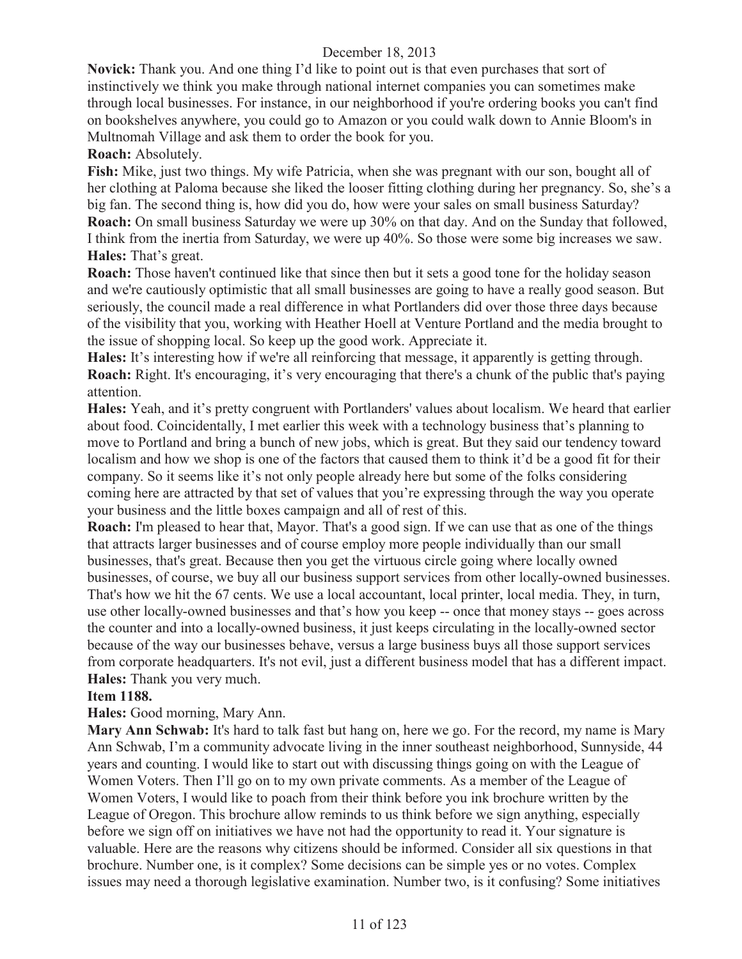**Novick:** Thank you. And one thing I'd like to point out is that even purchases that sort of instinctively we think you make through national internet companies you can sometimes make through local businesses. For instance, in our neighborhood if you're ordering books you can't find on bookshelves anywhere, you could go to Amazon or you could walk down to Annie Bloom's in Multnomah Village and ask them to order the book for you.

**Roach:** Absolutely.

**Fish:** Mike, just two things. My wife Patricia, when she was pregnant with our son, bought all of her clothing at Paloma because she liked the looser fitting clothing during her pregnancy. So, she's a big fan. The second thing is, how did you do, how were your sales on small business Saturday? **Roach:** On small business Saturday we were up 30% on that day. And on the Sunday that followed, I think from the inertia from Saturday, we were up 40%. So those were some big increases we saw. **Hales:** That's great.

**Roach:** Those haven't continued like that since then but it sets a good tone for the holiday season and we're cautiously optimistic that all small businesses are going to have a really good season. But seriously, the council made a real difference in what Portlanders did over those three days because of the visibility that you, working with Heather Hoell at Venture Portland and the media brought to the issue of shopping local. So keep up the good work. Appreciate it.

**Hales:** It's interesting how if we're all reinforcing that message, it apparently is getting through. **Roach:** Right. It's encouraging, it's very encouraging that there's a chunk of the public that's paying attention.

**Hales:** Yeah, and it's pretty congruent with Portlanders' values about localism. We heard that earlier about food. Coincidentally, I met earlier this week with a technology business that's planning to move to Portland and bring a bunch of new jobs, which is great. But they said our tendency toward localism and how we shop is one of the factors that caused them to think it'd be a good fit for their company. So it seems like it's not only people already here but some of the folks considering coming here are attracted by that set of values that you're expressing through the way you operate your business and the little boxes campaign and all of rest of this.

**Roach:** I'm pleased to hear that, Mayor. That's a good sign. If we can use that as one of the things that attracts larger businesses and of course employ more people individually than our small businesses, that's great. Because then you get the virtuous circle going where locally owned businesses, of course, we buy all our business support services from other locally-owned businesses. That's how we hit the 67 cents. We use a local accountant, local printer, local media. They, in turn, use other locally-owned businesses and that's how you keep -- once that money stays -- goes across the counter and into a locally-owned business, it just keeps circulating in the locally-owned sector because of the way our businesses behave, versus a large business buys all those support services from corporate headquarters. It's not evil, just a different business model that has a different impact. **Hales:** Thank you very much.

## **Item 1188.**

**Hales:** Good morning, Mary Ann.

**Mary Ann Schwab:** It's hard to talk fast but hang on, here we go. For the record, my name is Mary Ann Schwab, I'm a community advocate living in the inner southeast neighborhood, Sunnyside, 44 years and counting. I would like to start out with discussing things going on with the League of Women Voters. Then I'll go on to my own private comments. As a member of the League of Women Voters, I would like to poach from their think before you ink brochure written by the League of Oregon. This brochure allow reminds to us think before we sign anything, especially before we sign off on initiatives we have not had the opportunity to read it. Your signature is valuable. Here are the reasons why citizens should be informed. Consider all six questions in that brochure. Number one, is it complex? Some decisions can be simple yes or no votes. Complex issues may need a thorough legislative examination. Number two, is it confusing? Some initiatives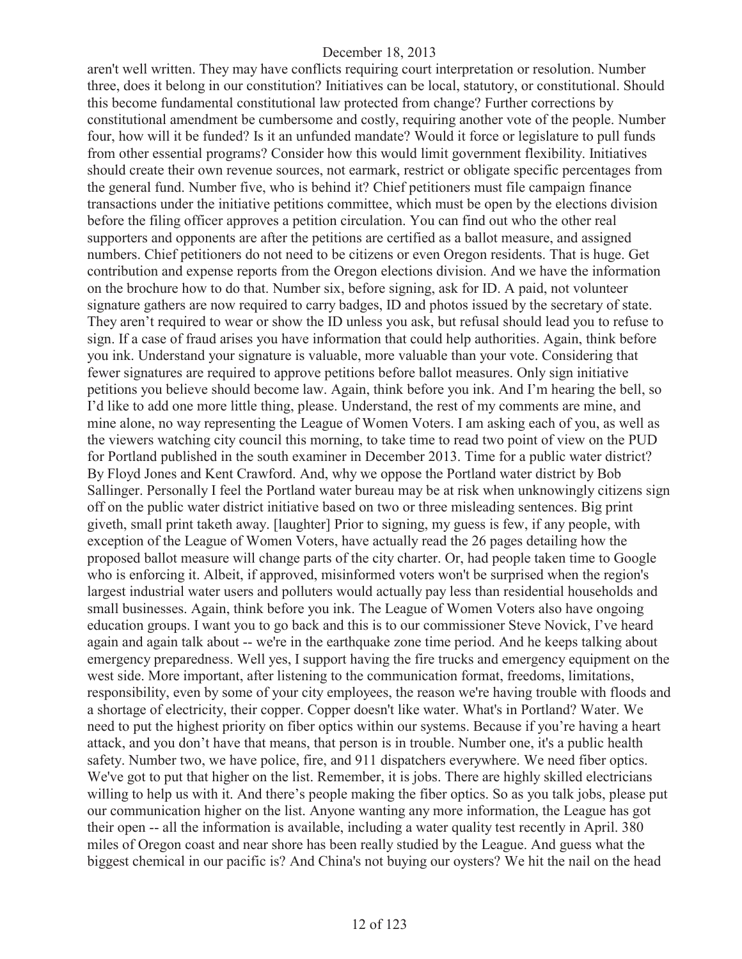aren't well written. They may have conflicts requiring court interpretation or resolution. Number three, does it belong in our constitution? Initiatives can be local, statutory, or constitutional. Should this become fundamental constitutional law protected from change? Further corrections by constitutional amendment be cumbersome and costly, requiring another vote of the people. Number four, how will it be funded? Is it an unfunded mandate? Would it force or legislature to pull funds from other essential programs? Consider how this would limit government flexibility. Initiatives should create their own revenue sources, not earmark, restrict or obligate specific percentages from the general fund. Number five, who is behind it? Chief petitioners must file campaign finance transactions under the initiative petitions committee, which must be open by the elections division before the filing officer approves a petition circulation. You can find out who the other real supporters and opponents are after the petitions are certified as a ballot measure, and assigned numbers. Chief petitioners do not need to be citizens or even Oregon residents. That is huge. Get contribution and expense reports from the Oregon elections division. And we have the information on the brochure how to do that. Number six, before signing, ask for ID. A paid, not volunteer signature gathers are now required to carry badges, ID and photos issued by the secretary of state. They aren't required to wear or show the ID unless you ask, but refusal should lead you to refuse to sign. If a case of fraud arises you have information that could help authorities. Again, think before you ink. Understand your signature is valuable, more valuable than your vote. Considering that fewer signatures are required to approve petitions before ballot measures. Only sign initiative petitions you believe should become law. Again, think before you ink. And I'm hearing the bell, so I'd like to add one more little thing, please. Understand, the rest of my comments are mine, and mine alone, no way representing the League of Women Voters. I am asking each of you, as well as the viewers watching city council this morning, to take time to read two point of view on the PUD for Portland published in the south examiner in December 2013. Time for a public water district? By Floyd Jones and Kent Crawford. And, why we oppose the Portland water district by Bob Sallinger. Personally I feel the Portland water bureau may be at risk when unknowingly citizens sign off on the public water district initiative based on two or three misleading sentences. Big print giveth, small print taketh away. [laughter] Prior to signing, my guess is few, if any people, with exception of the League of Women Voters, have actually read the 26 pages detailing how the proposed ballot measure will change parts of the city charter. Or, had people taken time to Google who is enforcing it. Albeit, if approved, misinformed voters won't be surprised when the region's largest industrial water users and polluters would actually pay less than residential households and small businesses. Again, think before you ink. The League of Women Voters also have ongoing education groups. I want you to go back and this is to our commissioner Steve Novick, I've heard again and again talk about -- we're in the earthquake zone time period. And he keeps talking about emergency preparedness. Well yes, I support having the fire trucks and emergency equipment on the west side. More important, after listening to the communication format, freedoms, limitations, responsibility, even by some of your city employees, the reason we're having trouble with floods and a shortage of electricity, their copper. Copper doesn't like water. What's in Portland? Water. We need to put the highest priority on fiber optics within our systems. Because if you're having a heart attack, and you don't have that means, that person is in trouble. Number one, it's a public health safety. Number two, we have police, fire, and 911 dispatchers everywhere. We need fiber optics. We've got to put that higher on the list. Remember, it is jobs. There are highly skilled electricians willing to help us with it. And there's people making the fiber optics. So as you talk jobs, please put our communication higher on the list. Anyone wanting any more information, the League has got their open -- all the information is available, including a water quality test recently in April. 380 miles of Oregon coast and near shore has been really studied by the League. And guess what the biggest chemical in our pacific is? And China's not buying our oysters? We hit the nail on the head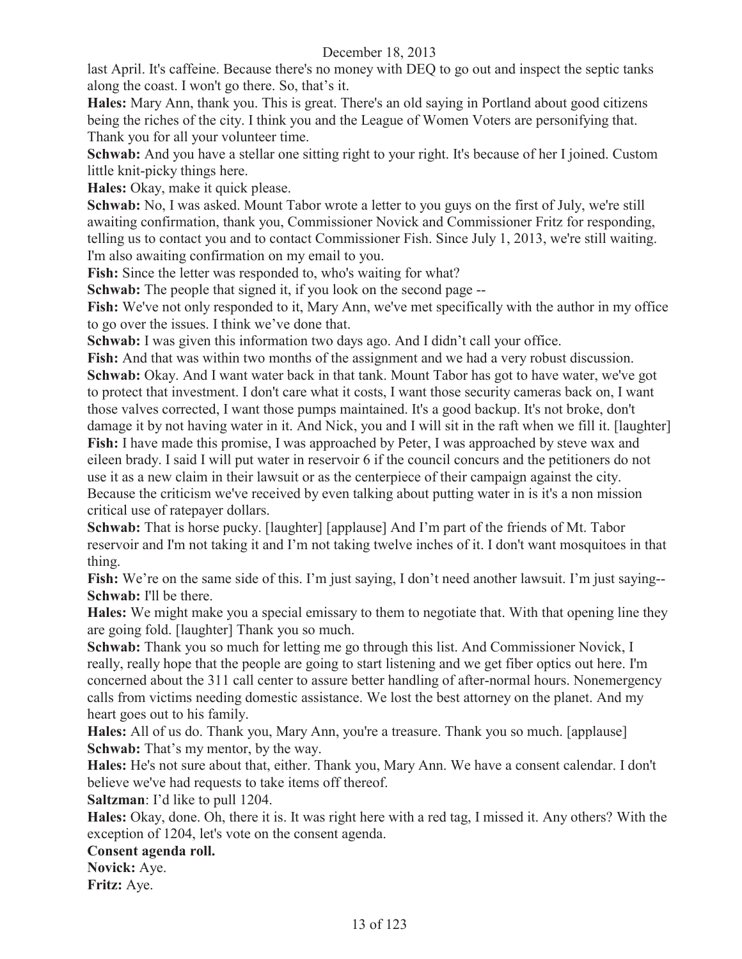last April. It's caffeine. Because there's no money with DEQ to go out and inspect the septic tanks along the coast. I won't go there. So, that's it.

**Hales:** Mary Ann, thank you. This is great. There's an old saying in Portland about good citizens being the riches of the city. I think you and the League of Women Voters are personifying that. Thank you for all your volunteer time.

**Schwab:** And you have a stellar one sitting right to your right. It's because of her I joined. Custom little knit-picky things here.

**Hales:** Okay, make it quick please.

**Schwab:** No, I was asked. Mount Tabor wrote a letter to you guys on the first of July, we're still awaiting confirmation, thank you, Commissioner Novick and Commissioner Fritz for responding, telling us to contact you and to contact Commissioner Fish. Since July 1, 2013, we're still waiting. I'm also awaiting confirmation on my email to you.

Fish: Since the letter was responded to, who's waiting for what?

**Schwab:** The people that signed it, if you look on the second page --

**Fish:** We've not only responded to it, Mary Ann, we've met specifically with the author in my office to go over the issues. I think we've done that.

**Schwab:** I was given this information two days ago. And I didn't call your office.

Fish: And that was within two months of the assignment and we had a very robust discussion. **Schwab:** Okay. And I want water back in that tank. Mount Tabor has got to have water, we've got to protect that investment. I don't care what it costs, I want those security cameras back on, I want those valves corrected, I want those pumps maintained. It's a good backup. It's not broke, don't damage it by not having water in it. And Nick, you and I will sit in the raft when we fill it. [laughter] **Fish:** I have made this promise, I was approached by Peter, I was approached by steve wax and eileen brady. I said I will put water in reservoir 6 if the council concurs and the petitioners do not use it as a new claim in their lawsuit or as the centerpiece of their campaign against the city. Because the criticism we've received by even talking about putting water in is it's a non mission critical use of ratepayer dollars.

**Schwab:** That is horse pucky. [laughter] [applause] And I'm part of the friends of Mt. Tabor reservoir and I'm not taking it and I'm not taking twelve inches of it. I don't want mosquitoes in that thing.

Fish: We're on the same side of this. I'm just saying, I don't need another lawsuit. I'm just saying--**Schwab: I'll** be there.

**Hales:** We might make you a special emissary to them to negotiate that. With that opening line they are going fold. [laughter] Thank you so much.

**Schwab:** Thank you so much for letting me go through this list. And Commissioner Novick, I really, really hope that the people are going to start listening and we get fiber optics out here. I'm concerned about the 311 call center to assure better handling of after-normal hours. Nonemergency calls from victims needing domestic assistance. We lost the best attorney on the planet. And my heart goes out to his family.

Hales: All of us do. Thank you, Mary Ann, you're a treasure. Thank you so much. [applause] **Schwab:** That's my mentor, by the way.

**Hales:** He's not sure about that, either. Thank you, Mary Ann. We have a consent calendar. I don't believe we've had requests to take items off thereof.

**Saltzman**: I'd like to pull 1204.

**Hales:** Okay, done. Oh, there it is. It was right here with a red tag, I missed it. Any others? With the exception of 1204, let's vote on the consent agenda.

#### **Consent agenda roll.**

**Novick:** Aye. **Fritz:** Aye.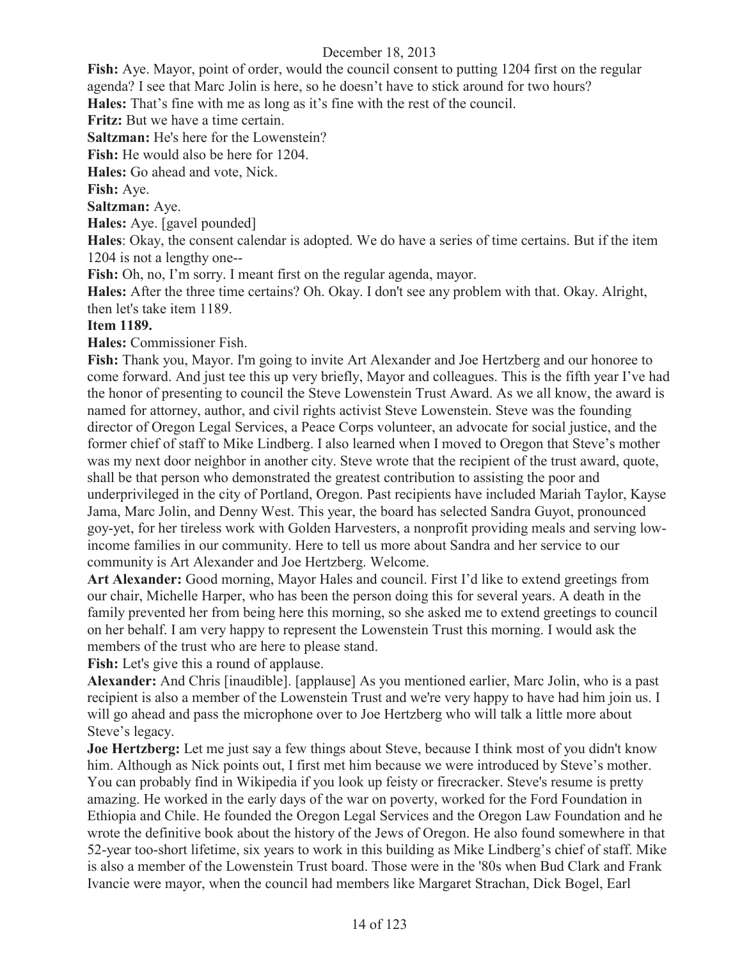**Fish:** Aye. Mayor, point of order, would the council consent to putting 1204 first on the regular agenda? I see that Marc Jolin is here, so he doesn't have to stick around for two hours?

**Hales:** That's fine with me as long as it's fine with the rest of the council.

**Fritz:** But we have a time certain.

**Saltzman:** He's here for the Lowenstein?

**Fish:** He would also be here for 1204.

**Hales:** Go ahead and vote, Nick.

**Fish:** Aye.

**Saltzman:** Aye.

**Hales:** Aye. [gavel pounded]

**Hales**: Okay, the consent calendar is adopted. We do have a series of time certains. But if the item 1204 is not a lengthy one--

**Fish:** Oh, no, I'm sorry. I meant first on the regular agenda, mayor.

**Hales:** After the three time certains? Oh. Okay. I don't see any problem with that. Okay. Alright, then let's take item 1189.

#### **Item 1189.**

**Hales:** Commissioner Fish.

**Fish:** Thank you, Mayor. I'm going to invite Art Alexander and Joe Hertzberg and our honoree to come forward. And just tee this up very briefly, Mayor and colleagues. This is the fifth year I've had the honor of presenting to council the Steve Lowenstein Trust Award. As we all know, the award is named for attorney, author, and civil rights activist Steve Lowenstein. Steve was the founding director of Oregon Legal Services, a Peace Corps volunteer, an advocate for social justice, and the former chief of staff to Mike Lindberg. I also learned when I moved to Oregon that Steve's mother was my next door neighbor in another city. Steve wrote that the recipient of the trust award, quote, shall be that person who demonstrated the greatest contribution to assisting the poor and underprivileged in the city of Portland, Oregon. Past recipients have included Mariah Taylor, Kayse Jama, Marc Jolin, and Denny West. This year, the board has selected Sandra Guyot, pronounced goy-yet, for her tireless work with Golden Harvesters, a nonprofit providing meals and serving lowincome families in our community. Here to tell us more about Sandra and her service to our community is Art Alexander and Joe Hertzberg. Welcome.

**Art Alexander:** Good morning, Mayor Hales and council. First I'd like to extend greetings from our chair, Michelle Harper, who has been the person doing this for several years. A death in the family prevented her from being here this morning, so she asked me to extend greetings to council on her behalf. I am very happy to represent the Lowenstein Trust this morning. I would ask the members of the trust who are here to please stand.

**Fish:** Let's give this a round of applause.

**Alexander:** And Chris [inaudible]. [applause] As you mentioned earlier, Marc Jolin, who is a past recipient is also a member of the Lowenstein Trust and we're very happy to have had him join us. I will go ahead and pass the microphone over to Joe Hertzberg who will talk a little more about Steve's legacy.

**Joe Hertzberg:** Let me just say a few things about Steve, because I think most of you didn't know him. Although as Nick points out, I first met him because we were introduced by Steve's mother. You can probably find in Wikipedia if you look up feisty or firecracker. Steve's resume is pretty amazing. He worked in the early days of the war on poverty, worked for the Ford Foundation in Ethiopia and Chile. He founded the Oregon Legal Services and the Oregon Law Foundation and he wrote the definitive book about the history of the Jews of Oregon. He also found somewhere in that 52-year too-short lifetime, six years to work in this building as Mike Lindberg's chief of staff. Mike is also a member of the Lowenstein Trust board. Those were in the '80s when Bud Clark and Frank Ivancie were mayor, when the council had members like Margaret Strachan, Dick Bogel, Earl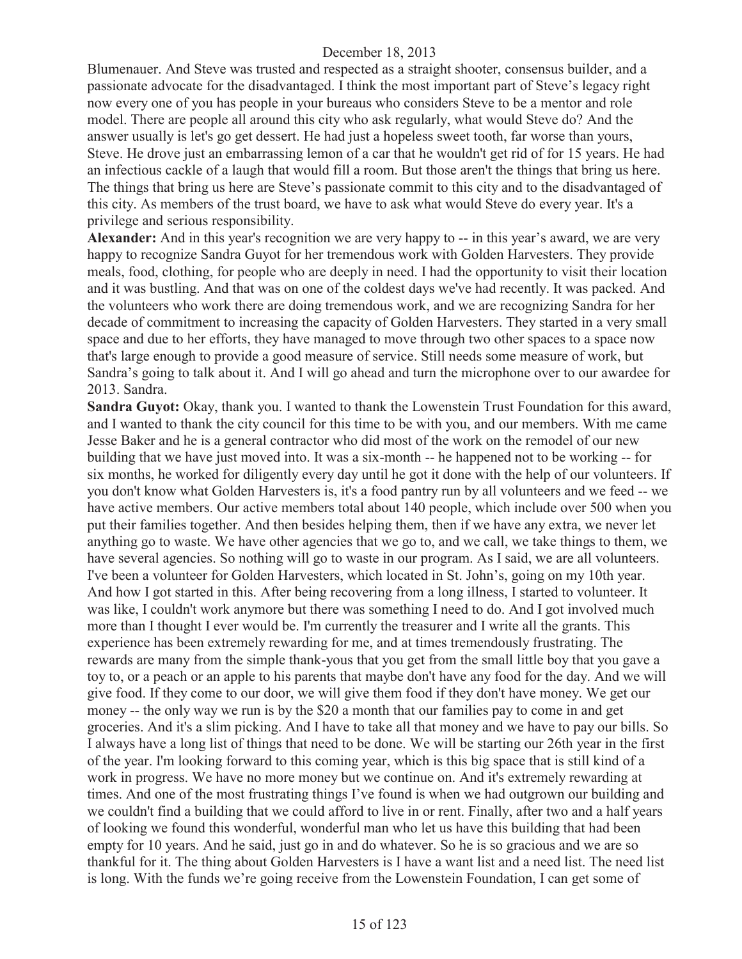Blumenauer. And Steve was trusted and respected as a straight shooter, consensus builder, and a passionate advocate for the disadvantaged. I think the most important part of Steve's legacy right now every one of you has people in your bureaus who considers Steve to be a mentor and role model. There are people all around this city who ask regularly, what would Steve do? And the answer usually is let's go get dessert. He had just a hopeless sweet tooth, far worse than yours, Steve. He drove just an embarrassing lemon of a car that he wouldn't get rid of for 15 years. He had an infectious cackle of a laugh that would fill a room. But those aren't the things that bring us here. The things that bring us here are Steve's passionate commit to this city and to the disadvantaged of this city. As members of the trust board, we have to ask what would Steve do every year. It's a privilege and serious responsibility.

**Alexander:** And in this year's recognition we are very happy to -- in this year's award, we are very happy to recognize Sandra Guyot for her tremendous work with Golden Harvesters. They provide meals, food, clothing, for people who are deeply in need. I had the opportunity to visit their location and it was bustling. And that was on one of the coldest days we've had recently. It was packed. And the volunteers who work there are doing tremendous work, and we are recognizing Sandra for her decade of commitment to increasing the capacity of Golden Harvesters. They started in a very small space and due to her efforts, they have managed to move through two other spaces to a space now that's large enough to provide a good measure of service. Still needs some measure of work, but Sandra's going to talk about it. And I will go ahead and turn the microphone over to our awardee for 2013. Sandra.

Sandra Guyot: Okay, thank you. I wanted to thank the Lowenstein Trust Foundation for this award, and I wanted to thank the city council for this time to be with you, and our members. With me came Jesse Baker and he is a general contractor who did most of the work on the remodel of our new building that we have just moved into. It was a six-month -- he happened not to be working -- for six months, he worked for diligently every day until he got it done with the help of our volunteers. If you don't know what Golden Harvesters is, it's a food pantry run by all volunteers and we feed -- we have active members. Our active members total about 140 people, which include over 500 when you put their families together. And then besides helping them, then if we have any extra, we never let anything go to waste. We have other agencies that we go to, and we call, we take things to them, we have several agencies. So nothing will go to waste in our program. As I said, we are all volunteers. I've been a volunteer for Golden Harvesters, which located in St. John's, going on my 10th year. And how I got started in this. After being recovering from a long illness, I started to volunteer. It was like, I couldn't work anymore but there was something I need to do. And I got involved much more than I thought I ever would be. I'm currently the treasurer and I write all the grants. This experience has been extremely rewarding for me, and at times tremendously frustrating. The rewards are many from the simple thank-yous that you get from the small little boy that you gave a toy to, or a peach or an apple to his parents that maybe don't have any food for the day. And we will give food. If they come to our door, we will give them food if they don't have money. We get our money -- the only way we run is by the \$20 a month that our families pay to come in and get groceries. And it's a slim picking. And I have to take all that money and we have to pay our bills. So I always have a long list of things that need to be done. We will be starting our 26th year in the first of the year. I'm looking forward to this coming year, which is this big space that is still kind of a work in progress. We have no more money but we continue on. And it's extremely rewarding at times. And one of the most frustrating things I've found is when we had outgrown our building and we couldn't find a building that we could afford to live in or rent. Finally, after two and a half years of looking we found this wonderful, wonderful man who let us have this building that had been empty for 10 years. And he said, just go in and do whatever. So he is so gracious and we are so thankful for it. The thing about Golden Harvesters is I have a want list and a need list. The need list is long. With the funds we're going receive from the Lowenstein Foundation, I can get some of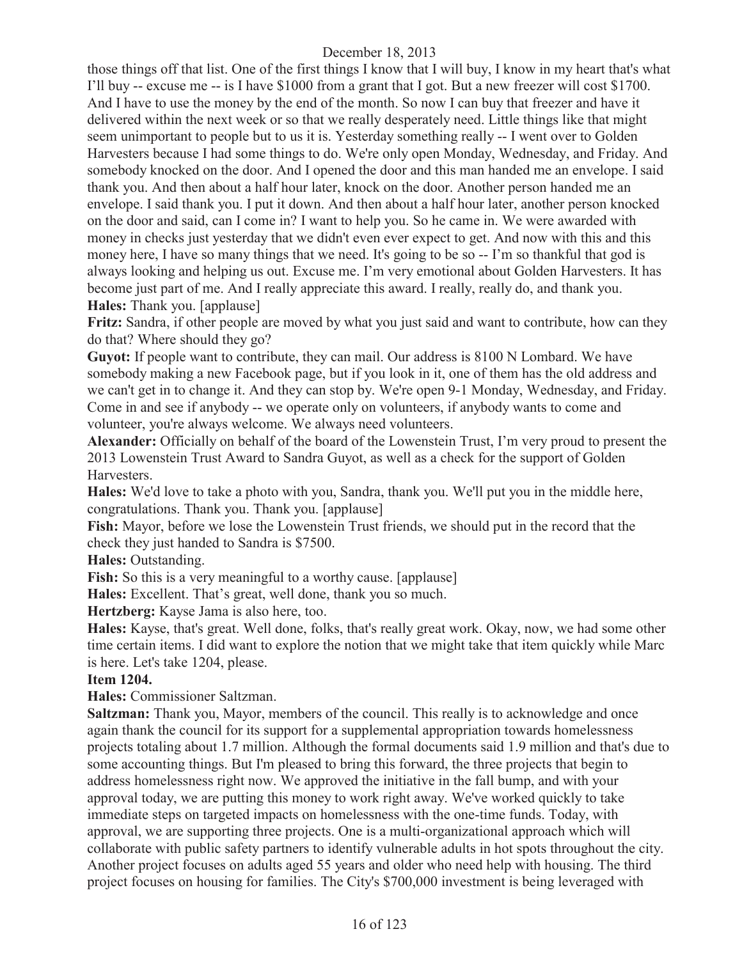those things off that list. One of the first things I know that I will buy, I know in my heart that's what I'll buy -- excuse me -- is I have \$1000 from a grant that I got. But a new freezer will cost \$1700. And I have to use the money by the end of the month. So now I can buy that freezer and have it delivered within the next week or so that we really desperately need. Little things like that might seem unimportant to people but to us it is. Yesterday something really -- I went over to Golden Harvesters because I had some things to do. We're only open Monday, Wednesday, and Friday. And somebody knocked on the door. And I opened the door and this man handed me an envelope. I said thank you. And then about a half hour later, knock on the door. Another person handed me an envelope. I said thank you. I put it down. And then about a half hour later, another person knocked on the door and said, can I come in? I want to help you. So he came in. We were awarded with money in checks just yesterday that we didn't even ever expect to get. And now with this and this money here, I have so many things that we need. It's going to be so -- I'm so thankful that god is always looking and helping us out. Excuse me. I'm very emotional about Golden Harvesters. It has become just part of me. And I really appreciate this award. I really, really do, and thank you. **Hales:** Thank you. [applause]

**Fritz:** Sandra, if other people are moved by what you just said and want to contribute, how can they do that? Where should they go?

Guyot: If people want to contribute, they can mail. Our address is 8100 N Lombard. We have somebody making a new Facebook page, but if you look in it, one of them has the old address and we can't get in to change it. And they can stop by. We're open 9-1 Monday, Wednesday, and Friday. Come in and see if anybody -- we operate only on volunteers, if anybody wants to come and volunteer, you're always welcome. We always need volunteers.

**Alexander:** Officially on behalf of the board of the Lowenstein Trust, I'm very proud to present the 2013 Lowenstein Trust Award to Sandra Guyot, as well as a check for the support of Golden Harvesters.

**Hales:** We'd love to take a photo with you, Sandra, thank you. We'll put you in the middle here, congratulations. Thank you. Thank you. [applause]

**Fish:** Mayor, before we lose the Lowenstein Trust friends, we should put in the record that the check they just handed to Sandra is \$7500.

**Hales:** Outstanding.

**Fish:** So this is a very meaningful to a worthy cause. [applause]

**Hales:** Excellent. That's great, well done, thank you so much.

**Hertzberg:** Kayse Jama is also here, too.

**Hales:** Kayse, that's great. Well done, folks, that's really great work. Okay, now, we had some other time certain items. I did want to explore the notion that we might take that item quickly while Marc is here. Let's take 1204, please.

## **Item 1204.**

**Hales:** Commissioner Saltzman.

**Saltzman:** Thank you, Mayor, members of the council. This really is to acknowledge and once again thank the council for its support for a supplemental appropriation towards homelessness projects totaling about 1.7 million. Although the formal documents said 1.9 million and that's due to some accounting things. But I'm pleased to bring this forward, the three projects that begin to address homelessness right now. We approved the initiative in the fall bump, and with your approval today, we are putting this money to work right away. We've worked quickly to take immediate steps on targeted impacts on homelessness with the one-time funds. Today, with approval, we are supporting three projects. One is a multi-organizational approach which will collaborate with public safety partners to identify vulnerable adults in hot spots throughout the city. Another project focuses on adults aged 55 years and older who need help with housing. The third project focuses on housing for families. The City's \$700,000 investment is being leveraged with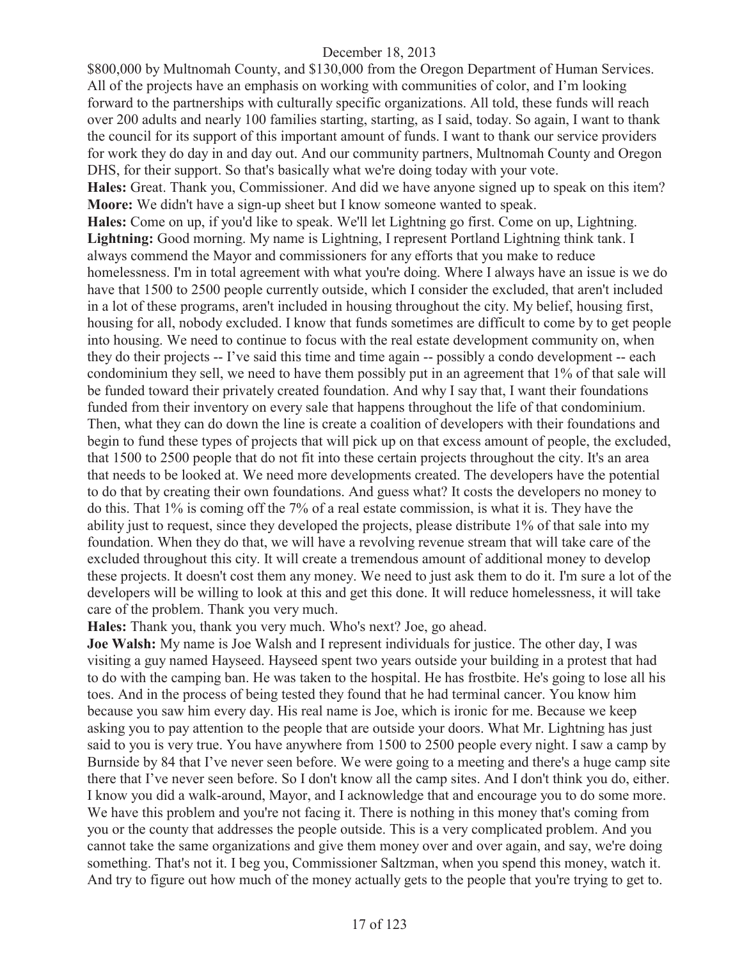\$800,000 by Multnomah County, and \$130,000 from the Oregon Department of Human Services. All of the projects have an emphasis on working with communities of color, and I'm looking forward to the partnerships with culturally specific organizations. All told, these funds will reach over 200 adults and nearly 100 families starting, starting, as I said, today. So again, I want to thank the council for its support of this important amount of funds. I want to thank our service providers for work they do day in and day out. And our community partners, Multnomah County and Oregon DHS, for their support. So that's basically what we're doing today with your vote. **Hales:** Great. Thank you, Commissioner. And did we have anyone signed up to speak on this item? **Moore:** We didn't have a sign-up sheet but I know someone wanted to speak. **Hales:** Come on up, if you'd like to speak. We'll let Lightning go first. Come on up, Lightning. Lightning: Good morning. My name is Lightning, I represent Portland Lightning think tank. I always commend the Mayor and commissioners for any efforts that you make to reduce homelessness. I'm in total agreement with what you're doing. Where I always have an issue is we do have that 1500 to 2500 people currently outside, which I consider the excluded, that aren't included in a lot of these programs, aren't included in housing throughout the city. My belief, housing first, housing for all, nobody excluded. I know that funds sometimes are difficult to come by to get people into housing. We need to continue to focus with the real estate development community on, when they do their projects -- I've said this time and time again -- possibly a condo development -- each condominium they sell, we need to have them possibly put in an agreement that 1% of that sale will be funded toward their privately created foundation. And why I say that, I want their foundations funded from their inventory on every sale that happens throughout the life of that condominium. Then, what they can do down the line is create a coalition of developers with their foundations and begin to fund these types of projects that will pick up on that excess amount of people, the excluded, that 1500 to 2500 people that do not fit into these certain projects throughout the city. It's an area that needs to be looked at. We need more developments created. The developers have the potential to do that by creating their own foundations. And guess what? It costs the developers no money to do this. That 1% is coming off the 7% of a real estate commission, is what it is. They have the ability just to request, since they developed the projects, please distribute 1% of that sale into my foundation. When they do that, we will have a revolving revenue stream that will take care of the excluded throughout this city. It will create a tremendous amount of additional money to develop these projects. It doesn't cost them any money. We need to just ask them to do it. I'm sure a lot of the developers will be willing to look at this and get this done. It will reduce homelessness, it will take care of the problem. Thank you very much.

**Hales:** Thank you, thank you very much. Who's next? Joe, go ahead.

**Joe Walsh:** My name is Joe Walsh and I represent individuals for justice. The other day, I was visiting a guy named Hayseed. Hayseed spent two years outside your building in a protest that had to do with the camping ban. He was taken to the hospital. He has frostbite. He's going to lose all his toes. And in the process of being tested they found that he had terminal cancer. You know him because you saw him every day. His real name is Joe, which is ironic for me. Because we keep asking you to pay attention to the people that are outside your doors. What Mr. Lightning has just said to you is very true. You have anywhere from 1500 to 2500 people every night. I saw a camp by Burnside by 84 that I've never seen before. We were going to a meeting and there's a huge camp site there that I've never seen before. So I don't know all the camp sites. And I don't think you do, either. I know you did a walk-around, Mayor, and I acknowledge that and encourage you to do some more. We have this problem and you're not facing it. There is nothing in this money that's coming from you or the county that addresses the people outside. This is a very complicated problem. And you cannot take the same organizations and give them money over and over again, and say, we're doing something. That's not it. I beg you, Commissioner Saltzman, when you spend this money, watch it. And try to figure out how much of the money actually gets to the people that you're trying to get to.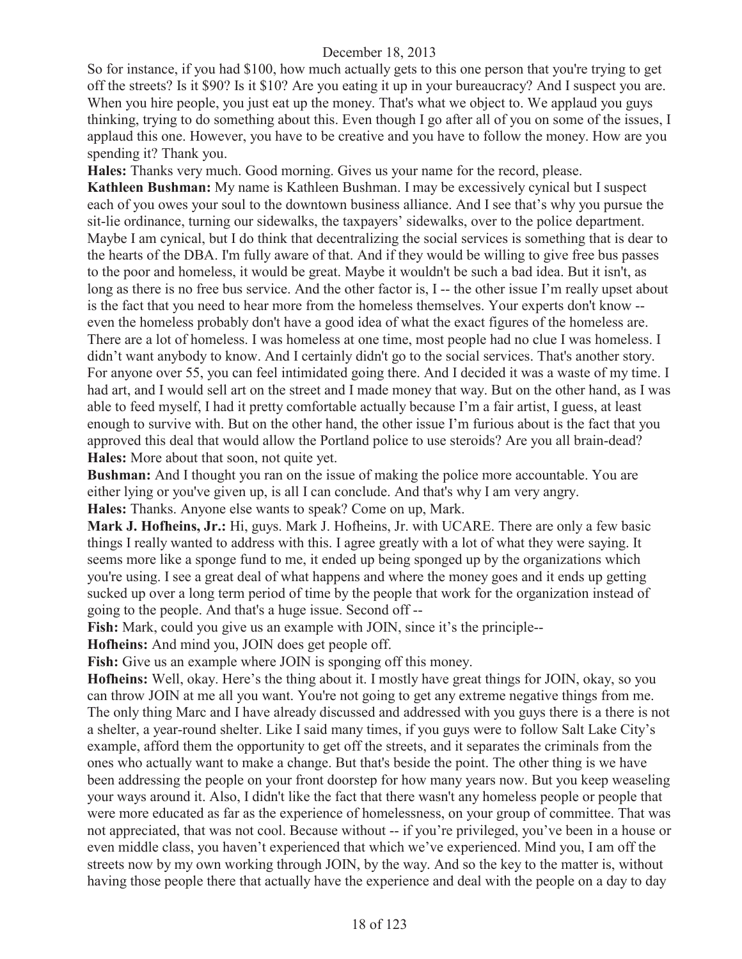So for instance, if you had \$100, how much actually gets to this one person that you're trying to get off the streets? Is it \$90? Is it \$10? Are you eating it up in your bureaucracy? And I suspect you are. When you hire people, you just eat up the money. That's what we object to. We applaud you guys thinking, trying to do something about this. Even though I go after all of you on some of the issues, I applaud this one. However, you have to be creative and you have to follow the money. How are you spending it? Thank you.

**Hales:** Thanks very much. Good morning. Gives us your name for the record, please.

**Kathleen Bushman:** My name is Kathleen Bushman. I may be excessively cynical but I suspect each of you owes your soul to the downtown business alliance. And I see that's why you pursue the sit-lie ordinance, turning our sidewalks, the taxpayers' sidewalks, over to the police department. Maybe I am cynical, but I do think that decentralizing the social services is something that is dear to the hearts of the DBA. I'm fully aware of that. And if they would be willing to give free bus passes to the poor and homeless, it would be great. Maybe it wouldn't be such a bad idea. But it isn't, as long as there is no free bus service. And the other factor is, I -- the other issue I'm really upset about is the fact that you need to hear more from the homeless themselves. Your experts don't know - even the homeless probably don't have a good idea of what the exact figures of the homeless are. There are a lot of homeless. I was homeless at one time, most people had no clue I was homeless. I didn't want anybody to know. And I certainly didn't go to the social services. That's another story. For anyone over 55, you can feel intimidated going there. And I decided it was a waste of my time. I had art, and I would sell art on the street and I made money that way. But on the other hand, as I was able to feed myself, I had it pretty comfortable actually because I'm a fair artist, I guess, at least enough to survive with. But on the other hand, the other issue I'm furious about is the fact that you approved this deal that would allow the Portland police to use steroids? Are you all brain-dead? **Hales:** More about that soon, not quite yet.

**Bushman:** And I thought you ran on the issue of making the police more accountable. You are either lying or you've given up, is all I can conclude. And that's why I am very angry. **Hales:** Thanks. Anyone else wants to speak? Come on up, Mark.

**Mark J. Hofheins, Jr.:** Hi, guys. Mark J. Hofheins, Jr. with UCARE. There are only a few basic things I really wanted to address with this. I agree greatly with a lot of what they were saying. It seems more like a sponge fund to me, it ended up being sponged up by the organizations which you're using. I see a great deal of what happens and where the money goes and it ends up getting sucked up over a long term period of time by the people that work for the organization instead of going to the people. And that's a huge issue. Second off --

Fish: Mark, could you give us an example with JOIN, since it's the principle--

**Hofheins:** And mind you, JOIN does get people off.

Fish: Give us an example where JOIN is sponging off this money.

**Hofheins:** Well, okay. Here's the thing about it. I mostly have great things for JOIN, okay, so you can throw JOIN at me all you want. You're not going to get any extreme negative things from me. The only thing Marc and I have already discussed and addressed with you guys there is a there is not a shelter, a year-round shelter. Like I said many times, if you guys were to follow Salt Lake City's example, afford them the opportunity to get off the streets, and it separates the criminals from the ones who actually want to make a change. But that's beside the point. The other thing is we have been addressing the people on your front doorstep for how many years now. But you keep weaseling your ways around it. Also, I didn't like the fact that there wasn't any homeless people or people that were more educated as far as the experience of homelessness, on your group of committee. That was not appreciated, that was not cool. Because without -- if you're privileged, you've been in a house or even middle class, you haven't experienced that which we've experienced. Mind you, I am off the streets now by my own working through JOIN, by the way. And so the key to the matter is, without having those people there that actually have the experience and deal with the people on a day to day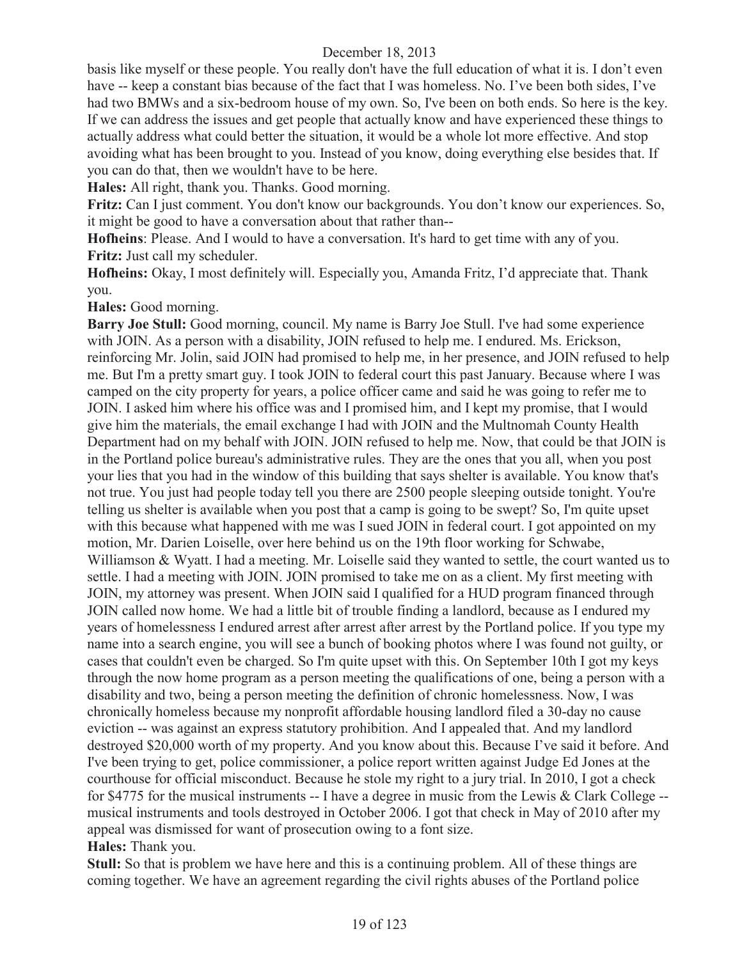basis like myself or these people. You really don't have the full education of what it is. I don't even have -- keep a constant bias because of the fact that I was homeless. No. I've been both sides, I've had two BMWs and a six-bedroom house of my own. So, I've been on both ends. So here is the key. If we can address the issues and get people that actually know and have experienced these things to actually address what could better the situation, it would be a whole lot more effective. And stop avoiding what has been brought to you. Instead of you know, doing everything else besides that. If you can do that, then we wouldn't have to be here.

**Hales:** All right, thank you. Thanks. Good morning.

**Fritz:** Can I just comment. You don't know our backgrounds. You don't know our experiences. So, it might be good to have a conversation about that rather than--

**Hofheins**: Please. And I would to have a conversation. It's hard to get time with any of you. **Fritz:** Just call my scheduler.

**Hofheins:** Okay, I most definitely will. Especially you, Amanda Fritz, I'd appreciate that. Thank you.

**Hales:** Good morning.

**Barry Joe Stull:** Good morning, council. My name is Barry Joe Stull. I've had some experience with JOIN. As a person with a disability, JOIN refused to help me. I endured. Ms. Erickson, reinforcing Mr. Jolin, said JOIN had promised to help me, in her presence, and JOIN refused to help me. But I'm a pretty smart guy. I took JOIN to federal court this past January. Because where I was camped on the city property for years, a police officer came and said he was going to refer me to JOIN. I asked him where his office was and I promised him, and I kept my promise, that I would give him the materials, the email exchange I had with JOIN and the Multnomah County Health Department had on my behalf with JOIN. JOIN refused to help me. Now, that could be that JOIN is in the Portland police bureau's administrative rules. They are the ones that you all, when you post your lies that you had in the window of this building that says shelter is available. You know that's not true. You just had people today tell you there are 2500 people sleeping outside tonight. You're telling us shelter is available when you post that a camp is going to be swept? So, I'm quite upset with this because what happened with me was I sued JOIN in federal court. I got appointed on my motion, Mr. Darien Loiselle, over here behind us on the 19th floor working for Schwabe, Williamson & Wyatt. I had a meeting. Mr. Loiselle said they wanted to settle, the court wanted us to settle. I had a meeting with JOIN. JOIN promised to take me on as a client. My first meeting with JOIN, my attorney was present. When JOIN said I qualified for a HUD program financed through JOIN called now home. We had a little bit of trouble finding a landlord, because as I endured my years of homelessness I endured arrest after arrest after arrest by the Portland police. If you type my name into a search engine, you will see a bunch of booking photos where I was found not guilty, or cases that couldn't even be charged. So I'm quite upset with this. On September 10th I got my keys through the now home program as a person meeting the qualifications of one, being a person with a disability and two, being a person meeting the definition of chronic homelessness. Now, I was chronically homeless because my nonprofit affordable housing landlord filed a 30-day no cause eviction -- was against an express statutory prohibition. And I appealed that. And my landlord destroyed \$20,000 worth of my property. And you know about this. Because I've said it before. And I've been trying to get, police commissioner, a police report written against Judge Ed Jones at the courthouse for official misconduct. Because he stole my right to a jury trial. In 2010, I got a check for \$4775 for the musical instruments -- I have a degree in music from the Lewis & Clark College - musical instruments and tools destroyed in October 2006. I got that check in May of 2010 after my appeal was dismissed for want of prosecution owing to a font size. **Hales:** Thank you.

**Stull:** So that is problem we have here and this is a continuing problem. All of these things are coming together. We have an agreement regarding the civil rights abuses of the Portland police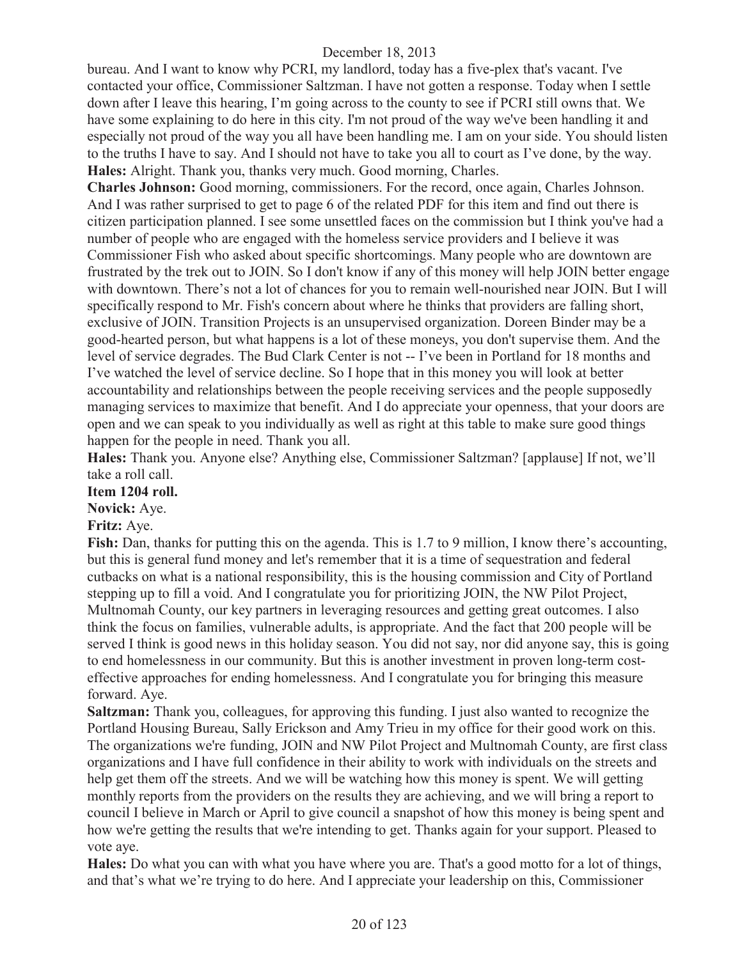bureau. And I want to know why PCRI, my landlord, today has a five-plex that's vacant. I've contacted your office, Commissioner Saltzman. I have not gotten a response. Today when I settle down after I leave this hearing, I'm going across to the county to see if PCRI still owns that. We have some explaining to do here in this city. I'm not proud of the way we've been handling it and especially not proud of the way you all have been handling me. I am on your side. You should listen to the truths I have to say. And I should not have to take you all to court as I've done, by the way. **Hales:** Alright. Thank you, thanks very much. Good morning, Charles.

**Charles Johnson:** Good morning, commissioners. For the record, once again, Charles Johnson. And I was rather surprised to get to page 6 of the related PDF for this item and find out there is citizen participation planned. I see some unsettled faces on the commission but I think you've had a number of people who are engaged with the homeless service providers and I believe it was Commissioner Fish who asked about specific shortcomings. Many people who are downtown are frustrated by the trek out to JOIN. So I don't know if any of this money will help JOIN better engage with downtown. There's not a lot of chances for you to remain well-nourished near JOIN. But I will specifically respond to Mr. Fish's concern about where he thinks that providers are falling short, exclusive of JOIN. Transition Projects is an unsupervised organization. Doreen Binder may be a good-hearted person, but what happens is a lot of these moneys, you don't supervise them. And the level of service degrades. The Bud Clark Center is not -- I've been in Portland for 18 months and I've watched the level of service decline. So I hope that in this money you will look at better accountability and relationships between the people receiving services and the people supposedly managing services to maximize that benefit. And I do appreciate your openness, that your doors are open and we can speak to you individually as well as right at this table to make sure good things happen for the people in need. Thank you all.

**Hales:** Thank you. Anyone else? Anything else, Commissioner Saltzman? [applause] If not, we'll take a roll call.

## **Item 1204 roll.**

**Novick:** Aye.

#### **Fritz:** Aye.

**Fish:** Dan, thanks for putting this on the agenda. This is 1.7 to 9 million, I know there's accounting, but this is general fund money and let's remember that it is a time of sequestration and federal cutbacks on what is a national responsibility, this is the housing commission and City of Portland stepping up to fill a void. And I congratulate you for prioritizing JOIN, the NW Pilot Project, Multnomah County, our key partners in leveraging resources and getting great outcomes. I also think the focus on families, vulnerable adults, is appropriate. And the fact that 200 people will be served I think is good news in this holiday season. You did not say, nor did anyone say, this is going to end homelessness in our community. But this is another investment in proven long-term costeffective approaches for ending homelessness. And I congratulate you for bringing this measure forward. Aye.

**Saltzman:** Thank you, colleagues, for approving this funding. I just also wanted to recognize the Portland Housing Bureau, Sally Erickson and Amy Trieu in my office for their good work on this. The organizations we're funding, JOIN and NW Pilot Project and Multnomah County, are first class organizations and I have full confidence in their ability to work with individuals on the streets and help get them off the streets. And we will be watching how this money is spent. We will getting monthly reports from the providers on the results they are achieving, and we will bring a report to council I believe in March or April to give council a snapshot of how this money is being spent and how we're getting the results that we're intending to get. Thanks again for your support. Pleased to vote aye.

**Hales:** Do what you can with what you have where you are. That's a good motto for a lot of things, and that's what we're trying to do here. And I appreciate your leadership on this, Commissioner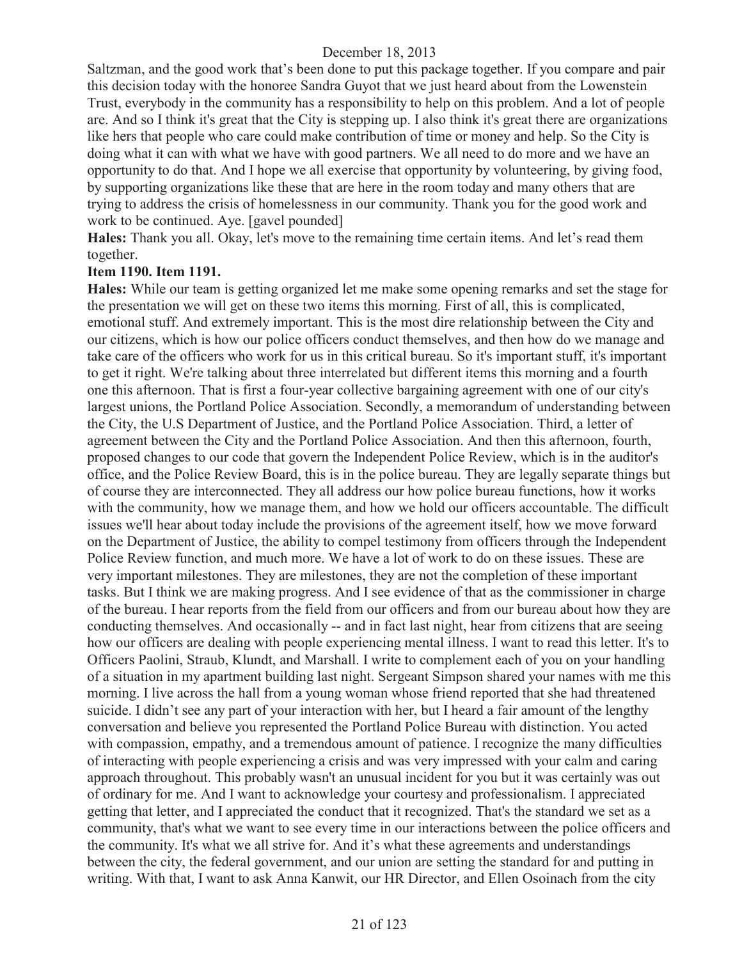Saltzman, and the good work that's been done to put this package together. If you compare and pair this decision today with the honoree Sandra Guyot that we just heard about from the Lowenstein Trust, everybody in the community has a responsibility to help on this problem. And a lot of people are. And so I think it's great that the City is stepping up. I also think it's great there are organizations like hers that people who care could make contribution of time or money and help. So the City is doing what it can with what we have with good partners. We all need to do more and we have an opportunity to do that. And I hope we all exercise that opportunity by volunteering, by giving food, by supporting organizations like these that are here in the room today and many others that are trying to address the crisis of homelessness in our community. Thank you for the good work and work to be continued. Aye. [gavel pounded]

**Hales:** Thank you all. Okay, let's move to the remaining time certain items. And let's read them together.

#### **Item 1190. Item 1191.**

**Hales:** While our team is getting organized let me make some opening remarks and set the stage for the presentation we will get on these two items this morning. First of all, this is complicated, emotional stuff. And extremely important. This is the most dire relationship between the City and our citizens, which is how our police officers conduct themselves, and then how do we manage and take care of the officers who work for us in this critical bureau. So it's important stuff, it's important to get it right. We're talking about three interrelated but different items this morning and a fourth one this afternoon. That is first a four-year collective bargaining agreement with one of our city's largest unions, the Portland Police Association. Secondly, a memorandum of understanding between the City, the U.S Department of Justice, and the Portland Police Association. Third, a letter of agreement between the City and the Portland Police Association. And then this afternoon, fourth, proposed changes to our code that govern the Independent Police Review, which is in the auditor's office, and the Police Review Board, this is in the police bureau. They are legally separate things but of course they are interconnected. They all address our how police bureau functions, how it works with the community, how we manage them, and how we hold our officers accountable. The difficult issues we'll hear about today include the provisions of the agreement itself, how we move forward on the Department of Justice, the ability to compel testimony from officers through the Independent Police Review function, and much more. We have a lot of work to do on these issues. These are very important milestones. They are milestones, they are not the completion of these important tasks. But I think we are making progress. And I see evidence of that as the commissioner in charge of the bureau. I hear reports from the field from our officers and from our bureau about how they are conducting themselves. And occasionally -- and in fact last night, hear from citizens that are seeing how our officers are dealing with people experiencing mental illness. I want to read this letter. It's to Officers Paolini, Straub, Klundt, and Marshall. I write to complement each of you on your handling of a situation in my apartment building last night. Sergeant Simpson shared your names with me this morning. I live across the hall from a young woman whose friend reported that she had threatened suicide. I didn't see any part of your interaction with her, but I heard a fair amount of the lengthy conversation and believe you represented the Portland Police Bureau with distinction. You acted with compassion, empathy, and a tremendous amount of patience. I recognize the many difficulties of interacting with people experiencing a crisis and was very impressed with your calm and caring approach throughout. This probably wasn't an unusual incident for you but it was certainly was out of ordinary for me. And I want to acknowledge your courtesy and professionalism. I appreciated getting that letter, and I appreciated the conduct that it recognized. That's the standard we set as a community, that's what we want to see every time in our interactions between the police officers and the community. It's what we all strive for. And it's what these agreements and understandings between the city, the federal government, and our union are setting the standard for and putting in writing. With that, I want to ask Anna Kanwit, our HR Director, and Ellen Osoinach from the city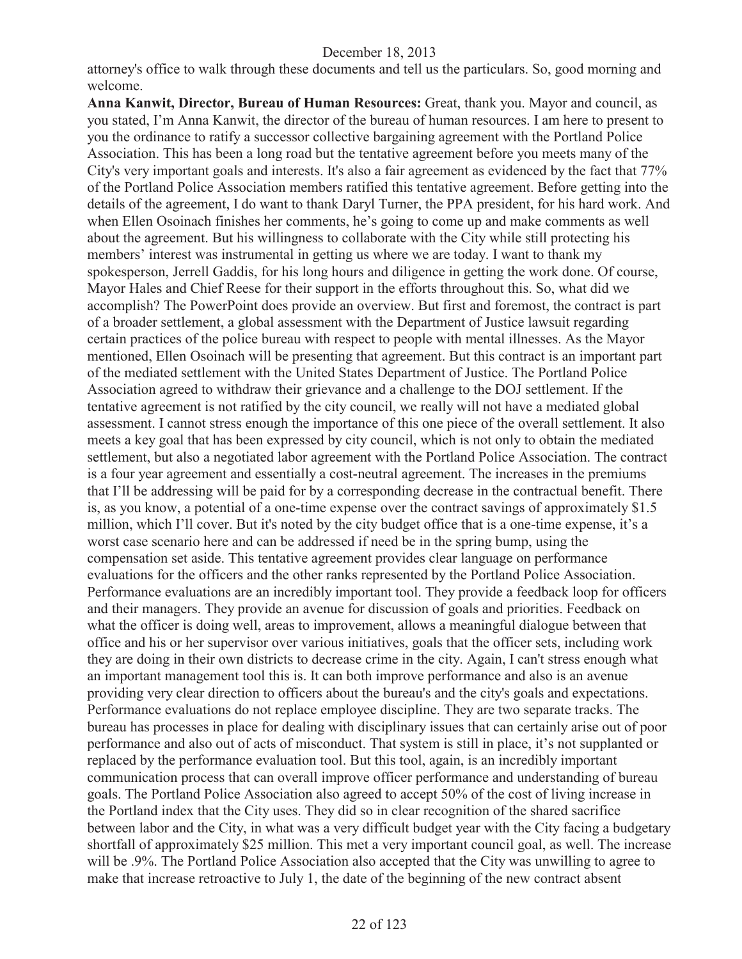attorney's office to walk through these documents and tell us the particulars. So, good morning and welcome.

**Anna Kanwit, Director, Bureau of Human Resources:** Great, thank you. Mayor and council, as you stated, I'm Anna Kanwit, the director of the bureau of human resources. I am here to present to you the ordinance to ratify a successor collective bargaining agreement with the Portland Police Association. This has been a long road but the tentative agreement before you meets many of the City's very important goals and interests. It's also a fair agreement as evidenced by the fact that 77% of the Portland Police Association members ratified this tentative agreement. Before getting into the details of the agreement, I do want to thank Daryl Turner, the PPA president, for his hard work. And when Ellen Osoinach finishes her comments, he's going to come up and make comments as well about the agreement. But his willingness to collaborate with the City while still protecting his members' interest was instrumental in getting us where we are today. I want to thank my spokesperson, Jerrell Gaddis, for his long hours and diligence in getting the work done. Of course, Mayor Hales and Chief Reese for their support in the efforts throughout this. So, what did we accomplish? The PowerPoint does provide an overview. But first and foremost, the contract is part of a broader settlement, a global assessment with the Department of Justice lawsuit regarding certain practices of the police bureau with respect to people with mental illnesses. As the Mayor mentioned, Ellen Osoinach will be presenting that agreement. But this contract is an important part of the mediated settlement with the United States Department of Justice. The Portland Police Association agreed to withdraw their grievance and a challenge to the DOJ settlement. If the tentative agreement is not ratified by the city council, we really will not have a mediated global assessment. I cannot stress enough the importance of this one piece of the overall settlement. It also meets a key goal that has been expressed by city council, which is not only to obtain the mediated settlement, but also a negotiated labor agreement with the Portland Police Association. The contract is a four year agreement and essentially a cost-neutral agreement. The increases in the premiums that I'll be addressing will be paid for by a corresponding decrease in the contractual benefit. There is, as you know, a potential of a one-time expense over the contract savings of approximately \$1.5 million, which I'll cover. But it's noted by the city budget office that is a one-time expense, it's a worst case scenario here and can be addressed if need be in the spring bump, using the compensation set aside. This tentative agreement provides clear language on performance evaluations for the officers and the other ranks represented by the Portland Police Association. Performance evaluations are an incredibly important tool. They provide a feedback loop for officers and their managers. They provide an avenue for discussion of goals and priorities. Feedback on what the officer is doing well, areas to improvement, allows a meaningful dialogue between that office and his or her supervisor over various initiatives, goals that the officer sets, including work they are doing in their own districts to decrease crime in the city. Again, I can't stress enough what an important management tool this is. It can both improve performance and also is an avenue providing very clear direction to officers about the bureau's and the city's goals and expectations. Performance evaluations do not replace employee discipline. They are two separate tracks. The bureau has processes in place for dealing with disciplinary issues that can certainly arise out of poor performance and also out of acts of misconduct. That system is still in place, it's not supplanted or replaced by the performance evaluation tool. But this tool, again, is an incredibly important communication process that can overall improve officer performance and understanding of bureau goals. The Portland Police Association also agreed to accept 50% of the cost of living increase in the Portland index that the City uses. They did so in clear recognition of the shared sacrifice between labor and the City, in what was a very difficult budget year with the City facing a budgetary shortfall of approximately \$25 million. This met a very important council goal, as well. The increase will be .9%. The Portland Police Association also accepted that the City was unwilling to agree to make that increase retroactive to July 1, the date of the beginning of the new contract absent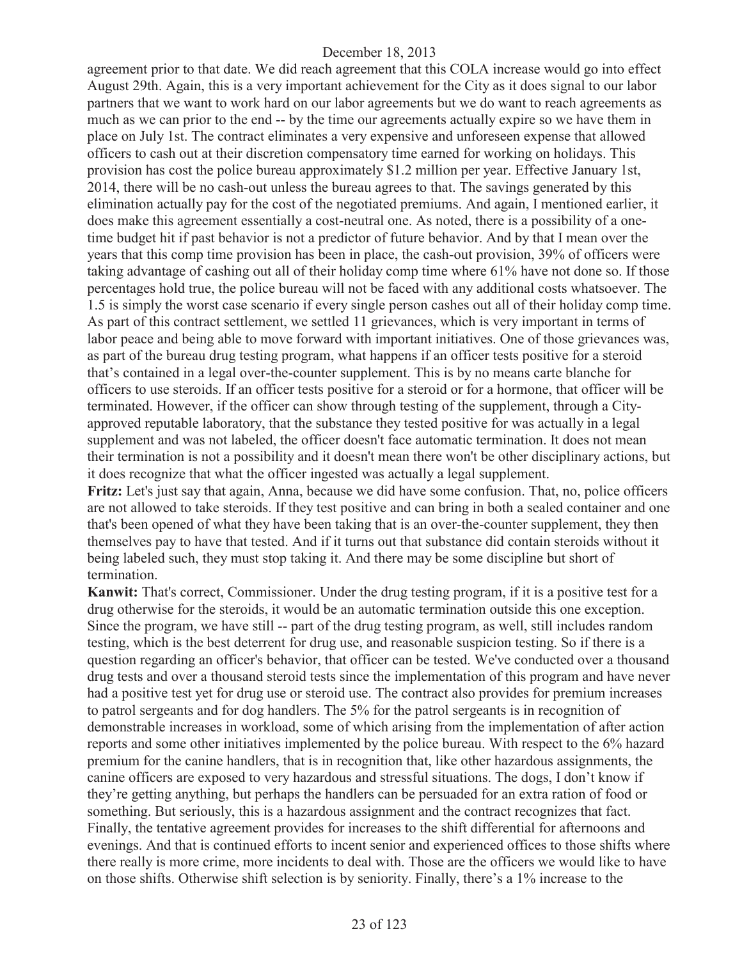agreement prior to that date. We did reach agreement that this COLA increase would go into effect August 29th. Again, this is a very important achievement for the City as it does signal to our labor partners that we want to work hard on our labor agreements but we do want to reach agreements as much as we can prior to the end -- by the time our agreements actually expire so we have them in place on July 1st. The contract eliminates a very expensive and unforeseen expense that allowed officers to cash out at their discretion compensatory time earned for working on holidays. This provision has cost the police bureau approximately \$1.2 million per year. Effective January 1st, 2014, there will be no cash-out unless the bureau agrees to that. The savings generated by this elimination actually pay for the cost of the negotiated premiums. And again, I mentioned earlier, it does make this agreement essentially a cost-neutral one. As noted, there is a possibility of a onetime budget hit if past behavior is not a predictor of future behavior. And by that I mean over the years that this comp time provision has been in place, the cash-out provision, 39% of officers were taking advantage of cashing out all of their holiday comp time where 61% have not done so. If those percentages hold true, the police bureau will not be faced with any additional costs whatsoever. The 1.5 is simply the worst case scenario if every single person cashes out all of their holiday comp time. As part of this contract settlement, we settled 11 grievances, which is very important in terms of labor peace and being able to move forward with important initiatives. One of those grievances was, as part of the bureau drug testing program, what happens if an officer tests positive for a steroid that's contained in a legal over-the-counter supplement. This is by no means carte blanche for officers to use steroids. If an officer tests positive for a steroid or for a hormone, that officer will be terminated. However, if the officer can show through testing of the supplement, through a Cityapproved reputable laboratory, that the substance they tested positive for was actually in a legal supplement and was not labeled, the officer doesn't face automatic termination. It does not mean their termination is not a possibility and it doesn't mean there won't be other disciplinary actions, but it does recognize that what the officer ingested was actually a legal supplement.

**Fritz:** Let's just say that again, Anna, because we did have some confusion. That, no, police officers are not allowed to take steroids. If they test positive and can bring in both a sealed container and one that's been opened of what they have been taking that is an over-the-counter supplement, they then themselves pay to have that tested. And if it turns out that substance did contain steroids without it being labeled such, they must stop taking it. And there may be some discipline but short of termination.

**Kanwit:** That's correct, Commissioner. Under the drug testing program, if it is a positive test for a drug otherwise for the steroids, it would be an automatic termination outside this one exception. Since the program, we have still -- part of the drug testing program, as well, still includes random testing, which is the best deterrent for drug use, and reasonable suspicion testing. So if there is a question regarding an officer's behavior, that officer can be tested. We've conducted over a thousand drug tests and over a thousand steroid tests since the implementation of this program and have never had a positive test yet for drug use or steroid use. The contract also provides for premium increases to patrol sergeants and for dog handlers. The 5% for the patrol sergeants is in recognition of demonstrable increases in workload, some of which arising from the implementation of after action reports and some other initiatives implemented by the police bureau. With respect to the 6% hazard premium for the canine handlers, that is in recognition that, like other hazardous assignments, the canine officers are exposed to very hazardous and stressful situations. The dogs, I don't know if they're getting anything, but perhaps the handlers can be persuaded for an extra ration of food or something. But seriously, this is a hazardous assignment and the contract recognizes that fact. Finally, the tentative agreement provides for increases to the shift differential for afternoons and evenings. And that is continued efforts to incent senior and experienced offices to those shifts where there really is more crime, more incidents to deal with. Those are the officers we would like to have on those shifts. Otherwise shift selection is by seniority. Finally, there's a 1% increase to the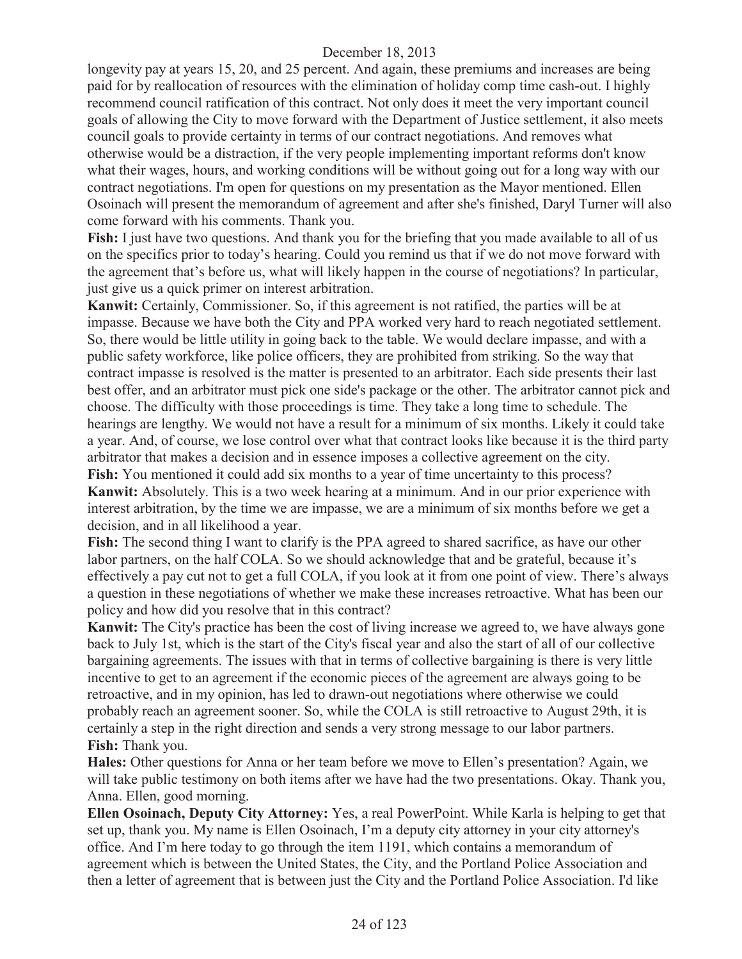longevity pay at years 15, 20, and 25 percent. And again, these premiums and increases are being paid for by reallocation of resources with the elimination of holiday comp time cash-out. I highly recommend council ratification of this contract. Not only does it meet the very important council goals of allowing the City to move forward with the Department of Justice settlement, it also meets council goals to provide certainty in terms of our contract negotiations. And removes what otherwise would be a distraction, if the very people implementing important reforms don't know what their wages, hours, and working conditions will be without going out for a long way with our contract negotiations. I'm open for questions on my presentation as the Mayor mentioned. Ellen Osoinach will present the memorandum of agreement and after she's finished, Daryl Turner will also come forward with his comments. Thank you.

**Fish:** I just have two questions. And thank you for the briefing that you made available to all of us on the specifics prior to today's hearing. Could you remind us that if we do not move forward with the agreement that's before us, what will likely happen in the course of negotiations? In particular, just give us a quick primer on interest arbitration.

**Kanwit:** Certainly, Commissioner. So, if this agreement is not ratified, the parties will be at impasse. Because we have both the City and PPA worked very hard to reach negotiated settlement. So, there would be little utility in going back to the table. We would declare impasse, and with a public safety workforce, like police officers, they are prohibited from striking. So the way that contract impasse is resolved is the matter is presented to an arbitrator. Each side presents their last best offer, and an arbitrator must pick one side's package or the other. The arbitrator cannot pick and choose. The difficulty with those proceedings is time. They take a long time to schedule. The hearings are lengthy. We would not have a result for a minimum of six months. Likely it could take a year. And, of course, we lose control over what that contract looks like because it is the third party arbitrator that makes a decision and in essence imposes a collective agreement on the city. **Fish:** You mentioned it could add six months to a year of time uncertainty to this process?

**Kanwit:** Absolutely. This is a two week hearing at a minimum. And in our prior experience with interest arbitration, by the time we are impasse, we are a minimum of six months before we get a decision, and in all likelihood a year.

**Fish:** The second thing I want to clarify is the PPA agreed to shared sacrifice, as have our other labor partners, on the half COLA. So we should acknowledge that and be grateful, because it's effectively a pay cut not to get a full COLA, if you look at it from one point of view. There's always a question in these negotiations of whether we make these increases retroactive. What has been our policy and how did you resolve that in this contract?

**Kanwit:** The City's practice has been the cost of living increase we agreed to, we have always gone back to July 1st, which is the start of the City's fiscal year and also the start of all of our collective bargaining agreements. The issues with that in terms of collective bargaining is there is very little incentive to get to an agreement if the economic pieces of the agreement are always going to be retroactive, and in my opinion, has led to drawn-out negotiations where otherwise we could probably reach an agreement sooner. So, while the COLA is still retroactive to August 29th, it is certainly a step in the right direction and sends a very strong message to our labor partners. **Fish:** Thank you.

**Hales:** Other questions for Anna or her team before we move to Ellen's presentation? Again, we will take public testimony on both items after we have had the two presentations. Okay. Thank you, Anna. Ellen, good morning.

**Ellen Osoinach, Deputy City Attorney:** Yes, a real PowerPoint. While Karla is helping to get that set up, thank you. My name is Ellen Osoinach, I'm a deputy city attorney in your city attorney's office. And I'm here today to go through the item 1191, which contains a memorandum of agreement which is between the United States, the City, and the Portland Police Association and then a letter of agreement that is between just the City and the Portland Police Association. I'd like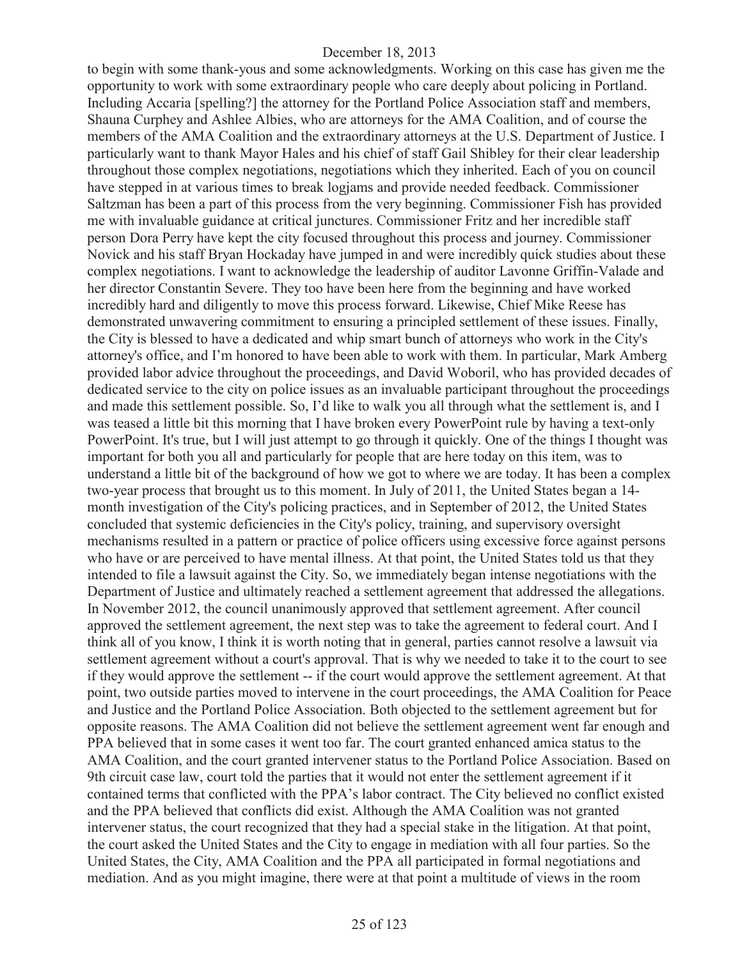to begin with some thank-yous and some acknowledgments. Working on this case has given me the opportunity to work with some extraordinary people who care deeply about policing in Portland. Including Accaria [spelling?] the attorney for the Portland Police Association staff and members, Shauna Curphey and Ashlee Albies, who are attorneys for the AMA Coalition, and of course the members of the AMA Coalition and the extraordinary attorneys at the U.S. Department of Justice. I particularly want to thank Mayor Hales and his chief of staff Gail Shibley for their clear leadership throughout those complex negotiations, negotiations which they inherited. Each of you on council have stepped in at various times to break logjams and provide needed feedback. Commissioner Saltzman has been a part of this process from the very beginning. Commissioner Fish has provided me with invaluable guidance at critical junctures. Commissioner Fritz and her incredible staff person Dora Perry have kept the city focused throughout this process and journey. Commissioner Novick and his staff Bryan Hockaday have jumped in and were incredibly quick studies about these complex negotiations. I want to acknowledge the leadership of auditor Lavonne Griffin-Valade and her director Constantin Severe. They too have been here from the beginning and have worked incredibly hard and diligently to move this process forward. Likewise, Chief Mike Reese has demonstrated unwavering commitment to ensuring a principled settlement of these issues. Finally, the City is blessed to have a dedicated and whip smart bunch of attorneys who work in the City's attorney's office, and I'm honored to have been able to work with them. In particular, Mark Amberg provided labor advice throughout the proceedings, and David Woboril, who has provided decades of dedicated service to the city on police issues as an invaluable participant throughout the proceedings and made this settlement possible. So, I'd like to walk you all through what the settlement is, and I was teased a little bit this morning that I have broken every PowerPoint rule by having a text-only PowerPoint. It's true, but I will just attempt to go through it quickly. One of the things I thought was important for both you all and particularly for people that are here today on this item, was to understand a little bit of the background of how we got to where we are today. It has been a complex two-year process that brought us to this moment. In July of 2011, the United States began a 14 month investigation of the City's policing practices, and in September of 2012, the United States concluded that systemic deficiencies in the City's policy, training, and supervisory oversight mechanisms resulted in a pattern or practice of police officers using excessive force against persons who have or are perceived to have mental illness. At that point, the United States told us that they intended to file a lawsuit against the City. So, we immediately began intense negotiations with the Department of Justice and ultimately reached a settlement agreement that addressed the allegations. In November 2012, the council unanimously approved that settlement agreement. After council approved the settlement agreement, the next step was to take the agreement to federal court. And I think all of you know, I think it is worth noting that in general, parties cannot resolve a lawsuit via settlement agreement without a court's approval. That is why we needed to take it to the court to see if they would approve the settlement -- if the court would approve the settlement agreement. At that point, two outside parties moved to intervene in the court proceedings, the AMA Coalition for Peace and Justice and the Portland Police Association. Both objected to the settlement agreement but for opposite reasons. The AMA Coalition did not believe the settlement agreement went far enough and PPA believed that in some cases it went too far. The court granted enhanced amica status to the AMA Coalition, and the court granted intervener status to the Portland Police Association. Based on 9th circuit case law, court told the parties that it would not enter the settlement agreement if it contained terms that conflicted with the PPA's labor contract. The City believed no conflict existed and the PPA believed that conflicts did exist. Although the AMA Coalition was not granted intervener status, the court recognized that they had a special stake in the litigation. At that point, the court asked the United States and the City to engage in mediation with all four parties. So the United States, the City, AMA Coalition and the PPA all participated in formal negotiations and mediation. And as you might imagine, there were at that point a multitude of views in the room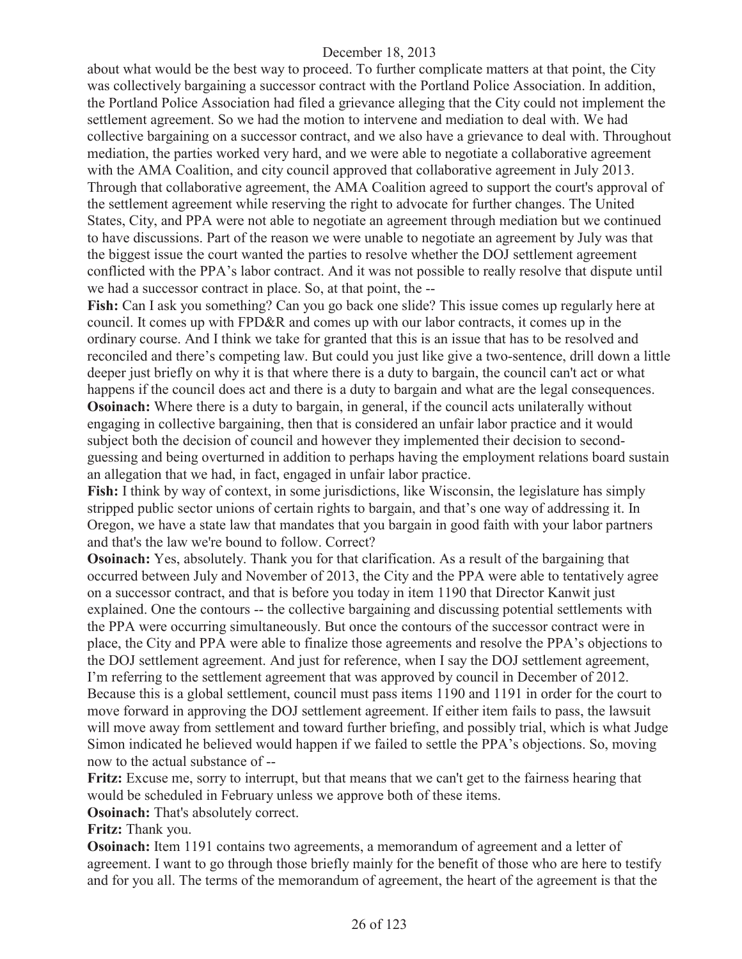about what would be the best way to proceed. To further complicate matters at that point, the City was collectively bargaining a successor contract with the Portland Police Association. In addition, the Portland Police Association had filed a grievance alleging that the City could not implement the settlement agreement. So we had the motion to intervene and mediation to deal with. We had collective bargaining on a successor contract, and we also have a grievance to deal with. Throughout mediation, the parties worked very hard, and we were able to negotiate a collaborative agreement with the AMA Coalition, and city council approved that collaborative agreement in July 2013. Through that collaborative agreement, the AMA Coalition agreed to support the court's approval of the settlement agreement while reserving the right to advocate for further changes. The United States, City, and PPA were not able to negotiate an agreement through mediation but we continued to have discussions. Part of the reason we were unable to negotiate an agreement by July was that the biggest issue the court wanted the parties to resolve whether the DOJ settlement agreement conflicted with the PPA's labor contract. And it was not possible to really resolve that dispute until we had a successor contract in place. So, at that point, the --

**Fish:** Can I ask you something? Can you go back one slide? This issue comes up regularly here at council. It comes up with FPD&R and comes up with our labor contracts, it comes up in the ordinary course. And I think we take for granted that this is an issue that has to be resolved and reconciled and there's competing law. But could you just like give a two-sentence, drill down a little deeper just briefly on why it is that where there is a duty to bargain, the council can't act or what happens if the council does act and there is a duty to bargain and what are the legal consequences.

**Osoinach:** Where there is a duty to bargain, in general, if the council acts unilaterally without engaging in collective bargaining, then that is considered an unfair labor practice and it would subject both the decision of council and however they implemented their decision to secondguessing and being overturned in addition to perhaps having the employment relations board sustain an allegation that we had, in fact, engaged in unfair labor practice.

**Fish:** I think by way of context, in some jurisdictions, like Wisconsin, the legislature has simply stripped public sector unions of certain rights to bargain, and that's one way of addressing it. In Oregon, we have a state law that mandates that you bargain in good faith with your labor partners and that's the law we're bound to follow. Correct?

**Osoinach:** Yes, absolutely. Thank you for that clarification. As a result of the bargaining that occurred between July and November of 2013, the City and the PPA were able to tentatively agree on a successor contract, and that is before you today in item 1190 that Director Kanwit just explained. One the contours -- the collective bargaining and discussing potential settlements with the PPA were occurring simultaneously. But once the contours of the successor contract were in place, the City and PPA were able to finalize those agreements and resolve the PPA's objections to the DOJ settlement agreement. And just for reference, when I say the DOJ settlement agreement, I'm referring to the settlement agreement that was approved by council in December of 2012. Because this is a global settlement, council must pass items 1190 and 1191 in order for the court to move forward in approving the DOJ settlement agreement. If either item fails to pass, the lawsuit will move away from settlement and toward further briefing, and possibly trial, which is what Judge Simon indicated he believed would happen if we failed to settle the PPA's objections. So, moving now to the actual substance of --

**Fritz:** Excuse me, sorry to interrupt, but that means that we can't get to the fairness hearing that would be scheduled in February unless we approve both of these items.

**Osoinach:** That's absolutely correct.

**Fritz:** Thank you.

**Osoinach:** Item 1191 contains two agreements, a memorandum of agreement and a letter of agreement. I want to go through those briefly mainly for the benefit of those who are here to testify and for you all. The terms of the memorandum of agreement, the heart of the agreement is that the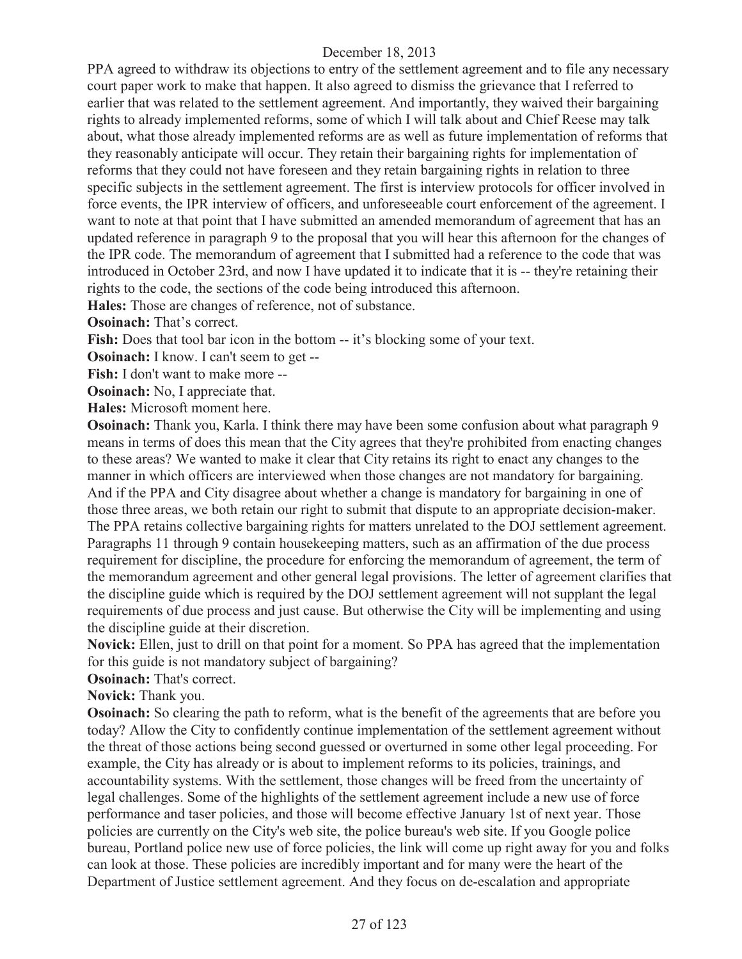PPA agreed to withdraw its objections to entry of the settlement agreement and to file any necessary court paper work to make that happen. It also agreed to dismiss the grievance that I referred to earlier that was related to the settlement agreement. And importantly, they waived their bargaining rights to already implemented reforms, some of which I will talk about and Chief Reese may talk about, what those already implemented reforms are as well as future implementation of reforms that they reasonably anticipate will occur. They retain their bargaining rights for implementation of reforms that they could not have foreseen and they retain bargaining rights in relation to three specific subjects in the settlement agreement. The first is interview protocols for officer involved in force events, the IPR interview of officers, and unforeseeable court enforcement of the agreement. I want to note at that point that I have submitted an amended memorandum of agreement that has an updated reference in paragraph 9 to the proposal that you will hear this afternoon for the changes of the IPR code. The memorandum of agreement that I submitted had a reference to the code that was introduced in October 23rd, and now I have updated it to indicate that it is -- they're retaining their rights to the code, the sections of the code being introduced this afternoon.

**Hales:** Those are changes of reference, not of substance.

**Osoinach:** That's correct.

Fish: Does that tool bar icon in the bottom -- it's blocking some of your text.

**Osoinach:** I know. I can't seem to get --

**Fish:** I don't want to make more --

**Osoinach:** No, I appreciate that.

**Hales:** Microsoft moment here.

**Osoinach:** Thank you, Karla. I think there may have been some confusion about what paragraph 9 means in terms of does this mean that the City agrees that they're prohibited from enacting changes to these areas? We wanted to make it clear that City retains its right to enact any changes to the manner in which officers are interviewed when those changes are not mandatory for bargaining. And if the PPA and City disagree about whether a change is mandatory for bargaining in one of those three areas, we both retain our right to submit that dispute to an appropriate decision-maker. The PPA retains collective bargaining rights for matters unrelated to the DOJ settlement agreement. Paragraphs 11 through 9 contain housekeeping matters, such as an affirmation of the due process requirement for discipline, the procedure for enforcing the memorandum of agreement, the term of the memorandum agreement and other general legal provisions. The letter of agreement clarifies that the discipline guide which is required by the DOJ settlement agreement will not supplant the legal requirements of due process and just cause. But otherwise the City will be implementing and using the discipline guide at their discretion.

**Novick:** Ellen, just to drill on that point for a moment. So PPA has agreed that the implementation for this guide is not mandatory subject of bargaining?

**Osoinach:** That's correct.

#### **Novick:** Thank you.

**Osoinach:** So clearing the path to reform, what is the benefit of the agreements that are before you today? Allow the City to confidently continue implementation of the settlement agreement without the threat of those actions being second guessed or overturned in some other legal proceeding. For example, the City has already or is about to implement reforms to its policies, trainings, and accountability systems. With the settlement, those changes will be freed from the uncertainty of legal challenges. Some of the highlights of the settlement agreement include a new use of force performance and taser policies, and those will become effective January 1st of next year. Those policies are currently on the City's web site, the police bureau's web site. If you Google police bureau, Portland police new use of force policies, the link will come up right away for you and folks can look at those. These policies are incredibly important and for many were the heart of the Department of Justice settlement agreement. And they focus on de-escalation and appropriate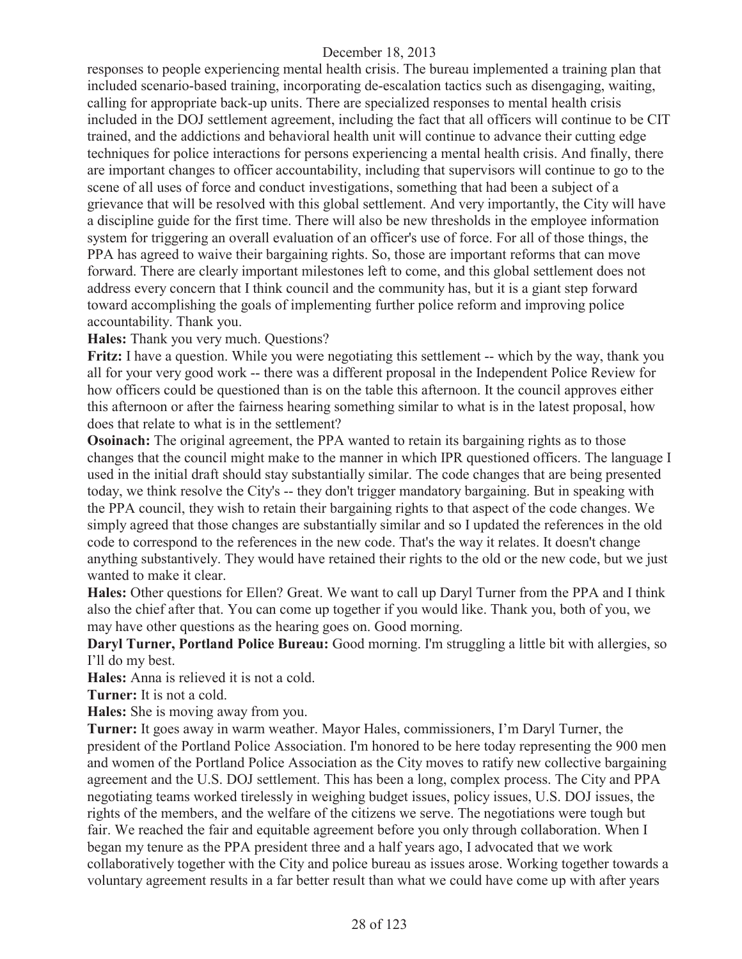responses to people experiencing mental health crisis. The bureau implemented a training plan that included scenario-based training, incorporating de-escalation tactics such as disengaging, waiting, calling for appropriate back-up units. There are specialized responses to mental health crisis included in the DOJ settlement agreement, including the fact that all officers will continue to be CIT trained, and the addictions and behavioral health unit will continue to advance their cutting edge techniques for police interactions for persons experiencing a mental health crisis. And finally, there are important changes to officer accountability, including that supervisors will continue to go to the scene of all uses of force and conduct investigations, something that had been a subject of a grievance that will be resolved with this global settlement. And very importantly, the City will have a discipline guide for the first time. There will also be new thresholds in the employee information system for triggering an overall evaluation of an officer's use of force. For all of those things, the PPA has agreed to waive their bargaining rights. So, those are important reforms that can move forward. There are clearly important milestones left to come, and this global settlement does not address every concern that I think council and the community has, but it is a giant step forward toward accomplishing the goals of implementing further police reform and improving police accountability. Thank you.

**Hales:** Thank you very much. Questions?

**Fritz:** I have a question. While you were negotiating this settlement -- which by the way, thank you all for your very good work -- there was a different proposal in the Independent Police Review for how officers could be questioned than is on the table this afternoon. It the council approves either this afternoon or after the fairness hearing something similar to what is in the latest proposal, how does that relate to what is in the settlement?

**Osoinach:** The original agreement, the PPA wanted to retain its bargaining rights as to those changes that the council might make to the manner in which IPR questioned officers. The language I used in the initial draft should stay substantially similar. The code changes that are being presented today, we think resolve the City's -- they don't trigger mandatory bargaining. But in speaking with the PPA council, they wish to retain their bargaining rights to that aspect of the code changes. We simply agreed that those changes are substantially similar and so I updated the references in the old code to correspond to the references in the new code. That's the way it relates. It doesn't change anything substantively. They would have retained their rights to the old or the new code, but we just wanted to make it clear.

**Hales:** Other questions for Ellen? Great. We want to call up Daryl Turner from the PPA and I think also the chief after that. You can come up together if you would like. Thank you, both of you, we may have other questions as the hearing goes on. Good morning.

**Daryl Turner, Portland Police Bureau:** Good morning. I'm struggling a little bit with allergies, so I'll do my best.

**Hales:** Anna is relieved it is not a cold.

**Turner:** It is not a cold.

**Hales:** She is moving away from you.

**Turner:** It goes away in warm weather. Mayor Hales, commissioners, I'm Daryl Turner, the president of the Portland Police Association. I'm honored to be here today representing the 900 men and women of the Portland Police Association as the City moves to ratify new collective bargaining agreement and the U.S. DOJ settlement. This has been a long, complex process. The City and PPA negotiating teams worked tirelessly in weighing budget issues, policy issues, U.S. DOJ issues, the rights of the members, and the welfare of the citizens we serve. The negotiations were tough but fair. We reached the fair and equitable agreement before you only through collaboration. When I began my tenure as the PPA president three and a half years ago, I advocated that we work collaboratively together with the City and police bureau as issues arose. Working together towards a voluntary agreement results in a far better result than what we could have come up with after years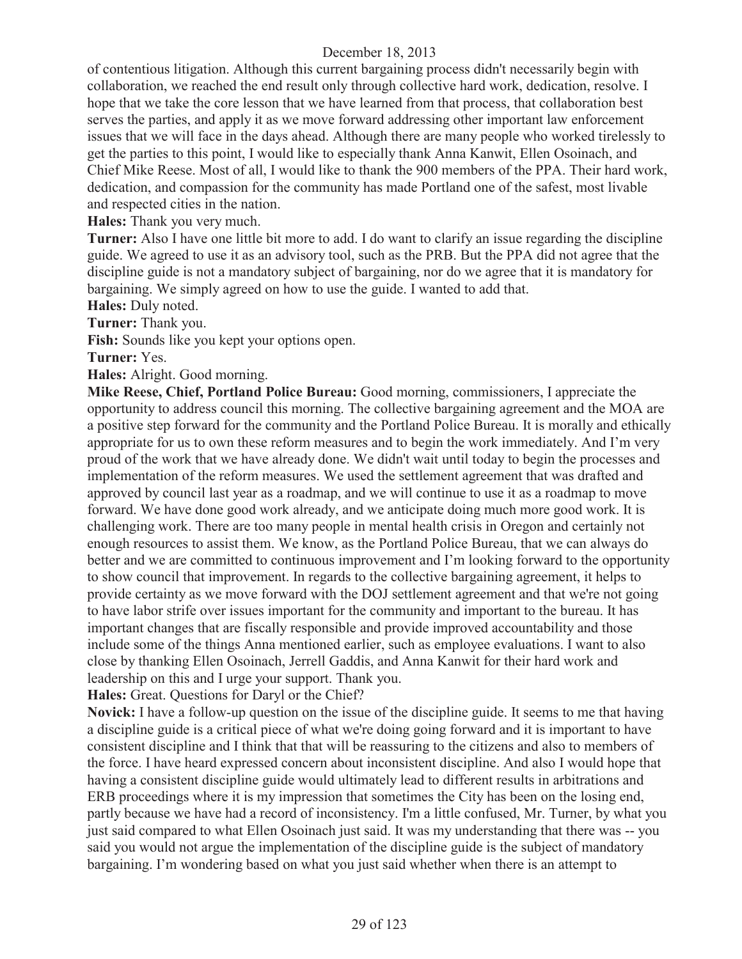of contentious litigation. Although this current bargaining process didn't necessarily begin with collaboration, we reached the end result only through collective hard work, dedication, resolve. I hope that we take the core lesson that we have learned from that process, that collaboration best serves the parties, and apply it as we move forward addressing other important law enforcement issues that we will face in the days ahead. Although there are many people who worked tirelessly to get the parties to this point, I would like to especially thank Anna Kanwit, Ellen Osoinach, and Chief Mike Reese. Most of all, I would like to thank the 900 members of the PPA. Their hard work, dedication, and compassion for the community has made Portland one of the safest, most livable and respected cities in the nation.

**Hales:** Thank you very much.

**Turner:** Also I have one little bit more to add. I do want to clarify an issue regarding the discipline guide. We agreed to use it as an advisory tool, such as the PRB. But the PPA did not agree that the discipline guide is not a mandatory subject of bargaining, nor do we agree that it is mandatory for bargaining. We simply agreed on how to use the guide. I wanted to add that.

**Hales:** Duly noted.

**Turner:** Thank you.

**Fish:** Sounds like you kept your options open.

**Turner:** Yes.

**Hales:** Alright. Good morning.

**Mike Reese, Chief, Portland Police Bureau:** Good morning, commissioners, I appreciate the opportunity to address council this morning. The collective bargaining agreement and the MOA are a positive step forward for the community and the Portland Police Bureau. It is morally and ethically appropriate for us to own these reform measures and to begin the work immediately. And I'm very proud of the work that we have already done. We didn't wait until today to begin the processes and implementation of the reform measures. We used the settlement agreement that was drafted and approved by council last year as a roadmap, and we will continue to use it as a roadmap to move forward. We have done good work already, and we anticipate doing much more good work. It is challenging work. There are too many people in mental health crisis in Oregon and certainly not enough resources to assist them. We know, as the Portland Police Bureau, that we can always do better and we are committed to continuous improvement and I'm looking forward to the opportunity to show council that improvement. In regards to the collective bargaining agreement, it helps to provide certainty as we move forward with the DOJ settlement agreement and that we're not going to have labor strife over issues important for the community and important to the bureau. It has important changes that are fiscally responsible and provide improved accountability and those include some of the things Anna mentioned earlier, such as employee evaluations. I want to also close by thanking Ellen Osoinach, Jerrell Gaddis, and Anna Kanwit for their hard work and leadership on this and I urge your support. Thank you.

**Hales:** Great. Questions for Daryl or the Chief?

**Novick:** I have a follow-up question on the issue of the discipline guide. It seems to me that having a discipline guide is a critical piece of what we're doing going forward and it is important to have consistent discipline and I think that that will be reassuring to the citizens and also to members of the force. I have heard expressed concern about inconsistent discipline. And also I would hope that having a consistent discipline guide would ultimately lead to different results in arbitrations and ERB proceedings where it is my impression that sometimes the City has been on the losing end, partly because we have had a record of inconsistency. I'm a little confused, Mr. Turner, by what you just said compared to what Ellen Osoinach just said. It was my understanding that there was -- you said you would not argue the implementation of the discipline guide is the subject of mandatory bargaining. I'm wondering based on what you just said whether when there is an attempt to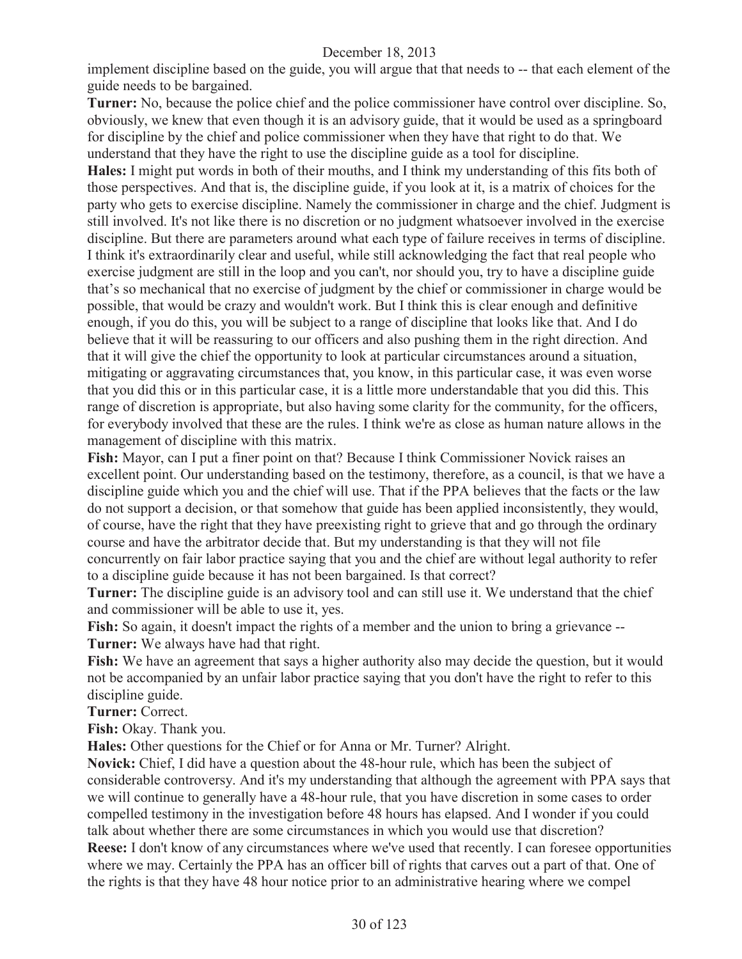implement discipline based on the guide, you will argue that that needs to -- that each element of the guide needs to be bargained.

**Turner:** No, because the police chief and the police commissioner have control over discipline. So, obviously, we knew that even though it is an advisory guide, that it would be used as a springboard for discipline by the chief and police commissioner when they have that right to do that. We understand that they have the right to use the discipline guide as a tool for discipline.

**Hales:** I might put words in both of their mouths, and I think my understanding of this fits both of those perspectives. And that is, the discipline guide, if you look at it, is a matrix of choices for the party who gets to exercise discipline. Namely the commissioner in charge and the chief. Judgment is still involved. It's not like there is no discretion or no judgment whatsoever involved in the exercise discipline. But there are parameters around what each type of failure receives in terms of discipline. I think it's extraordinarily clear and useful, while still acknowledging the fact that real people who exercise judgment are still in the loop and you can't, nor should you, try to have a discipline guide that's so mechanical that no exercise of judgment by the chief or commissioner in charge would be possible, that would be crazy and wouldn't work. But I think this is clear enough and definitive enough, if you do this, you will be subject to a range of discipline that looks like that. And I do believe that it will be reassuring to our officers and also pushing them in the right direction. And that it will give the chief the opportunity to look at particular circumstances around a situation, mitigating or aggravating circumstances that, you know, in this particular case, it was even worse that you did this or in this particular case, it is a little more understandable that you did this. This range of discretion is appropriate, but also having some clarity for the community, for the officers, for everybody involved that these are the rules. I think we're as close as human nature allows in the management of discipline with this matrix.

**Fish:** Mayor, can I put a finer point on that? Because I think Commissioner Novick raises an excellent point. Our understanding based on the testimony, therefore, as a council, is that we have a discipline guide which you and the chief will use. That if the PPA believes that the facts or the law do not support a decision, or that somehow that guide has been applied inconsistently, they would, of course, have the right that they have preexisting right to grieve that and go through the ordinary course and have the arbitrator decide that. But my understanding is that they will not file concurrently on fair labor practice saying that you and the chief are without legal authority to refer to a discipline guide because it has not been bargained. Is that correct?

**Turner:** The discipline guide is an advisory tool and can still use it. We understand that the chief and commissioner will be able to use it, yes.

**Fish:** So again, it doesn't impact the rights of a member and the union to bring a grievance -- **Turner:** We always have had that right.

**Fish:** We have an agreement that says a higher authority also may decide the question, but it would not be accompanied by an unfair labor practice saying that you don't have the right to refer to this discipline guide.

**Turner:** Correct.

**Fish:** Okay. Thank you.

**Hales:** Other questions for the Chief or for Anna or Mr. Turner? Alright.

**Novick:** Chief, I did have a question about the 48-hour rule, which has been the subject of considerable controversy. And it's my understanding that although the agreement with PPA says that we will continue to generally have a 48-hour rule, that you have discretion in some cases to order compelled testimony in the investigation before 48 hours has elapsed. And I wonder if you could talk about whether there are some circumstances in which you would use that discretion?

**Reese:** I don't know of any circumstances where we've used that recently. I can foresee opportunities where we may. Certainly the PPA has an officer bill of rights that carves out a part of that. One of the rights is that they have 48 hour notice prior to an administrative hearing where we compel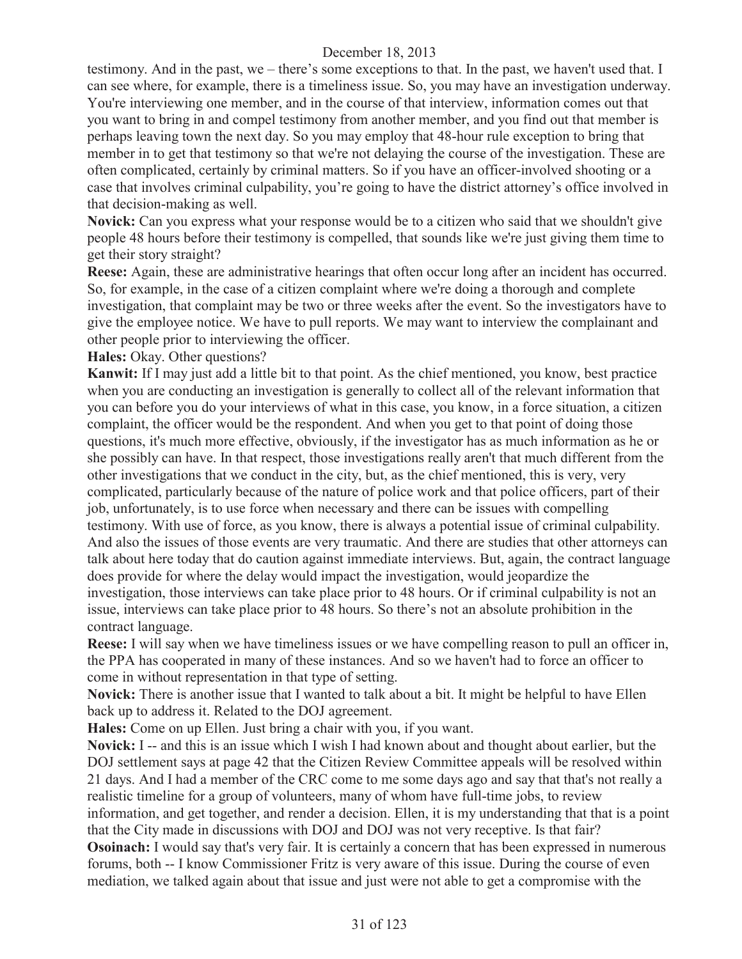testimony. And in the past, we – there's some exceptions to that. In the past, we haven't used that. I can see where, for example, there is a timeliness issue. So, you may have an investigation underway. You're interviewing one member, and in the course of that interview, information comes out that you want to bring in and compel testimony from another member, and you find out that member is perhaps leaving town the next day. So you may employ that 48-hour rule exception to bring that member in to get that testimony so that we're not delaying the course of the investigation. These are often complicated, certainly by criminal matters. So if you have an officer-involved shooting or a case that involves criminal culpability, you're going to have the district attorney's office involved in that decision-making as well.

**Novick:** Can you express what your response would be to a citizen who said that we shouldn't give people 48 hours before their testimony is compelled, that sounds like we're just giving them time to get their story straight?

**Reese:** Again, these are administrative hearings that often occur long after an incident has occurred. So, for example, in the case of a citizen complaint where we're doing a thorough and complete investigation, that complaint may be two or three weeks after the event. So the investigators have to give the employee notice. We have to pull reports. We may want to interview the complainant and other people prior to interviewing the officer.

**Hales:** Okay. Other questions?

**Kanwit:** If I may just add a little bit to that point. As the chief mentioned, you know, best practice when you are conducting an investigation is generally to collect all of the relevant information that you can before you do your interviews of what in this case, you know, in a force situation, a citizen complaint, the officer would be the respondent. And when you get to that point of doing those questions, it's much more effective, obviously, if the investigator has as much information as he or she possibly can have. In that respect, those investigations really aren't that much different from the other investigations that we conduct in the city, but, as the chief mentioned, this is very, very complicated, particularly because of the nature of police work and that police officers, part of their job, unfortunately, is to use force when necessary and there can be issues with compelling testimony. With use of force, as you know, there is always a potential issue of criminal culpability. And also the issues of those events are very traumatic. And there are studies that other attorneys can talk about here today that do caution against immediate interviews. But, again, the contract language does provide for where the delay would impact the investigation, would jeopardize the investigation, those interviews can take place prior to 48 hours. Or if criminal culpability is not an issue, interviews can take place prior to 48 hours. So there's not an absolute prohibition in the contract language.

**Reese:** I will say when we have timeliness issues or we have compelling reason to pull an officer in, the PPA has cooperated in many of these instances. And so we haven't had to force an officer to come in without representation in that type of setting.

**Novick:** There is another issue that I wanted to talk about a bit. It might be helpful to have Ellen back up to address it. Related to the DOJ agreement.

**Hales:** Come on up Ellen. Just bring a chair with you, if you want.

**Novick:** I -- and this is an issue which I wish I had known about and thought about earlier, but the DOJ settlement says at page 42 that the Citizen Review Committee appeals will be resolved within 21 days. And I had a member of the CRC come to me some days ago and say that that's not really a realistic timeline for a group of volunteers, many of whom have full-time jobs, to review information, and get together, and render a decision. Ellen, it is my understanding that that is a point that the City made in discussions with DOJ and DOJ was not very receptive. Is that fair?

**Osoinach:** I would say that's very fair. It is certainly a concern that has been expressed in numerous forums, both -- I know Commissioner Fritz is very aware of this issue. During the course of even mediation, we talked again about that issue and just were not able to get a compromise with the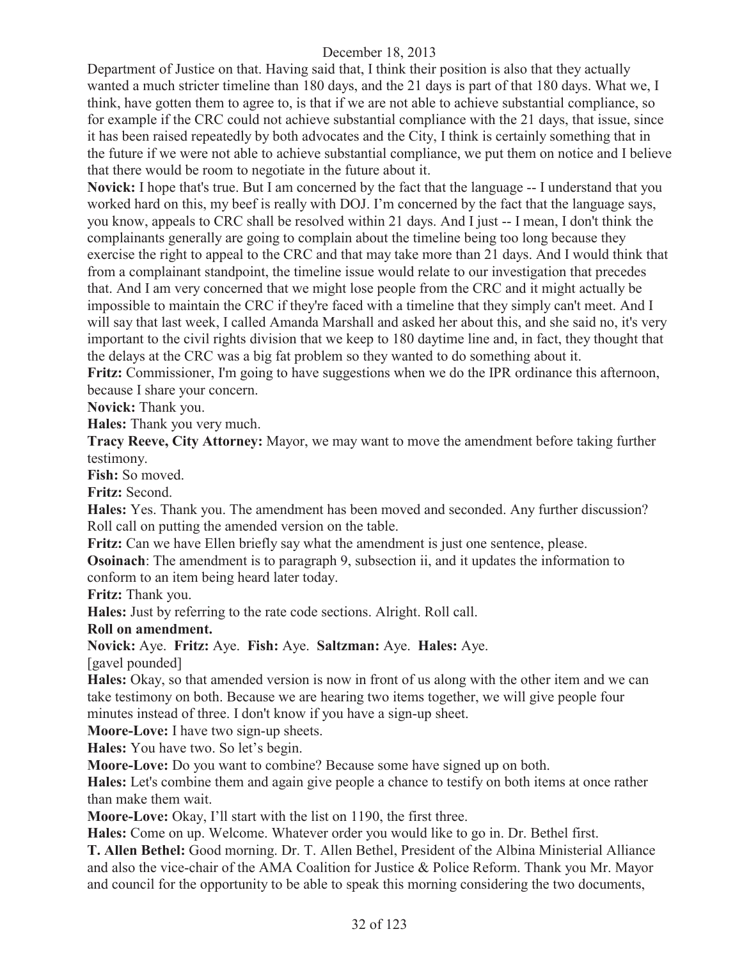Department of Justice on that. Having said that, I think their position is also that they actually wanted a much stricter timeline than 180 days, and the 21 days is part of that 180 days. What we, I think, have gotten them to agree to, is that if we are not able to achieve substantial compliance, so for example if the CRC could not achieve substantial compliance with the 21 days, that issue, since it has been raised repeatedly by both advocates and the City, I think is certainly something that in the future if we were not able to achieve substantial compliance, we put them on notice and I believe that there would be room to negotiate in the future about it.

**Novick:** I hope that's true. But I am concerned by the fact that the language -- I understand that you worked hard on this, my beef is really with DOJ. I'm concerned by the fact that the language says, you know, appeals to CRC shall be resolved within 21 days. And I just -- I mean, I don't think the complainants generally are going to complain about the timeline being too long because they exercise the right to appeal to the CRC and that may take more than 21 days. And I would think that from a complainant standpoint, the timeline issue would relate to our investigation that precedes that. And I am very concerned that we might lose people from the CRC and it might actually be impossible to maintain the CRC if they're faced with a timeline that they simply can't meet. And I will say that last week, I called Amanda Marshall and asked her about this, and she said no, it's very important to the civil rights division that we keep to 180 daytime line and, in fact, they thought that the delays at the CRC was a big fat problem so they wanted to do something about it.

**Fritz:** Commissioner, I'm going to have suggestions when we do the IPR ordinance this afternoon, because I share your concern.

**Novick:** Thank you.

**Hales:** Thank you very much.

**Tracy Reeve, City Attorney:** Mayor, we may want to move the amendment before taking further testimony.

**Fish:** So moved.

**Fritz:** Second.

**Hales:** Yes. Thank you. The amendment has been moved and seconded. Any further discussion? Roll call on putting the amended version on the table.

**Fritz:** Can we have Ellen briefly say what the amendment is just one sentence, please.

**Osoinach**: The amendment is to paragraph 9, subsection ii, and it updates the information to conform to an item being heard later today.

**Fritz:** Thank you.

**Hales:** Just by referring to the rate code sections. Alright. Roll call.

**Roll on amendment.**

**Novick:** Aye. **Fritz:** Aye. **Fish:** Aye. **Saltzman:** Aye. **Hales:** Aye.

[gavel pounded]

**Hales:** Okay, so that amended version is now in front of us along with the other item and we can take testimony on both. Because we are hearing two items together, we will give people four minutes instead of three. I don't know if you have a sign-up sheet.

**Moore-Love:** I have two sign-up sheets.

**Hales:** You have two. So let's begin.

**Moore-Love:** Do you want to combine? Because some have signed up on both.

**Hales:** Let's combine them and again give people a chance to testify on both items at once rather than make them wait.

**Moore-Love:** Okay, I'll start with the list on 1190, the first three.

**Hales:** Come on up. Welcome. Whatever order you would like to go in. Dr. Bethel first.

**T. Allen Bethel:** Good morning. Dr. T. Allen Bethel, President of the Albina Ministerial Alliance and also the vice-chair of the AMA Coalition for Justice & Police Reform. Thank you Mr. Mayor and council for the opportunity to be able to speak this morning considering the two documents,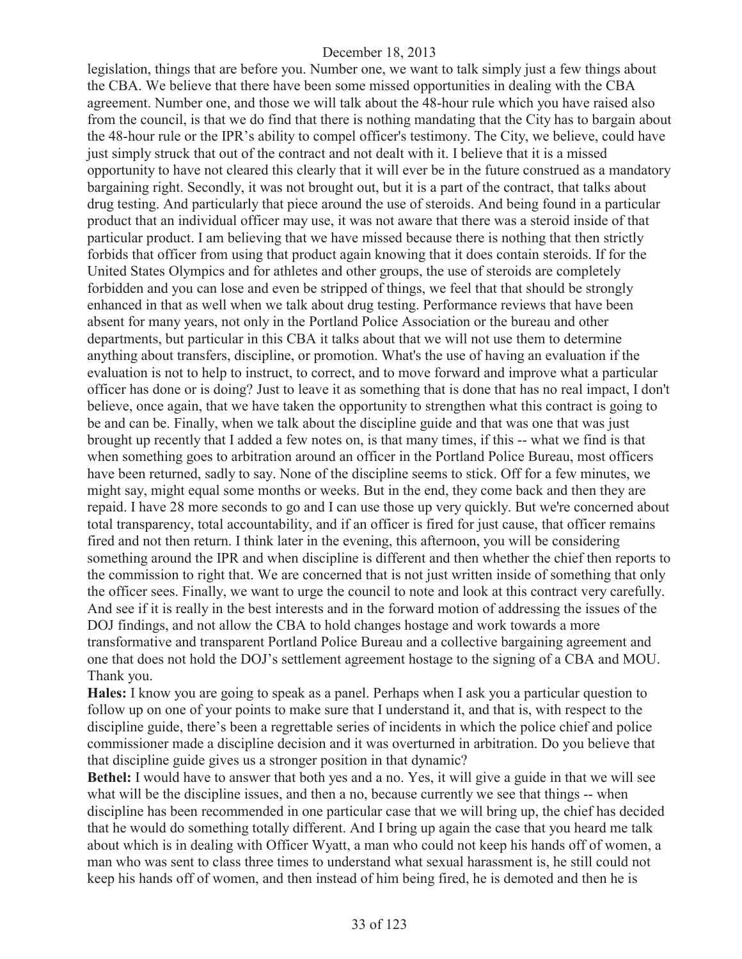legislation, things that are before you. Number one, we want to talk simply just a few things about the CBA. We believe that there have been some missed opportunities in dealing with the CBA agreement. Number one, and those we will talk about the 48-hour rule which you have raised also from the council, is that we do find that there is nothing mandating that the City has to bargain about the 48-hour rule or the IPR's ability to compel officer's testimony. The City, we believe, could have just simply struck that out of the contract and not dealt with it. I believe that it is a missed opportunity to have not cleared this clearly that it will ever be in the future construed as a mandatory bargaining right. Secondly, it was not brought out, but it is a part of the contract, that talks about drug testing. And particularly that piece around the use of steroids. And being found in a particular product that an individual officer may use, it was not aware that there was a steroid inside of that particular product. I am believing that we have missed because there is nothing that then strictly forbids that officer from using that product again knowing that it does contain steroids. If for the United States Olympics and for athletes and other groups, the use of steroids are completely forbidden and you can lose and even be stripped of things, we feel that that should be strongly enhanced in that as well when we talk about drug testing. Performance reviews that have been absent for many years, not only in the Portland Police Association or the bureau and other departments, but particular in this CBA it talks about that we will not use them to determine anything about transfers, discipline, or promotion. What's the use of having an evaluation if the evaluation is not to help to instruct, to correct, and to move forward and improve what a particular officer has done or is doing? Just to leave it as something that is done that has no real impact, I don't believe, once again, that we have taken the opportunity to strengthen what this contract is going to be and can be. Finally, when we talk about the discipline guide and that was one that was just brought up recently that I added a few notes on, is that many times, if this -- what we find is that when something goes to arbitration around an officer in the Portland Police Bureau, most officers have been returned, sadly to say. None of the discipline seems to stick. Off for a few minutes, we might say, might equal some months or weeks. But in the end, they come back and then they are repaid. I have 28 more seconds to go and I can use those up very quickly. But we're concerned about total transparency, total accountability, and if an officer is fired for just cause, that officer remains fired and not then return. I think later in the evening, this afternoon, you will be considering something around the IPR and when discipline is different and then whether the chief then reports to the commission to right that. We are concerned that is not just written inside of something that only the officer sees. Finally, we want to urge the council to note and look at this contract very carefully. And see if it is really in the best interests and in the forward motion of addressing the issues of the DOJ findings, and not allow the CBA to hold changes hostage and work towards a more transformative and transparent Portland Police Bureau and a collective bargaining agreement and one that does not hold the DOJ's settlement agreement hostage to the signing of a CBA and MOU. Thank you.

**Hales:** I know you are going to speak as a panel. Perhaps when I ask you a particular question to follow up on one of your points to make sure that I understand it, and that is, with respect to the discipline guide, there's been a regrettable series of incidents in which the police chief and police commissioner made a discipline decision and it was overturned in arbitration. Do you believe that that discipline guide gives us a stronger position in that dynamic?

**Bethel:** I would have to answer that both yes and a no. Yes, it will give a guide in that we will see what will be the discipline issues, and then a no, because currently we see that things -- when discipline has been recommended in one particular case that we will bring up, the chief has decided that he would do something totally different. And I bring up again the case that you heard me talk about which is in dealing with Officer Wyatt, a man who could not keep his hands off of women, a man who was sent to class three times to understand what sexual harassment is, he still could not keep his hands off of women, and then instead of him being fired, he is demoted and then he is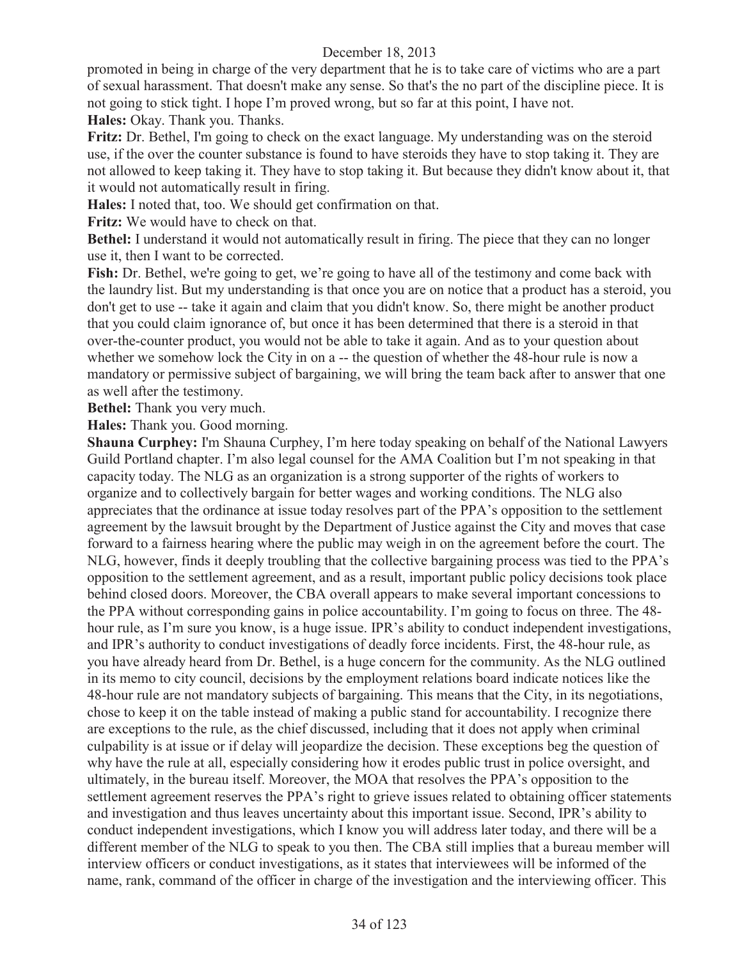promoted in being in charge of the very department that he is to take care of victims who are a part of sexual harassment. That doesn't make any sense. So that's the no part of the discipline piece. It is not going to stick tight. I hope I'm proved wrong, but so far at this point, I have not. **Hales:** Okay. Thank you. Thanks.

**Fritz:** Dr. Bethel, I'm going to check on the exact language. My understanding was on the steroid use, if the over the counter substance is found to have steroids they have to stop taking it. They are not allowed to keep taking it. They have to stop taking it. But because they didn't know about it, that it would not automatically result in firing.

**Hales:** I noted that, too. We should get confirmation on that.

**Fritz:** We would have to check on that.

**Bethel:** I understand it would not automatically result in firing. The piece that they can no longer use it, then I want to be corrected.

**Fish:** Dr. Bethel, we're going to get, we're going to have all of the testimony and come back with the laundry list. But my understanding is that once you are on notice that a product has a steroid, you don't get to use -- take it again and claim that you didn't know. So, there might be another product that you could claim ignorance of, but once it has been determined that there is a steroid in that over-the-counter product, you would not be able to take it again. And as to your question about whether we somehow lock the City in on a -- the question of whether the 48-hour rule is now a mandatory or permissive subject of bargaining, we will bring the team back after to answer that one as well after the testimony.

**Bethel:** Thank you very much.

**Hales:** Thank you. Good morning.

**Shauna Curphey:** I'm Shauna Curphey, I'm here today speaking on behalf of the National Lawyers Guild Portland chapter. I'm also legal counsel for the AMA Coalition but I'm not speaking in that capacity today. The NLG as an organization is a strong supporter of the rights of workers to organize and to collectively bargain for better wages and working conditions. The NLG also appreciates that the ordinance at issue today resolves part of the PPA's opposition to the settlement agreement by the lawsuit brought by the Department of Justice against the City and moves that case forward to a fairness hearing where the public may weigh in on the agreement before the court. The NLG, however, finds it deeply troubling that the collective bargaining process was tied to the PPA's opposition to the settlement agreement, and as a result, important public policy decisions took place behind closed doors. Moreover, the CBA overall appears to make several important concessions to the PPA without corresponding gains in police accountability. I'm going to focus on three. The 48 hour rule, as I'm sure you know, is a huge issue. IPR's ability to conduct independent investigations, and IPR's authority to conduct investigations of deadly force incidents. First, the 48-hour rule, as you have already heard from Dr. Bethel, is a huge concern for the community. As the NLG outlined in its memo to city council, decisions by the employment relations board indicate notices like the 48-hour rule are not mandatory subjects of bargaining. This means that the City, in its negotiations, chose to keep it on the table instead of making a public stand for accountability. I recognize there are exceptions to the rule, as the chief discussed, including that it does not apply when criminal culpability is at issue or if delay will jeopardize the decision. These exceptions beg the question of why have the rule at all, especially considering how it erodes public trust in police oversight, and ultimately, in the bureau itself. Moreover, the MOA that resolves the PPA's opposition to the settlement agreement reserves the PPA's right to grieve issues related to obtaining officer statements and investigation and thus leaves uncertainty about this important issue. Second, IPR's ability to conduct independent investigations, which I know you will address later today, and there will be a different member of the NLG to speak to you then. The CBA still implies that a bureau member will interview officers or conduct investigations, as it states that interviewees will be informed of the name, rank, command of the officer in charge of the investigation and the interviewing officer. This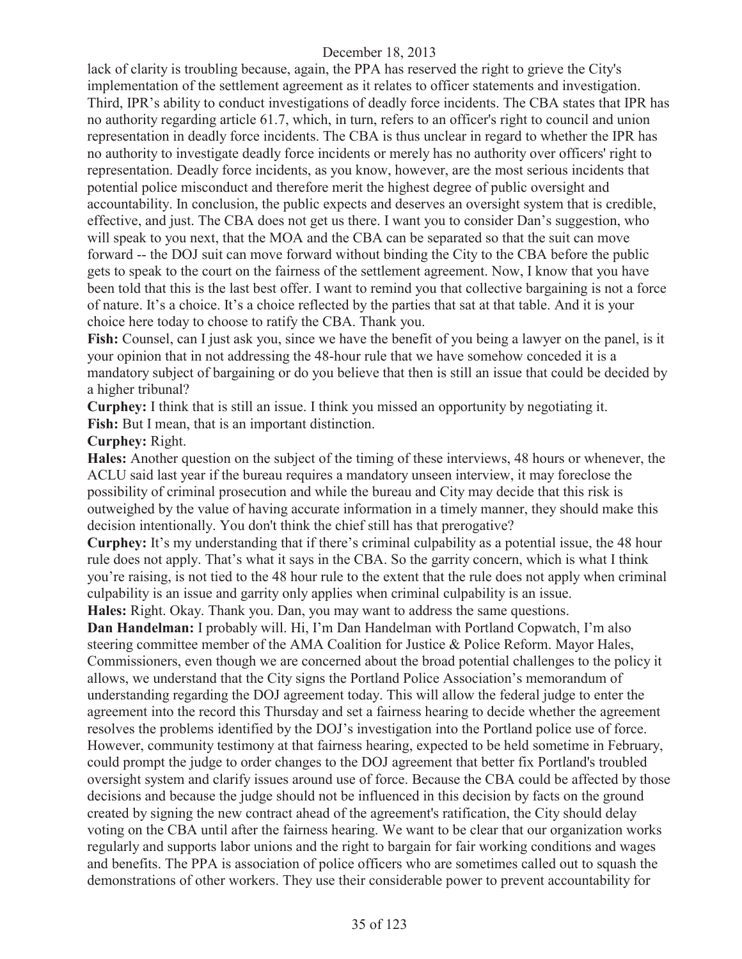lack of clarity is troubling because, again, the PPA has reserved the right to grieve the City's implementation of the settlement agreement as it relates to officer statements and investigation. Third, IPR's ability to conduct investigations of deadly force incidents. The CBA states that IPR has no authority regarding article 61.7, which, in turn, refers to an officer's right to council and union representation in deadly force incidents. The CBA is thus unclear in regard to whether the IPR has no authority to investigate deadly force incidents or merely has no authority over officers' right to representation. Deadly force incidents, as you know, however, are the most serious incidents that potential police misconduct and therefore merit the highest degree of public oversight and accountability. In conclusion, the public expects and deserves an oversight system that is credible, effective, and just. The CBA does not get us there. I want you to consider Dan's suggestion, who will speak to you next, that the MOA and the CBA can be separated so that the suit can move forward -- the DOJ suit can move forward without binding the City to the CBA before the public gets to speak to the court on the fairness of the settlement agreement. Now, I know that you have been told that this is the last best offer. I want to remind you that collective bargaining is not a force of nature. It's a choice. It's a choice reflected by the parties that sat at that table. And it is your choice here today to choose to ratify the CBA. Thank you.

**Fish:** Counsel, can I just ask you, since we have the benefit of you being a lawyer on the panel, is it your opinion that in not addressing the 48-hour rule that we have somehow conceded it is a mandatory subject of bargaining or do you believe that then is still an issue that could be decided by a higher tribunal?

**Curphey:** I think that is still an issue. I think you missed an opportunity by negotiating it.

**Fish:** But I mean, that is an important distinction.

#### **Curphey:** Right.

**Hales:** Another question on the subject of the timing of these interviews, 48 hours or whenever, the ACLU said last year if the bureau requires a mandatory unseen interview, it may foreclose the possibility of criminal prosecution and while the bureau and City may decide that this risk is outweighed by the value of having accurate information in a timely manner, they should make this decision intentionally. You don't think the chief still has that prerogative?

**Curphey:** It's my understanding that if there's criminal culpability as a potential issue, the 48 hour rule does not apply. That's what it says in the CBA. So the garrity concern, which is what I think you're raising, is not tied to the 48 hour rule to the extent that the rule does not apply when criminal culpability is an issue and garrity only applies when criminal culpability is an issue.

**Hales:** Right. Okay. Thank you. Dan, you may want to address the same questions. **Dan Handelman:** I probably will. Hi, I'm Dan Handelman with Portland Copwatch, I'm also steering committee member of the AMA Coalition for Justice & Police Reform. Mayor Hales, Commissioners, even though we are concerned about the broad potential challenges to the policy it allows, we understand that the City signs the Portland Police Association's memorandum of understanding regarding the DOJ agreement today. This will allow the federal judge to enter the agreement into the record this Thursday and set a fairness hearing to decide whether the agreement resolves the problems identified by the DOJ's investigation into the Portland police use of force. However, community testimony at that fairness hearing, expected to be held sometime in February, could prompt the judge to order changes to the DOJ agreement that better fix Portland's troubled oversight system and clarify issues around use of force. Because the CBA could be affected by those decisions and because the judge should not be influenced in this decision by facts on the ground created by signing the new contract ahead of the agreement's ratification, the City should delay voting on the CBA until after the fairness hearing. We want to be clear that our organization works regularly and supports labor unions and the right to bargain for fair working conditions and wages and benefits. The PPA is association of police officers who are sometimes called out to squash the demonstrations of other workers. They use their considerable power to prevent accountability for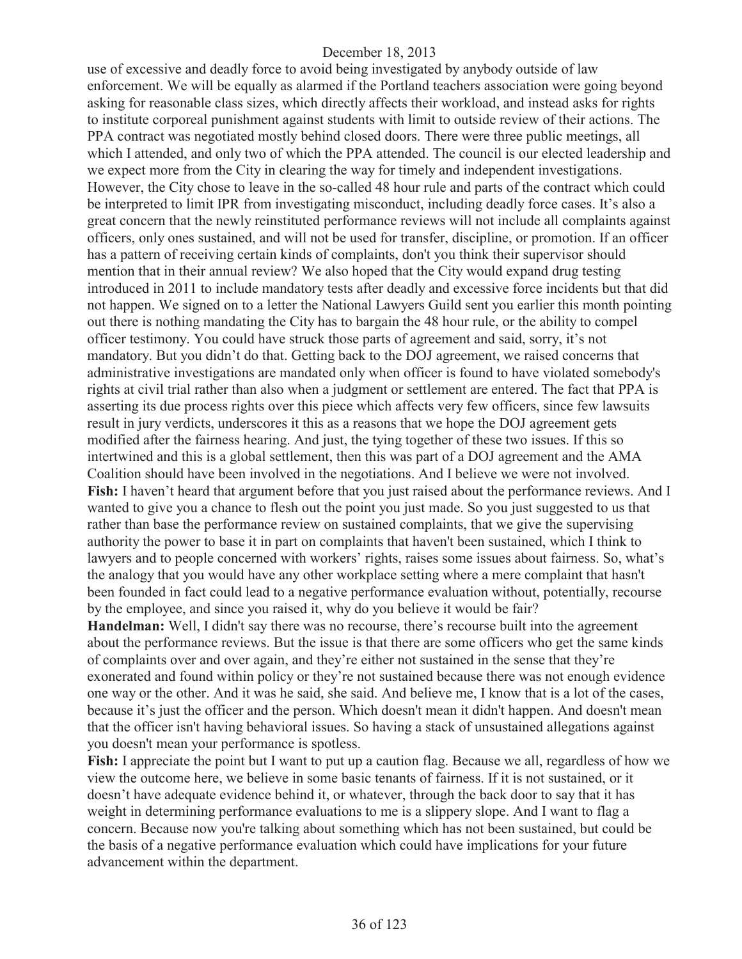use of excessive and deadly force to avoid being investigated by anybody outside of law enforcement. We will be equally as alarmed if the Portland teachers association were going beyond asking for reasonable class sizes, which directly affects their workload, and instead asks for rights to institute corporeal punishment against students with limit to outside review of their actions. The PPA contract was negotiated mostly behind closed doors. There were three public meetings, all which I attended, and only two of which the PPA attended. The council is our elected leadership and we expect more from the City in clearing the way for timely and independent investigations. However, the City chose to leave in the so-called 48 hour rule and parts of the contract which could be interpreted to limit IPR from investigating misconduct, including deadly force cases. It's also a great concern that the newly reinstituted performance reviews will not include all complaints against officers, only ones sustained, and will not be used for transfer, discipline, or promotion. If an officer has a pattern of receiving certain kinds of complaints, don't you think their supervisor should mention that in their annual review? We also hoped that the City would expand drug testing introduced in 2011 to include mandatory tests after deadly and excessive force incidents but that did not happen. We signed on to a letter the National Lawyers Guild sent you earlier this month pointing out there is nothing mandating the City has to bargain the 48 hour rule, or the ability to compel officer testimony. You could have struck those parts of agreement and said, sorry, it's not mandatory. But you didn't do that. Getting back to the DOJ agreement, we raised concerns that administrative investigations are mandated only when officer is found to have violated somebody's rights at civil trial rather than also when a judgment or settlement are entered. The fact that PPA is asserting its due process rights over this piece which affects very few officers, since few lawsuits result in jury verdicts, underscores it this as a reasons that we hope the DOJ agreement gets modified after the fairness hearing. And just, the tying together of these two issues. If this so intertwined and this is a global settlement, then this was part of a DOJ agreement and the AMA Coalition should have been involved in the negotiations. And I believe we were not involved. **Fish:** I haven't heard that argument before that you just raised about the performance reviews. And I wanted to give you a chance to flesh out the point you just made. So you just suggested to us that rather than base the performance review on sustained complaints, that we give the supervising authority the power to base it in part on complaints that haven't been sustained, which I think to lawyers and to people concerned with workers' rights, raises some issues about fairness. So, what's the analogy that you would have any other workplace setting where a mere complaint that hasn't been founded in fact could lead to a negative performance evaluation without, potentially, recourse by the employee, and since you raised it, why do you believe it would be fair?

**Handelman:** Well, I didn't say there was no recourse, there's recourse built into the agreement about the performance reviews. But the issue is that there are some officers who get the same kinds of complaints over and over again, and they're either not sustained in the sense that they're exonerated and found within policy or they're not sustained because there was not enough evidence one way or the other. And it was he said, she said. And believe me, I know that is a lot of the cases, because it's just the officer and the person. Which doesn't mean it didn't happen. And doesn't mean that the officer isn't having behavioral issues. So having a stack of unsustained allegations against you doesn't mean your performance is spotless.

**Fish:** I appreciate the point but I want to put up a caution flag. Because we all, regardless of how we view the outcome here, we believe in some basic tenants of fairness. If it is not sustained, or it doesn't have adequate evidence behind it, or whatever, through the back door to say that it has weight in determining performance evaluations to me is a slippery slope. And I want to flag a concern. Because now you're talking about something which has not been sustained, but could be the basis of a negative performance evaluation which could have implications for your future advancement within the department.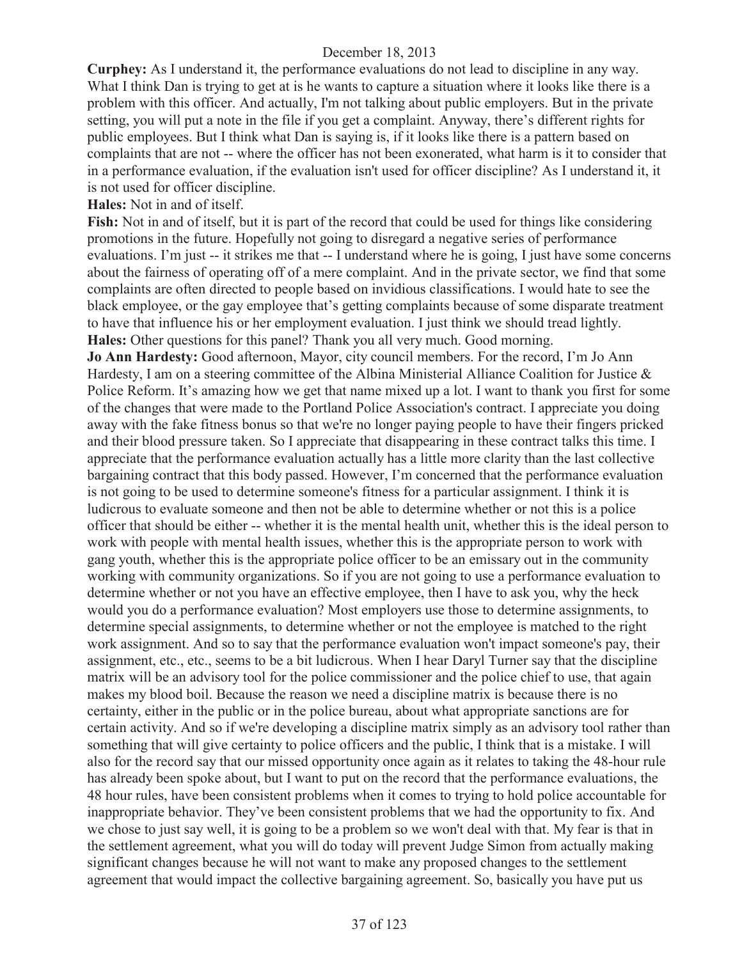**Curphey:** As I understand it, the performance evaluations do not lead to discipline in any way. What I think Dan is trying to get at is he wants to capture a situation where it looks like there is a problem with this officer. And actually, I'm not talking about public employers. But in the private setting, you will put a note in the file if you get a complaint. Anyway, there's different rights for public employees. But I think what Dan is saying is, if it looks like there is a pattern based on complaints that are not -- where the officer has not been exonerated, what harm is it to consider that in a performance evaluation, if the evaluation isn't used for officer discipline? As I understand it, it is not used for officer discipline.

**Hales:** Not in and of itself.

**Fish:** Not in and of itself, but it is part of the record that could be used for things like considering promotions in the future. Hopefully not going to disregard a negative series of performance evaluations. I'm just -- it strikes me that -- I understand where he is going, I just have some concerns about the fairness of operating off of a mere complaint. And in the private sector, we find that some complaints are often directed to people based on invidious classifications. I would hate to see the black employee, or the gay employee that's getting complaints because of some disparate treatment to have that influence his or her employment evaluation. I just think we should tread lightly. **Hales:** Other questions for this panel? Thank you all very much. Good morning.

**Jo Ann Hardesty:** Good afternoon, Mayor, city council members. For the record, I'm Jo Ann Hardesty, I am on a steering committee of the Albina Ministerial Alliance Coalition for Justice & Police Reform. It's amazing how we get that name mixed up a lot. I want to thank you first for some of the changes that were made to the Portland Police Association's contract. I appreciate you doing away with the fake fitness bonus so that we're no longer paying people to have their fingers pricked and their blood pressure taken. So I appreciate that disappearing in these contract talks this time. I appreciate that the performance evaluation actually has a little more clarity than the last collective bargaining contract that this body passed. However, I'm concerned that the performance evaluation is not going to be used to determine someone's fitness for a particular assignment. I think it is ludicrous to evaluate someone and then not be able to determine whether or not this is a police officer that should be either -- whether it is the mental health unit, whether this is the ideal person to work with people with mental health issues, whether this is the appropriate person to work with gang youth, whether this is the appropriate police officer to be an emissary out in the community working with community organizations. So if you are not going to use a performance evaluation to determine whether or not you have an effective employee, then I have to ask you, why the heck would you do a performance evaluation? Most employers use those to determine assignments, to determine special assignments, to determine whether or not the employee is matched to the right work assignment. And so to say that the performance evaluation won't impact someone's pay, their assignment, etc., etc., seems to be a bit ludicrous. When I hear Daryl Turner say that the discipline matrix will be an advisory tool for the police commissioner and the police chief to use, that again makes my blood boil. Because the reason we need a discipline matrix is because there is no certainty, either in the public or in the police bureau, about what appropriate sanctions are for certain activity. And so if we're developing a discipline matrix simply as an advisory tool rather than something that will give certainty to police officers and the public, I think that is a mistake. I will also for the record say that our missed opportunity once again as it relates to taking the 48-hour rule has already been spoke about, but I want to put on the record that the performance evaluations, the 48 hour rules, have been consistent problems when it comes to trying to hold police accountable for inappropriate behavior. They've been consistent problems that we had the opportunity to fix. And we chose to just say well, it is going to be a problem so we won't deal with that. My fear is that in the settlement agreement, what you will do today will prevent Judge Simon from actually making significant changes because he will not want to make any proposed changes to the settlement agreement that would impact the collective bargaining agreement. So, basically you have put us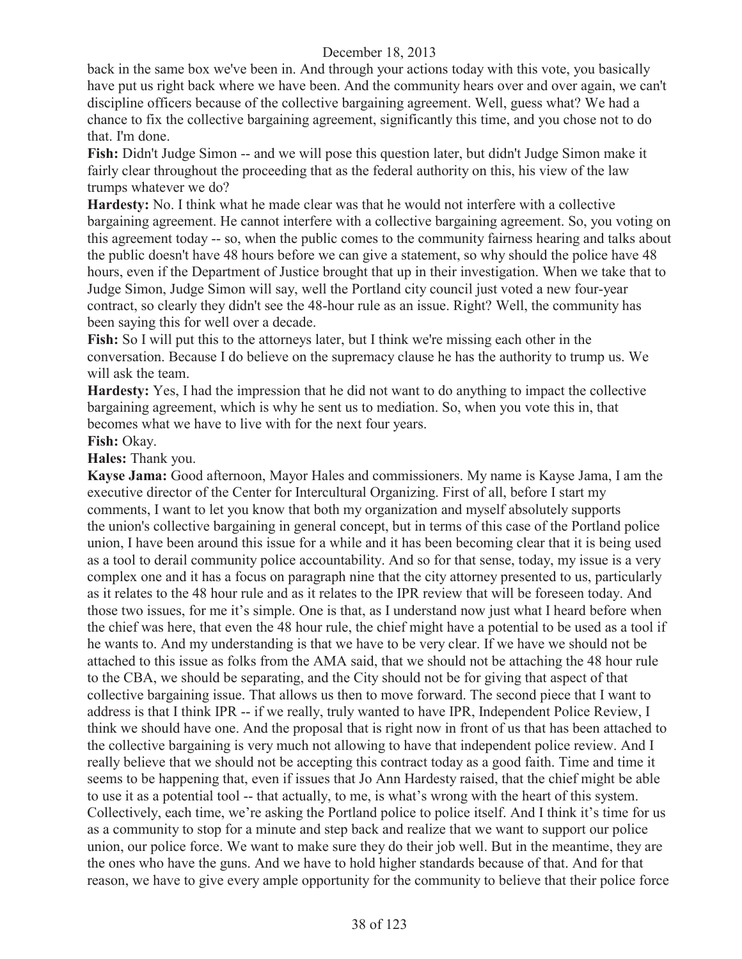back in the same box we've been in. And through your actions today with this vote, you basically have put us right back where we have been. And the community hears over and over again, we can't discipline officers because of the collective bargaining agreement. Well, guess what? We had a chance to fix the collective bargaining agreement, significantly this time, and you chose not to do that. I'm done.

**Fish:** Didn't Judge Simon -- and we will pose this question later, but didn't Judge Simon make it fairly clear throughout the proceeding that as the federal authority on this, his view of the law trumps whatever we do?

**Hardesty:** No. I think what he made clear was that he would not interfere with a collective bargaining agreement. He cannot interfere with a collective bargaining agreement. So, you voting on this agreement today -- so, when the public comes to the community fairness hearing and talks about the public doesn't have 48 hours before we can give a statement, so why should the police have 48 hours, even if the Department of Justice brought that up in their investigation. When we take that to Judge Simon, Judge Simon will say, well the Portland city council just voted a new four-year contract, so clearly they didn't see the 48-hour rule as an issue. Right? Well, the community has been saying this for well over a decade.

**Fish:** So I will put this to the attorneys later, but I think we're missing each other in the conversation. Because I do believe on the supremacy clause he has the authority to trump us. We will ask the team.

**Hardesty:** Yes, I had the impression that he did not want to do anything to impact the collective bargaining agreement, which is why he sent us to mediation. So, when you vote this in, that becomes what we have to live with for the next four years.

#### **Fish:** Okay.

**Hales:** Thank you.

**Kayse Jama:** Good afternoon, Mayor Hales and commissioners. My name is Kayse Jama, I am the executive director of the Center for Intercultural Organizing. First of all, before I start my comments, I want to let you know that both my organization and myself absolutely supports the union's collective bargaining in general concept, but in terms of this case of the Portland police union, I have been around this issue for a while and it has been becoming clear that it is being used as a tool to derail community police accountability. And so for that sense, today, my issue is a very complex one and it has a focus on paragraph nine that the city attorney presented to us, particularly as it relates to the 48 hour rule and as it relates to the IPR review that will be foreseen today. And those two issues, for me it's simple. One is that, as I understand now just what I heard before when the chief was here, that even the 48 hour rule, the chief might have a potential to be used as a tool if he wants to. And my understanding is that we have to be very clear. If we have we should not be attached to this issue as folks from the AMA said, that we should not be attaching the 48 hour rule to the CBA, we should be separating, and the City should not be for giving that aspect of that collective bargaining issue. That allows us then to move forward. The second piece that I want to address is that I think IPR -- if we really, truly wanted to have IPR, Independent Police Review, I think we should have one. And the proposal that is right now in front of us that has been attached to the collective bargaining is very much not allowing to have that independent police review. And I really believe that we should not be accepting this contract today as a good faith. Time and time it seems to be happening that, even if issues that Jo Ann Hardesty raised, that the chief might be able to use it as a potential tool -- that actually, to me, is what's wrong with the heart of this system. Collectively, each time, we're asking the Portland police to police itself. And I think it's time for us as a community to stop for a minute and step back and realize that we want to support our police union, our police force. We want to make sure they do their job well. But in the meantime, they are the ones who have the guns. And we have to hold higher standards because of that. And for that reason, we have to give every ample opportunity for the community to believe that their police force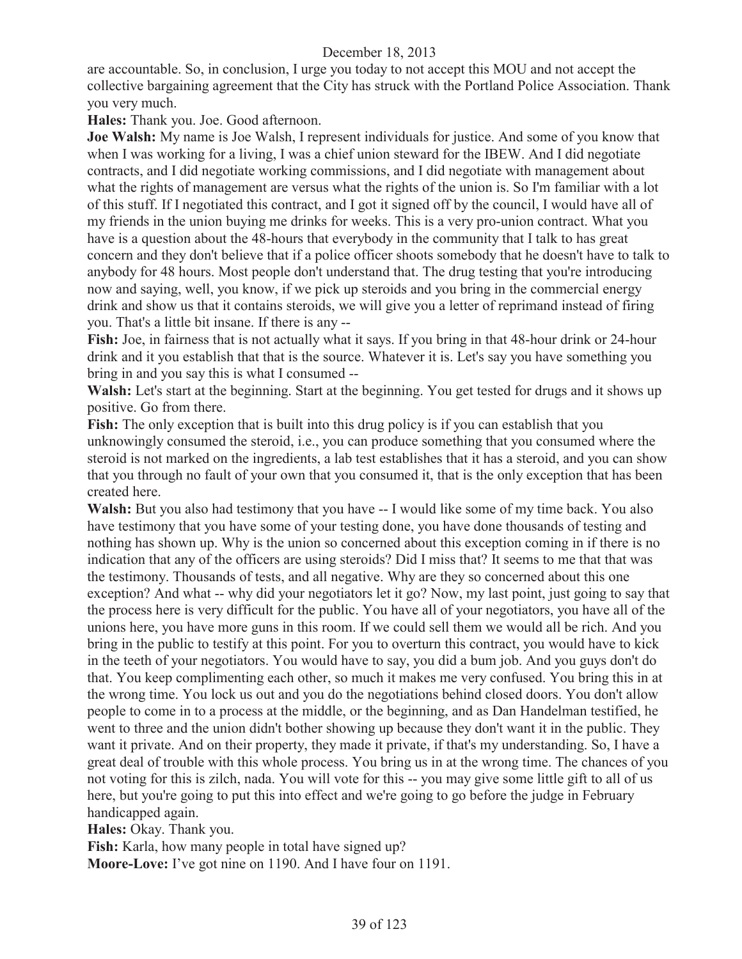are accountable. So, in conclusion, I urge you today to not accept this MOU and not accept the collective bargaining agreement that the City has struck with the Portland Police Association. Thank you very much.

**Hales:** Thank you. Joe. Good afternoon.

**Joe Walsh:** My name is Joe Walsh, I represent individuals for justice. And some of you know that when I was working for a living, I was a chief union steward for the IBEW. And I did negotiate contracts, and I did negotiate working commissions, and I did negotiate with management about what the rights of management are versus what the rights of the union is. So I'm familiar with a lot of this stuff. If I negotiated this contract, and I got it signed off by the council, I would have all of my friends in the union buying me drinks for weeks. This is a very pro-union contract. What you have is a question about the 48-hours that everybody in the community that I talk to has great concern and they don't believe that if a police officer shoots somebody that he doesn't have to talk to anybody for 48 hours. Most people don't understand that. The drug testing that you're introducing now and saying, well, you know, if we pick up steroids and you bring in the commercial energy drink and show us that it contains steroids, we will give you a letter of reprimand instead of firing you. That's a little bit insane. If there is any --

Fish: Joe, in fairness that is not actually what it says. If you bring in that 48-hour drink or 24-hour drink and it you establish that that is the source. Whatever it is. Let's say you have something you bring in and you say this is what I consumed --

**Walsh:** Let's start at the beginning. Start at the beginning. You get tested for drugs and it shows up positive. Go from there.

**Fish:** The only exception that is built into this drug policy is if you can establish that you unknowingly consumed the steroid, i.e., you can produce something that you consumed where the steroid is not marked on the ingredients, a lab test establishes that it has a steroid, and you can show that you through no fault of your own that you consumed it, that is the only exception that has been created here.

Walsh: But you also had testimony that you have -- I would like some of my time back. You also have testimony that you have some of your testing done, you have done thousands of testing and nothing has shown up. Why is the union so concerned about this exception coming in if there is no indication that any of the officers are using steroids? Did I miss that? It seems to me that that was the testimony. Thousands of tests, and all negative. Why are they so concerned about this one exception? And what -- why did your negotiators let it go? Now, my last point, just going to say that the process here is very difficult for the public. You have all of your negotiators, you have all of the unions here, you have more guns in this room. If we could sell them we would all be rich. And you bring in the public to testify at this point. For you to overturn this contract, you would have to kick in the teeth of your negotiators. You would have to say, you did a bum job. And you guys don't do that. You keep complimenting each other, so much it makes me very confused. You bring this in at the wrong time. You lock us out and you do the negotiations behind closed doors. You don't allow people to come in to a process at the middle, or the beginning, and as Dan Handelman testified, he went to three and the union didn't bother showing up because they don't want it in the public. They want it private. And on their property, they made it private, if that's my understanding. So, I have a great deal of trouble with this whole process. You bring us in at the wrong time. The chances of you not voting for this is zilch, nada. You will vote for this -- you may give some little gift to all of us here, but you're going to put this into effect and we're going to go before the judge in February handicapped again.

**Hales:** Okay. Thank you.

**Fish:** Karla, how many people in total have signed up?

**Moore-Love:** I've got nine on 1190. And I have four on 1191.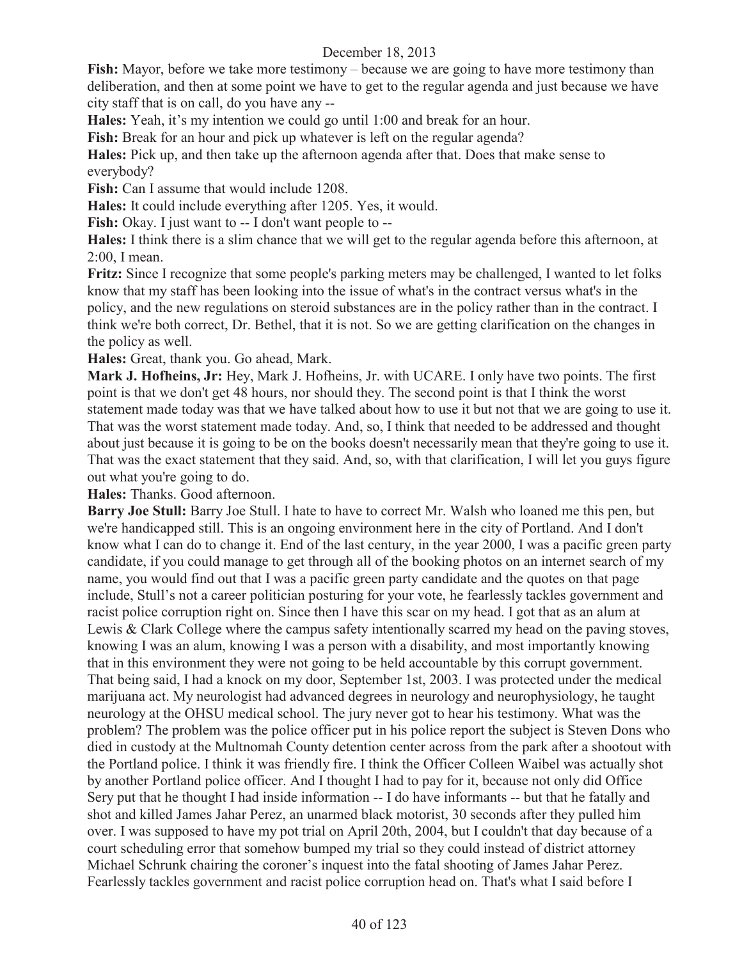**Fish:** Mayor, before we take more testimony – because we are going to have more testimony than deliberation, and then at some point we have to get to the regular agenda and just because we have city staff that is on call, do you have any --

**Hales:** Yeah, it's my intention we could go until 1:00 and break for an hour.

**Fish:** Break for an hour and pick up whatever is left on the regular agenda?

**Hales:** Pick up, and then take up the afternoon agenda after that. Does that make sense to everybody?

Fish: Can I assume that would include 1208.

**Hales:** It could include everything after 1205. Yes, it would.

**Fish:** Okay. I just want to -- I don't want people to --

**Hales:** I think there is a slim chance that we will get to the regular agenda before this afternoon, at 2:00, I mean.

**Fritz:** Since I recognize that some people's parking meters may be challenged, I wanted to let folks know that my staff has been looking into the issue of what's in the contract versus what's in the policy, and the new regulations on steroid substances are in the policy rather than in the contract. I think we're both correct, Dr. Bethel, that it is not. So we are getting clarification on the changes in the policy as well.

**Hales:** Great, thank you. Go ahead, Mark.

**Mark J. Hofheins, Jr:** Hey, Mark J. Hofheins, Jr. with UCARE. I only have two points. The first point is that we don't get 48 hours, nor should they. The second point is that I think the worst statement made today was that we have talked about how to use it but not that we are going to use it. That was the worst statement made today. And, so, I think that needed to be addressed and thought about just because it is going to be on the books doesn't necessarily mean that they're going to use it. That was the exact statement that they said. And, so, with that clarification, I will let you guys figure out what you're going to do.

**Hales:** Thanks. Good afternoon.

**Barry Joe Stull:** Barry Joe Stull. I hate to have to correct Mr. Walsh who loaned me this pen, but we're handicapped still. This is an ongoing environment here in the city of Portland. And I don't know what I can do to change it. End of the last century, in the year 2000, I was a pacific green party candidate, if you could manage to get through all of the booking photos on an internet search of my name, you would find out that I was a pacific green party candidate and the quotes on that page include, Stull's not a career politician posturing for your vote, he fearlessly tackles government and racist police corruption right on. Since then I have this scar on my head. I got that as an alum at Lewis & Clark College where the campus safety intentionally scarred my head on the paving stoves, knowing I was an alum, knowing I was a person with a disability, and most importantly knowing that in this environment they were not going to be held accountable by this corrupt government. That being said, I had a knock on my door, September 1st, 2003. I was protected under the medical marijuana act. My neurologist had advanced degrees in neurology and neurophysiology, he taught neurology at the OHSU medical school. The jury never got to hear his testimony. What was the problem? The problem was the police officer put in his police report the subject is Steven Dons who died in custody at the Multnomah County detention center across from the park after a shootout with the Portland police. I think it was friendly fire. I think the Officer Colleen Waibel was actually shot by another Portland police officer. And I thought I had to pay for it, because not only did Office Sery put that he thought I had inside information -- I do have informants -- but that he fatally and shot and killed James Jahar Perez, an unarmed black motorist, 30 seconds after they pulled him over. I was supposed to have my pot trial on April 20th, 2004, but I couldn't that day because of a court scheduling error that somehow bumped my trial so they could instead of district attorney Michael Schrunk chairing the coroner's inquest into the fatal shooting of James Jahar Perez. Fearlessly tackles government and racist police corruption head on. That's what I said before I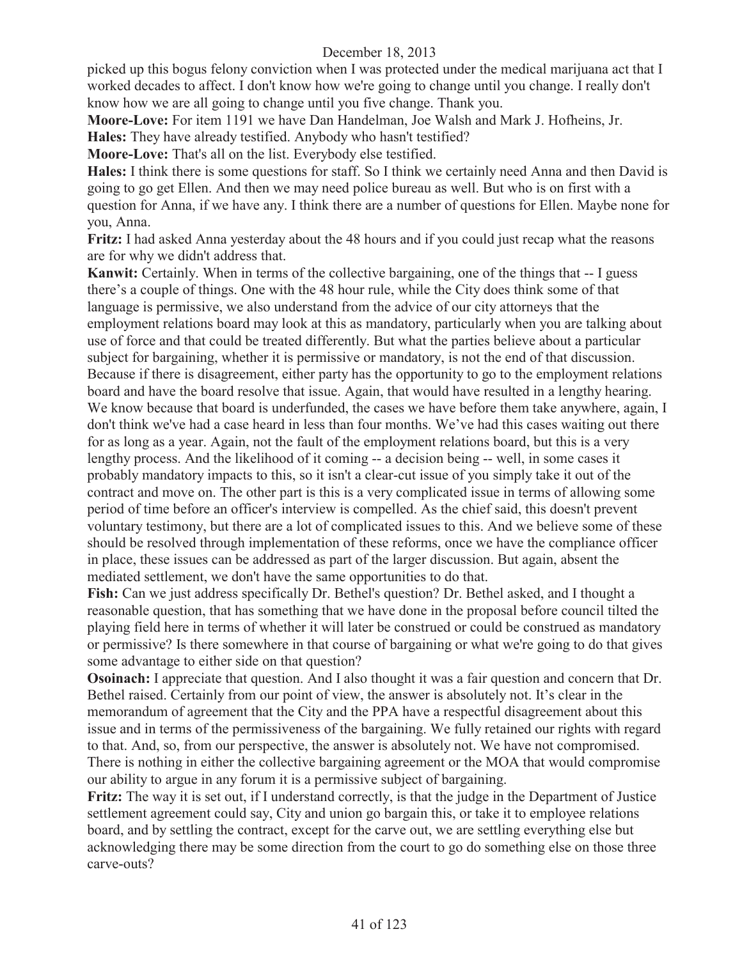picked up this bogus felony conviction when I was protected under the medical marijuana act that I worked decades to affect. I don't know how we're going to change until you change. I really don't know how we are all going to change until you five change. Thank you.

**Moore-Love:** For item 1191 we have Dan Handelman, Joe Walsh and Mark J. Hofheins, Jr.

**Hales:** They have already testified. Anybody who hasn't testified?

**Moore-Love:** That's all on the list. Everybody else testified.

**Hales:** I think there is some questions for staff. So I think we certainly need Anna and then David is going to go get Ellen. And then we may need police bureau as well. But who is on first with a question for Anna, if we have any. I think there are a number of questions for Ellen. Maybe none for you, Anna.

**Fritz:** I had asked Anna yesterday about the 48 hours and if you could just recap what the reasons are for why we didn't address that.

**Kanwit:** Certainly. When in terms of the collective bargaining, one of the things that -- I guess there's a couple of things. One with the 48 hour rule, while the City does think some of that language is permissive, we also understand from the advice of our city attorneys that the employment relations board may look at this as mandatory, particularly when you are talking about use of force and that could be treated differently. But what the parties believe about a particular subject for bargaining, whether it is permissive or mandatory, is not the end of that discussion. Because if there is disagreement, either party has the opportunity to go to the employment relations board and have the board resolve that issue. Again, that would have resulted in a lengthy hearing. We know because that board is underfunded, the cases we have before them take anywhere, again, I don't think we've had a case heard in less than four months. We've had this cases waiting out there for as long as a year. Again, not the fault of the employment relations board, but this is a very lengthy process. And the likelihood of it coming -- a decision being -- well, in some cases it probably mandatory impacts to this, so it isn't a clear-cut issue of you simply take it out of the contract and move on. The other part is this is a very complicated issue in terms of allowing some period of time before an officer's interview is compelled. As the chief said, this doesn't prevent voluntary testimony, but there are a lot of complicated issues to this. And we believe some of these should be resolved through implementation of these reforms, once we have the compliance officer in place, these issues can be addressed as part of the larger discussion. But again, absent the mediated settlement, we don't have the same opportunities to do that.

**Fish:** Can we just address specifically Dr. Bethel's question? Dr. Bethel asked, and I thought a reasonable question, that has something that we have done in the proposal before council tilted the playing field here in terms of whether it will later be construed or could be construed as mandatory or permissive? Is there somewhere in that course of bargaining or what we're going to do that gives some advantage to either side on that question?

**Osoinach:** I appreciate that question. And I also thought it was a fair question and concern that Dr. Bethel raised. Certainly from our point of view, the answer is absolutely not. It's clear in the memorandum of agreement that the City and the PPA have a respectful disagreement about this issue and in terms of the permissiveness of the bargaining. We fully retained our rights with regard to that. And, so, from our perspective, the answer is absolutely not. We have not compromised. There is nothing in either the collective bargaining agreement or the MOA that would compromise our ability to argue in any forum it is a permissive subject of bargaining.

**Fritz:** The way it is set out, if I understand correctly, is that the judge in the Department of Justice settlement agreement could say, City and union go bargain this, or take it to employee relations board, and by settling the contract, except for the carve out, we are settling everything else but acknowledging there may be some direction from the court to go do something else on those three carve-outs?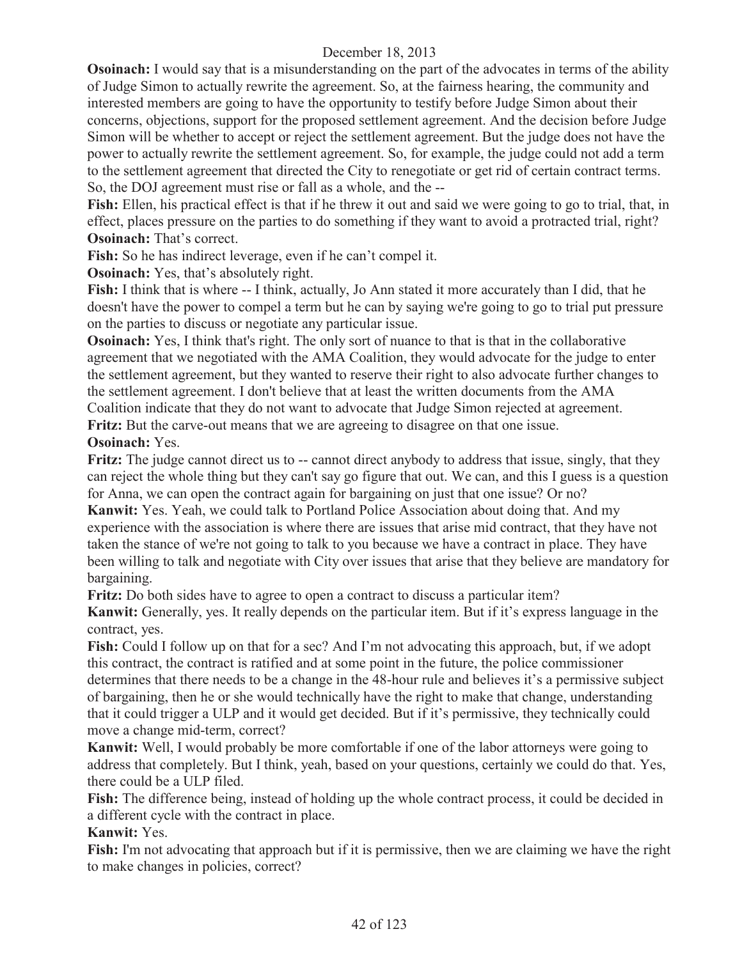**Osoinach:** I would say that is a misunderstanding on the part of the advocates in terms of the ability of Judge Simon to actually rewrite the agreement. So, at the fairness hearing, the community and interested members are going to have the opportunity to testify before Judge Simon about their concerns, objections, support for the proposed settlement agreement. And the decision before Judge Simon will be whether to accept or reject the settlement agreement. But the judge does not have the power to actually rewrite the settlement agreement. So, for example, the judge could not add a term to the settlement agreement that directed the City to renegotiate or get rid of certain contract terms. So, the DOJ agreement must rise or fall as a whole, and the --

**Fish:** Ellen, his practical effect is that if he threw it out and said we were going to go to trial, that, in effect, places pressure on the parties to do something if they want to avoid a protracted trial, right? **Osoinach:** That's correct.

**Fish:** So he has indirect leverage, even if he can't compel it.

**Osoinach:** Yes, that's absolutely right.

**Fish:** I think that is where -- I think, actually, Jo Ann stated it more accurately than I did, that he doesn't have the power to compel a term but he can by saying we're going to go to trial put pressure on the parties to discuss or negotiate any particular issue.

**Osoinach:** Yes, I think that's right. The only sort of nuance to that is that in the collaborative agreement that we negotiated with the AMA Coalition, they would advocate for the judge to enter the settlement agreement, but they wanted to reserve their right to also advocate further changes to the settlement agreement. I don't believe that at least the written documents from the AMA

Coalition indicate that they do not want to advocate that Judge Simon rejected at agreement.

**Fritz:** But the carve-out means that we are agreeing to disagree on that one issue. **Osoinach:** Yes.

**Fritz:** The judge cannot direct us to -- cannot direct anybody to address that issue, singly, that they can reject the whole thing but they can't say go figure that out. We can, and this I guess is a question for Anna, we can open the contract again for bargaining on just that one issue? Or no?

**Kanwit:** Yes. Yeah, we could talk to Portland Police Association about doing that. And my experience with the association is where there are issues that arise mid contract, that they have not taken the stance of we're not going to talk to you because we have a contract in place. They have been willing to talk and negotiate with City over issues that arise that they believe are mandatory for bargaining.

**Fritz:** Do both sides have to agree to open a contract to discuss a particular item?

**Kanwit:** Generally, yes. It really depends on the particular item. But if it's express language in the contract, yes.

Fish: Could I follow up on that for a sec? And I'm not advocating this approach, but, if we adopt this contract, the contract is ratified and at some point in the future, the police commissioner determines that there needs to be a change in the 48-hour rule and believes it's a permissive subject of bargaining, then he or she would technically have the right to make that change, understanding that it could trigger a ULP and it would get decided. But if it's permissive, they technically could move a change mid-term, correct?

**Kanwit:** Well, I would probably be more comfortable if one of the labor attorneys were going to address that completely. But I think, yeah, based on your questions, certainly we could do that. Yes, there could be a ULP filed.

Fish: The difference being, instead of holding up the whole contract process, it could be decided in a different cycle with the contract in place.

## **Kanwit:** Yes.

Fish: I'm not advocating that approach but if it is permissive, then we are claiming we have the right to make changes in policies, correct?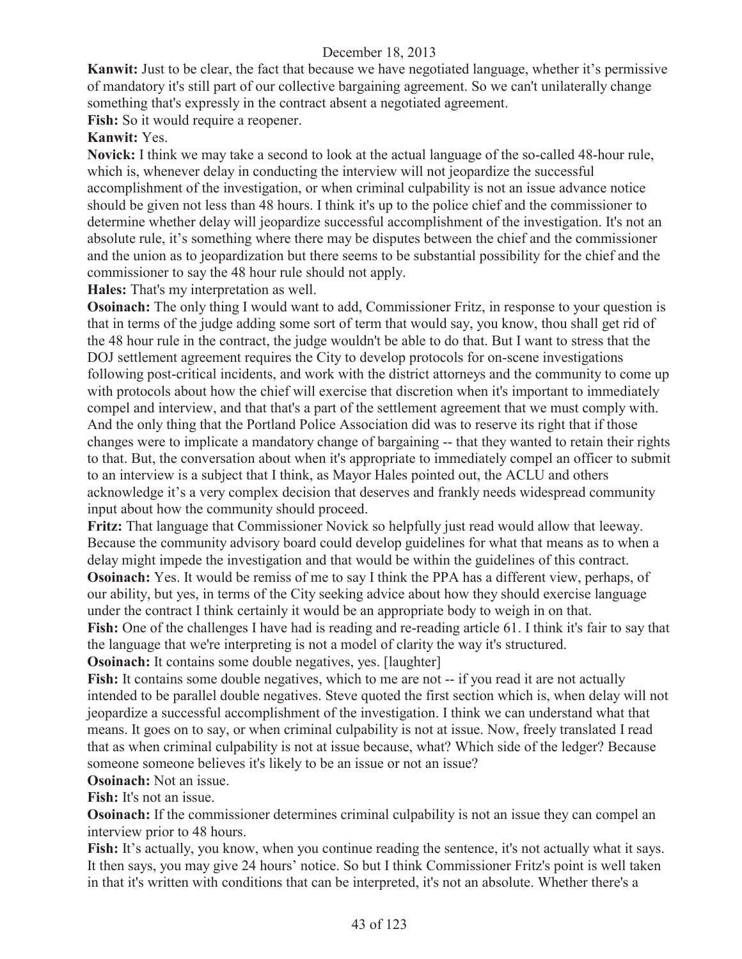**Kanwit:** Just to be clear, the fact that because we have negotiated language, whether it's permissive of mandatory it's still part of our collective bargaining agreement. So we can't unilaterally change something that's expressly in the contract absent a negotiated agreement.

Fish: So it would require a reopener.

# **Kanwit:** Yes.

**Novick:** I think we may take a second to look at the actual language of the so-called 48-hour rule, which is, whenever delay in conducting the interview will not jeopardize the successful accomplishment of the investigation, or when criminal culpability is not an issue advance notice should be given not less than 48 hours. I think it's up to the police chief and the commissioner to determine whether delay will jeopardize successful accomplishment of the investigation. It's not an absolute rule, it's something where there may be disputes between the chief and the commissioner and the union as to jeopardization but there seems to be substantial possibility for the chief and the commissioner to say the 48 hour rule should not apply.

**Hales:** That's my interpretation as well.

**Osoinach:** The only thing I would want to add, Commissioner Fritz, in response to your question is that in terms of the judge adding some sort of term that would say, you know, thou shall get rid of the 48 hour rule in the contract, the judge wouldn't be able to do that. But I want to stress that the DOJ settlement agreement requires the City to develop protocols for on-scene investigations following post-critical incidents, and work with the district attorneys and the community to come up with protocols about how the chief will exercise that discretion when it's important to immediately compel and interview, and that that's a part of the settlement agreement that we must comply with. And the only thing that the Portland Police Association did was to reserve its right that if those changes were to implicate a mandatory change of bargaining -- that they wanted to retain their rights to that. But, the conversation about when it's appropriate to immediately compel an officer to submit to an interview is a subject that I think, as Mayor Hales pointed out, the ACLU and others acknowledge it's a very complex decision that deserves and frankly needs widespread community input about how the community should proceed.

**Fritz:** That language that Commissioner Novick so helpfully just read would allow that leeway. Because the community advisory board could develop guidelines for what that means as to when a delay might impede the investigation and that would be within the guidelines of this contract. **Osoinach:** Yes. It would be remiss of me to say I think the PPA has a different view, perhaps, of our ability, but yes, in terms of the City seeking advice about how they should exercise language under the contract I think certainly it would be an appropriate body to weigh in on that.

**Fish:** One of the challenges I have had is reading and re-reading article 61. I think it's fair to say that the language that we're interpreting is not a model of clarity the way it's structured.

**Osoinach:** It contains some double negatives, yes. [laughter]

Fish: It contains some double negatives, which to me are not -- if you read it are not actually intended to be parallel double negatives. Steve quoted the first section which is, when delay will not jeopardize a successful accomplishment of the investigation. I think we can understand what that means. It goes on to say, or when criminal culpability is not at issue. Now, freely translated I read that as when criminal culpability is not at issue because, what? Which side of the ledger? Because someone someone believes it's likely to be an issue or not an issue?

## **Osoinach:** Not an issue.

**Fish:** It's not an issue.

**Osoinach:** If the commissioner determines criminal culpability is not an issue they can compel an interview prior to 48 hours.

Fish: It's actually, you know, when you continue reading the sentence, it's not actually what it says. It then says, you may give 24 hours' notice. So but I think Commissioner Fritz's point is well taken in that it's written with conditions that can be interpreted, it's not an absolute. Whether there's a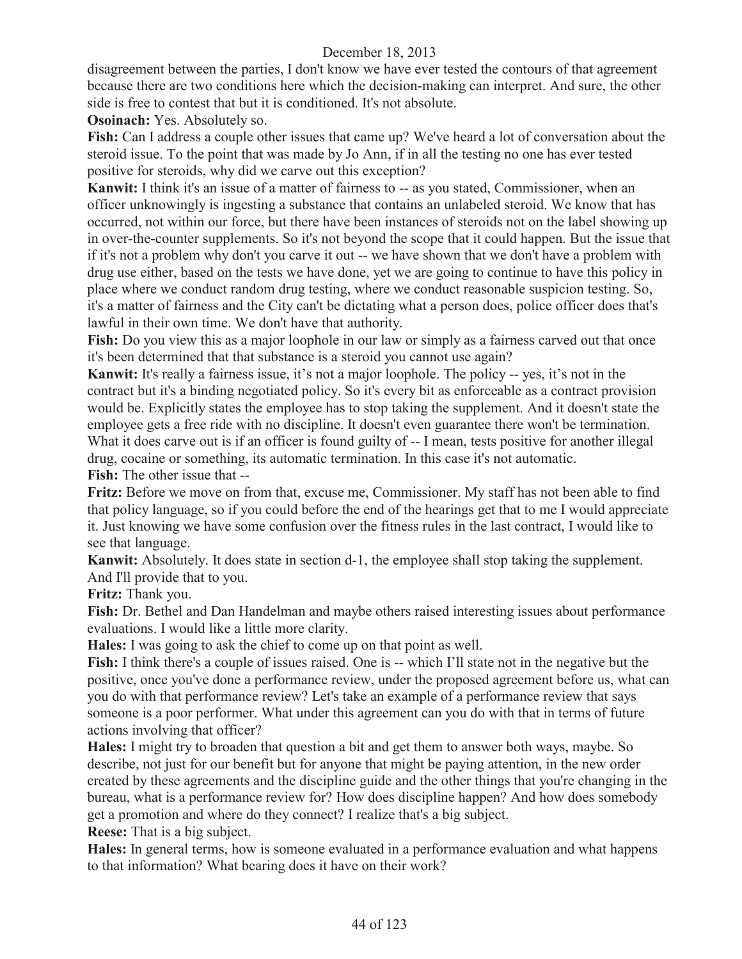disagreement between the parties, I don't know we have ever tested the contours of that agreement because there are two conditions here which the decision-making can interpret. And sure, the other side is free to contest that but it is conditioned. It's not absolute.

**Osoinach:** Yes. Absolutely so.

**Fish:** Can I address a couple other issues that came up? We've heard a lot of conversation about the steroid issue. To the point that was made by Jo Ann, if in all the testing no one has ever tested positive for steroids, why did we carve out this exception?

**Kanwit:** I think it's an issue of a matter of fairness to -- as you stated, Commissioner, when an officer unknowingly is ingesting a substance that contains an unlabeled steroid. We know that has occurred, not within our force, but there have been instances of steroids not on the label showing up in over-the-counter supplements. So it's not beyond the scope that it could happen. But the issue that if it's not a problem why don't you carve it out -- we have shown that we don't have a problem with drug use either, based on the tests we have done, yet we are going to continue to have this policy in place where we conduct random drug testing, where we conduct reasonable suspicion testing. So, it's a matter of fairness and the City can't be dictating what a person does, police officer does that's lawful in their own time. We don't have that authority.

**Fish:** Do you view this as a major loophole in our law or simply as a fairness carved out that once it's been determined that that substance is a steroid you cannot use again?

**Kanwit:** It's really a fairness issue, it's not a major loophole. The policy -- yes, it's not in the contract but it's a binding negotiated policy. So it's every bit as enforceable as a contract provision would be. Explicitly states the employee has to stop taking the supplement. And it doesn't state the employee gets a free ride with no discipline. It doesn't even guarantee there won't be termination. What it does carve out is if an officer is found guilty of -- I mean, tests positive for another illegal drug, cocaine or something, its automatic termination. In this case it's not automatic. **Fish:** The other issue that --

Fritz: Before we move on from that, excuse me, Commissioner. My staff has not been able to find that policy language, so if you could before the end of the hearings get that to me I would appreciate it. Just knowing we have some confusion over the fitness rules in the last contract, I would like to see that language.

**Kanwit:** Absolutely. It does state in section d-1, the employee shall stop taking the supplement. And I'll provide that to you.

**Fritz:** Thank you.

**Fish:** Dr. Bethel and Dan Handelman and maybe others raised interesting issues about performance evaluations. I would like a little more clarity.

**Hales:** I was going to ask the chief to come up on that point as well.

**Fish:** I think there's a couple of issues raised. One is -- which I'll state not in the negative but the positive, once you've done a performance review, under the proposed agreement before us, what can you do with that performance review? Let's take an example of a performance review that says someone is a poor performer. What under this agreement can you do with that in terms of future actions involving that officer?

**Hales:** I might try to broaden that question a bit and get them to answer both ways, maybe. So describe, not just for our benefit but for anyone that might be paying attention, in the new order created by these agreements and the discipline guide and the other things that you're changing in the bureau, what is a performance review for? How does discipline happen? And how does somebody get a promotion and where do they connect? I realize that's a big subject.

**Reese:** That is a big subject.

**Hales:** In general terms, how is someone evaluated in a performance evaluation and what happens to that information? What bearing does it have on their work?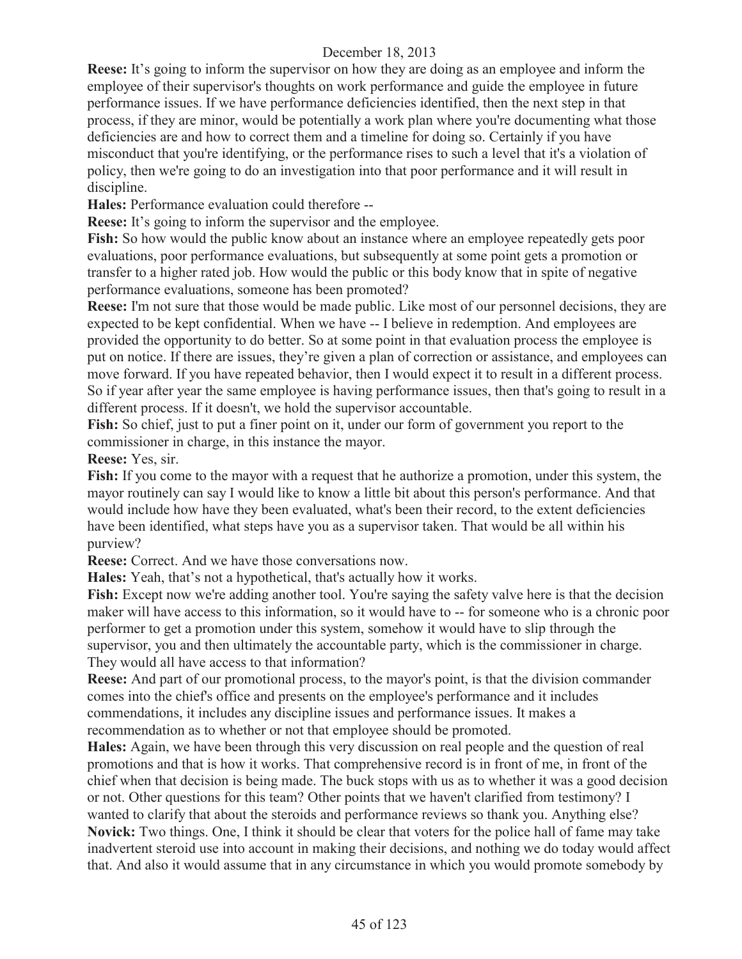**Reese:** It's going to inform the supervisor on how they are doing as an employee and inform the employee of their supervisor's thoughts on work performance and guide the employee in future performance issues. If we have performance deficiencies identified, then the next step in that process, if they are minor, would be potentially a work plan where you're documenting what those deficiencies are and how to correct them and a timeline for doing so. Certainly if you have misconduct that you're identifying, or the performance rises to such a level that it's a violation of policy, then we're going to do an investigation into that poor performance and it will result in discipline.

**Hales:** Performance evaluation could therefore --

**Reese:** It's going to inform the supervisor and the employee.

**Fish:** So how would the public know about an instance where an employee repeatedly gets poor evaluations, poor performance evaluations, but subsequently at some point gets a promotion or transfer to a higher rated job. How would the public or this body know that in spite of negative performance evaluations, someone has been promoted?

**Reese:** I'm not sure that those would be made public. Like most of our personnel decisions, they are expected to be kept confidential. When we have -- I believe in redemption. And employees are provided the opportunity to do better. So at some point in that evaluation process the employee is put on notice. If there are issues, they're given a plan of correction or assistance, and employees can move forward. If you have repeated behavior, then I would expect it to result in a different process. So if year after year the same employee is having performance issues, then that's going to result in a different process. If it doesn't, we hold the supervisor accountable.

**Fish:** So chief, just to put a finer point on it, under our form of government you report to the commissioner in charge, in this instance the mayor.

**Reese:** Yes, sir.

**Fish:** If you come to the mayor with a request that he authorize a promotion, under this system, the mayor routinely can say I would like to know a little bit about this person's performance. And that would include how have they been evaluated, what's been their record, to the extent deficiencies have been identified, what steps have you as a supervisor taken. That would be all within his purview?

**Reese:** Correct. And we have those conversations now.

**Hales:** Yeah, that's not a hypothetical, that's actually how it works.

**Fish:** Except now we're adding another tool. You're saying the safety valve here is that the decision maker will have access to this information, so it would have to -- for someone who is a chronic poor performer to get a promotion under this system, somehow it would have to slip through the supervisor, you and then ultimately the accountable party, which is the commissioner in charge. They would all have access to that information?

**Reese:** And part of our promotional process, to the mayor's point, is that the division commander comes into the chief's office and presents on the employee's performance and it includes commendations, it includes any discipline issues and performance issues. It makes a recommendation as to whether or not that employee should be promoted.

**Hales:** Again, we have been through this very discussion on real people and the question of real promotions and that is how it works. That comprehensive record is in front of me, in front of the chief when that decision is being made. The buck stops with us as to whether it was a good decision or not. Other questions for this team? Other points that we haven't clarified from testimony? I wanted to clarify that about the steroids and performance reviews so thank you. Anything else? **Novick:** Two things. One, I think it should be clear that voters for the police hall of fame may take inadvertent steroid use into account in making their decisions, and nothing we do today would affect that. And also it would assume that in any circumstance in which you would promote somebody by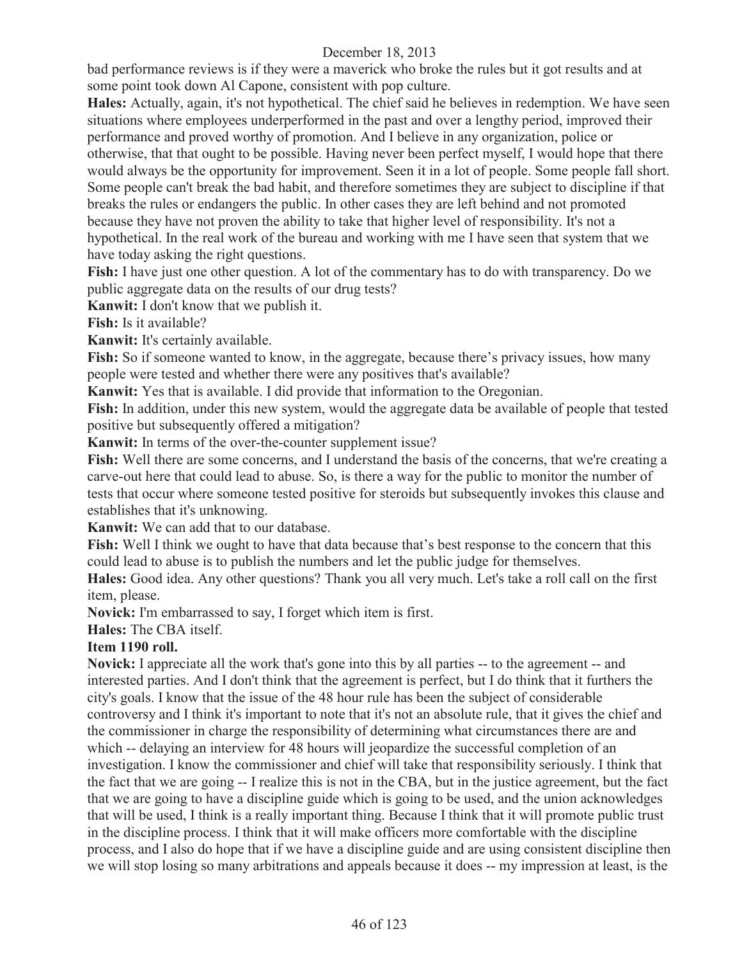bad performance reviews is if they were a maverick who broke the rules but it got results and at some point took down Al Capone, consistent with pop culture.

**Hales:** Actually, again, it's not hypothetical. The chief said he believes in redemption. We have seen situations where employees underperformed in the past and over a lengthy period, improved their performance and proved worthy of promotion. And I believe in any organization, police or otherwise, that that ought to be possible. Having never been perfect myself, I would hope that there would always be the opportunity for improvement. Seen it in a lot of people. Some people fall short. Some people can't break the bad habit, and therefore sometimes they are subject to discipline if that breaks the rules or endangers the public. In other cases they are left behind and not promoted because they have not proven the ability to take that higher level of responsibility. It's not a hypothetical. In the real work of the bureau and working with me I have seen that system that we have today asking the right questions.

Fish: I have just one other question. A lot of the commentary has to do with transparency. Do we public aggregate data on the results of our drug tests?

**Kanwit:** I don't know that we publish it.

**Fish:** Is it available?

**Kanwit:** It's certainly available.

Fish: So if someone wanted to know, in the aggregate, because there's privacy issues, how many people were tested and whether there were any positives that's available?

**Kanwit:** Yes that is available. I did provide that information to the Oregonian.

Fish: In addition, under this new system, would the aggregate data be available of people that tested positive but subsequently offered a mitigation?

**Kanwit:** In terms of the over-the-counter supplement issue?

Fish: Well there are some concerns, and I understand the basis of the concerns, that we're creating a carve-out here that could lead to abuse. So, is there a way for the public to monitor the number of tests that occur where someone tested positive for steroids but subsequently invokes this clause and establishes that it's unknowing.

**Kanwit:** We can add that to our database.

**Fish:** Well I think we ought to have that data because that's best response to the concern that this could lead to abuse is to publish the numbers and let the public judge for themselves.

**Hales:** Good idea. Any other questions? Thank you all very much. Let's take a roll call on the first item, please.

**Novick:** I'm embarrassed to say, I forget which item is first.

**Hales:** The CBA itself.

## **Item 1190 roll.**

**Novick:** I appreciate all the work that's gone into this by all parties -- to the agreement -- and interested parties. And I don't think that the agreement is perfect, but I do think that it furthers the city's goals. I know that the issue of the 48 hour rule has been the subject of considerable controversy and I think it's important to note that it's not an absolute rule, that it gives the chief and the commissioner in charge the responsibility of determining what circumstances there are and which -- delaying an interview for 48 hours will jeopardize the successful completion of an investigation. I know the commissioner and chief will take that responsibility seriously. I think that the fact that we are going -- I realize this is not in the CBA, but in the justice agreement, but the fact that we are going to have a discipline guide which is going to be used, and the union acknowledges that will be used, I think is a really important thing. Because I think that it will promote public trust in the discipline process. I think that it will make officers more comfortable with the discipline process, and I also do hope that if we have a discipline guide and are using consistent discipline then we will stop losing so many arbitrations and appeals because it does -- my impression at least, is the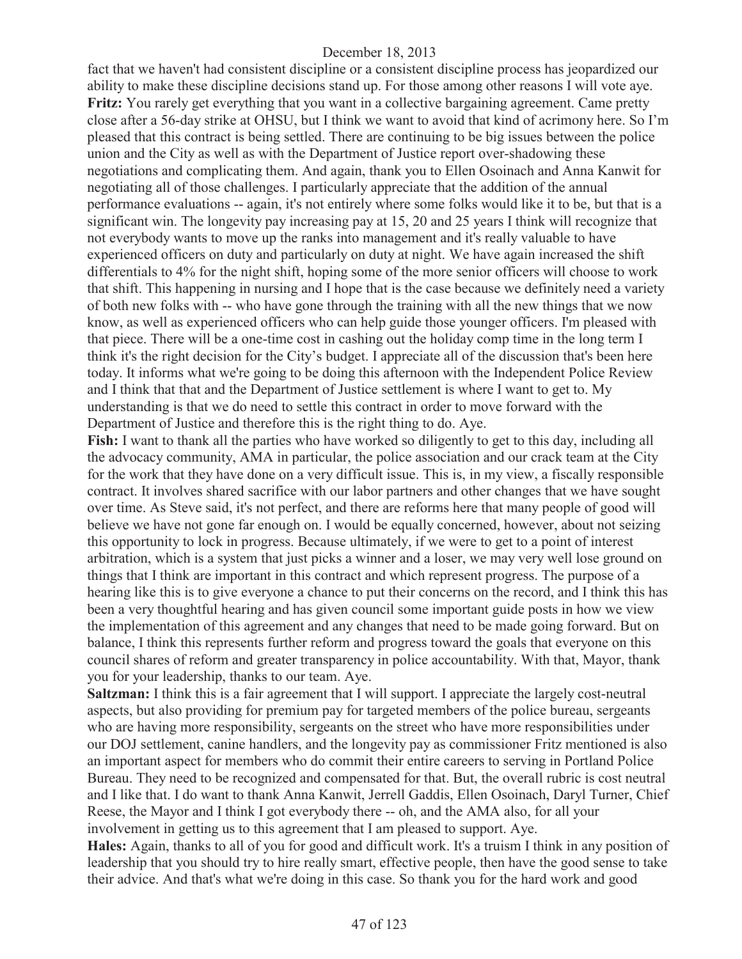fact that we haven't had consistent discipline or a consistent discipline process has jeopardized our ability to make these discipline decisions stand up. For those among other reasons I will vote aye. **Fritz:** You rarely get everything that you want in a collective bargaining agreement. Came pretty close after a 56-day strike at OHSU, but I think we want to avoid that kind of acrimony here. So I'm pleased that this contract is being settled. There are continuing to be big issues between the police union and the City as well as with the Department of Justice report over-shadowing these negotiations and complicating them. And again, thank you to Ellen Osoinach and Anna Kanwit for negotiating all of those challenges. I particularly appreciate that the addition of the annual performance evaluations -- again, it's not entirely where some folks would like it to be, but that is a significant win. The longevity pay increasing pay at 15, 20 and 25 years I think will recognize that not everybody wants to move up the ranks into management and it's really valuable to have experienced officers on duty and particularly on duty at night. We have again increased the shift differentials to 4% for the night shift, hoping some of the more senior officers will choose to work that shift. This happening in nursing and I hope that is the case because we definitely need a variety of both new folks with -- who have gone through the training with all the new things that we now know, as well as experienced officers who can help guide those younger officers. I'm pleased with that piece. There will be a one-time cost in cashing out the holiday comp time in the long term I think it's the right decision for the City's budget. I appreciate all of the discussion that's been here today. It informs what we're going to be doing this afternoon with the Independent Police Review and I think that that and the Department of Justice settlement is where I want to get to. My understanding is that we do need to settle this contract in order to move forward with the Department of Justice and therefore this is the right thing to do. Aye.

**Fish:** I want to thank all the parties who have worked so diligently to get to this day, including all the advocacy community, AMA in particular, the police association and our crack team at the City for the work that they have done on a very difficult issue. This is, in my view, a fiscally responsible contract. It involves shared sacrifice with our labor partners and other changes that we have sought over time. As Steve said, it's not perfect, and there are reforms here that many people of good will believe we have not gone far enough on. I would be equally concerned, however, about not seizing this opportunity to lock in progress. Because ultimately, if we were to get to a point of interest arbitration, which is a system that just picks a winner and a loser, we may very well lose ground on things that I think are important in this contract and which represent progress. The purpose of a hearing like this is to give everyone a chance to put their concerns on the record, and I think this has been a very thoughtful hearing and has given council some important guide posts in how we view the implementation of this agreement and any changes that need to be made going forward. But on balance, I think this represents further reform and progress toward the goals that everyone on this council shares of reform and greater transparency in police accountability. With that, Mayor, thank you for your leadership, thanks to our team. Aye.

**Saltzman:** I think this is a fair agreement that I will support. I appreciate the largely cost-neutral aspects, but also providing for premium pay for targeted members of the police bureau, sergeants who are having more responsibility, sergeants on the street who have more responsibilities under our DOJ settlement, canine handlers, and the longevity pay as commissioner Fritz mentioned is also an important aspect for members who do commit their entire careers to serving in Portland Police Bureau. They need to be recognized and compensated for that. But, the overall rubric is cost neutral and I like that. I do want to thank Anna Kanwit, Jerrell Gaddis, Ellen Osoinach, Daryl Turner, Chief Reese, the Mayor and I think I got everybody there -- oh, and the AMA also, for all your involvement in getting us to this agreement that I am pleased to support. Aye.

**Hales:** Again, thanks to all of you for good and difficult work. It's a truism I think in any position of leadership that you should try to hire really smart, effective people, then have the good sense to take their advice. And that's what we're doing in this case. So thank you for the hard work and good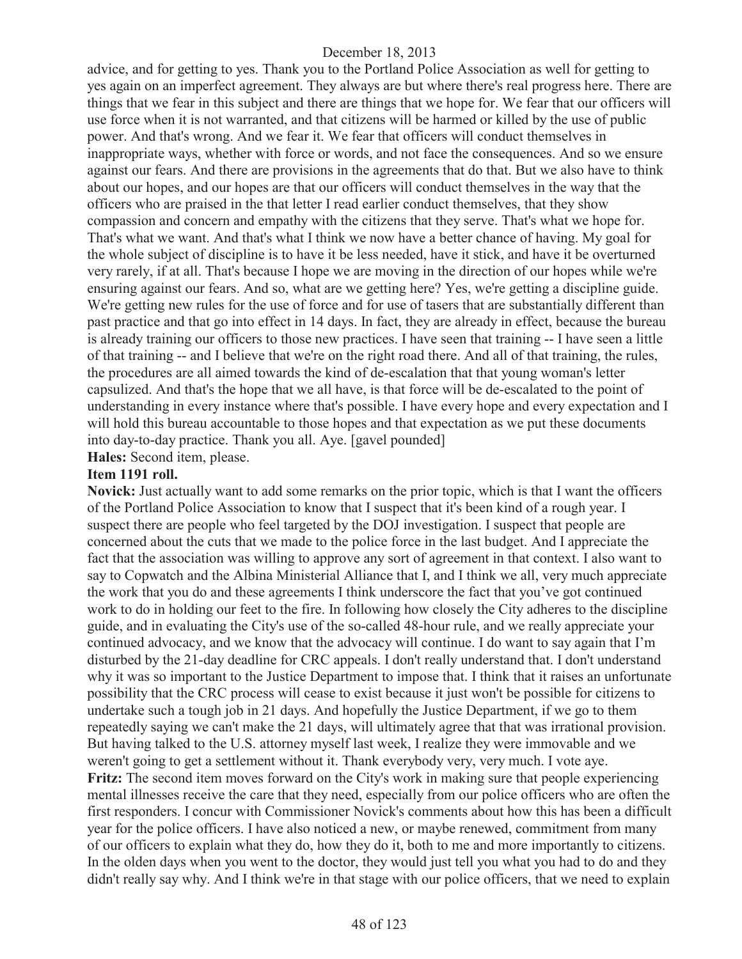advice, and for getting to yes. Thank you to the Portland Police Association as well for getting to yes again on an imperfect agreement. They always are but where there's real progress here. There are things that we fear in this subject and there are things that we hope for. We fear that our officers will use force when it is not warranted, and that citizens will be harmed or killed by the use of public power. And that's wrong. And we fear it. We fear that officers will conduct themselves in inappropriate ways, whether with force or words, and not face the consequences. And so we ensure against our fears. And there are provisions in the agreements that do that. But we also have to think about our hopes, and our hopes are that our officers will conduct themselves in the way that the officers who are praised in the that letter I read earlier conduct themselves, that they show compassion and concern and empathy with the citizens that they serve. That's what we hope for. That's what we want. And that's what I think we now have a better chance of having. My goal for the whole subject of discipline is to have it be less needed, have it stick, and have it be overturned very rarely, if at all. That's because I hope we are moving in the direction of our hopes while we're ensuring against our fears. And so, what are we getting here? Yes, we're getting a discipline guide. We're getting new rules for the use of force and for use of tasers that are substantially different than past practice and that go into effect in 14 days. In fact, they are already in effect, because the bureau is already training our officers to those new practices. I have seen that training -- I have seen a little of that training -- and I believe that we're on the right road there. And all of that training, the rules, the procedures are all aimed towards the kind of de-escalation that that young woman's letter capsulized. And that's the hope that we all have, is that force will be de-escalated to the point of understanding in every instance where that's possible. I have every hope and every expectation and I will hold this bureau accountable to those hopes and that expectation as we put these documents into day-to-day practice. Thank you all. Aye. [gavel pounded]

**Hales:** Second item, please.

# **Item 1191 roll.**

**Novick:** Just actually want to add some remarks on the prior topic, which is that I want the officers of the Portland Police Association to know that I suspect that it's been kind of a rough year. I suspect there are people who feel targeted by the DOJ investigation. I suspect that people are concerned about the cuts that we made to the police force in the last budget. And I appreciate the fact that the association was willing to approve any sort of agreement in that context. I also want to say to Copwatch and the Albina Ministerial Alliance that I, and I think we all, very much appreciate the work that you do and these agreements I think underscore the fact that you've got continued work to do in holding our feet to the fire. In following how closely the City adheres to the discipline guide, and in evaluating the City's use of the so-called 48-hour rule, and we really appreciate your continued advocacy, and we know that the advocacy will continue. I do want to say again that I'm disturbed by the 21-day deadline for CRC appeals. I don't really understand that. I don't understand why it was so important to the Justice Department to impose that. I think that it raises an unfortunate possibility that the CRC process will cease to exist because it just won't be possible for citizens to undertake such a tough job in 21 days. And hopefully the Justice Department, if we go to them repeatedly saying we can't make the 21 days, will ultimately agree that that was irrational provision. But having talked to the U.S. attorney myself last week, I realize they were immovable and we weren't going to get a settlement without it. Thank everybody very, very much. I vote aye. **Fritz:** The second item moves forward on the City's work in making sure that people experiencing mental illnesses receive the care that they need, especially from our police officers who are often the first responders. I concur with Commissioner Novick's comments about how this has been a difficult year for the police officers. I have also noticed a new, or maybe renewed, commitment from many of our officers to explain what they do, how they do it, both to me and more importantly to citizens. In the olden days when you went to the doctor, they would just tell you what you had to do and they didn't really say why. And I think we're in that stage with our police officers, that we need to explain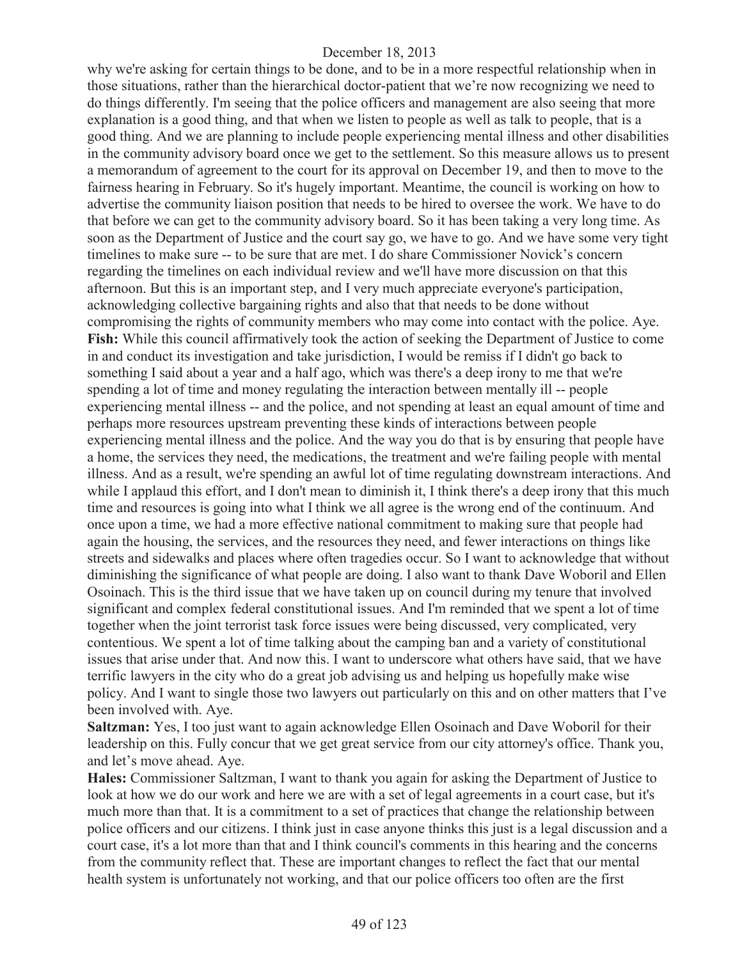why we're asking for certain things to be done, and to be in a more respectful relationship when in those situations, rather than the hierarchical doctor-patient that we're now recognizing we need to do things differently. I'm seeing that the police officers and management are also seeing that more explanation is a good thing, and that when we listen to people as well as talk to people, that is a good thing. And we are planning to include people experiencing mental illness and other disabilities in the community advisory board once we get to the settlement. So this measure allows us to present a memorandum of agreement to the court for its approval on December 19, and then to move to the fairness hearing in February. So it's hugely important. Meantime, the council is working on how to advertise the community liaison position that needs to be hired to oversee the work. We have to do that before we can get to the community advisory board. So it has been taking a very long time. As soon as the Department of Justice and the court say go, we have to go. And we have some very tight timelines to make sure -- to be sure that are met. I do share Commissioner Novick's concern regarding the timelines on each individual review and we'll have more discussion on that this afternoon. But this is an important step, and I very much appreciate everyone's participation, acknowledging collective bargaining rights and also that that needs to be done without compromising the rights of community members who may come into contact with the police. Aye. **Fish:** While this council affirmatively took the action of seeking the Department of Justice to come in and conduct its investigation and take jurisdiction, I would be remiss if I didn't go back to something I said about a year and a half ago, which was there's a deep irony to me that we're spending a lot of time and money regulating the interaction between mentally ill -- people experiencing mental illness -- and the police, and not spending at least an equal amount of time and perhaps more resources upstream preventing these kinds of interactions between people experiencing mental illness and the police. And the way you do that is by ensuring that people have a home, the services they need, the medications, the treatment and we're failing people with mental illness. And as a result, we're spending an awful lot of time regulating downstream interactions. And while I applaud this effort, and I don't mean to diminish it, I think there's a deep irony that this much time and resources is going into what I think we all agree is the wrong end of the continuum. And once upon a time, we had a more effective national commitment to making sure that people had again the housing, the services, and the resources they need, and fewer interactions on things like streets and sidewalks and places where often tragedies occur. So I want to acknowledge that without diminishing the significance of what people are doing. I also want to thank Dave Woboril and Ellen Osoinach. This is the third issue that we have taken up on council during my tenure that involved significant and complex federal constitutional issues. And I'm reminded that we spent a lot of time together when the joint terrorist task force issues were being discussed, very complicated, very contentious. We spent a lot of time talking about the camping ban and a variety of constitutional issues that arise under that. And now this. I want to underscore what others have said, that we have terrific lawyers in the city who do a great job advising us and helping us hopefully make wise policy. And I want to single those two lawyers out particularly on this and on other matters that I've been involved with. Aye.

**Saltzman:** Yes, I too just want to again acknowledge Ellen Osoinach and Dave Woboril for their leadership on this. Fully concur that we get great service from our city attorney's office. Thank you, and let's move ahead. Aye.

**Hales:** Commissioner Saltzman, I want to thank you again for asking the Department of Justice to look at how we do our work and here we are with a set of legal agreements in a court case, but it's much more than that. It is a commitment to a set of practices that change the relationship between police officers and our citizens. I think just in case anyone thinks this just is a legal discussion and a court case, it's a lot more than that and I think council's comments in this hearing and the concerns from the community reflect that. These are important changes to reflect the fact that our mental health system is unfortunately not working, and that our police officers too often are the first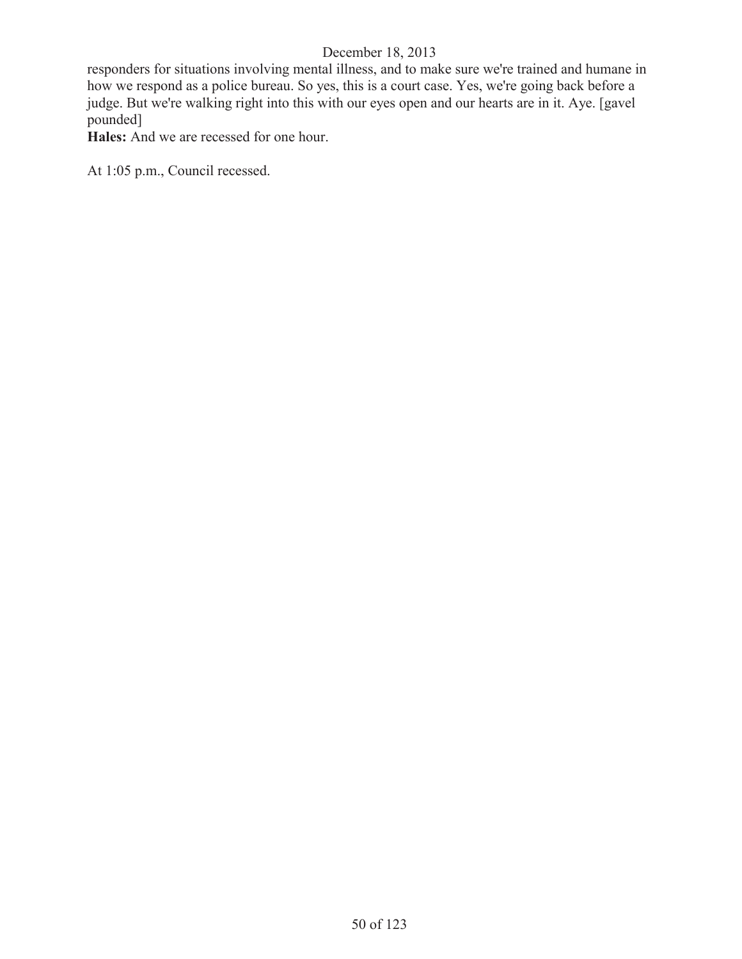responders for situations involving mental illness, and to make sure we're trained and humane in how we respond as a police bureau. So yes, this is a court case. Yes, we're going back before a judge. But we're walking right into this with our eyes open and our hearts are in it. Aye. [gavel pounded]

**Hales:** And we are recessed for one hour.

At 1:05 p.m., Council recessed.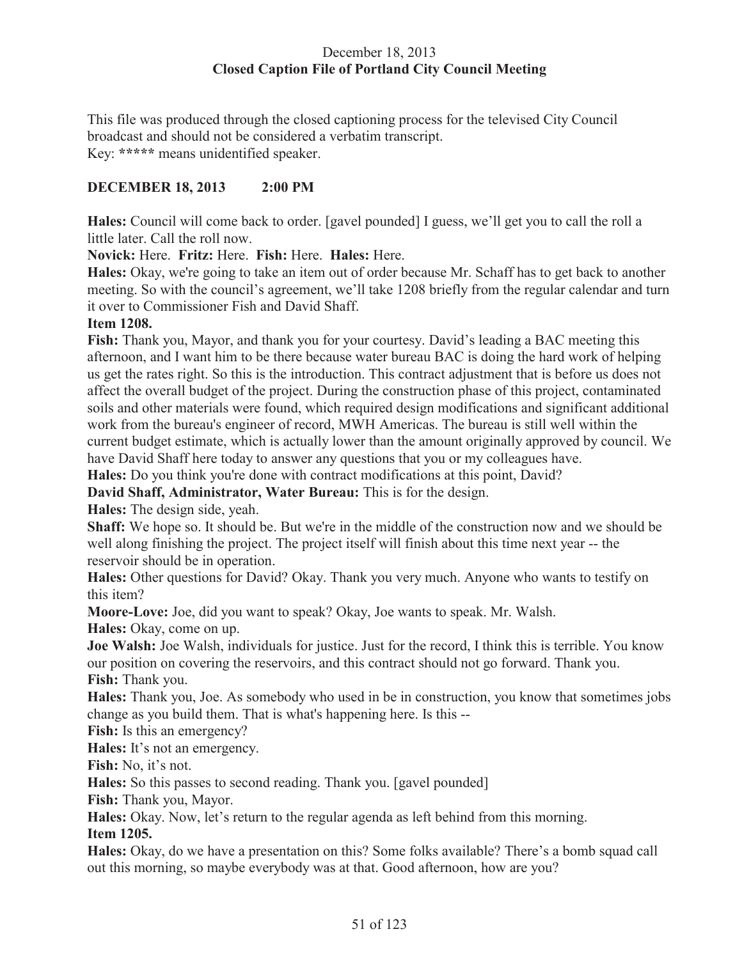# December 18, 2013 **Closed Caption File of Portland City Council Meeting**

This file was produced through the closed captioning process for the televised City Council broadcast and should not be considered a verbatim transcript. Key: **\*\*\*\*\*** means unidentified speaker.

# **DECEMBER 18, 2013 2:00 PM**

**Hales:** Council will come back to order. [gavel pounded] I guess, we'll get you to call the roll a little later. Call the roll now.

#### **Novick:** Here. **Fritz:** Here. **Fish:** Here. **Hales:** Here.

**Hales:** Okay, we're going to take an item out of order because Mr. Schaff has to get back to another meeting. So with the council's agreement, we'll take 1208 briefly from the regular calendar and turn it over to Commissioner Fish and David Shaff.

#### **Item 1208.**

Fish: Thank you, Mayor, and thank you for your courtesy. David's leading a BAC meeting this afternoon, and I want him to be there because water bureau BAC is doing the hard work of helping us get the rates right. So this is the introduction. This contract adjustment that is before us does not affect the overall budget of the project. During the construction phase of this project, contaminated soils and other materials were found, which required design modifications and significant additional work from the bureau's engineer of record, MWH Americas. The bureau is still well within the current budget estimate, which is actually lower than the amount originally approved by council. We have David Shaff here today to answer any questions that you or my colleagues have.

**Hales:** Do you think you're done with contract modifications at this point, David?

**David Shaff, Administrator, Water Bureau:** This is for the design.

**Hales:** The design side, yeah.

**Shaff:** We hope so. It should be. But we're in the middle of the construction now and we should be well along finishing the project. The project itself will finish about this time next year -- the reservoir should be in operation.

**Hales:** Other questions for David? Okay. Thank you very much. Anyone who wants to testify on this item?

**Moore-Love:** Joe, did you want to speak? Okay, Joe wants to speak. Mr. Walsh.

**Hales:** Okay, come on up.

**Joe Walsh:** Joe Walsh, individuals for justice. Just for the record, I think this is terrible. You know our position on covering the reservoirs, and this contract should not go forward. Thank you. **Fish:** Thank you.

**Hales:** Thank you, Joe. As somebody who used in be in construction, you know that sometimes jobs change as you build them. That is what's happening here. Is this --

Fish: Is this an emergency?

**Hales:** It's not an emergency.

**Fish:** No, it's not.

**Hales:** So this passes to second reading. Thank you. [gavel pounded]

**Fish:** Thank you, Mayor.

**Hales:** Okay. Now, let's return to the regular agenda as left behind from this morning. **Item 1205.**

**Hales:** Okay, do we have a presentation on this? Some folks available? There's a bomb squad call out this morning, so maybe everybody was at that. Good afternoon, how are you?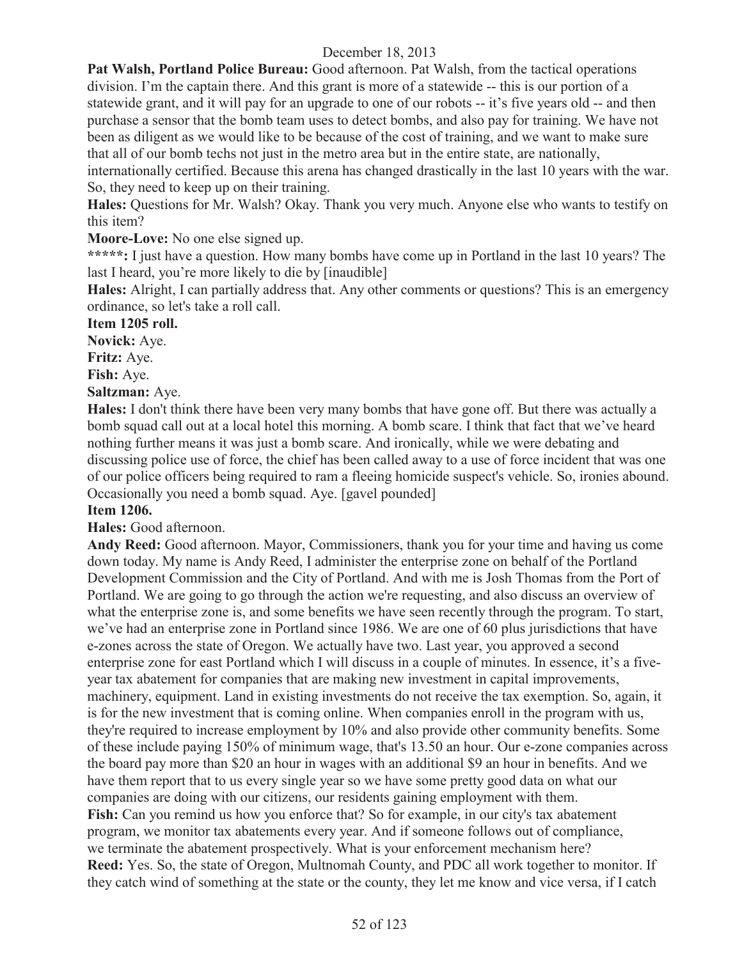**Pat Walsh, Portland Police Bureau:** Good afternoon. Pat Walsh, from the tactical operations division. I'm the captain there. And this grant is more of a statewide -- this is our portion of a statewide grant, and it will pay for an upgrade to one of our robots -- it's five years old -- and then purchase a sensor that the bomb team uses to detect bombs, and also pay for training. We have not been as diligent as we would like to be because of the cost of training, and we want to make sure that all of our bomb techs not just in the metro area but in the entire state, are nationally,

internationally certified. Because this arena has changed drastically in the last 10 years with the war. So, they need to keep up on their training.

**Hales:** Questions for Mr. Walsh? Okay. Thank you very much. Anyone else who wants to testify on this item?

**Moore-Love:** No one else signed up.

**\*\*\*\*\*:** I just have a question. How many bombs have come up in Portland in the last 10 years? The last I heard, you're more likely to die by [inaudible]

**Hales:** Alright, I can partially address that. Any other comments or questions? This is an emergency ordinance, so let's take a roll call.

#### **Item 1205 roll.**

**Novick:** Aye.

**Fritz:** Aye.

**Fish:** Aye.

**Saltzman:** Aye.

**Hales:** I don't think there have been very many bombs that have gone off. But there was actually a bomb squad call out at a local hotel this morning. A bomb scare. I think that fact that we've heard nothing further means it was just a bomb scare. And ironically, while we were debating and discussing police use of force, the chief has been called away to a use of force incident that was one of our police officers being required to ram a fleeing homicide suspect's vehicle. So, ironies abound. Occasionally you need a bomb squad. Aye. [gavel pounded]

#### **Item 1206.**

**Hales:** Good afternoon.

**Andy Reed:** Good afternoon. Mayor, Commissioners, thank you for your time and having us come down today. My name is Andy Reed, I administer the enterprise zone on behalf of the Portland Development Commission and the City of Portland. And with me is Josh Thomas from the Port of Portland. We are going to go through the action we're requesting, and also discuss an overview of what the enterprise zone is, and some benefits we have seen recently through the program. To start, we've had an enterprise zone in Portland since 1986. We are one of 60 plus jurisdictions that have e-zones across the state of Oregon. We actually have two. Last year, you approved a second enterprise zone for east Portland which I will discuss in a couple of minutes. In essence, it's a fiveyear tax abatement for companies that are making new investment in capital improvements, machinery, equipment. Land in existing investments do not receive the tax exemption. So, again, it is for the new investment that is coming online. When companies enroll in the program with us, they're required to increase employment by 10% and also provide other community benefits. Some of these include paying 150% of minimum wage, that's 13.50 an hour. Our e-zone companies across the board pay more than \$20 an hour in wages with an additional \$9 an hour in benefits. And we have them report that to us every single year so we have some pretty good data on what our companies are doing with our citizens, our residents gaining employment with them. **Fish:** Can you remind us how you enforce that? So for example, in our city's tax abatement program, we monitor tax abatements every year. And if someone follows out of compliance, we terminate the abatement prospectively. What is your enforcement mechanism here? **Reed:** Yes. So, the state of Oregon, Multnomah County, and PDC all work together to monitor. If they catch wind of something at the state or the county, they let me know and vice versa, if I catch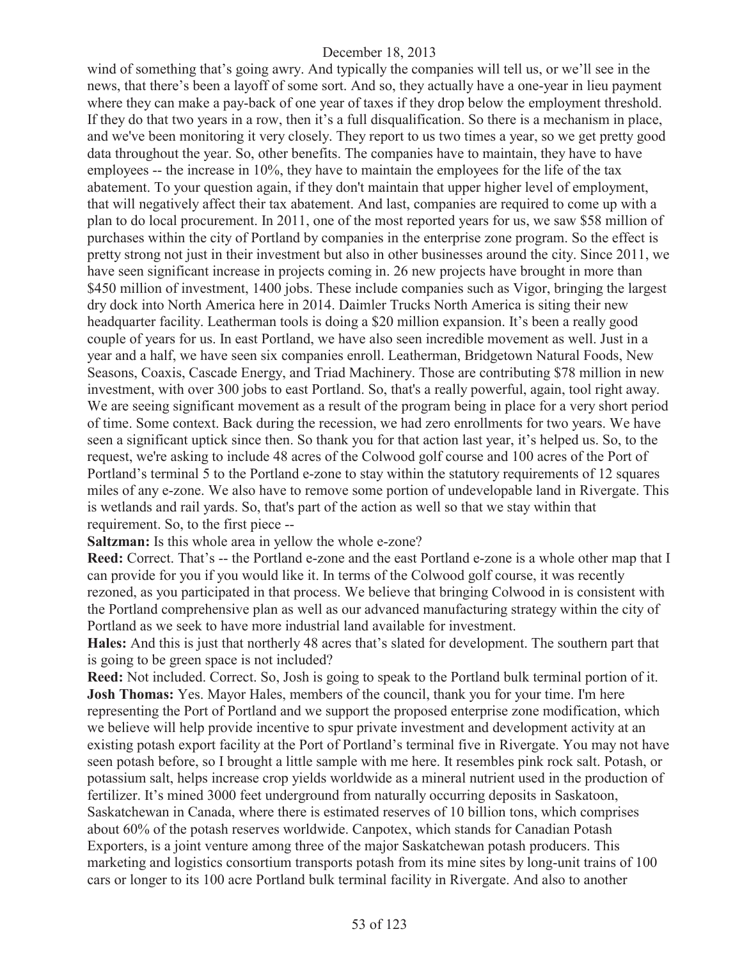wind of something that's going awry. And typically the companies will tell us, or we'll see in the news, that there's been a layoff of some sort. And so, they actually have a one-year in lieu payment where they can make a pay-back of one year of taxes if they drop below the employment threshold. If they do that two years in a row, then it's a full disqualification. So there is a mechanism in place, and we've been monitoring it very closely. They report to us two times a year, so we get pretty good data throughout the year. So, other benefits. The companies have to maintain, they have to have employees -- the increase in 10%, they have to maintain the employees for the life of the tax abatement. To your question again, if they don't maintain that upper higher level of employment, that will negatively affect their tax abatement. And last, companies are required to come up with a plan to do local procurement. In 2011, one of the most reported years for us, we saw \$58 million of purchases within the city of Portland by companies in the enterprise zone program. So the effect is pretty strong not just in their investment but also in other businesses around the city. Since 2011, we have seen significant increase in projects coming in. 26 new projects have brought in more than \$450 million of investment, 1400 jobs. These include companies such as Vigor, bringing the largest dry dock into North America here in 2014. Daimler Trucks North America is siting their new headquarter facility. Leatherman tools is doing a \$20 million expansion. It's been a really good couple of years for us. In east Portland, we have also seen incredible movement as well. Just in a year and a half, we have seen six companies enroll. Leatherman, Bridgetown Natural Foods, New Seasons, Coaxis, Cascade Energy, and Triad Machinery. Those are contributing \$78 million in new investment, with over 300 jobs to east Portland. So, that's a really powerful, again, tool right away. We are seeing significant movement as a result of the program being in place for a very short period of time. Some context. Back during the recession, we had zero enrollments for two years. We have seen a significant uptick since then. So thank you for that action last year, it's helped us. So, to the request, we're asking to include 48 acres of the Colwood golf course and 100 acres of the Port of Portland's terminal 5 to the Portland e-zone to stay within the statutory requirements of 12 squares miles of any e-zone. We also have to remove some portion of undevelopable land in Rivergate. This is wetlands and rail yards. So, that's part of the action as well so that we stay within that requirement. So, to the first piece --

**Saltzman:** Is this whole area in yellow the whole e-zone?

**Reed:** Correct. That's -- the Portland e-zone and the east Portland e-zone is a whole other map that I can provide for you if you would like it. In terms of the Colwood golf course, it was recently rezoned, as you participated in that process. We believe that bringing Colwood in is consistent with the Portland comprehensive plan as well as our advanced manufacturing strategy within the city of Portland as we seek to have more industrial land available for investment.

**Hales:** And this is just that northerly 48 acres that's slated for development. The southern part that is going to be green space is not included?

**Reed:** Not included. Correct. So, Josh is going to speak to the Portland bulk terminal portion of it. **Josh Thomas:** Yes. Mayor Hales, members of the council, thank you for your time. I'm here representing the Port of Portland and we support the proposed enterprise zone modification, which we believe will help provide incentive to spur private investment and development activity at an existing potash export facility at the Port of Portland's terminal five in Rivergate. You may not have seen potash before, so I brought a little sample with me here. It resembles pink rock salt. Potash, or potassium salt, helps increase crop yields worldwide as a mineral nutrient used in the production of fertilizer. It's mined 3000 feet underground from naturally occurring deposits in Saskatoon, Saskatchewan in Canada, where there is estimated reserves of 10 billion tons, which comprises about 60% of the potash reserves worldwide. Canpotex, which stands for Canadian Potash Exporters, is a joint venture among three of the major Saskatchewan potash producers. This marketing and logistics consortium transports potash from its mine sites by long-unit trains of 100 cars or longer to its 100 acre Portland bulk terminal facility in Rivergate. And also to another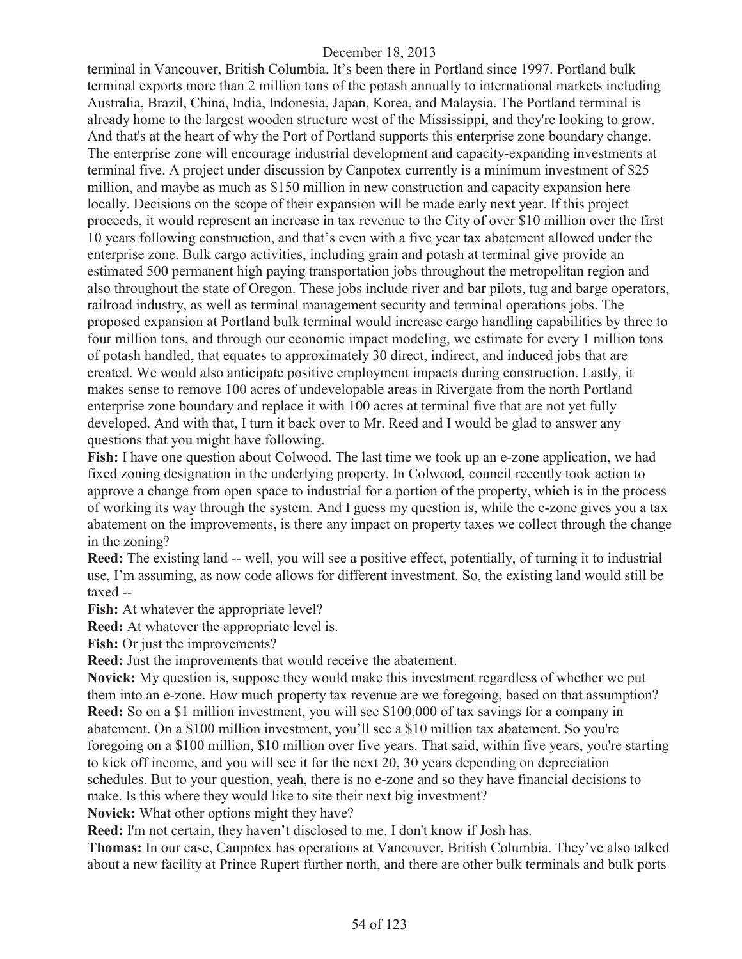terminal in Vancouver, British Columbia. It's been there in Portland since 1997. Portland bulk terminal exports more than 2 million tons of the potash annually to international markets including Australia, Brazil, China, India, Indonesia, Japan, Korea, and Malaysia. The Portland terminal is already home to the largest wooden structure west of the Mississippi, and they're looking to grow. And that's at the heart of why the Port of Portland supports this enterprise zone boundary change. The enterprise zone will encourage industrial development and capacity-expanding investments at terminal five. A project under discussion by Canpotex currently is a minimum investment of \$25 million, and maybe as much as \$150 million in new construction and capacity expansion here locally. Decisions on the scope of their expansion will be made early next year. If this project proceeds, it would represent an increase in tax revenue to the City of over \$10 million over the first 10 years following construction, and that's even with a five year tax abatement allowed under the enterprise zone. Bulk cargo activities, including grain and potash at terminal give provide an estimated 500 permanent high paying transportation jobs throughout the metropolitan region and also throughout the state of Oregon. These jobs include river and bar pilots, tug and barge operators, railroad industry, as well as terminal management security and terminal operations jobs. The proposed expansion at Portland bulk terminal would increase cargo handling capabilities by three to four million tons, and through our economic impact modeling, we estimate for every 1 million tons of potash handled, that equates to approximately 30 direct, indirect, and induced jobs that are created. We would also anticipate positive employment impacts during construction. Lastly, it makes sense to remove 100 acres of undevelopable areas in Rivergate from the north Portland enterprise zone boundary and replace it with 100 acres at terminal five that are not yet fully developed. And with that, I turn it back over to Mr. Reed and I would be glad to answer any questions that you might have following.

**Fish:** I have one question about Colwood. The last time we took up an e-zone application, we had fixed zoning designation in the underlying property. In Colwood, council recently took action to approve a change from open space to industrial for a portion of the property, which is in the process of working its way through the system. And I guess my question is, while the e-zone gives you a tax abatement on the improvements, is there any impact on property taxes we collect through the change in the zoning?

**Reed:** The existing land -- well, you will see a positive effect, potentially, of turning it to industrial use, I'm assuming, as now code allows for different investment. So, the existing land would still be taxed --

**Fish:** At whatever the appropriate level?

**Reed:** At whatever the appropriate level is.

**Fish:** Or just the improvements?

**Reed:** Just the improvements that would receive the abatement.

**Novick:** My question is, suppose they would make this investment regardless of whether we put them into an e-zone. How much property tax revenue are we foregoing, based on that assumption? **Reed:** So on a \$1 million investment, you will see \$100,000 of tax savings for a company in abatement. On a \$100 million investment, you'll see a \$10 million tax abatement. So you're foregoing on a \$100 million, \$10 million over five years. That said, within five years, you're starting to kick off income, and you will see it for the next 20, 30 years depending on depreciation schedules. But to your question, yeah, there is no e-zone and so they have financial decisions to make. Is this where they would like to site their next big investment?

**Novick:** What other options might they have?

**Reed:** I'm not certain, they haven't disclosed to me. I don't know if Josh has.

**Thomas:** In our case, Canpotex has operations at Vancouver, British Columbia. They've also talked about a new facility at Prince Rupert further north, and there are other bulk terminals and bulk ports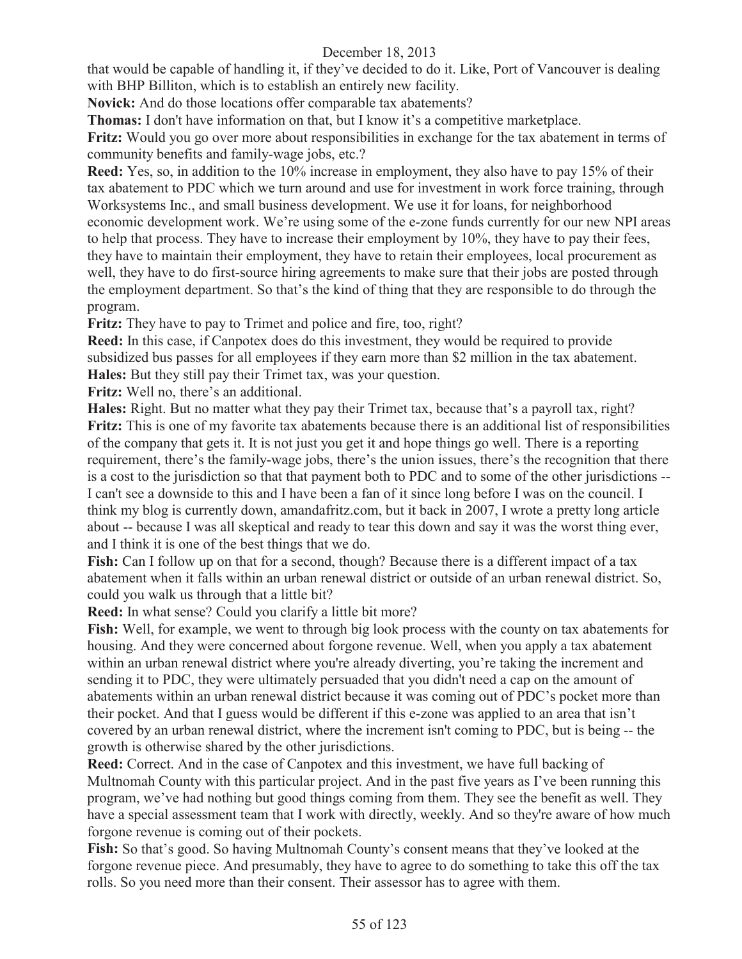that would be capable of handling it, if they've decided to do it. Like, Port of Vancouver is dealing with BHP Billiton, which is to establish an entirely new facility.

**Novick:** And do those locations offer comparable tax abatements?

**Thomas:** I don't have information on that, but I know it's a competitive marketplace.

**Fritz:** Would you go over more about responsibilities in exchange for the tax abatement in terms of community benefits and family-wage jobs, etc.?

**Reed:** Yes, so, in addition to the 10% increase in employment, they also have to pay 15% of their tax abatement to PDC which we turn around and use for investment in work force training, through Worksystems Inc., and small business development. We use it for loans, for neighborhood economic development work. We're using some of the e-zone funds currently for our new NPI areas to help that process. They have to increase their employment by 10%, they have to pay their fees, they have to maintain their employment, they have to retain their employees, local procurement as well, they have to do first-source hiring agreements to make sure that their jobs are posted through the employment department. So that's the kind of thing that they are responsible to do through the program.

**Fritz:** They have to pay to Trimet and police and fire, too, right?

**Reed:** In this case, if Canpotex does do this investment, they would be required to provide subsidized bus passes for all employees if they earn more than \$2 million in the tax abatement. **Hales:** But they still pay their Trimet tax, was your question.

**Fritz:** Well no, there's an additional.

**Hales:** Right. But no matter what they pay their Trimet tax, because that's a payroll tax, right? **Fritz:** This is one of my favorite tax abatements because there is an additional list of responsibilities of the company that gets it. It is not just you get it and hope things go well. There is a reporting requirement, there's the family-wage jobs, there's the union issues, there's the recognition that there is a cost to the jurisdiction so that that payment both to PDC and to some of the other jurisdictions -- I can't see a downside to this and I have been a fan of it since long before I was on the council. I think my blog is currently down, amandafritz.com, but it back in 2007, I wrote a pretty long article about -- because I was all skeptical and ready to tear this down and say it was the worst thing ever, and I think it is one of the best things that we do.

**Fish:** Can I follow up on that for a second, though? Because there is a different impact of a tax abatement when it falls within an urban renewal district or outside of an urban renewal district. So, could you walk us through that a little bit?

**Reed:** In what sense? Could you clarify a little bit more?

**Fish:** Well, for example, we went to through big look process with the county on tax abatements for housing. And they were concerned about forgone revenue. Well, when you apply a tax abatement within an urban renewal district where you're already diverting, you're taking the increment and sending it to PDC, they were ultimately persuaded that you didn't need a cap on the amount of abatements within an urban renewal district because it was coming out of PDC's pocket more than their pocket. And that I guess would be different if this e-zone was applied to an area that isn't covered by an urban renewal district, where the increment isn't coming to PDC, but is being -- the growth is otherwise shared by the other jurisdictions.

**Reed:** Correct. And in the case of Canpotex and this investment, we have full backing of Multnomah County with this particular project. And in the past five years as I've been running this program, we've had nothing but good things coming from them. They see the benefit as well. They have a special assessment team that I work with directly, weekly. And so they're aware of how much forgone revenue is coming out of their pockets.

**Fish:** So that's good. So having Multnomah County's consent means that they've looked at the forgone revenue piece. And presumably, they have to agree to do something to take this off the tax rolls. So you need more than their consent. Their assessor has to agree with them.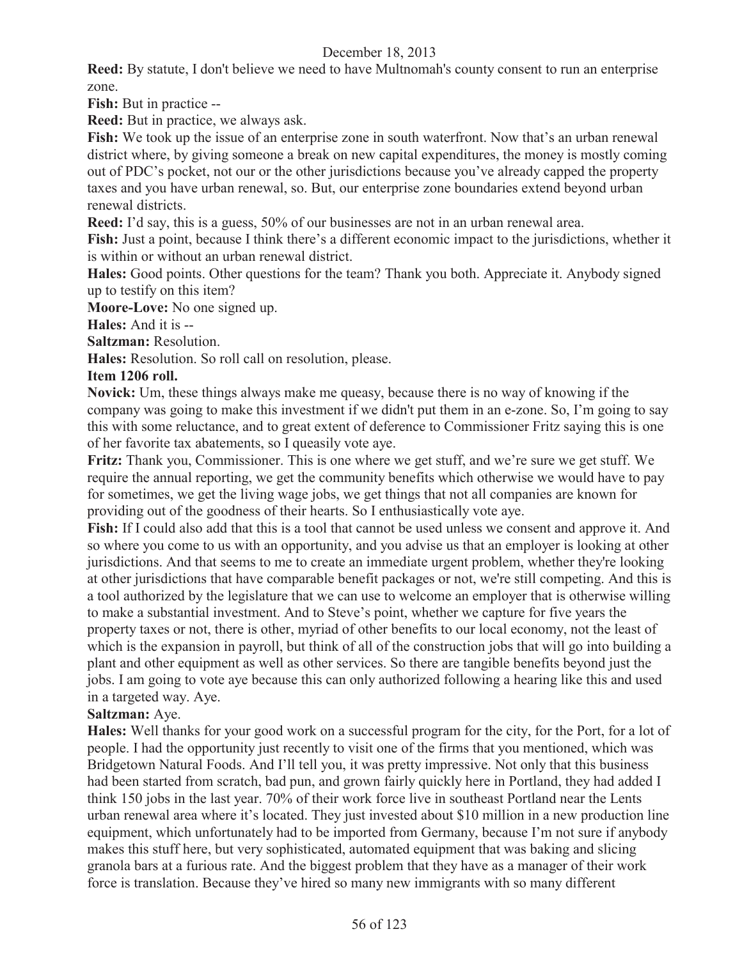**Reed:** By statute, I don't believe we need to have Multnomah's county consent to run an enterprise zone.

**Fish:** But in practice --

**Reed:** But in practice, we always ask.

Fish: We took up the issue of an enterprise zone in south waterfront. Now that's an urban renewal district where, by giving someone a break on new capital expenditures, the money is mostly coming out of PDC's pocket, not our or the other jurisdictions because you've already capped the property taxes and you have urban renewal, so. But, our enterprise zone boundaries extend beyond urban renewal districts.

**Reed:** I'd say, this is a guess, 50% of our businesses are not in an urban renewal area.

**Fish:** Just a point, because I think there's a different economic impact to the jurisdictions, whether it is within or without an urban renewal district.

**Hales:** Good points. Other questions for the team? Thank you both. Appreciate it. Anybody signed up to testify on this item?

**Moore-Love:** No one signed up.

**Hales:** And it is --

**Saltzman:** Resolution.

**Hales:** Resolution. So roll call on resolution, please.

#### **Item 1206 roll.**

**Novick:** Um, these things always make me queasy, because there is no way of knowing if the company was going to make this investment if we didn't put them in an e-zone. So, I'm going to say this with some reluctance, and to great extent of deference to Commissioner Fritz saying this is one of her favorite tax abatements, so I queasily vote aye.

**Fritz:** Thank you, Commissioner. This is one where we get stuff, and we're sure we get stuff. We require the annual reporting, we get the community benefits which otherwise we would have to pay for sometimes, we get the living wage jobs, we get things that not all companies are known for providing out of the goodness of their hearts. So I enthusiastically vote aye.

**Fish:** If I could also add that this is a tool that cannot be used unless we consent and approve it. And so where you come to us with an opportunity, and you advise us that an employer is looking at other jurisdictions. And that seems to me to create an immediate urgent problem, whether they're looking at other jurisdictions that have comparable benefit packages or not, we're still competing. And this is a tool authorized by the legislature that we can use to welcome an employer that is otherwise willing to make a substantial investment. And to Steve's point, whether we capture for five years the property taxes or not, there is other, myriad of other benefits to our local economy, not the least of which is the expansion in payroll, but think of all of the construction jobs that will go into building a plant and other equipment as well as other services. So there are tangible benefits beyond just the jobs. I am going to vote aye because this can only authorized following a hearing like this and used in a targeted way. Aye.

## **Saltzman:** Aye.

**Hales:** Well thanks for your good work on a successful program for the city, for the Port, for a lot of people. I had the opportunity just recently to visit one of the firms that you mentioned, which was Bridgetown Natural Foods. And I'll tell you, it was pretty impressive. Not only that this business had been started from scratch, bad pun, and grown fairly quickly here in Portland, they had added I think 150 jobs in the last year. 70% of their work force live in southeast Portland near the Lents urban renewal area where it's located. They just invested about \$10 million in a new production line equipment, which unfortunately had to be imported from Germany, because I'm not sure if anybody makes this stuff here, but very sophisticated, automated equipment that was baking and slicing granola bars at a furious rate. And the biggest problem that they have as a manager of their work force is translation. Because they've hired so many new immigrants with so many different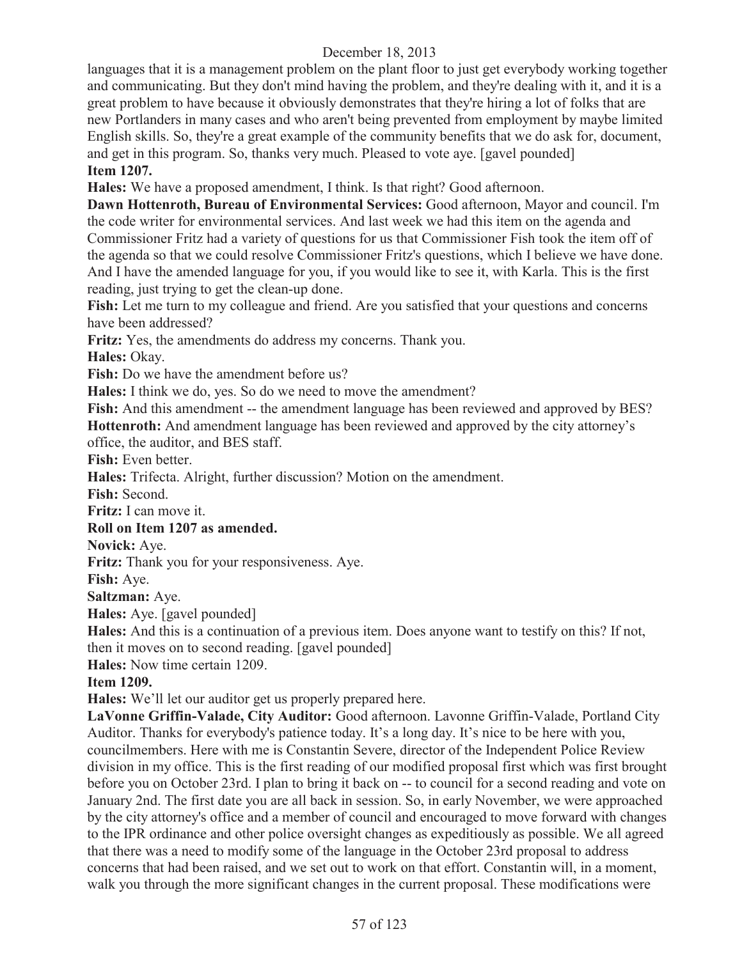languages that it is a management problem on the plant floor to just get everybody working together and communicating. But they don't mind having the problem, and they're dealing with it, and it is a great problem to have because it obviously demonstrates that they're hiring a lot of folks that are new Portlanders in many cases and who aren't being prevented from employment by maybe limited English skills. So, they're a great example of the community benefits that we do ask for, document, and get in this program. So, thanks very much. Pleased to vote aye. [gavel pounded] **Item 1207.**

**Hales:** We have a proposed amendment, I think. Is that right? Good afternoon.

**Dawn Hottenroth, Bureau of Environmental Services:** Good afternoon, Mayor and council. I'm the code writer for environmental services. And last week we had this item on the agenda and Commissioner Fritz had a variety of questions for us that Commissioner Fish took the item off of the agenda so that we could resolve Commissioner Fritz's questions, which I believe we have done. And I have the amended language for you, if you would like to see it, with Karla. This is the first reading, just trying to get the clean-up done.

**Fish:** Let me turn to my colleague and friend. Are you satisfied that your questions and concerns have been addressed?

**Fritz:** Yes, the amendments do address my concerns. Thank you.

**Hales:** Okay.

**Fish:** Do we have the amendment before us?

**Hales:** I think we do, yes. So do we need to move the amendment?

Fish: And this amendment -- the amendment language has been reviewed and approved by BES? **Hottenroth:** And amendment language has been reviewed and approved by the city attorney's office, the auditor, and BES staff.

**Fish:** Even better.

**Hales:** Trifecta. Alright, further discussion? Motion on the amendment.

**Fish:** Second.

**Fritz:** I can move it.

## **Roll on Item 1207 as amended.**

**Novick:** Aye.

**Fritz:** Thank you for your responsiveness. Aye.

**Fish:** Aye.

**Saltzman:** Aye.

**Hales:** Aye. [gavel pounded]

**Hales:** And this is a continuation of a previous item. Does anyone want to testify on this? If not,

then it moves on to second reading. [gavel pounded]

**Hales:** Now time certain 1209.

#### **Item 1209.**

**Hales:** We'll let our auditor get us properly prepared here.

**LaVonne Griffin-Valade, City Auditor:** Good afternoon. Lavonne Griffin-Valade, Portland City Auditor. Thanks for everybody's patience today. It's a long day. It's nice to be here with you, councilmembers. Here with me is Constantin Severe, director of the Independent Police Review division in my office. This is the first reading of our modified proposal first which was first brought before you on October 23rd. I plan to bring it back on -- to council for a second reading and vote on January 2nd. The first date you are all back in session. So, in early November, we were approached by the city attorney's office and a member of council and encouraged to move forward with changes to the IPR ordinance and other police oversight changes as expeditiously as possible. We all agreed that there was a need to modify some of the language in the October 23rd proposal to address concerns that had been raised, and we set out to work on that effort. Constantin will, in a moment, walk you through the more significant changes in the current proposal. These modifications were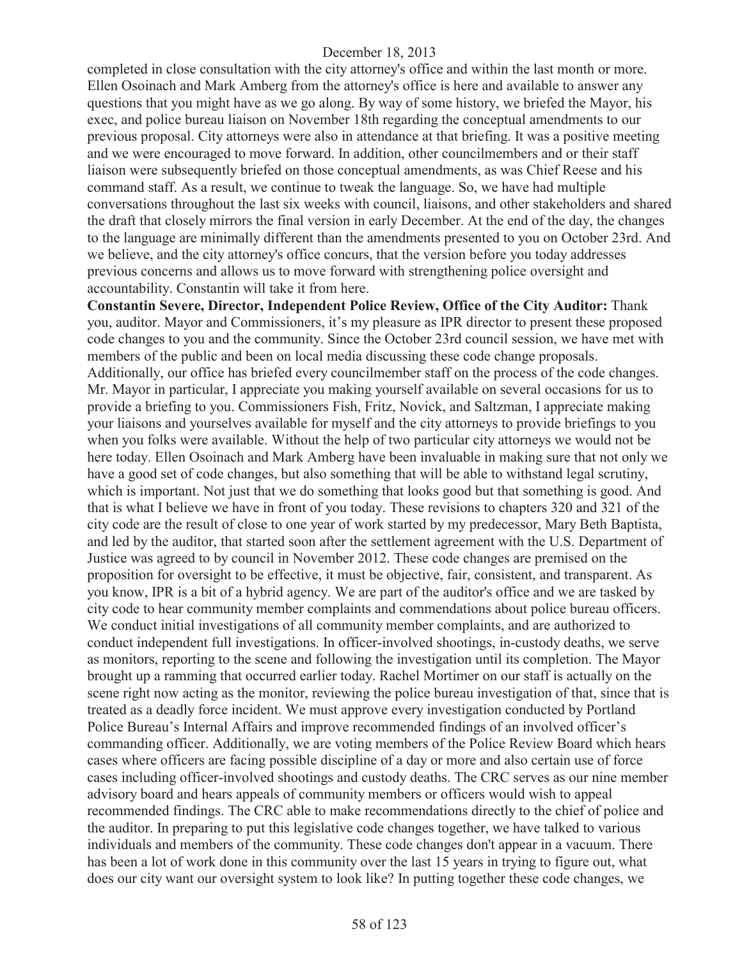completed in close consultation with the city attorney's office and within the last month or more. Ellen Osoinach and Mark Amberg from the attorney's office is here and available to answer any questions that you might have as we go along. By way of some history, we briefed the Mayor, his exec, and police bureau liaison on November 18th regarding the conceptual amendments to our previous proposal. City attorneys were also in attendance at that briefing. It was a positive meeting and we were encouraged to move forward. In addition, other councilmembers and or their staff liaison were subsequently briefed on those conceptual amendments, as was Chief Reese and his command staff. As a result, we continue to tweak the language. So, we have had multiple conversations throughout the last six weeks with council, liaisons, and other stakeholders and shared the draft that closely mirrors the final version in early December. At the end of the day, the changes to the language are minimally different than the amendments presented to you on October 23rd. And we believe, and the city attorney's office concurs, that the version before you today addresses previous concerns and allows us to move forward with strengthening police oversight and accountability. Constantin will take it from here.

**Constantin Severe, Director, Independent Police Review, Office of the City Auditor:** Thank you, auditor. Mayor and Commissioners, it's my pleasure as IPR director to present these proposed code changes to you and the community. Since the October 23rd council session, we have met with members of the public and been on local media discussing these code change proposals. Additionally, our office has briefed every councilmember staff on the process of the code changes. Mr. Mayor in particular, I appreciate you making yourself available on several occasions for us to provide a briefing to you. Commissioners Fish, Fritz, Novick, and Saltzman, I appreciate making your liaisons and yourselves available for myself and the city attorneys to provide briefings to you when you folks were available. Without the help of two particular city attorneys we would not be here today. Ellen Osoinach and Mark Amberg have been invaluable in making sure that not only we have a good set of code changes, but also something that will be able to withstand legal scrutiny, which is important. Not just that we do something that looks good but that something is good. And that is what I believe we have in front of you today. These revisions to chapters 320 and 321 of the city code are the result of close to one year of work started by my predecessor, Mary Beth Baptista, and led by the auditor, that started soon after the settlement agreement with the U.S. Department of Justice was agreed to by council in November 2012. These code changes are premised on the proposition for oversight to be effective, it must be objective, fair, consistent, and transparent. As you know, IPR is a bit of a hybrid agency. We are part of the auditor's office and we are tasked by city code to hear community member complaints and commendations about police bureau officers. We conduct initial investigations of all community member complaints, and are authorized to conduct independent full investigations. In officer-involved shootings, in-custody deaths, we serve as monitors, reporting to the scene and following the investigation until its completion. The Mayor brought up a ramming that occurred earlier today. Rachel Mortimer on our staff is actually on the scene right now acting as the monitor, reviewing the police bureau investigation of that, since that is treated as a deadly force incident. We must approve every investigation conducted by Portland Police Bureau's Internal Affairs and improve recommended findings of an involved officer's commanding officer. Additionally, we are voting members of the Police Review Board which hears cases where officers are facing possible discipline of a day or more and also certain use of force cases including officer-involved shootings and custody deaths. The CRC serves as our nine member advisory board and hears appeals of community members or officers would wish to appeal recommended findings. The CRC able to make recommendations directly to the chief of police and the auditor. In preparing to put this legislative code changes together, we have talked to various individuals and members of the community. These code changes don't appear in a vacuum. There has been a lot of work done in this community over the last 15 years in trying to figure out, what does our city want our oversight system to look like? In putting together these code changes, we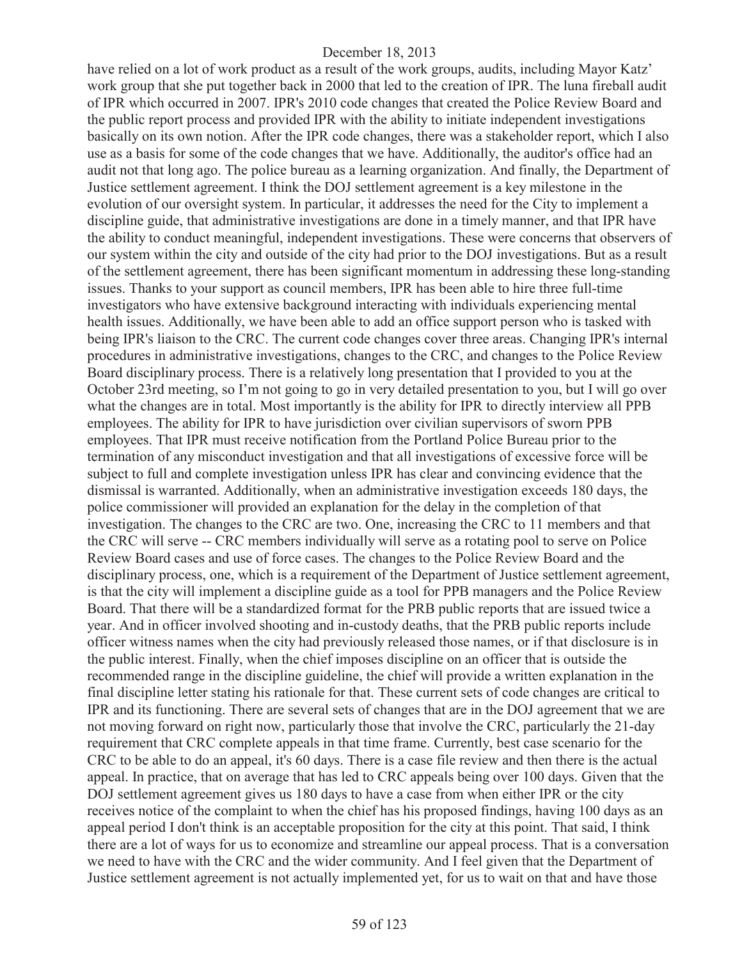have relied on a lot of work product as a result of the work groups, audits, including Mayor Katz' work group that she put together back in 2000 that led to the creation of IPR. The luna fireball audit of IPR which occurred in 2007. IPR's 2010 code changes that created the Police Review Board and the public report process and provided IPR with the ability to initiate independent investigations basically on its own notion. After the IPR code changes, there was a stakeholder report, which I also use as a basis for some of the code changes that we have. Additionally, the auditor's office had an audit not that long ago. The police bureau as a learning organization. And finally, the Department of Justice settlement agreement. I think the DOJ settlement agreement is a key milestone in the evolution of our oversight system. In particular, it addresses the need for the City to implement a discipline guide, that administrative investigations are done in a timely manner, and that IPR have the ability to conduct meaningful, independent investigations. These were concerns that observers of our system within the city and outside of the city had prior to the DOJ investigations. But as a result of the settlement agreement, there has been significant momentum in addressing these long-standing issues. Thanks to your support as council members, IPR has been able to hire three full-time investigators who have extensive background interacting with individuals experiencing mental health issues. Additionally, we have been able to add an office support person who is tasked with being IPR's liaison to the CRC. The current code changes cover three areas. Changing IPR's internal procedures in administrative investigations, changes to the CRC, and changes to the Police Review Board disciplinary process. There is a relatively long presentation that I provided to you at the October 23rd meeting, so I'm not going to go in very detailed presentation to you, but I will go over what the changes are in total. Most importantly is the ability for IPR to directly interview all PPB employees. The ability for IPR to have jurisdiction over civilian supervisors of sworn PPB employees. That IPR must receive notification from the Portland Police Bureau prior to the termination of any misconduct investigation and that all investigations of excessive force will be subject to full and complete investigation unless IPR has clear and convincing evidence that the dismissal is warranted. Additionally, when an administrative investigation exceeds 180 days, the police commissioner will provided an explanation for the delay in the completion of that investigation. The changes to the CRC are two. One, increasing the CRC to 11 members and that the CRC will serve -- CRC members individually will serve as a rotating pool to serve on Police Review Board cases and use of force cases. The changes to the Police Review Board and the disciplinary process, one, which is a requirement of the Department of Justice settlement agreement, is that the city will implement a discipline guide as a tool for PPB managers and the Police Review Board. That there will be a standardized format for the PRB public reports that are issued twice a year. And in officer involved shooting and in-custody deaths, that the PRB public reports include officer witness names when the city had previously released those names, or if that disclosure is in the public interest. Finally, when the chief imposes discipline on an officer that is outside the recommended range in the discipline guideline, the chief will provide a written explanation in the final discipline letter stating his rationale for that. These current sets of code changes are critical to IPR and its functioning. There are several sets of changes that are in the DOJ agreement that we are not moving forward on right now, particularly those that involve the CRC, particularly the 21-day requirement that CRC complete appeals in that time frame. Currently, best case scenario for the CRC to be able to do an appeal, it's 60 days. There is a case file review and then there is the actual appeal. In practice, that on average that has led to CRC appeals being over 100 days. Given that the DOJ settlement agreement gives us 180 days to have a case from when either IPR or the city receives notice of the complaint to when the chief has his proposed findings, having 100 days as an appeal period I don't think is an acceptable proposition for the city at this point. That said, I think there are a lot of ways for us to economize and streamline our appeal process. That is a conversation we need to have with the CRC and the wider community. And I feel given that the Department of Justice settlement agreement is not actually implemented yet, for us to wait on that and have those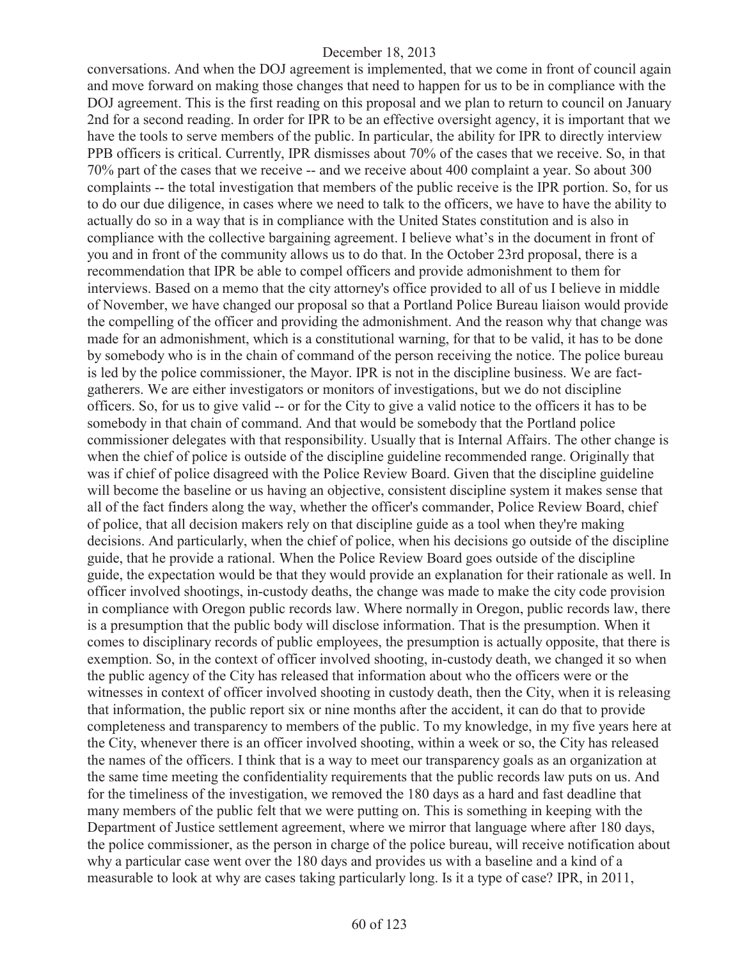conversations. And when the DOJ agreement is implemented, that we come in front of council again and move forward on making those changes that need to happen for us to be in compliance with the DOJ agreement. This is the first reading on this proposal and we plan to return to council on January 2nd for a second reading. In order for IPR to be an effective oversight agency, it is important that we have the tools to serve members of the public. In particular, the ability for IPR to directly interview PPB officers is critical. Currently, IPR dismisses about 70% of the cases that we receive. So, in that 70% part of the cases that we receive -- and we receive about 400 complaint a year. So about 300 complaints -- the total investigation that members of the public receive is the IPR portion. So, for us to do our due diligence, in cases where we need to talk to the officers, we have to have the ability to actually do so in a way that is in compliance with the United States constitution and is also in compliance with the collective bargaining agreement. I believe what's in the document in front of you and in front of the community allows us to do that. In the October 23rd proposal, there is a recommendation that IPR be able to compel officers and provide admonishment to them for interviews. Based on a memo that the city attorney's office provided to all of us I believe in middle of November, we have changed our proposal so that a Portland Police Bureau liaison would provide the compelling of the officer and providing the admonishment. And the reason why that change was made for an admonishment, which is a constitutional warning, for that to be valid, it has to be done by somebody who is in the chain of command of the person receiving the notice. The police bureau is led by the police commissioner, the Mayor. IPR is not in the discipline business. We are factgatherers. We are either investigators or monitors of investigations, but we do not discipline officers. So, for us to give valid -- or for the City to give a valid notice to the officers it has to be somebody in that chain of command. And that would be somebody that the Portland police commissioner delegates with that responsibility. Usually that is Internal Affairs. The other change is when the chief of police is outside of the discipline guideline recommended range. Originally that was if chief of police disagreed with the Police Review Board. Given that the discipline guideline will become the baseline or us having an objective, consistent discipline system it makes sense that all of the fact finders along the way, whether the officer's commander, Police Review Board, chief of police, that all decision makers rely on that discipline guide as a tool when they're making decisions. And particularly, when the chief of police, when his decisions go outside of the discipline guide, that he provide a rational. When the Police Review Board goes outside of the discipline guide, the expectation would be that they would provide an explanation for their rationale as well. In officer involved shootings, in-custody deaths, the change was made to make the city code provision in compliance with Oregon public records law. Where normally in Oregon, public records law, there is a presumption that the public body will disclose information. That is the presumption. When it comes to disciplinary records of public employees, the presumption is actually opposite, that there is exemption. So, in the context of officer involved shooting, in-custody death, we changed it so when the public agency of the City has released that information about who the officers were or the witnesses in context of officer involved shooting in custody death, then the City, when it is releasing that information, the public report six or nine months after the accident, it can do that to provide completeness and transparency to members of the public. To my knowledge, in my five years here at the City, whenever there is an officer involved shooting, within a week or so, the City has released the names of the officers. I think that is a way to meet our transparency goals as an organization at the same time meeting the confidentiality requirements that the public records law puts on us. And for the timeliness of the investigation, we removed the 180 days as a hard and fast deadline that many members of the public felt that we were putting on. This is something in keeping with the Department of Justice settlement agreement, where we mirror that language where after 180 days, the police commissioner, as the person in charge of the police bureau, will receive notification about why a particular case went over the 180 days and provides us with a baseline and a kind of a measurable to look at why are cases taking particularly long. Is it a type of case? IPR, in 2011,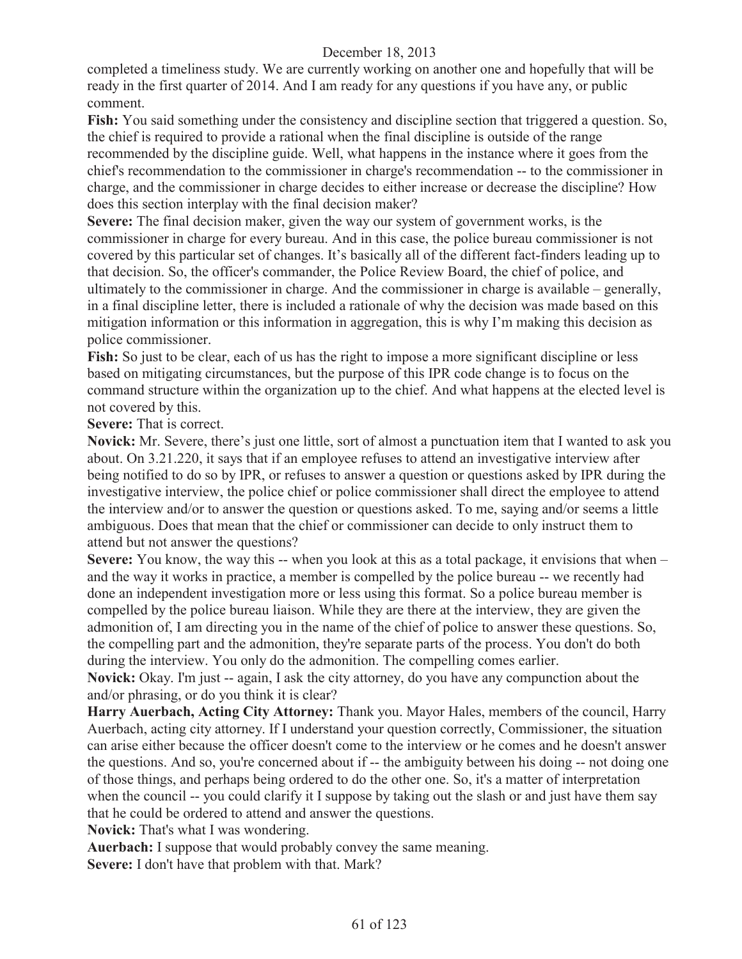completed a timeliness study. We are currently working on another one and hopefully that will be ready in the first quarter of 2014. And I am ready for any questions if you have any, or public comment.

**Fish:** You said something under the consistency and discipline section that triggered a question. So, the chief is required to provide a rational when the final discipline is outside of the range recommended by the discipline guide. Well, what happens in the instance where it goes from the chief's recommendation to the commissioner in charge's recommendation -- to the commissioner in charge, and the commissioner in charge decides to either increase or decrease the discipline? How does this section interplay with the final decision maker?

**Severe:** The final decision maker, given the way our system of government works, is the commissioner in charge for every bureau. And in this case, the police bureau commissioner is not covered by this particular set of changes. It's basically all of the different fact-finders leading up to that decision. So, the officer's commander, the Police Review Board, the chief of police, and ultimately to the commissioner in charge. And the commissioner in charge is available – generally, in a final discipline letter, there is included a rationale of why the decision was made based on this mitigation information or this information in aggregation, this is why I'm making this decision as police commissioner.

**Fish:** So just to be clear, each of us has the right to impose a more significant discipline or less based on mitigating circumstances, but the purpose of this IPR code change is to focus on the command structure within the organization up to the chief. And what happens at the elected level is not covered by this.

**Severe:** That is correct.

**Novick:** Mr. Severe, there's just one little, sort of almost a punctuation item that I wanted to ask you about. On 3.21.220, it says that if an employee refuses to attend an investigative interview after being notified to do so by IPR, or refuses to answer a question or questions asked by IPR during the investigative interview, the police chief or police commissioner shall direct the employee to attend the interview and/or to answer the question or questions asked. To me, saying and/or seems a little ambiguous. Does that mean that the chief or commissioner can decide to only instruct them to attend but not answer the questions?

**Severe:** You know, the way this -- when you look at this as a total package, it envisions that when – and the way it works in practice, a member is compelled by the police bureau -- we recently had done an independent investigation more or less using this format. So a police bureau member is compelled by the police bureau liaison. While they are there at the interview, they are given the admonition of, I am directing you in the name of the chief of police to answer these questions. So, the compelling part and the admonition, they're separate parts of the process. You don't do both during the interview. You only do the admonition. The compelling comes earlier.

**Novick:** Okay. I'm just -- again, I ask the city attorney, do you have any compunction about the and/or phrasing, or do you think it is clear?

**Harry Auerbach, Acting City Attorney:** Thank you. Mayor Hales, members of the council, Harry Auerbach, acting city attorney. If I understand your question correctly, Commissioner, the situation can arise either because the officer doesn't come to the interview or he comes and he doesn't answer the questions. And so, you're concerned about if -- the ambiguity between his doing -- not doing one of those things, and perhaps being ordered to do the other one. So, it's a matter of interpretation when the council -- you could clarify it I suppose by taking out the slash or and just have them say that he could be ordered to attend and answer the questions.

**Novick:** That's what I was wondering.

**Auerbach:** I suppose that would probably convey the same meaning.

**Severe:** I don't have that problem with that. Mark?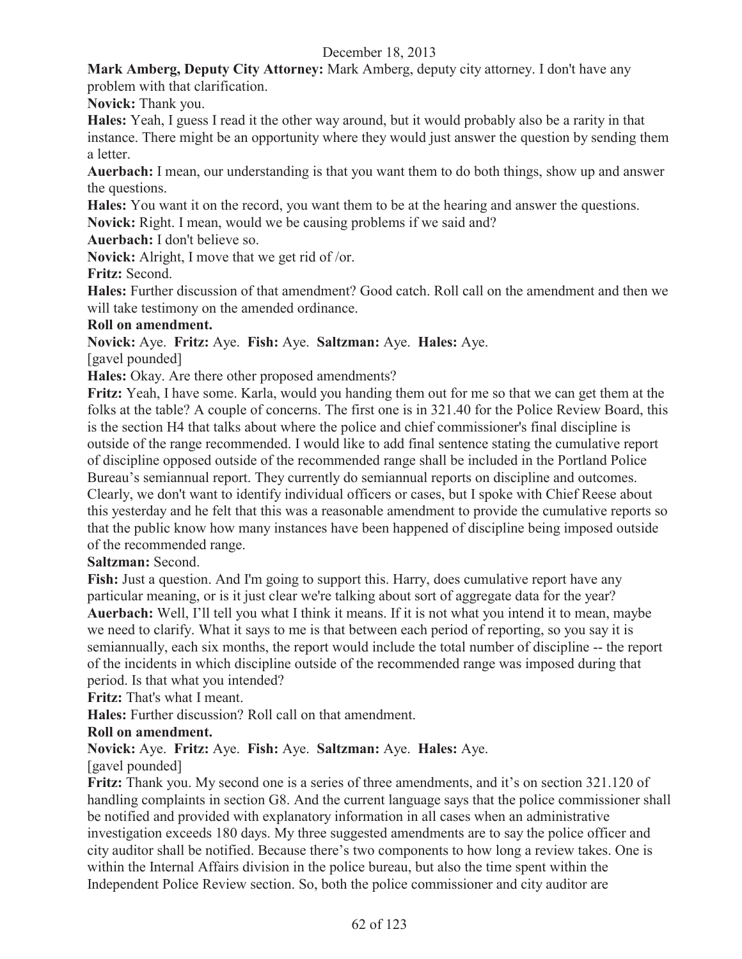**Mark Amberg, Deputy City Attorney:** Mark Amberg, deputy city attorney. I don't have any problem with that clarification.

**Novick:** Thank you.

**Hales:** Yeah, I guess I read it the other way around, but it would probably also be a rarity in that instance. There might be an opportunity where they would just answer the question by sending them a letter.

**Auerbach:** I mean, our understanding is that you want them to do both things, show up and answer the questions.

**Hales:** You want it on the record, you want them to be at the hearing and answer the questions.

**Novick:** Right. I mean, would we be causing problems if we said and?

**Auerbach:** I don't believe so.

**Novick:** Alright, I move that we get rid of /or.

**Fritz:** Second.

**Hales:** Further discussion of that amendment? Good catch. Roll call on the amendment and then we will take testimony on the amended ordinance.

#### **Roll on amendment.**

**Novick:** Aye. **Fritz:** Aye. **Fish:** Aye. **Saltzman:** Aye. **Hales:** Aye.

[gavel pounded]

**Hales:** Okay. Are there other proposed amendments?

**Fritz:** Yeah, I have some. Karla, would you handing them out for me so that we can get them at the folks at the table? A couple of concerns. The first one is in 321.40 for the Police Review Board, this is the section H4 that talks about where the police and chief commissioner's final discipline is outside of the range recommended. I would like to add final sentence stating the cumulative report of discipline opposed outside of the recommended range shall be included in the Portland Police Bureau's semiannual report. They currently do semiannual reports on discipline and outcomes. Clearly, we don't want to identify individual officers or cases, but I spoke with Chief Reese about this yesterday and he felt that this was a reasonable amendment to provide the cumulative reports so that the public know how many instances have been happened of discipline being imposed outside of the recommended range.

## **Saltzman:** Second.

Fish: Just a question. And I'm going to support this. Harry, does cumulative report have any particular meaning, or is it just clear we're talking about sort of aggregate data for the year? **Auerbach:** Well, I'll tell you what I think it means. If it is not what you intend it to mean, maybe we need to clarify. What it says to me is that between each period of reporting, so you say it is semiannually, each six months, the report would include the total number of discipline -- the report of the incidents in which discipline outside of the recommended range was imposed during that period. Is that what you intended?

**Fritz:** That's what I meant.

**Hales:** Further discussion? Roll call on that amendment.

## **Roll on amendment.**

**Novick:** Aye. **Fritz:** Aye. **Fish:** Aye. **Saltzman:** Aye. **Hales:** Aye.

[gavel pounded]

**Fritz:** Thank you. My second one is a series of three amendments, and it's on section 321.120 of handling complaints in section G8. And the current language says that the police commissioner shall be notified and provided with explanatory information in all cases when an administrative investigation exceeds 180 days. My three suggested amendments are to say the police officer and city auditor shall be notified. Because there's two components to how long a review takes. One is within the Internal Affairs division in the police bureau, but also the time spent within the Independent Police Review section. So, both the police commissioner and city auditor are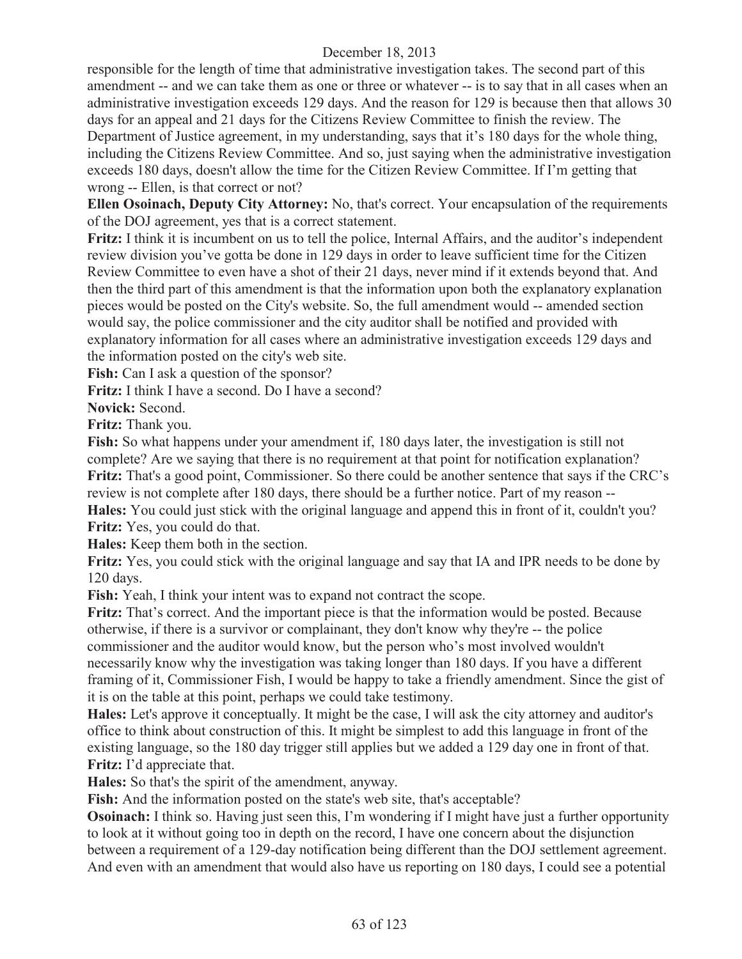responsible for the length of time that administrative investigation takes. The second part of this amendment -- and we can take them as one or three or whatever -- is to say that in all cases when an administrative investigation exceeds 129 days. And the reason for 129 is because then that allows 30 days for an appeal and 21 days for the Citizens Review Committee to finish the review. The Department of Justice agreement, in my understanding, says that it's 180 days for the whole thing, including the Citizens Review Committee. And so, just saying when the administrative investigation exceeds 180 days, doesn't allow the time for the Citizen Review Committee. If I'm getting that wrong -- Ellen, is that correct or not?

**Ellen Osoinach, Deputy City Attorney:** No, that's correct. Your encapsulation of the requirements of the DOJ agreement, yes that is a correct statement.

**Fritz:** I think it is incumbent on us to tell the police, Internal Affairs, and the auditor's independent review division you've gotta be done in 129 days in order to leave sufficient time for the Citizen Review Committee to even have a shot of their 21 days, never mind if it extends beyond that. And then the third part of this amendment is that the information upon both the explanatory explanation pieces would be posted on the City's website. So, the full amendment would -- amended section would say, the police commissioner and the city auditor shall be notified and provided with explanatory information for all cases where an administrative investigation exceeds 129 days and the information posted on the city's web site.

**Fish:** Can I ask a question of the sponsor?

**Fritz:** I think I have a second. Do I have a second?

**Novick:** Second.

**Fritz:** Thank you.

**Fish:** So what happens under your amendment if, 180 days later, the investigation is still not complete? Are we saying that there is no requirement at that point for notification explanation? **Fritz:** That's a good point, Commissioner. So there could be another sentence that says if the CRC's review is not complete after 180 days, there should be a further notice. Part of my reason -- **Hales:** You could just stick with the original language and append this in front of it, couldn't you? **Fritz:** Yes, you could do that.

**Hales:** Keep them both in the section.

**Fritz:** Yes, you could stick with the original language and say that IA and IPR needs to be done by 120 days.

Fish: Yeah, I think your intent was to expand not contract the scope.

**Fritz:** That's correct. And the important piece is that the information would be posted. Because otherwise, if there is a survivor or complainant, they don't know why they're -- the police commissioner and the auditor would know, but the person who's most involved wouldn't necessarily know why the investigation was taking longer than 180 days. If you have a different framing of it, Commissioner Fish, I would be happy to take a friendly amendment. Since the gist of it is on the table at this point, perhaps we could take testimony.

**Hales:** Let's approve it conceptually. It might be the case, I will ask the city attorney and auditor's office to think about construction of this. It might be simplest to add this language in front of the existing language, so the 180 day trigger still applies but we added a 129 day one in front of that. **Fritz:** I'd appreciate that.

**Hales:** So that's the spirit of the amendment, anyway.

**Fish:** And the information posted on the state's web site, that's acceptable?

**Osoinach:** I think so. Having just seen this, I'm wondering if I might have just a further opportunity to look at it without going too in depth on the record, I have one concern about the disjunction between a requirement of a 129-day notification being different than the DOJ settlement agreement. And even with an amendment that would also have us reporting on 180 days, I could see a potential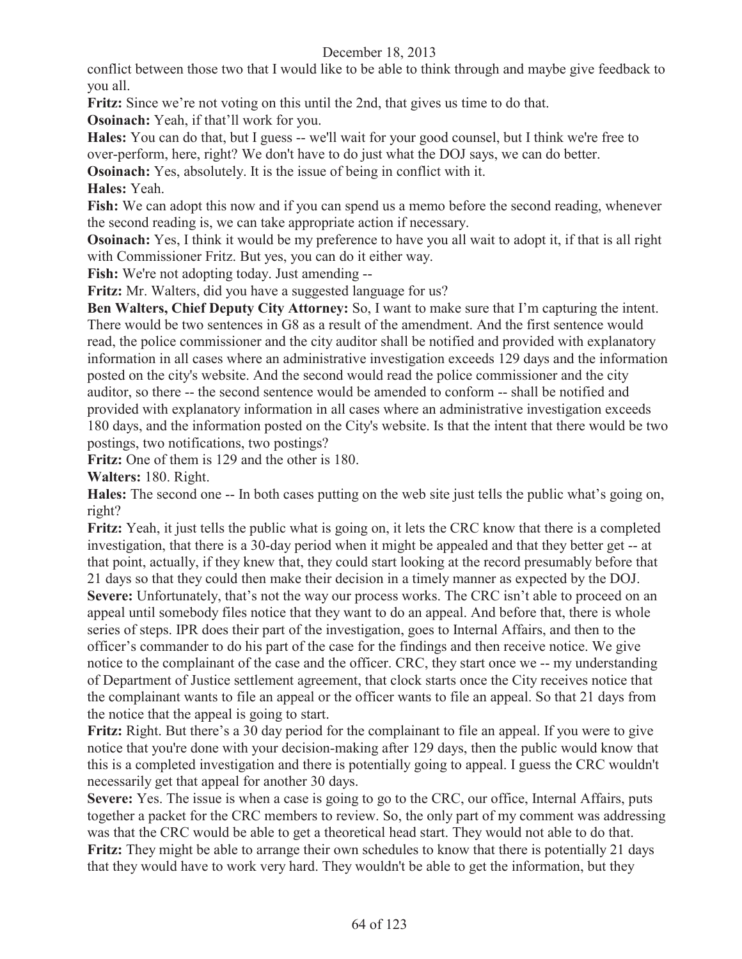conflict between those two that I would like to be able to think through and maybe give feedback to you all.

**Fritz:** Since we're not voting on this until the 2nd, that gives us time to do that.

**Osoinach:** Yeah, if that'll work for you.

**Hales:** You can do that, but I guess -- we'll wait for your good counsel, but I think we're free to over-perform, here, right? We don't have to do just what the DOJ says, we can do better.

**Osoinach:** Yes, absolutely. It is the issue of being in conflict with it.

# **Hales:** Yeah.

**Fish:** We can adopt this now and if you can spend us a memo before the second reading, whenever the second reading is, we can take appropriate action if necessary.

**Osoinach:** Yes, I think it would be my preference to have you all wait to adopt it, if that is all right with Commissioner Fritz. But yes, you can do it either way.

**Fish:** We're not adopting today. Just amending --

**Fritz:** Mr. Walters, did you have a suggested language for us?

**Ben Walters, Chief Deputy City Attorney:** So, I want to make sure that I'm capturing the intent. There would be two sentences in G8 as a result of the amendment. And the first sentence would read, the police commissioner and the city auditor shall be notified and provided with explanatory information in all cases where an administrative investigation exceeds 129 days and the information posted on the city's website. And the second would read the police commissioner and the city auditor, so there -- the second sentence would be amended to conform -- shall be notified and provided with explanatory information in all cases where an administrative investigation exceeds 180 days, and the information posted on the City's website. Is that the intent that there would be two postings, two notifications, two postings?

**Fritz:** One of them is 129 and the other is 180.

**Walters:** 180. Right.

**Hales:** The second one -- In both cases putting on the web site just tells the public what's going on, right?

**Fritz:** Yeah, it just tells the public what is going on, it lets the CRC know that there is a completed investigation, that there is a 30-day period when it might be appealed and that they better get -- at that point, actually, if they knew that, they could start looking at the record presumably before that 21 days so that they could then make their decision in a timely manner as expected by the DOJ. Severe: Unfortunately, that's not the way our process works. The CRC isn't able to proceed on an appeal until somebody files notice that they want to do an appeal. And before that, there is whole series of steps. IPR does their part of the investigation, goes to Internal Affairs, and then to the officer's commander to do his part of the case for the findings and then receive notice. We give notice to the complainant of the case and the officer. CRC, they start once we -- my understanding of Department of Justice settlement agreement, that clock starts once the City receives notice that the complainant wants to file an appeal or the officer wants to file an appeal. So that 21 days from the notice that the appeal is going to start.

**Fritz:** Right. But there's a 30 day period for the complainant to file an appeal. If you were to give notice that you're done with your decision-making after 129 days, then the public would know that this is a completed investigation and there is potentially going to appeal. I guess the CRC wouldn't necessarily get that appeal for another 30 days.

**Severe:** Yes. The issue is when a case is going to go to the CRC, our office, Internal Affairs, puts together a packet for the CRC members to review. So, the only part of my comment was addressing was that the CRC would be able to get a theoretical head start. They would not able to do that. **Fritz:** They might be able to arrange their own schedules to know that there is potentially 21 days that they would have to work very hard. They wouldn't be able to get the information, but they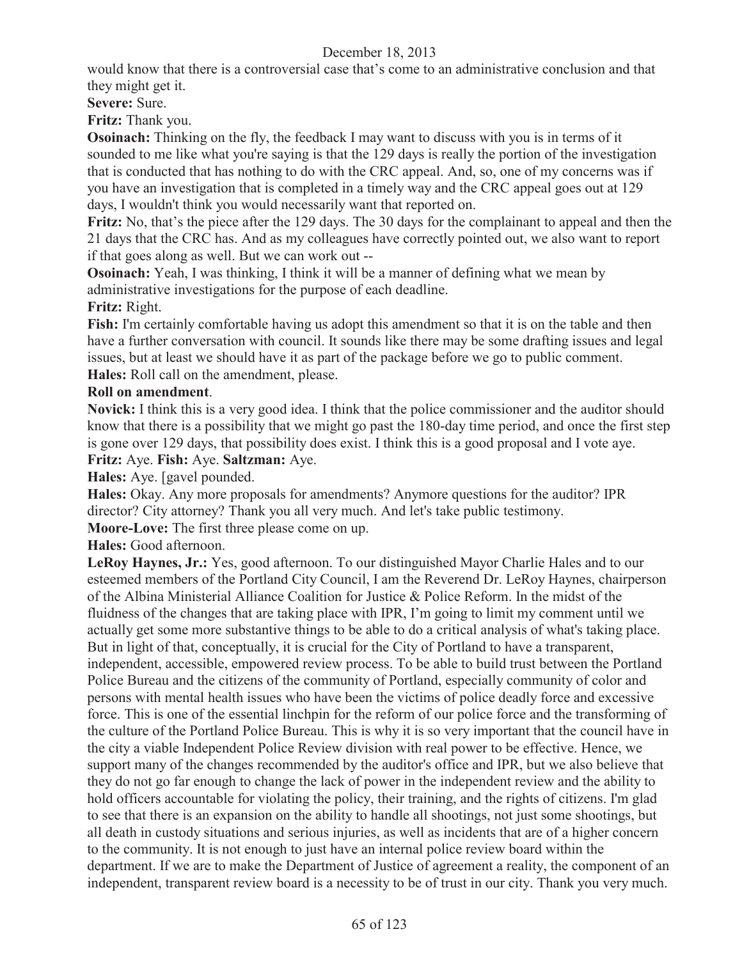would know that there is a controversial case that's come to an administrative conclusion and that they might get it.

**Severe:** Sure.

**Fritz:** Thank you.

**Osoinach:** Thinking on the fly, the feedback I may want to discuss with you is in terms of it sounded to me like what you're saying is that the 129 days is really the portion of the investigation that is conducted that has nothing to do with the CRC appeal. And, so, one of my concerns was if you have an investigation that is completed in a timely way and the CRC appeal goes out at 129 days, I wouldn't think you would necessarily want that reported on.

**Fritz:** No, that's the piece after the 129 days. The 30 days for the complainant to appeal and then the 21 days that the CRC has. And as my colleagues have correctly pointed out, we also want to report if that goes along as well. But we can work out --

**Osoinach:** Yeah, I was thinking, I think it will be a manner of defining what we mean by administrative investigations for the purpose of each deadline.

**Fritz:** Right.

**Fish:** I'm certainly comfortable having us adopt this amendment so that it is on the table and then have a further conversation with council. It sounds like there may be some drafting issues and legal issues, but at least we should have it as part of the package before we go to public comment. **Hales:** Roll call on the amendment, please.

## **Roll on amendment**.

**Novick:** I think this is a very good idea. I think that the police commissioner and the auditor should know that there is a possibility that we might go past the 180-day time period, and once the first step is gone over 129 days, that possibility does exist. I think this is a good proposal and I vote aye. **Fritz:** Aye. **Fish:** Aye. **Saltzman:** Aye.

**Hales:** Aye. [gavel pounded.

**Hales:** Okay. Any more proposals for amendments? Anymore questions for the auditor? IPR director? City attorney? Thank you all very much. And let's take public testimony.

**Moore-Love:** The first three please come on up.

**Hales:** Good afternoon.

LeRoy Haynes, Jr.: Yes, good afternoon. To our distinguished Mayor Charlie Hales and to our esteemed members of the Portland City Council, I am the Reverend Dr. LeRoy Haynes, chairperson of the Albina Ministerial Alliance Coalition for Justice & Police Reform. In the midst of the fluidness of the changes that are taking place with IPR, I'm going to limit my comment until we actually get some more substantive things to be able to do a critical analysis of what's taking place. But in light of that, conceptually, it is crucial for the City of Portland to have a transparent, independent, accessible, empowered review process. To be able to build trust between the Portland Police Bureau and the citizens of the community of Portland, especially community of color and persons with mental health issues who have been the victims of police deadly force and excessive force. This is one of the essential linchpin for the reform of our police force and the transforming of the culture of the Portland Police Bureau. This is why it is so very important that the council have in the city a viable Independent Police Review division with real power to be effective. Hence, we support many of the changes recommended by the auditor's office and IPR, but we also believe that they do not go far enough to change the lack of power in the independent review and the ability to hold officers accountable for violating the policy, their training, and the rights of citizens. I'm glad to see that there is an expansion on the ability to handle all shootings, not just some shootings, but all death in custody situations and serious injuries, as well as incidents that are of a higher concern to the community. It is not enough to just have an internal police review board within the department. If we are to make the Department of Justice of agreement a reality, the component of an independent, transparent review board is a necessity to be of trust in our city. Thank you very much.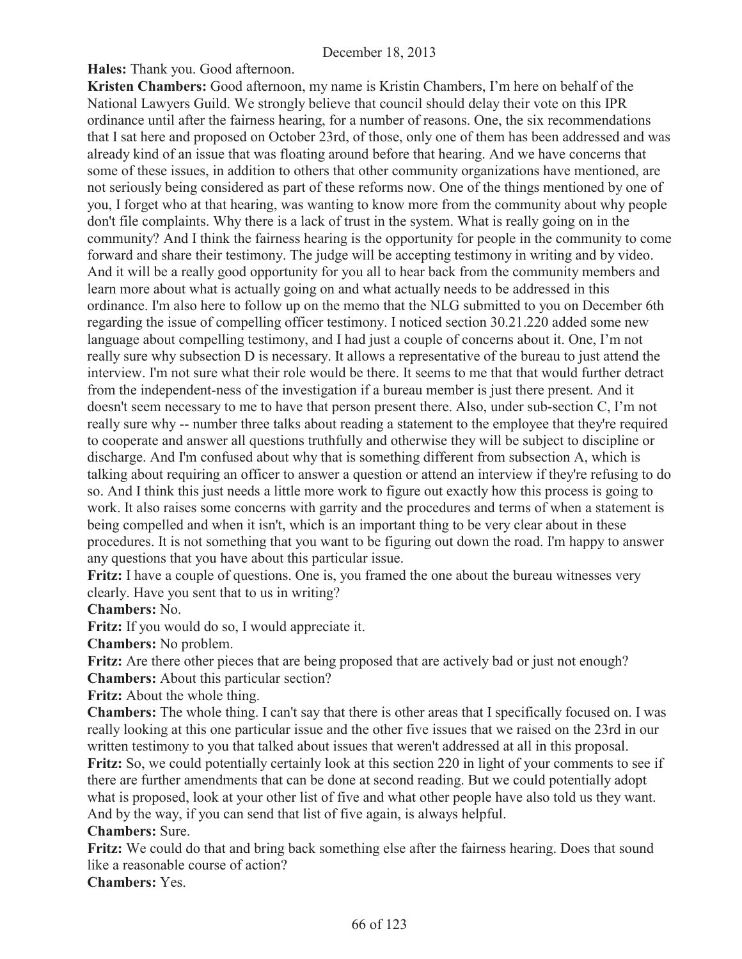**Hales:** Thank you. Good afternoon.

**Kristen Chambers:** Good afternoon, my name is Kristin Chambers, I'm here on behalf of the National Lawyers Guild. We strongly believe that council should delay their vote on this IPR ordinance until after the fairness hearing, for a number of reasons. One, the six recommendations that I sat here and proposed on October 23rd, of those, only one of them has been addressed and was already kind of an issue that was floating around before that hearing. And we have concerns that some of these issues, in addition to others that other community organizations have mentioned, are not seriously being considered as part of these reforms now. One of the things mentioned by one of you, I forget who at that hearing, was wanting to know more from the community about why people don't file complaints. Why there is a lack of trust in the system. What is really going on in the community? And I think the fairness hearing is the opportunity for people in the community to come forward and share their testimony. The judge will be accepting testimony in writing and by video. And it will be a really good opportunity for you all to hear back from the community members and learn more about what is actually going on and what actually needs to be addressed in this ordinance. I'm also here to follow up on the memo that the NLG submitted to you on December 6th regarding the issue of compelling officer testimony. I noticed section 30.21.220 added some new language about compelling testimony, and I had just a couple of concerns about it. One, I'm not really sure why subsection D is necessary. It allows a representative of the bureau to just attend the interview. I'm not sure what their role would be there. It seems to me that that would further detract from the independent-ness of the investigation if a bureau member is just there present. And it doesn't seem necessary to me to have that person present there. Also, under sub-section C, I'm not really sure why -- number three talks about reading a statement to the employee that they're required to cooperate and answer all questions truthfully and otherwise they will be subject to discipline or discharge. And I'm confused about why that is something different from subsection A, which is talking about requiring an officer to answer a question or attend an interview if they're refusing to do so. And I think this just needs a little more work to figure out exactly how this process is going to work. It also raises some concerns with garrity and the procedures and terms of when a statement is being compelled and when it isn't, which is an important thing to be very clear about in these procedures. It is not something that you want to be figuring out down the road. I'm happy to answer any questions that you have about this particular issue.

**Fritz:** I have a couple of questions. One is, you framed the one about the bureau witnesses very clearly. Have you sent that to us in writing?

**Chambers:** No.

**Fritz:** If you would do so, I would appreciate it.

**Chambers:** No problem.

**Fritz:** Are there other pieces that are being proposed that are actively bad or just not enough? **Chambers:** About this particular section?

**Fritz:** About the whole thing.

**Chambers:** The whole thing. I can't say that there is other areas that I specifically focused on. I was really looking at this one particular issue and the other five issues that we raised on the 23rd in our written testimony to you that talked about issues that weren't addressed at all in this proposal.

**Fritz:** So, we could potentially certainly look at this section 220 in light of your comments to see if there are further amendments that can be done at second reading. But we could potentially adopt what is proposed, look at your other list of five and what other people have also told us they want. And by the way, if you can send that list of five again, is always helpful.

#### **Chambers:** Sure.

**Fritz:** We could do that and bring back something else after the fairness hearing. Does that sound like a reasonable course of action?

**Chambers:** Yes.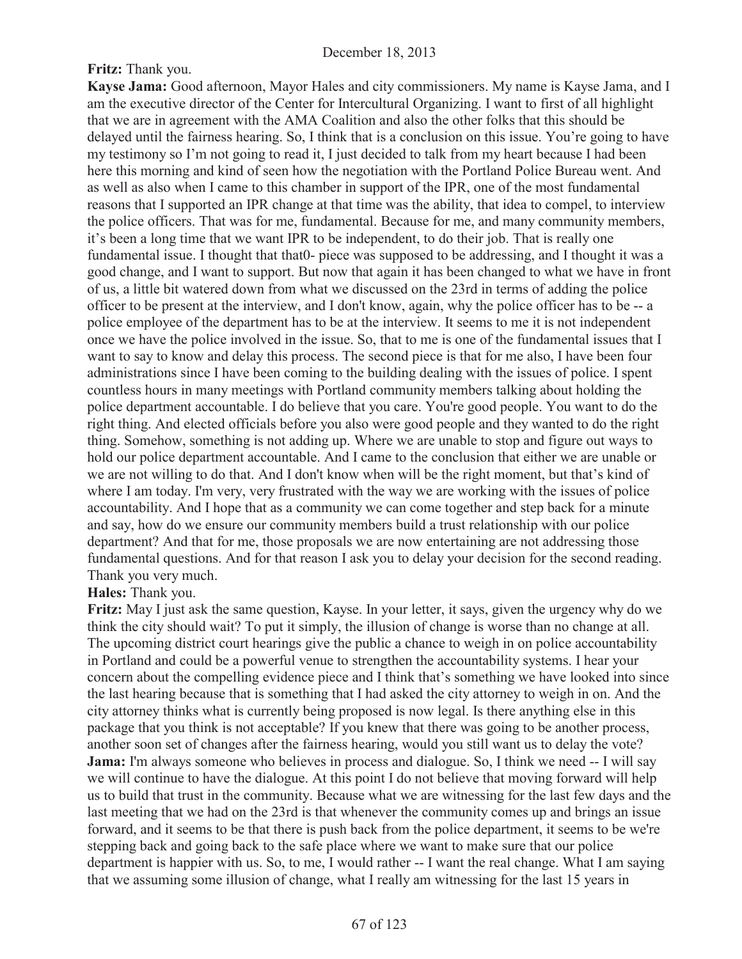## **Fritz:** Thank you.

**Kayse Jama:** Good afternoon, Mayor Hales and city commissioners. My name is Kayse Jama, and I am the executive director of the Center for Intercultural Organizing. I want to first of all highlight that we are in agreement with the AMA Coalition and also the other folks that this should be delayed until the fairness hearing. So, I think that is a conclusion on this issue. You're going to have my testimony so I'm not going to read it, I just decided to talk from my heart because I had been here this morning and kind of seen how the negotiation with the Portland Police Bureau went. And as well as also when I came to this chamber in support of the IPR, one of the most fundamental reasons that I supported an IPR change at that time was the ability, that idea to compel, to interview the police officers. That was for me, fundamental. Because for me, and many community members, it's been a long time that we want IPR to be independent, to do their job. That is really one fundamental issue. I thought that that0- piece was supposed to be addressing, and I thought it was a good change, and I want to support. But now that again it has been changed to what we have in front of us, a little bit watered down from what we discussed on the 23rd in terms of adding the police officer to be present at the interview, and I don't know, again, why the police officer has to be -- a police employee of the department has to be at the interview. It seems to me it is not independent once we have the police involved in the issue. So, that to me is one of the fundamental issues that I want to say to know and delay this process. The second piece is that for me also, I have been four administrations since I have been coming to the building dealing with the issues of police. I spent countless hours in many meetings with Portland community members talking about holding the police department accountable. I do believe that you care. You're good people. You want to do the right thing. And elected officials before you also were good people and they wanted to do the right thing. Somehow, something is not adding up. Where we are unable to stop and figure out ways to hold our police department accountable. And I came to the conclusion that either we are unable or we are not willing to do that. And I don't know when will be the right moment, but that's kind of where I am today. I'm very, very frustrated with the way we are working with the issues of police accountability. And I hope that as a community we can come together and step back for a minute and say, how do we ensure our community members build a trust relationship with our police department? And that for me, those proposals we are now entertaining are not addressing those fundamental questions. And for that reason I ask you to delay your decision for the second reading. Thank you very much.

#### **Hales:** Thank you.

**Fritz:** May I just ask the same question, Kayse. In your letter, it says, given the urgency why do we think the city should wait? To put it simply, the illusion of change is worse than no change at all. The upcoming district court hearings give the public a chance to weigh in on police accountability in Portland and could be a powerful venue to strengthen the accountability systems. I hear your concern about the compelling evidence piece and I think that's something we have looked into since the last hearing because that is something that I had asked the city attorney to weigh in on. And the city attorney thinks what is currently being proposed is now legal. Is there anything else in this package that you think is not acceptable? If you knew that there was going to be another process, another soon set of changes after the fairness hearing, would you still want us to delay the vote? **Jama:** I'm always someone who believes in process and dialogue. So, I think we need -- I will say we will continue to have the dialogue. At this point I do not believe that moving forward will help us to build that trust in the community. Because what we are witnessing for the last few days and the last meeting that we had on the 23rd is that whenever the community comes up and brings an issue forward, and it seems to be that there is push back from the police department, it seems to be we're stepping back and going back to the safe place where we want to make sure that our police department is happier with us. So, to me, I would rather -- I want the real change. What I am saying that we assuming some illusion of change, what I really am witnessing for the last 15 years in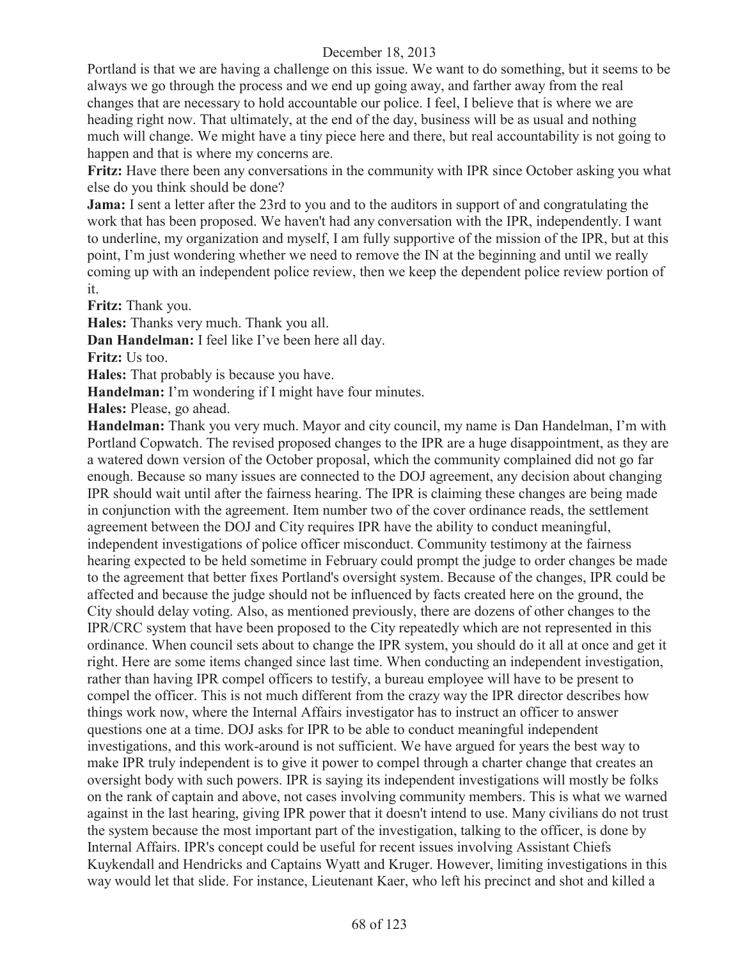Portland is that we are having a challenge on this issue. We want to do something, but it seems to be always we go through the process and we end up going away, and farther away from the real changes that are necessary to hold accountable our police. I feel, I believe that is where we are heading right now. That ultimately, at the end of the day, business will be as usual and nothing much will change. We might have a tiny piece here and there, but real accountability is not going to happen and that is where my concerns are.

**Fritz:** Have there been any conversations in the community with IPR since October asking you what else do you think should be done?

**Jama:** I sent a letter after the 23rd to you and to the auditors in support of and congratulating the work that has been proposed. We haven't had any conversation with the IPR, independently. I want to underline, my organization and myself, I am fully supportive of the mission of the IPR, but at this point, I'm just wondering whether we need to remove the IN at the beginning and until we really coming up with an independent police review, then we keep the dependent police review portion of it.

**Fritz:** Thank you.

**Hales:** Thanks very much. Thank you all.

**Dan Handelman:** I feel like I've been here all day.

**Fritz:** Us too.

**Hales:** That probably is because you have.

**Handelman:** I'm wondering if I might have four minutes.

**Hales:** Please, go ahead.

**Handelman:** Thank you very much. Mayor and city council, my name is Dan Handelman, I'm with Portland Copwatch. The revised proposed changes to the IPR are a huge disappointment, as they are a watered down version of the October proposal, which the community complained did not go far enough. Because so many issues are connected to the DOJ agreement, any decision about changing IPR should wait until after the fairness hearing. The IPR is claiming these changes are being made in conjunction with the agreement. Item number two of the cover ordinance reads, the settlement agreement between the DOJ and City requires IPR have the ability to conduct meaningful, independent investigations of police officer misconduct. Community testimony at the fairness hearing expected to be held sometime in February could prompt the judge to order changes be made to the agreement that better fixes Portland's oversight system. Because of the changes, IPR could be affected and because the judge should not be influenced by facts created here on the ground, the City should delay voting. Also, as mentioned previously, there are dozens of other changes to the IPR/CRC system that have been proposed to the City repeatedly which are not represented in this ordinance. When council sets about to change the IPR system, you should do it all at once and get it right. Here are some items changed since last time. When conducting an independent investigation, rather than having IPR compel officers to testify, a bureau employee will have to be present to compel the officer. This is not much different from the crazy way the IPR director describes how things work now, where the Internal Affairs investigator has to instruct an officer to answer questions one at a time. DOJ asks for IPR to be able to conduct meaningful independent investigations, and this work-around is not sufficient. We have argued for years the best way to make IPR truly independent is to give it power to compel through a charter change that creates an oversight body with such powers. IPR is saying its independent investigations will mostly be folks on the rank of captain and above, not cases involving community members. This is what we warned against in the last hearing, giving IPR power that it doesn't intend to use. Many civilians do not trust the system because the most important part of the investigation, talking to the officer, is done by Internal Affairs. IPR's concept could be useful for recent issues involving Assistant Chiefs Kuykendall and Hendricks and Captains Wyatt and Kruger. However, limiting investigations in this way would let that slide. For instance, Lieutenant Kaer, who left his precinct and shot and killed a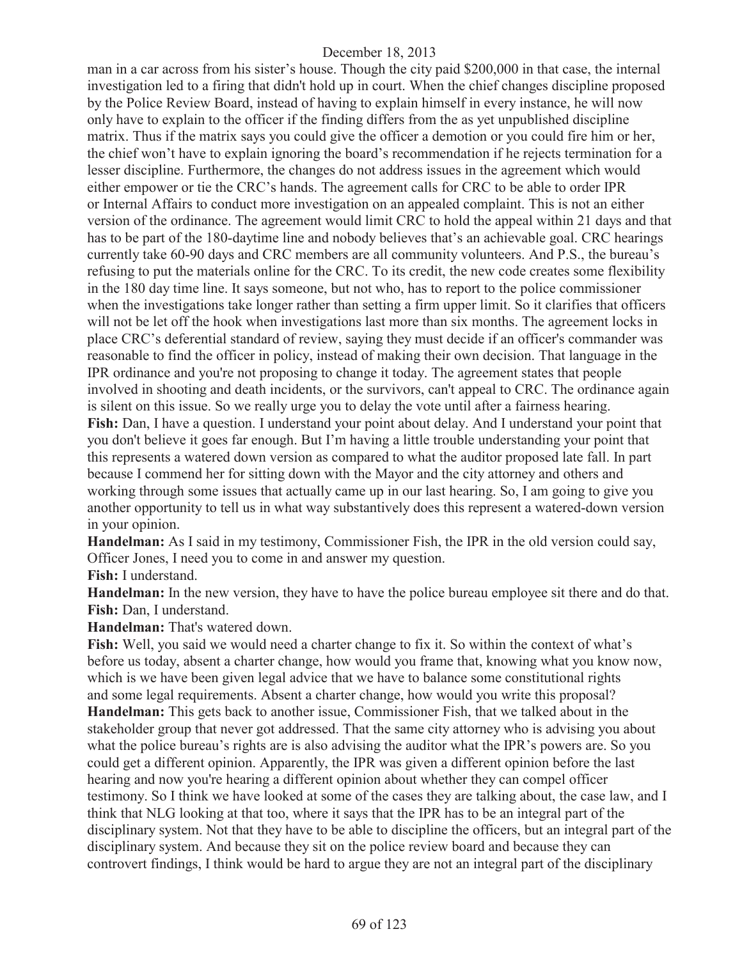man in a car across from his sister's house. Though the city paid \$200,000 in that case, the internal investigation led to a firing that didn't hold up in court. When the chief changes discipline proposed by the Police Review Board, instead of having to explain himself in every instance, he will now only have to explain to the officer if the finding differs from the as yet unpublished discipline matrix. Thus if the matrix says you could give the officer a demotion or you could fire him or her, the chief won't have to explain ignoring the board's recommendation if he rejects termination for a lesser discipline. Furthermore, the changes do not address issues in the agreement which would either empower or tie the CRC's hands. The agreement calls for CRC to be able to order IPR or Internal Affairs to conduct more investigation on an appealed complaint. This is not an either version of the ordinance. The agreement would limit CRC to hold the appeal within 21 days and that has to be part of the 180-daytime line and nobody believes that's an achievable goal. CRC hearings currently take 60-90 days and CRC members are all community volunteers. And P.S., the bureau's refusing to put the materials online for the CRC. To its credit, the new code creates some flexibility in the 180 day time line. It says someone, but not who, has to report to the police commissioner when the investigations take longer rather than setting a firm upper limit. So it clarifies that officers will not be let off the hook when investigations last more than six months. The agreement locks in place CRC's deferential standard of review, saying they must decide if an officer's commander was reasonable to find the officer in policy, instead of making their own decision. That language in the IPR ordinance and you're not proposing to change it today. The agreement states that people involved in shooting and death incidents, or the survivors, can't appeal to CRC. The ordinance again is silent on this issue. So we really urge you to delay the vote until after a fairness hearing. **Fish:** Dan, I have a question. I understand your point about delay. And I understand your point that you don't believe it goes far enough. But I'm having a little trouble understanding your point that this represents a watered down version as compared to what the auditor proposed late fall. In part because I commend her for sitting down with the Mayor and the city attorney and others and working through some issues that actually came up in our last hearing. So, I am going to give you another opportunity to tell us in what way substantively does this represent a watered-down version in your opinion.

**Handelman:** As I said in my testimony, Commissioner Fish, the IPR in the old version could say, Officer Jones, I need you to come in and answer my question.

**Fish:** I understand.

**Handelman:** In the new version, they have to have the police bureau employee sit there and do that. **Fish:** Dan, I understand.

**Handelman:** That's watered down.

**Fish:** Well, you said we would need a charter change to fix it. So within the context of what's before us today, absent a charter change, how would you frame that, knowing what you know now, which is we have been given legal advice that we have to balance some constitutional rights and some legal requirements. Absent a charter change, how would you write this proposal? **Handelman:** This gets back to another issue, Commissioner Fish, that we talked about in the stakeholder group that never got addressed. That the same city attorney who is advising you about what the police bureau's rights are is also advising the auditor what the IPR's powers are. So you could get a different opinion. Apparently, the IPR was given a different opinion before the last hearing and now you're hearing a different opinion about whether they can compel officer testimony. So I think we have looked at some of the cases they are talking about, the case law, and I think that NLG looking at that too, where it says that the IPR has to be an integral part of the disciplinary system. Not that they have to be able to discipline the officers, but an integral part of the disciplinary system. And because they sit on the police review board and because they can controvert findings, I think would be hard to argue they are not an integral part of the disciplinary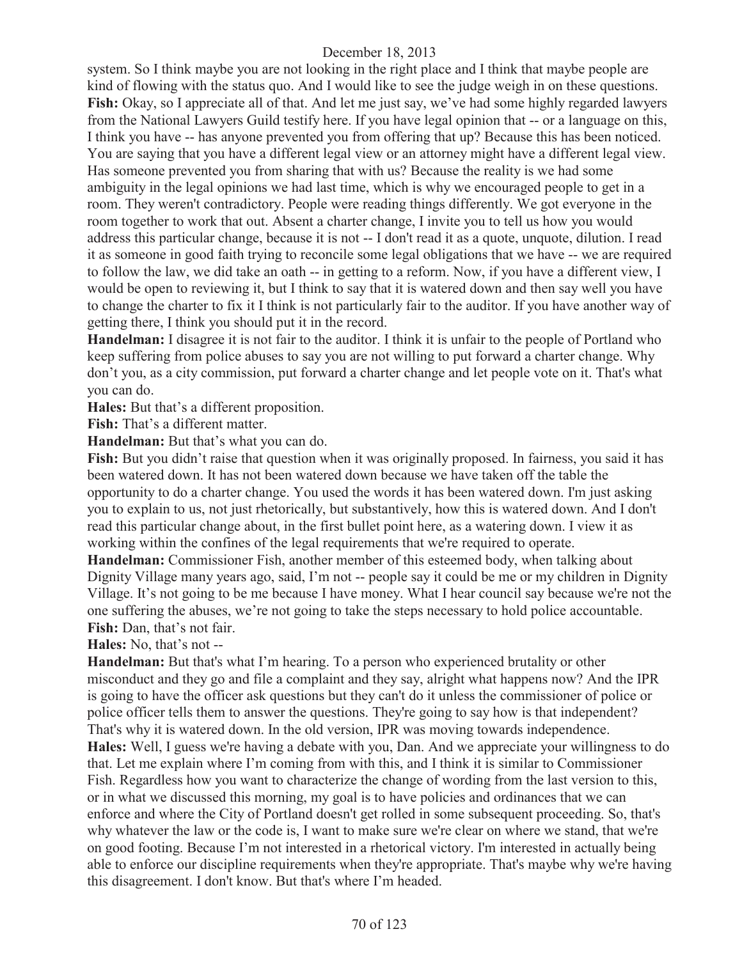system. So I think maybe you are not looking in the right place and I think that maybe people are kind of flowing with the status quo. And I would like to see the judge weigh in on these questions. **Fish:** Okay, so I appreciate all of that. And let me just say, we've had some highly regarded lawyers from the National Lawyers Guild testify here. If you have legal opinion that -- or a language on this, I think you have -- has anyone prevented you from offering that up? Because this has been noticed. You are saying that you have a different legal view or an attorney might have a different legal view. Has someone prevented you from sharing that with us? Because the reality is we had some ambiguity in the legal opinions we had last time, which is why we encouraged people to get in a room. They weren't contradictory. People were reading things differently. We got everyone in the room together to work that out. Absent a charter change, I invite you to tell us how you would address this particular change, because it is not -- I don't read it as a quote, unquote, dilution. I read it as someone in good faith trying to reconcile some legal obligations that we have -- we are required to follow the law, we did take an oath -- in getting to a reform. Now, if you have a different view, I would be open to reviewing it, but I think to say that it is watered down and then say well you have to change the charter to fix it I think is not particularly fair to the auditor. If you have another way of getting there, I think you should put it in the record.

**Handelman:** I disagree it is not fair to the auditor. I think it is unfair to the people of Portland who keep suffering from police abuses to say you are not willing to put forward a charter change. Why don't you, as a city commission, put forward a charter change and let people vote on it. That's what you can do.

**Hales:** But that's a different proposition.

Fish: That's a different matter.

Handelman: But that's what you can do.

Fish: But you didn't raise that question when it was originally proposed. In fairness, you said it has been watered down. It has not been watered down because we have taken off the table the opportunity to do a charter change. You used the words it has been watered down. I'm just asking you to explain to us, not just rhetorically, but substantively, how this is watered down. And I don't read this particular change about, in the first bullet point here, as a watering down. I view it as working within the confines of the legal requirements that we're required to operate.

**Handelman:** Commissioner Fish, another member of this esteemed body, when talking about Dignity Village many years ago, said, I'm not -- people say it could be me or my children in Dignity Village. It's not going to be me because I have money. What I hear council say because we're not the one suffering the abuses, we're not going to take the steps necessary to hold police accountable. **Fish:** Dan, that's not fair.

**Hales:** No, that's not --

**Handelman:** But that's what I'm hearing. To a person who experienced brutality or other misconduct and they go and file a complaint and they say, alright what happens now? And the IPR is going to have the officer ask questions but they can't do it unless the commissioner of police or police officer tells them to answer the questions. They're going to say how is that independent? That's why it is watered down. In the old version, IPR was moving towards independence.

**Hales:** Well, I guess we're having a debate with you, Dan. And we appreciate your willingness to do that. Let me explain where I'm coming from with this, and I think it is similar to Commissioner Fish. Regardless how you want to characterize the change of wording from the last version to this, or in what we discussed this morning, my goal is to have policies and ordinances that we can enforce and where the City of Portland doesn't get rolled in some subsequent proceeding. So, that's why whatever the law or the code is, I want to make sure we're clear on where we stand, that we're on good footing. Because I'm not interested in a rhetorical victory. I'm interested in actually being able to enforce our discipline requirements when they're appropriate. That's maybe why we're having this disagreement. I don't know. But that's where I'm headed.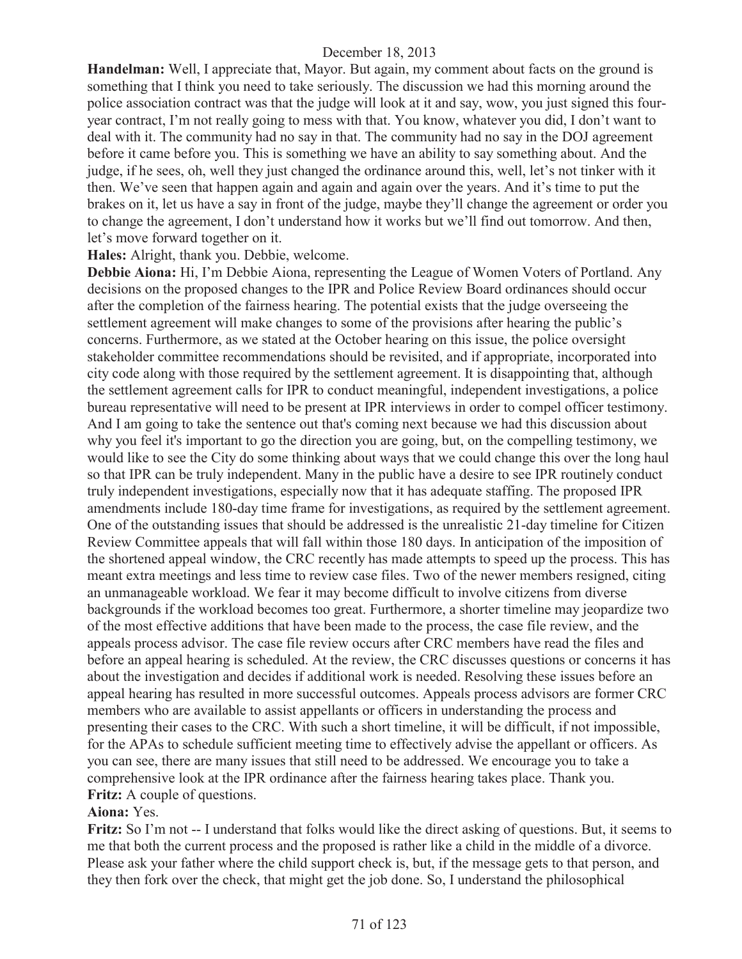**Handelman:** Well, I appreciate that, Mayor. But again, my comment about facts on the ground is something that I think you need to take seriously. The discussion we had this morning around the police association contract was that the judge will look at it and say, wow, you just signed this fouryear contract, I'm not really going to mess with that. You know, whatever you did, I don't want to deal with it. The community had no say in that. The community had no say in the DOJ agreement before it came before you. This is something we have an ability to say something about. And the judge, if he sees, oh, well they just changed the ordinance around this, well, let's not tinker with it then. We've seen that happen again and again and again over the years. And it's time to put the brakes on it, let us have a say in front of the judge, maybe they'll change the agreement or order you to change the agreement, I don't understand how it works but we'll find out tomorrow. And then, let's move forward together on it.

**Hales:** Alright, thank you. Debbie, welcome.

**Debbie Aiona:** Hi, I'm Debbie Aiona, representing the League of Women Voters of Portland. Any decisions on the proposed changes to the IPR and Police Review Board ordinances should occur after the completion of the fairness hearing. The potential exists that the judge overseeing the settlement agreement will make changes to some of the provisions after hearing the public's concerns. Furthermore, as we stated at the October hearing on this issue, the police oversight stakeholder committee recommendations should be revisited, and if appropriate, incorporated into city code along with those required by the settlement agreement. It is disappointing that, although the settlement agreement calls for IPR to conduct meaningful, independent investigations, a police bureau representative will need to be present at IPR interviews in order to compel officer testimony. And I am going to take the sentence out that's coming next because we had this discussion about why you feel it's important to go the direction you are going, but, on the compelling testimony, we would like to see the City do some thinking about ways that we could change this over the long haul so that IPR can be truly independent. Many in the public have a desire to see IPR routinely conduct truly independent investigations, especially now that it has adequate staffing. The proposed IPR amendments include 180-day time frame for investigations, as required by the settlement agreement. One of the outstanding issues that should be addressed is the unrealistic 21-day timeline for Citizen Review Committee appeals that will fall within those 180 days. In anticipation of the imposition of the shortened appeal window, the CRC recently has made attempts to speed up the process. This has meant extra meetings and less time to review case files. Two of the newer members resigned, citing an unmanageable workload. We fear it may become difficult to involve citizens from diverse backgrounds if the workload becomes too great. Furthermore, a shorter timeline may jeopardize two of the most effective additions that have been made to the process, the case file review, and the appeals process advisor. The case file review occurs after CRC members have read the files and before an appeal hearing is scheduled. At the review, the CRC discusses questions or concerns it has about the investigation and decides if additional work is needed. Resolving these issues before an appeal hearing has resulted in more successful outcomes. Appeals process advisors are former CRC members who are available to assist appellants or officers in understanding the process and presenting their cases to the CRC. With such a short timeline, it will be difficult, if not impossible, for the APAs to schedule sufficient meeting time to effectively advise the appellant or officers. As you can see, there are many issues that still need to be addressed. We encourage you to take a comprehensive look at the IPR ordinance after the fairness hearing takes place. Thank you. **Fritz:** A couple of questions.

#### **Aiona:** Yes.

**Fritz:** So I'm not -- I understand that folks would like the direct asking of questions. But, it seems to me that both the current process and the proposed is rather like a child in the middle of a divorce. Please ask your father where the child support check is, but, if the message gets to that person, and they then fork over the check, that might get the job done. So, I understand the philosophical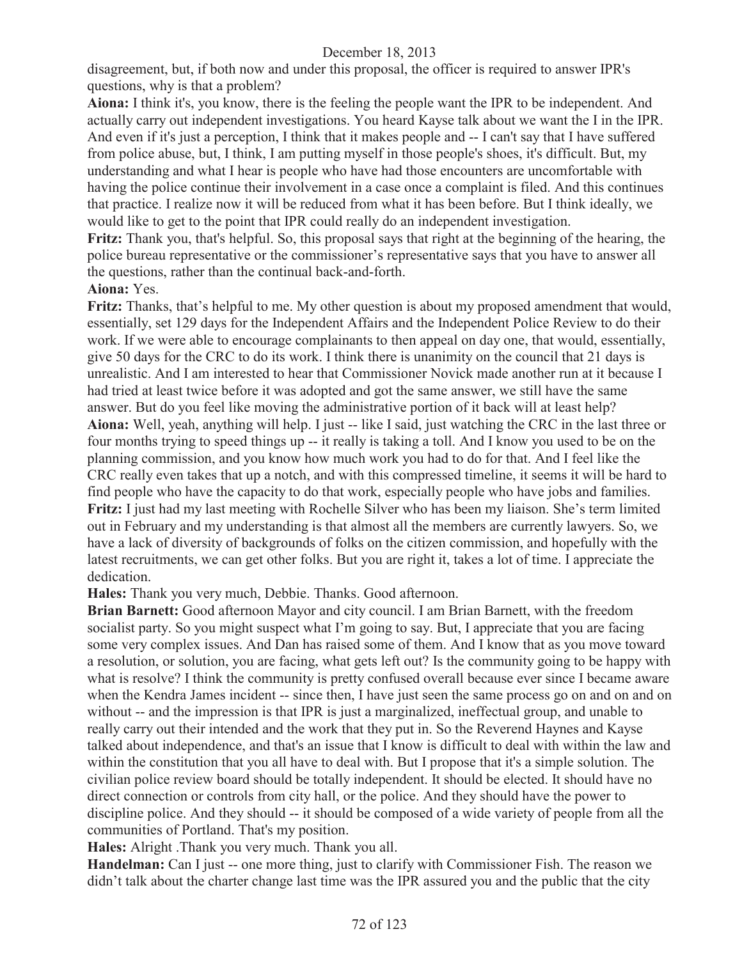disagreement, but, if both now and under this proposal, the officer is required to answer IPR's questions, why is that a problem?

**Aiona:** I think it's, you know, there is the feeling the people want the IPR to be independent. And actually carry out independent investigations. You heard Kayse talk about we want the I in the IPR. And even if it's just a perception, I think that it makes people and -- I can't say that I have suffered from police abuse, but, I think, I am putting myself in those people's shoes, it's difficult. But, my understanding and what I hear is people who have had those encounters are uncomfortable with having the police continue their involvement in a case once a complaint is filed. And this continues that practice. I realize now it will be reduced from what it has been before. But I think ideally, we would like to get to the point that IPR could really do an independent investigation.

**Fritz:** Thank you, that's helpful. So, this proposal says that right at the beginning of the hearing, the police bureau representative or the commissioner's representative says that you have to answer all the questions, rather than the continual back-and-forth.

#### **Aiona:** Yes.

Fritz: Thanks, that's helpful to me. My other question is about my proposed amendment that would, essentially, set 129 days for the Independent Affairs and the Independent Police Review to do their work. If we were able to encourage complainants to then appeal on day one, that would, essentially, give 50 days for the CRC to do its work. I think there is unanimity on the council that 21 days is unrealistic. And I am interested to hear that Commissioner Novick made another run at it because I had tried at least twice before it was adopted and got the same answer, we still have the same answer. But do you feel like moving the administrative portion of it back will at least help? **Aiona:** Well, yeah, anything will help. I just -- like I said, just watching the CRC in the last three or four months trying to speed things up -- it really is taking a toll. And I know you used to be on the planning commission, and you know how much work you had to do for that. And I feel like the CRC really even takes that up a notch, and with this compressed timeline, it seems it will be hard to find people who have the capacity to do that work, especially people who have jobs and families. **Fritz:** I just had my last meeting with Rochelle Silver who has been my liaison. She's term limited out in February and my understanding is that almost all the members are currently lawyers. So, we have a lack of diversity of backgrounds of folks on the citizen commission, and hopefully with the latest recruitments, we can get other folks. But you are right it, takes a lot of time. I appreciate the dedication.

**Hales:** Thank you very much, Debbie. Thanks. Good afternoon.

**Brian Barnett:** Good afternoon Mayor and city council. I am Brian Barnett, with the freedom socialist party. So you might suspect what I'm going to say. But, I appreciate that you are facing some very complex issues. And Dan has raised some of them. And I know that as you move toward a resolution, or solution, you are facing, what gets left out? Is the community going to be happy with what is resolve? I think the community is pretty confused overall because ever since I became aware when the Kendra James incident -- since then, I have just seen the same process go on and on and on without -- and the impression is that IPR is just a marginalized, ineffectual group, and unable to really carry out their intended and the work that they put in. So the Reverend Haynes and Kayse talked about independence, and that's an issue that I know is difficult to deal with within the law and within the constitution that you all have to deal with. But I propose that it's a simple solution. The civilian police review board should be totally independent. It should be elected. It should have no direct connection or controls from city hall, or the police. And they should have the power to discipline police. And they should -- it should be composed of a wide variety of people from all the communities of Portland. That's my position.

**Hales:** Alright .Thank you very much. Thank you all.

**Handelman:** Can I just -- one more thing, just to clarify with Commissioner Fish. The reason we didn't talk about the charter change last time was the IPR assured you and the public that the city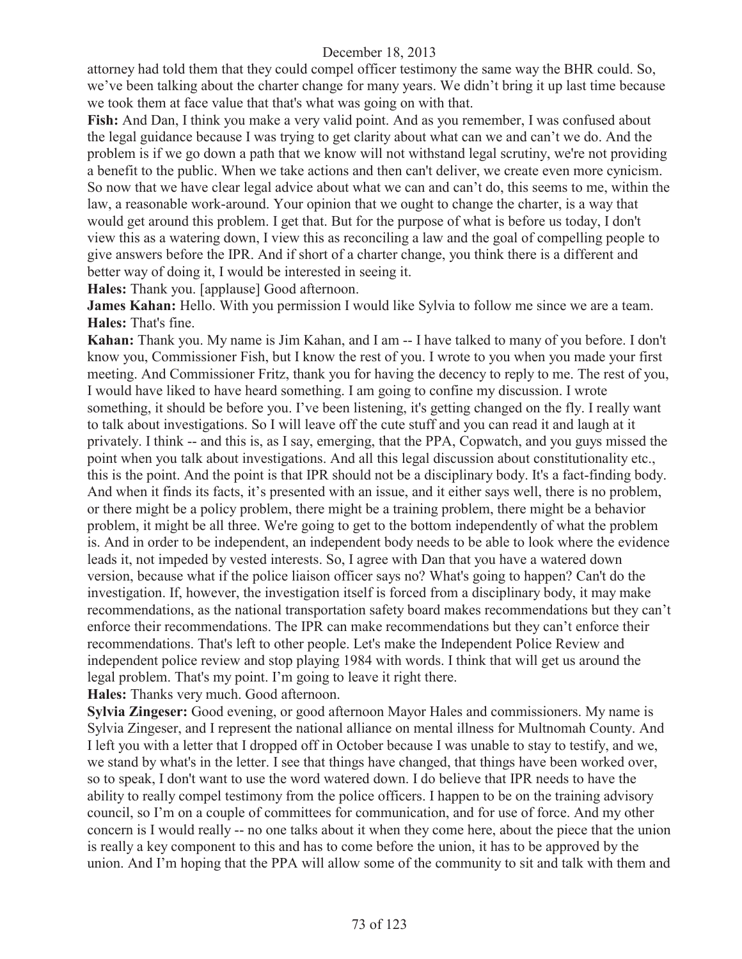attorney had told them that they could compel officer testimony the same way the BHR could. So, we've been talking about the charter change for many years. We didn't bring it up last time because we took them at face value that that's what was going on with that.

**Fish:** And Dan, I think you make a very valid point. And as you remember, I was confused about the legal guidance because I was trying to get clarity about what can we and can't we do. And the problem is if we go down a path that we know will not withstand legal scrutiny, we're not providing a benefit to the public. When we take actions and then can't deliver, we create even more cynicism. So now that we have clear legal advice about what we can and can't do, this seems to me, within the law, a reasonable work-around. Your opinion that we ought to change the charter, is a way that would get around this problem. I get that. But for the purpose of what is before us today, I don't view this as a watering down, I view this as reconciling a law and the goal of compelling people to give answers before the IPR. And if short of a charter change, you think there is a different and better way of doing it, I would be interested in seeing it.

**Hales:** Thank you. [applause] Good afternoon.

**James Kahan:** Hello. With you permission I would like Sylvia to follow me since we are a team. **Hales:** That's fine.

**Kahan:** Thank you. My name is Jim Kahan, and I am -- I have talked to many of you before. I don't know you, Commissioner Fish, but I know the rest of you. I wrote to you when you made your first meeting. And Commissioner Fritz, thank you for having the decency to reply to me. The rest of you, I would have liked to have heard something. I am going to confine my discussion. I wrote something, it should be before you. I've been listening, it's getting changed on the fly. I really want to talk about investigations. So I will leave off the cute stuff and you can read it and laugh at it privately. I think -- and this is, as I say, emerging, that the PPA, Copwatch, and you guys missed the point when you talk about investigations. And all this legal discussion about constitutionality etc., this is the point. And the point is that IPR should not be a disciplinary body. It's a fact-finding body. And when it finds its facts, it's presented with an issue, and it either says well, there is no problem, or there might be a policy problem, there might be a training problem, there might be a behavior problem, it might be all three. We're going to get to the bottom independently of what the problem is. And in order to be independent, an independent body needs to be able to look where the evidence leads it, not impeded by vested interests. So, I agree with Dan that you have a watered down version, because what if the police liaison officer says no? What's going to happen? Can't do the investigation. If, however, the investigation itself is forced from a disciplinary body, it may make recommendations, as the national transportation safety board makes recommendations but they can't enforce their recommendations. The IPR can make recommendations but they can't enforce their recommendations. That's left to other people. Let's make the Independent Police Review and independent police review and stop playing 1984 with words. I think that will get us around the legal problem. That's my point. I'm going to leave it right there.

**Hales:** Thanks very much. Good afternoon.

**Sylvia Zingeser:** Good evening, or good afternoon Mayor Hales and commissioners. My name is Sylvia Zingeser, and I represent the national alliance on mental illness for Multnomah County. And I left you with a letter that I dropped off in October because I was unable to stay to testify, and we, we stand by what's in the letter. I see that things have changed, that things have been worked over, so to speak, I don't want to use the word watered down. I do believe that IPR needs to have the ability to really compel testimony from the police officers. I happen to be on the training advisory council, so I'm on a couple of committees for communication, and for use of force. And my other concern is I would really -- no one talks about it when they come here, about the piece that the union is really a key component to this and has to come before the union, it has to be approved by the union. And I'm hoping that the PPA will allow some of the community to sit and talk with them and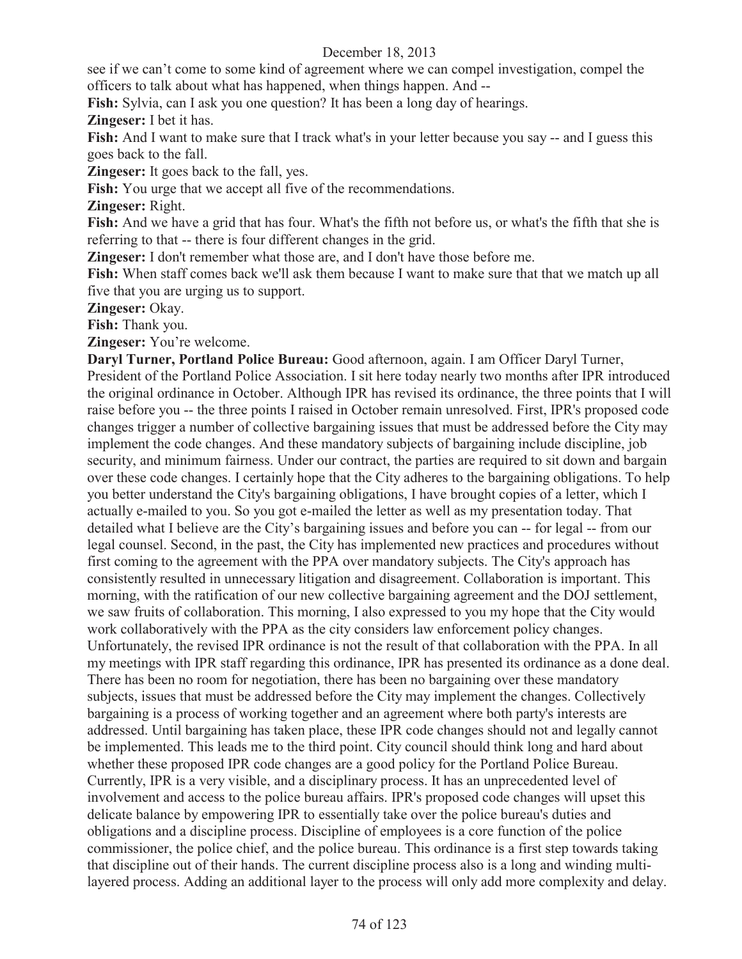see if we can't come to some kind of agreement where we can compel investigation, compel the officers to talk about what has happened, when things happen. And --

**Fish:** Sylvia, can I ask you one question? It has been a long day of hearings.

**Zingeser:** I bet it has.

**Fish:** And I want to make sure that I track what's in your letter because you say -- and I guess this goes back to the fall.

**Zingeser:** It goes back to the fall, yes.

**Fish:** You urge that we accept all five of the recommendations.

**Zingeser:** Right.

Fish: And we have a grid that has four. What's the fifth not before us, or what's the fifth that she is referring to that -- there is four different changes in the grid.

**Zingeser:** I don't remember what those are, and I don't have those before me.

**Fish:** When staff comes back we'll ask them because I want to make sure that that we match up all five that you are urging us to support.

**Zingeser:** Okay.

**Fish:** Thank you.

**Zingeser:** You're welcome.

**Daryl Turner, Portland Police Bureau:** Good afternoon, again. I am Officer Daryl Turner,

President of the Portland Police Association. I sit here today nearly two months after IPR introduced the original ordinance in October. Although IPR has revised its ordinance, the three points that I will raise before you -- the three points I raised in October remain unresolved. First, IPR's proposed code changes trigger a number of collective bargaining issues that must be addressed before the City may implement the code changes. And these mandatory subjects of bargaining include discipline, job security, and minimum fairness. Under our contract, the parties are required to sit down and bargain over these code changes. I certainly hope that the City adheres to the bargaining obligations. To help you better understand the City's bargaining obligations, I have brought copies of a letter, which I actually e-mailed to you. So you got e-mailed the letter as well as my presentation today. That detailed what I believe are the City's bargaining issues and before you can -- for legal -- from our legal counsel. Second, in the past, the City has implemented new practices and procedures without first coming to the agreement with the PPA over mandatory subjects. The City's approach has consistently resulted in unnecessary litigation and disagreement. Collaboration is important. This morning, with the ratification of our new collective bargaining agreement and the DOJ settlement, we saw fruits of collaboration. This morning, I also expressed to you my hope that the City would work collaboratively with the PPA as the city considers law enforcement policy changes. Unfortunately, the revised IPR ordinance is not the result of that collaboration with the PPA. In all my meetings with IPR staff regarding this ordinance, IPR has presented its ordinance as a done deal. There has been no room for negotiation, there has been no bargaining over these mandatory subjects, issues that must be addressed before the City may implement the changes. Collectively bargaining is a process of working together and an agreement where both party's interests are addressed. Until bargaining has taken place, these IPR code changes should not and legally cannot be implemented. This leads me to the third point. City council should think long and hard about whether these proposed IPR code changes are a good policy for the Portland Police Bureau. Currently, IPR is a very visible, and a disciplinary process. It has an unprecedented level of involvement and access to the police bureau affairs. IPR's proposed code changes will upset this delicate balance by empowering IPR to essentially take over the police bureau's duties and obligations and a discipline process. Discipline of employees is a core function of the police commissioner, the police chief, and the police bureau. This ordinance is a first step towards taking that discipline out of their hands. The current discipline process also is a long and winding multilayered process. Adding an additional layer to the process will only add more complexity and delay.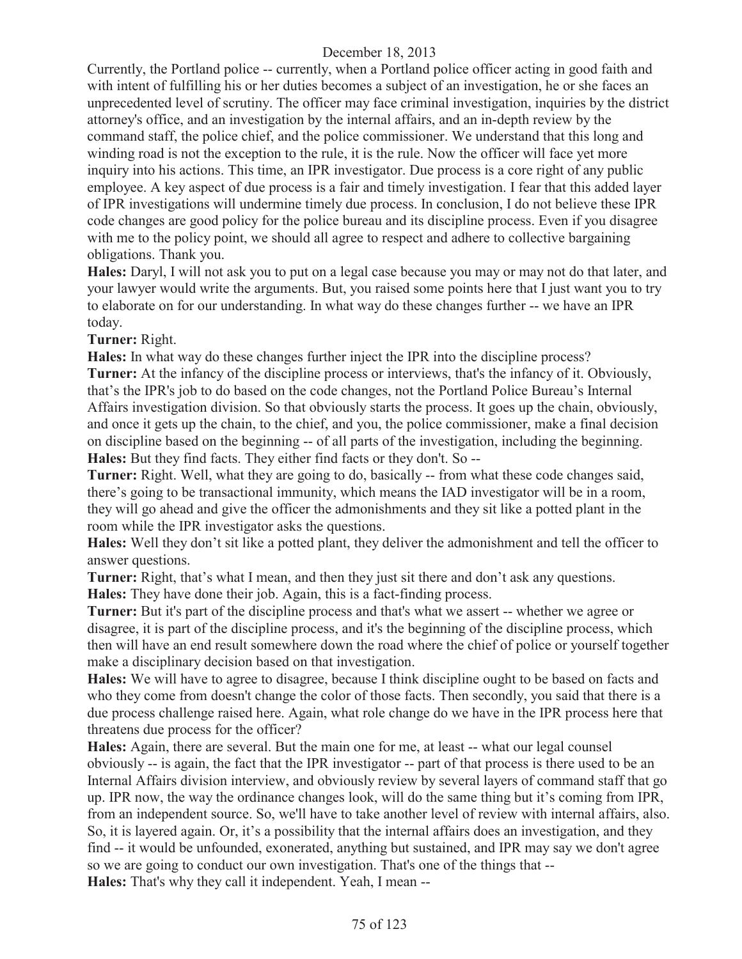Currently, the Portland police -- currently, when a Portland police officer acting in good faith and with intent of fulfilling his or her duties becomes a subject of an investigation, he or she faces an unprecedented level of scrutiny. The officer may face criminal investigation, inquiries by the district attorney's office, and an investigation by the internal affairs, and an in-depth review by the command staff, the police chief, and the police commissioner. We understand that this long and winding road is not the exception to the rule, it is the rule. Now the officer will face yet more inquiry into his actions. This time, an IPR investigator. Due process is a core right of any public employee. A key aspect of due process is a fair and timely investigation. I fear that this added layer of IPR investigations will undermine timely due process. In conclusion, I do not believe these IPR code changes are good policy for the police bureau and its discipline process. Even if you disagree with me to the policy point, we should all agree to respect and adhere to collective bargaining obligations. Thank you.

**Hales:** Daryl, I will not ask you to put on a legal case because you may or may not do that later, and your lawyer would write the arguments. But, you raised some points here that I just want you to try to elaborate on for our understanding. In what way do these changes further -- we have an IPR today.

**Turner:** Right.

**Hales:** In what way do these changes further inject the IPR into the discipline process?

**Turner:** At the infancy of the discipline process or interviews, that's the infancy of it. Obviously, that's the IPR's job to do based on the code changes, not the Portland Police Bureau's Internal Affairs investigation division. So that obviously starts the process. It goes up the chain, obviously, and once it gets up the chain, to the chief, and you, the police commissioner, make a final decision on discipline based on the beginning -- of all parts of the investigation, including the beginning. **Hales:** But they find facts. They either find facts or they don't. So --

**Turner:** Right. Well, what they are going to do, basically -- from what these code changes said, there's going to be transactional immunity, which means the IAD investigator will be in a room, they will go ahead and give the officer the admonishments and they sit like a potted plant in the room while the IPR investigator asks the questions.

**Hales:** Well they don't sit like a potted plant, they deliver the admonishment and tell the officer to answer questions.

**Turner:** Right, that's what I mean, and then they just sit there and don't ask any questions. **Hales:** They have done their job. Again, this is a fact-finding process.

**Turner:** But it's part of the discipline process and that's what we assert -- whether we agree or disagree, it is part of the discipline process, and it's the beginning of the discipline process, which then will have an end result somewhere down the road where the chief of police or yourself together make a disciplinary decision based on that investigation.

**Hales:** We will have to agree to disagree, because I think discipline ought to be based on facts and who they come from doesn't change the color of those facts. Then secondly, you said that there is a due process challenge raised here. Again, what role change do we have in the IPR process here that threatens due process for the officer?

**Hales:** Again, there are several. But the main one for me, at least -- what our legal counsel obviously -- is again, the fact that the IPR investigator -- part of that process is there used to be an Internal Affairs division interview, and obviously review by several layers of command staff that go up. IPR now, the way the ordinance changes look, will do the same thing but it's coming from IPR, from an independent source. So, we'll have to take another level of review with internal affairs, also. So, it is layered again. Or, it's a possibility that the internal affairs does an investigation, and they find -- it would be unfounded, exonerated, anything but sustained, and IPR may say we don't agree so we are going to conduct our own investigation. That's one of the things that --

**Hales:** That's why they call it independent. Yeah, I mean --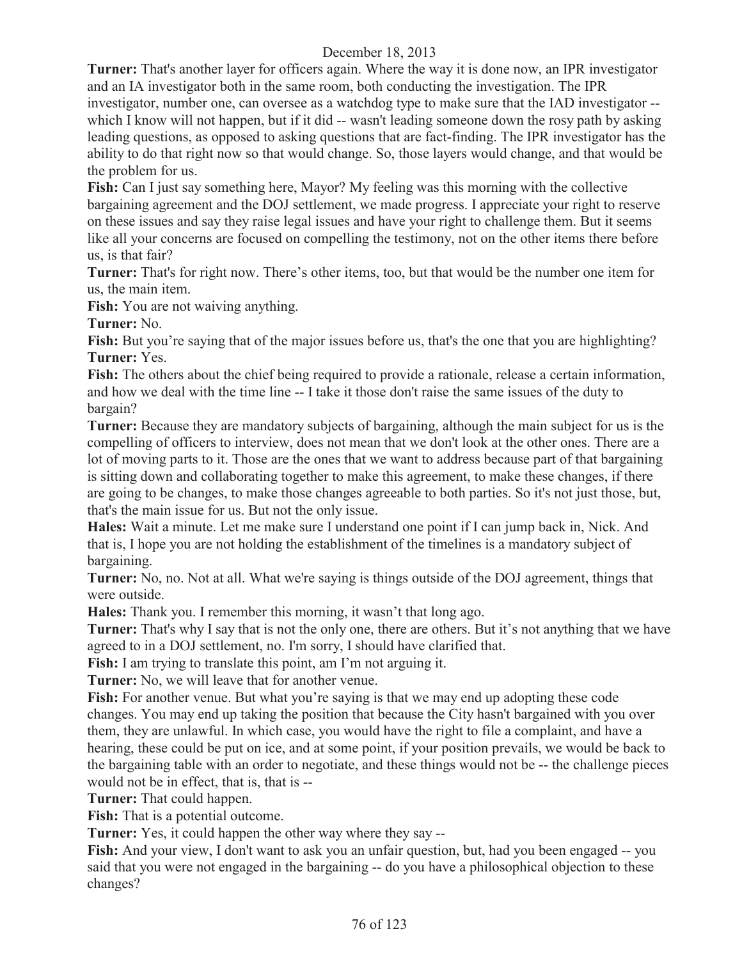**Turner:** That's another layer for officers again. Where the way it is done now, an IPR investigator and an IA investigator both in the same room, both conducting the investigation. The IPR investigator, number one, can oversee as a watchdog type to make sure that the IAD investigator - which I know will not happen, but if it did -- wasn't leading someone down the rosy path by asking leading questions, as opposed to asking questions that are fact-finding. The IPR investigator has the ability to do that right now so that would change. So, those layers would change, and that would be the problem for us.

**Fish:** Can I just say something here, Mayor? My feeling was this morning with the collective bargaining agreement and the DOJ settlement, we made progress. I appreciate your right to reserve on these issues and say they raise legal issues and have your right to challenge them. But it seems like all your concerns are focused on compelling the testimony, not on the other items there before us, is that fair?

**Turner:** That's for right now. There's other items, too, but that would be the number one item for us, the main item.

Fish: You are not waiving anything.

**Turner:** No.

**Fish:** But you're saying that of the major issues before us, that's the one that you are highlighting? **Turner:** Yes.

Fish: The others about the chief being required to provide a rationale, release a certain information, and how we deal with the time line -- I take it those don't raise the same issues of the duty to bargain?

**Turner:** Because they are mandatory subjects of bargaining, although the main subject for us is the compelling of officers to interview, does not mean that we don't look at the other ones. There are a lot of moving parts to it. Those are the ones that we want to address because part of that bargaining is sitting down and collaborating together to make this agreement, to make these changes, if there are going to be changes, to make those changes agreeable to both parties. So it's not just those, but, that's the main issue for us. But not the only issue.

**Hales:** Wait a minute. Let me make sure I understand one point if I can jump back in, Nick. And that is, I hope you are not holding the establishment of the timelines is a mandatory subject of bargaining.

**Turner:** No, no. Not at all. What we're saying is things outside of the DOJ agreement, things that were outside.

**Hales:** Thank you. I remember this morning, it wasn't that long ago.

**Turner:** That's why I say that is not the only one, there are others. But it's not anything that we have agreed to in a DOJ settlement, no. I'm sorry, I should have clarified that.

**Fish:** I am trying to translate this point, am I'm not arguing it.

**Turner:** No, we will leave that for another venue.

Fish: For another venue. But what you're saying is that we may end up adopting these code changes. You may end up taking the position that because the City hasn't bargained with you over them, they are unlawful. In which case, you would have the right to file a complaint, and have a hearing, these could be put on ice, and at some point, if your position prevails, we would be back to the bargaining table with an order to negotiate, and these things would not be -- the challenge pieces would not be in effect, that is, that is --

**Turner:** That could happen.

Fish: That is a potential outcome.

**Turner:** Yes, it could happen the other way where they say --

**Fish:** And your view, I don't want to ask you an unfair question, but, had you been engaged -- you said that you were not engaged in the bargaining -- do you have a philosophical objection to these changes?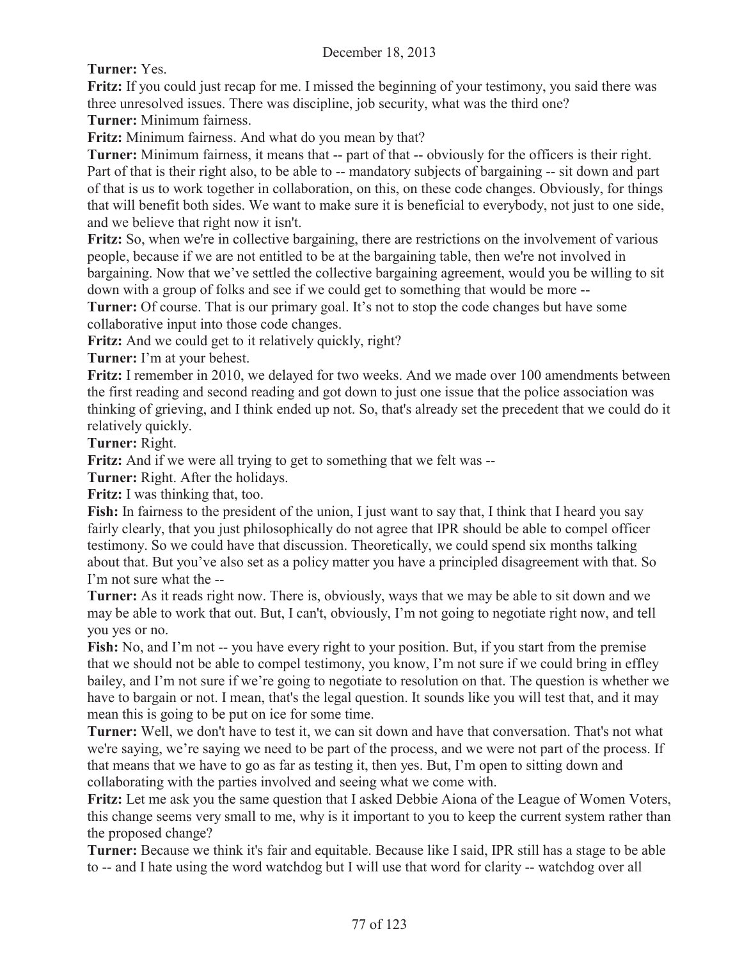**Turner:** Yes.

**Fritz:** If you could just recap for me. I missed the beginning of your testimony, you said there was three unresolved issues. There was discipline, job security, what was the third one?

**Turner:** Minimum fairness.

**Fritz:** Minimum fairness. And what do you mean by that?

**Turner:** Minimum fairness, it means that -- part of that -- obviously for the officers is their right. Part of that is their right also, to be able to -- mandatory subjects of bargaining -- sit down and part of that is us to work together in collaboration, on this, on these code changes. Obviously, for things that will benefit both sides. We want to make sure it is beneficial to everybody, not just to one side, and we believe that right now it isn't.

**Fritz:** So, when we're in collective bargaining, there are restrictions on the involvement of various people, because if we are not entitled to be at the bargaining table, then we're not involved in bargaining. Now that we've settled the collective bargaining agreement, would you be willing to sit down with a group of folks and see if we could get to something that would be more --

**Turner:** Of course. That is our primary goal. It's not to stop the code changes but have some collaborative input into those code changes.

**Fritz:** And we could get to it relatively quickly, right?

**Turner:** I'm at your behest.

**Fritz:** I remember in 2010, we delayed for two weeks. And we made over 100 amendments between the first reading and second reading and got down to just one issue that the police association was thinking of grieving, and I think ended up not. So, that's already set the precedent that we could do it relatively quickly.

**Turner:** Right.

**Fritz:** And if we were all trying to get to something that we felt was --

**Turner:** Right. After the holidays.

**Fritz:** I was thinking that, too.

**Fish:** In fairness to the president of the union, I just want to say that, I think that I heard you say fairly clearly, that you just philosophically do not agree that IPR should be able to compel officer testimony. So we could have that discussion. Theoretically, we could spend six months talking about that. But you've also set as a policy matter you have a principled disagreement with that. So I'm not sure what the --

**Turner:** As it reads right now. There is, obviously, ways that we may be able to sit down and we may be able to work that out. But, I can't, obviously, I'm not going to negotiate right now, and tell you yes or no.

Fish: No, and I'm not -- you have every right to your position. But, if you start from the premise that we should not be able to compel testimony, you know, I'm not sure if we could bring in effley bailey, and I'm not sure if we're going to negotiate to resolution on that. The question is whether we have to bargain or not. I mean, that's the legal question. It sounds like you will test that, and it may mean this is going to be put on ice for some time.

**Turner:** Well, we don't have to test it, we can sit down and have that conversation. That's not what we're saying, we're saying we need to be part of the process, and we were not part of the process. If that means that we have to go as far as testing it, then yes. But, I'm open to sitting down and collaborating with the parties involved and seeing what we come with.

**Fritz:** Let me ask you the same question that I asked Debbie Aiona of the League of Women Voters, this change seems very small to me, why is it important to you to keep the current system rather than the proposed change?

**Turner:** Because we think it's fair and equitable. Because like I said, IPR still has a stage to be able to -- and I hate using the word watchdog but I will use that word for clarity -- watchdog over all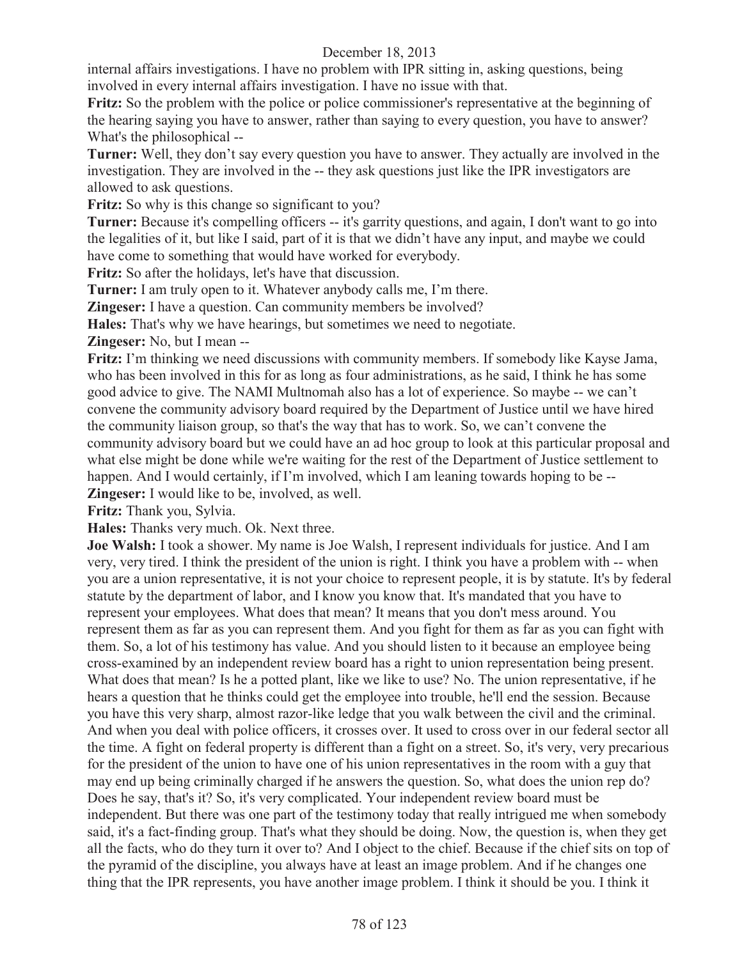internal affairs investigations. I have no problem with IPR sitting in, asking questions, being involved in every internal affairs investigation. I have no issue with that.

**Fritz:** So the problem with the police or police commissioner's representative at the beginning of the hearing saying you have to answer, rather than saying to every question, you have to answer? What's the philosophical --

**Turner:** Well, they don't say every question you have to answer. They actually are involved in the investigation. They are involved in the -- they ask questions just like the IPR investigators are allowed to ask questions.

Fritz: So why is this change so significant to you?

**Turner:** Because it's compelling officers -- it's garrity questions, and again, I don't want to go into the legalities of it, but like I said, part of it is that we didn't have any input, and maybe we could have come to something that would have worked for everybody.

**Fritz:** So after the holidays, let's have that discussion.

**Turner:** I am truly open to it. Whatever anybody calls me, I'm there.

**Zingeser:** I have a question. Can community members be involved?

**Hales:** That's why we have hearings, but sometimes we need to negotiate.

**Zingeser:** No, but I mean --

**Fritz:** I'm thinking we need discussions with community members. If somebody like Kayse Jama, who has been involved in this for as long as four administrations, as he said, I think he has some good advice to give. The NAMI Multnomah also has a lot of experience. So maybe -- we can't convene the community advisory board required by the Department of Justice until we have hired the community liaison group, so that's the way that has to work. So, we can't convene the community advisory board but we could have an ad hoc group to look at this particular proposal and what else might be done while we're waiting for the rest of the Department of Justice settlement to happen. And I would certainly, if I'm involved, which I am leaning towards hoping to be --**Zingeser:** I would like to be, involved, as well.

**Fritz:** Thank you, Sylvia.

**Hales:** Thanks very much. Ok. Next three.

**Joe Walsh:** I took a shower. My name is Joe Walsh, I represent individuals for justice. And I am very, very tired. I think the president of the union is right. I think you have a problem with -- when you are a union representative, it is not your choice to represent people, it is by statute. It's by federal statute by the department of labor, and I know you know that. It's mandated that you have to represent your employees. What does that mean? It means that you don't mess around. You represent them as far as you can represent them. And you fight for them as far as you can fight with them. So, a lot of his testimony has value. And you should listen to it because an employee being cross-examined by an independent review board has a right to union representation being present. What does that mean? Is he a potted plant, like we like to use? No. The union representative, if he hears a question that he thinks could get the employee into trouble, he'll end the session. Because you have this very sharp, almost razor-like ledge that you walk between the civil and the criminal. And when you deal with police officers, it crosses over. It used to cross over in our federal sector all the time. A fight on federal property is different than a fight on a street. So, it's very, very precarious for the president of the union to have one of his union representatives in the room with a guy that may end up being criminally charged if he answers the question. So, what does the union rep do? Does he say, that's it? So, it's very complicated. Your independent review board must be independent. But there was one part of the testimony today that really intrigued me when somebody said, it's a fact-finding group. That's what they should be doing. Now, the question is, when they get all the facts, who do they turn it over to? And I object to the chief. Because if the chief sits on top of the pyramid of the discipline, you always have at least an image problem. And if he changes one thing that the IPR represents, you have another image problem. I think it should be you. I think it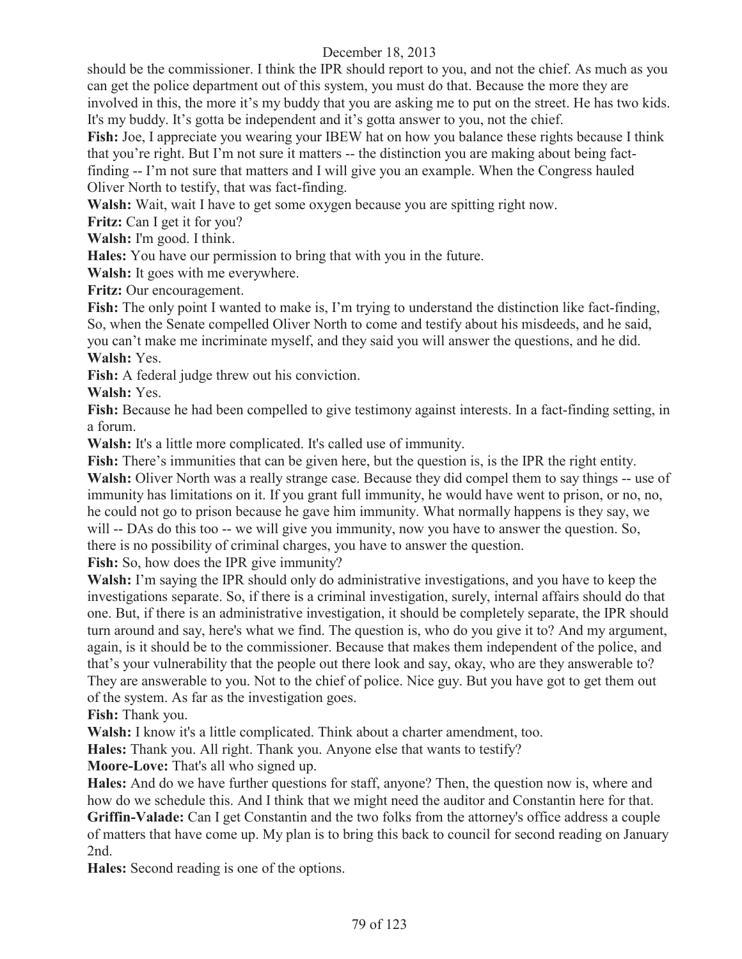should be the commissioner. I think the IPR should report to you, and not the chief. As much as you can get the police department out of this system, you must do that. Because the more they are involved in this, the more it's my buddy that you are asking me to put on the street. He has two kids. It's my buddy. It's gotta be independent and it's gotta answer to you, not the chief.

**Fish:** Joe, I appreciate you wearing your IBEW hat on how you balance these rights because I think that you're right. But I'm not sure it matters -- the distinction you are making about being factfinding -- I'm not sure that matters and I will give you an example. When the Congress hauled Oliver North to testify, that was fact-finding.

**Walsh:** Wait, wait I have to get some oxygen because you are spitting right now.

**Fritz:** Can I get it for you?

**Walsh:** I'm good. I think.

**Hales:** You have our permission to bring that with you in the future.

**Walsh:** It goes with me everywhere.

**Fritz:** Our encouragement.

Fish: The only point I wanted to make is, I'm trying to understand the distinction like fact-finding, So, when the Senate compelled Oliver North to come and testify about his misdeeds, and he said, you can't make me incriminate myself, and they said you will answer the questions, and he did. **Walsh:** Yes.

**Fish:** A federal judge threw out his conviction.

**Walsh:** Yes.

**Fish:** Because he had been compelled to give testimony against interests. In a fact-finding setting, in a forum.

**Walsh:** It's a little more complicated. It's called use of immunity.

**Fish:** There's immunities that can be given here, but the question is, is the IPR the right entity. Walsh: Oliver North was a really strange case. Because they did compel them to say things -- use of immunity has limitations on it. If you grant full immunity, he would have went to prison, or no, no, he could not go to prison because he gave him immunity. What normally happens is they say, we will -- DAs do this too -- we will give you immunity, now you have to answer the question. So, there is no possibility of criminal charges, you have to answer the question.

**Fish:** So, how does the IPR give immunity?

**Walsh:** I'm saying the IPR should only do administrative investigations, and you have to keep the investigations separate. So, if there is a criminal investigation, surely, internal affairs should do that one. But, if there is an administrative investigation, it should be completely separate, the IPR should turn around and say, here's what we find. The question is, who do you give it to? And my argument, again, is it should be to the commissioner. Because that makes them independent of the police, and that's your vulnerability that the people out there look and say, okay, who are they answerable to? They are answerable to you. Not to the chief of police. Nice guy. But you have got to get them out of the system. As far as the investigation goes.

**Fish:** Thank you.

**Walsh:** I know it's a little complicated. Think about a charter amendment, too.

**Hales:** Thank you. All right. Thank you. Anyone else that wants to testify?

**Moore-Love:** That's all who signed up.

**Hales:** And do we have further questions for staff, anyone? Then, the question now is, where and how do we schedule this. And I think that we might need the auditor and Constantin here for that. **Griffin-Valade:** Can I get Constantin and the two folks from the attorney's office address a couple of matters that have come up. My plan is to bring this back to council for second reading on January 2nd.

**Hales:** Second reading is one of the options.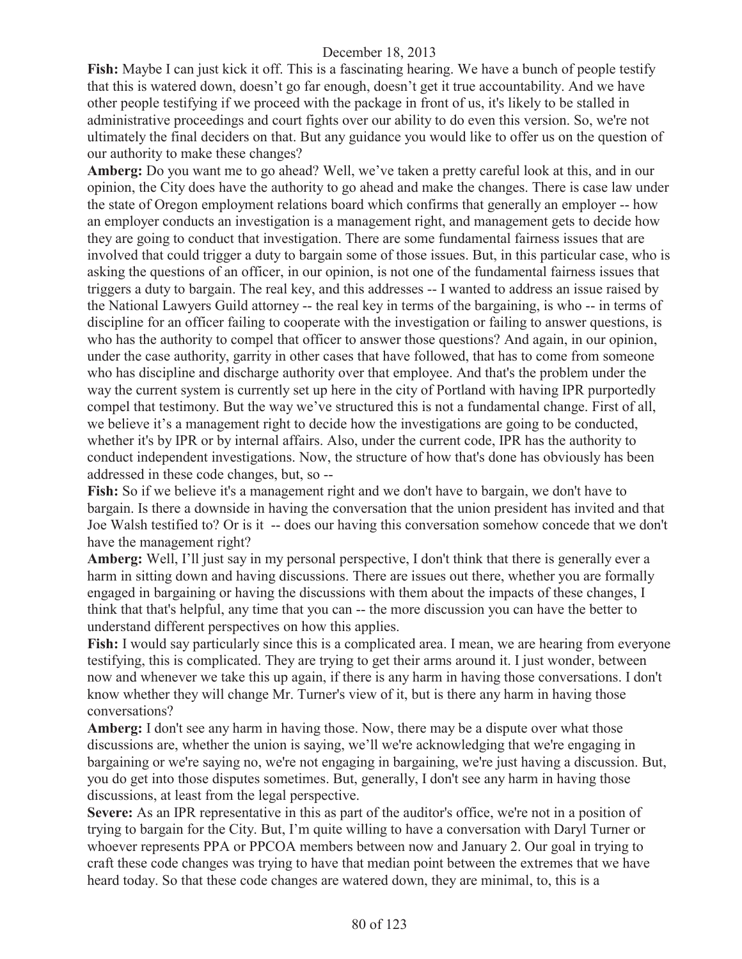**Fish:** Maybe I can just kick it off. This is a fascinating hearing. We have a bunch of people testify that this is watered down, doesn't go far enough, doesn't get it true accountability. And we have other people testifying if we proceed with the package in front of us, it's likely to be stalled in administrative proceedings and court fights over our ability to do even this version. So, we're not ultimately the final deciders on that. But any guidance you would like to offer us on the question of our authority to make these changes?

**Amberg:** Do you want me to go ahead? Well, we've taken a pretty careful look at this, and in our opinion, the City does have the authority to go ahead and make the changes. There is case law under the state of Oregon employment relations board which confirms that generally an employer -- how an employer conducts an investigation is a management right, and management gets to decide how they are going to conduct that investigation. There are some fundamental fairness issues that are involved that could trigger a duty to bargain some of those issues. But, in this particular case, who is asking the questions of an officer, in our opinion, is not one of the fundamental fairness issues that triggers a duty to bargain. The real key, and this addresses -- I wanted to address an issue raised by the National Lawyers Guild attorney -- the real key in terms of the bargaining, is who -- in terms of discipline for an officer failing to cooperate with the investigation or failing to answer questions, is who has the authority to compel that officer to answer those questions? And again, in our opinion, under the case authority, garrity in other cases that have followed, that has to come from someone who has discipline and discharge authority over that employee. And that's the problem under the way the current system is currently set up here in the city of Portland with having IPR purportedly compel that testimony. But the way we've structured this is not a fundamental change. First of all, we believe it's a management right to decide how the investigations are going to be conducted, whether it's by IPR or by internal affairs. Also, under the current code, IPR has the authority to conduct independent investigations. Now, the structure of how that's done has obviously has been addressed in these code changes, but, so --

**Fish:** So if we believe it's a management right and we don't have to bargain, we don't have to bargain. Is there a downside in having the conversation that the union president has invited and that Joe Walsh testified to? Or is it -- does our having this conversation somehow concede that we don't have the management right?

**Amberg:** Well, I'll just say in my personal perspective, I don't think that there is generally ever a harm in sitting down and having discussions. There are issues out there, whether you are formally engaged in bargaining or having the discussions with them about the impacts of these changes, I think that that's helpful, any time that you can -- the more discussion you can have the better to understand different perspectives on how this applies.

**Fish:** I would say particularly since this is a complicated area. I mean, we are hearing from everyone testifying, this is complicated. They are trying to get their arms around it. I just wonder, between now and whenever we take this up again, if there is any harm in having those conversations. I don't know whether they will change Mr. Turner's view of it, but is there any harm in having those conversations?

**Amberg:** I don't see any harm in having those. Now, there may be a dispute over what those discussions are, whether the union is saying, we'll we're acknowledging that we're engaging in bargaining or we're saying no, we're not engaging in bargaining, we're just having a discussion. But, you do get into those disputes sometimes. But, generally, I don't see any harm in having those discussions, at least from the legal perspective.

**Severe:** As an IPR representative in this as part of the auditor's office, we're not in a position of trying to bargain for the City. But, I'm quite willing to have a conversation with Daryl Turner or whoever represents PPA or PPCOA members between now and January 2. Our goal in trying to craft these code changes was trying to have that median point between the extremes that we have heard today. So that these code changes are watered down, they are minimal, to, this is a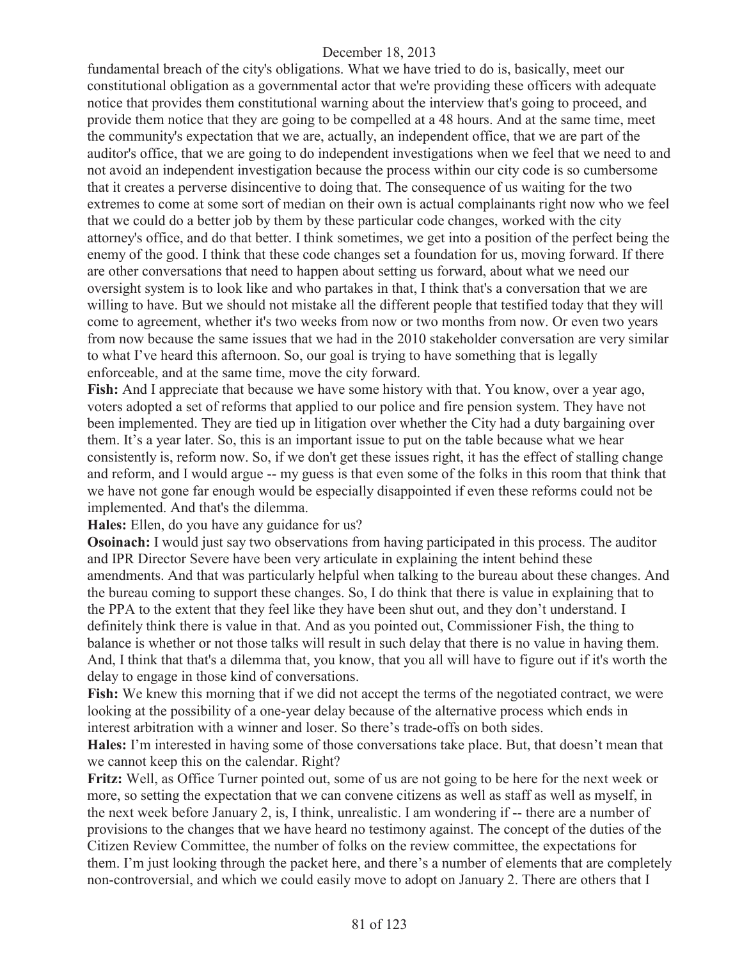fundamental breach of the city's obligations. What we have tried to do is, basically, meet our constitutional obligation as a governmental actor that we're providing these officers with adequate notice that provides them constitutional warning about the interview that's going to proceed, and provide them notice that they are going to be compelled at a 48 hours. And at the same time, meet the community's expectation that we are, actually, an independent office, that we are part of the auditor's office, that we are going to do independent investigations when we feel that we need to and not avoid an independent investigation because the process within our city code is so cumbersome that it creates a perverse disincentive to doing that. The consequence of us waiting for the two extremes to come at some sort of median on their own is actual complainants right now who we feel that we could do a better job by them by these particular code changes, worked with the city attorney's office, and do that better. I think sometimes, we get into a position of the perfect being the enemy of the good. I think that these code changes set a foundation for us, moving forward. If there are other conversations that need to happen about setting us forward, about what we need our oversight system is to look like and who partakes in that, I think that's a conversation that we are willing to have. But we should not mistake all the different people that testified today that they will come to agreement, whether it's two weeks from now or two months from now. Or even two years from now because the same issues that we had in the 2010 stakeholder conversation are very similar to what I've heard this afternoon. So, our goal is trying to have something that is legally enforceable, and at the same time, move the city forward.

**Fish:** And I appreciate that because we have some history with that. You know, over a year ago, voters adopted a set of reforms that applied to our police and fire pension system. They have not been implemented. They are tied up in litigation over whether the City had a duty bargaining over them. It's a year later. So, this is an important issue to put on the table because what we hear consistently is, reform now. So, if we don't get these issues right, it has the effect of stalling change and reform, and I would argue -- my guess is that even some of the folks in this room that think that we have not gone far enough would be especially disappointed if even these reforms could not be implemented. And that's the dilemma.

**Hales:** Ellen, do you have any guidance for us?

**Osoinach:** I would just say two observations from having participated in this process. The auditor and IPR Director Severe have been very articulate in explaining the intent behind these amendments. And that was particularly helpful when talking to the bureau about these changes. And the bureau coming to support these changes. So, I do think that there is value in explaining that to the PPA to the extent that they feel like they have been shut out, and they don't understand. I definitely think there is value in that. And as you pointed out, Commissioner Fish, the thing to balance is whether or not those talks will result in such delay that there is no value in having them. And, I think that that's a dilemma that, you know, that you all will have to figure out if it's worth the delay to engage in those kind of conversations.

**Fish:** We knew this morning that if we did not accept the terms of the negotiated contract, we were looking at the possibility of a one-year delay because of the alternative process which ends in interest arbitration with a winner and loser. So there's trade-offs on both sides.

**Hales:** I'm interested in having some of those conversations take place. But, that doesn't mean that we cannot keep this on the calendar. Right?

**Fritz:** Well, as Office Turner pointed out, some of us are not going to be here for the next week or more, so setting the expectation that we can convene citizens as well as staff as well as myself, in the next week before January 2, is, I think, unrealistic. I am wondering if -- there are a number of provisions to the changes that we have heard no testimony against. The concept of the duties of the Citizen Review Committee, the number of folks on the review committee, the expectations for them. I'm just looking through the packet here, and there's a number of elements that are completely non-controversial, and which we could easily move to adopt on January 2. There are others that I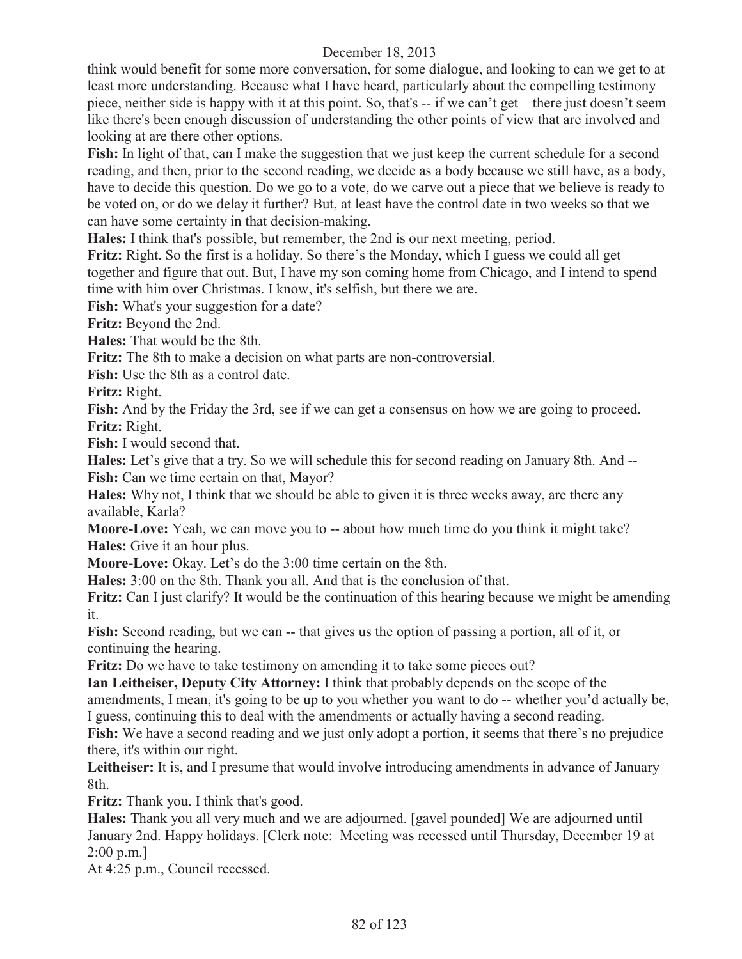think would benefit for some more conversation, for some dialogue, and looking to can we get to at least more understanding. Because what I have heard, particularly about the compelling testimony piece, neither side is happy with it at this point. So, that's -- if we can't get – there just doesn't seem like there's been enough discussion of understanding the other points of view that are involved and looking at are there other options.

**Fish:** In light of that, can I make the suggestion that we just keep the current schedule for a second reading, and then, prior to the second reading, we decide as a body because we still have, as a body, have to decide this question. Do we go to a vote, do we carve out a piece that we believe is ready to be voted on, or do we delay it further? But, at least have the control date in two weeks so that we can have some certainty in that decision-making.

**Hales:** I think that's possible, but remember, the 2nd is our next meeting, period.

**Fritz:** Right. So the first is a holiday. So there's the Monday, which I guess we could all get together and figure that out. But, I have my son coming home from Chicago, and I intend to spend time with him over Christmas. I know, it's selfish, but there we are.

**Fish:** What's your suggestion for a date?

**Fritz:** Beyond the 2nd.

**Hales:** That would be the 8th.

**Fritz:** The 8th to make a decision on what parts are non-controversial.

**Fish:** Use the 8th as a control date.

**Fritz:** Right.

Fish: And by the Friday the 3rd, see if we can get a consensus on how we are going to proceed. **Fritz:** Right.

**Fish:** I would second that.

**Hales:** Let's give that a try. So we will schedule this for second reading on January 8th. And -- **Fish:** Can we time certain on that, Mayor?

**Hales:** Why not, I think that we should be able to given it is three weeks away, are there any available, Karla?

**Moore-Love:** Yeah, we can move you to -- about how much time do you think it might take? **Hales:** Give it an hour plus.

**Moore-Love:** Okay. Let's do the 3:00 time certain on the 8th.

**Hales:** 3:00 on the 8th. Thank you all. And that is the conclusion of that.

**Fritz:** Can I just clarify? It would be the continuation of this hearing because we might be amending it.

**Fish:** Second reading, but we can -- that gives us the option of passing a portion, all of it, or continuing the hearing.

**Fritz:** Do we have to take testimony on amending it to take some pieces out?

**Ian Leitheiser, Deputy City Attorney:** I think that probably depends on the scope of the amendments, I mean, it's going to be up to you whether you want to do -- whether you'd actually be, I guess, continuing this to deal with the amendments or actually having a second reading.

Fish: We have a second reading and we just only adopt a portion, it seems that there's no prejudice there, it's within our right.

Leitheiser: It is, and I presume that would involve introducing amendments in advance of January 8th.

**Fritz:** Thank you. I think that's good.

**Hales:** Thank you all very much and we are adjourned. [gavel pounded] We are adjourned until January 2nd. Happy holidays. [Clerk note: Meeting was recessed until Thursday, December 19 at 2:00 p.m.]

At 4:25 p.m., Council recessed.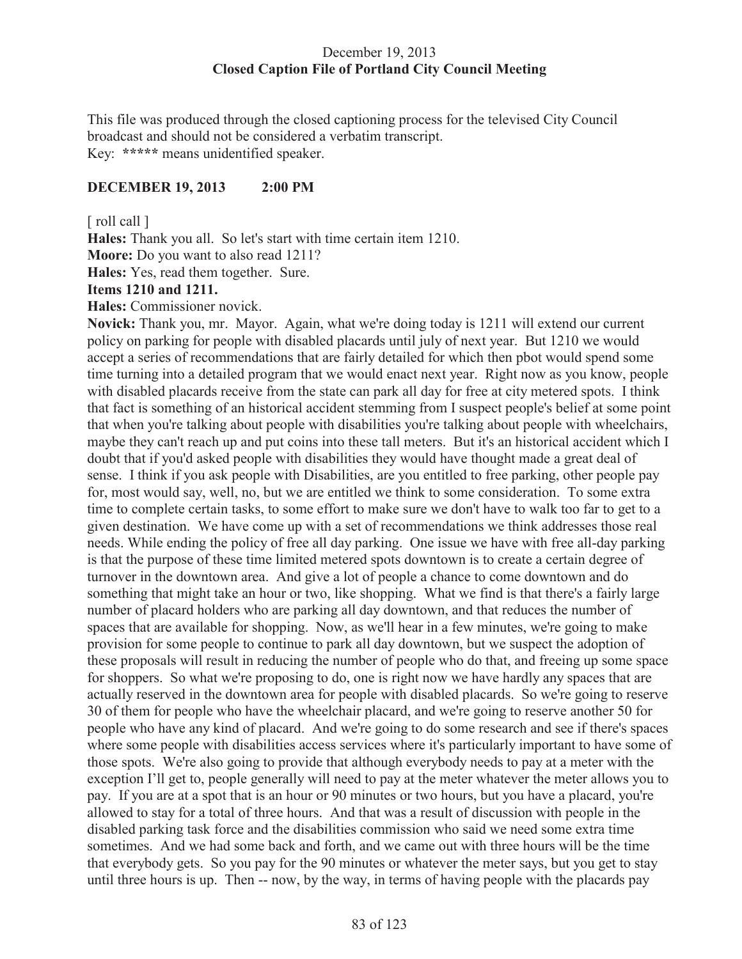## December 19, 2013 **Closed Caption File of Portland City Council Meeting**

This file was produced through the closed captioning process for the televised City Council broadcast and should not be considered a verbatim transcript. Key: **\*\*\*\*\*** means unidentified speaker.

## **DECEMBER 19, 2013 2:00 PM**

[ roll call ]

**Hales:** Thank you all. So let's start with time certain item 1210.

**Moore:** Do you want to also read 1211?

**Hales:** Yes, read them together. Sure.

# **Items 1210 and 1211.**

**Hales:** Commissioner novick.

**Novick:** Thank you, mr. Mayor. Again, what we're doing today is 1211 will extend our current policy on parking for people with disabled placards until july of next year. But 1210 we would accept a series of recommendations that are fairly detailed for which then pbot would spend some time turning into a detailed program that we would enact next year. Right now as you know, people with disabled placards receive from the state can park all day for free at city metered spots. I think that fact is something of an historical accident stemming from I suspect people's belief at some point that when you're talking about people with disabilities you're talking about people with wheelchairs, maybe they can't reach up and put coins into these tall meters. But it's an historical accident which I doubt that if you'd asked people with disabilities they would have thought made a great deal of sense. I think if you ask people with Disabilities, are you entitled to free parking, other people pay for, most would say, well, no, but we are entitled we think to some consideration. To some extra time to complete certain tasks, to some effort to make sure we don't have to walk too far to get to a given destination. We have come up with a set of recommendations we think addresses those real needs. While ending the policy of free all day parking. One issue we have with free all-day parking is that the purpose of these time limited metered spots downtown is to create a certain degree of turnover in the downtown area. And give a lot of people a chance to come downtown and do something that might take an hour or two, like shopping. What we find is that there's a fairly large number of placard holders who are parking all day downtown, and that reduces the number of spaces that are available for shopping. Now, as we'll hear in a few minutes, we're going to make provision for some people to continue to park all day downtown, but we suspect the adoption of these proposals will result in reducing the number of people who do that, and freeing up some space for shoppers. So what we're proposing to do, one is right now we have hardly any spaces that are actually reserved in the downtown area for people with disabled placards. So we're going to reserve 30 of them for people who have the wheelchair placard, and we're going to reserve another 50 for people who have any kind of placard. And we're going to do some research and see if there's spaces where some people with disabilities access services where it's particularly important to have some of those spots. We're also going to provide that although everybody needs to pay at a meter with the exception I'll get to, people generally will need to pay at the meter whatever the meter allows you to pay. If you are at a spot that is an hour or 90 minutes or two hours, but you have a placard, you're allowed to stay for a total of three hours. And that was a result of discussion with people in the disabled parking task force and the disabilities commission who said we need some extra time sometimes. And we had some back and forth, and we came out with three hours will be the time that everybody gets. So you pay for the 90 minutes or whatever the meter says, but you get to stay until three hours is up. Then -- now, by the way, in terms of having people with the placards pay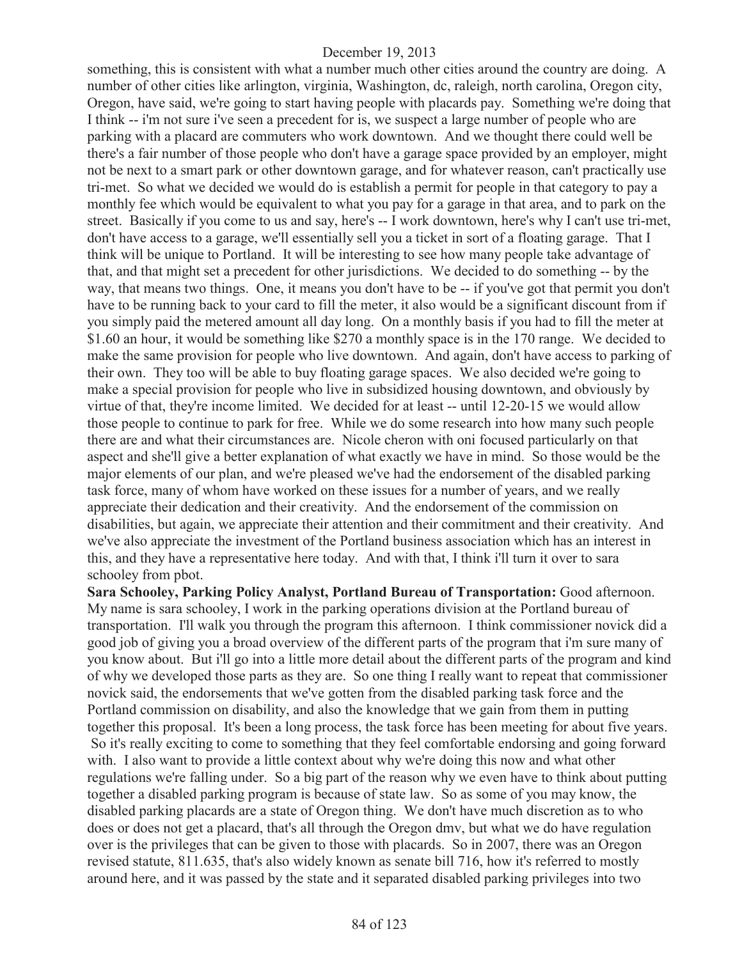something, this is consistent with what a number much other cities around the country are doing. A number of other cities like arlington, virginia, Washington, dc, raleigh, north carolina, Oregon city, Oregon, have said, we're going to start having people with placards pay. Something we're doing that I think -- i'm not sure i've seen a precedent for is, we suspect a large number of people who are parking with a placard are commuters who work downtown. And we thought there could well be there's a fair number of those people who don't have a garage space provided by an employer, might not be next to a smart park or other downtown garage, and for whatever reason, can't practically use tri-met. So what we decided we would do is establish a permit for people in that category to pay a monthly fee which would be equivalent to what you pay for a garage in that area, and to park on the street. Basically if you come to us and say, here's -- I work downtown, here's why I can't use tri-met, don't have access to a garage, we'll essentially sell you a ticket in sort of a floating garage. That I think will be unique to Portland. It will be interesting to see how many people take advantage of that, and that might set a precedent for other jurisdictions. We decided to do something -- by the way, that means two things. One, it means you don't have to be -- if you've got that permit you don't have to be running back to your card to fill the meter, it also would be a significant discount from if you simply paid the metered amount all day long. On a monthly basis if you had to fill the meter at \$1.60 an hour, it would be something like \$270 a monthly space is in the 170 range. We decided to make the same provision for people who live downtown. And again, don't have access to parking of their own. They too will be able to buy floating garage spaces. We also decided we're going to make a special provision for people who live in subsidized housing downtown, and obviously by virtue of that, they're income limited. We decided for at least -- until 12-20-15 we would allow those people to continue to park for free. While we do some research into how many such people there are and what their circumstances are. Nicole cheron with oni focused particularly on that aspect and she'll give a better explanation of what exactly we have in mind. So those would be the major elements of our plan, and we're pleased we've had the endorsement of the disabled parking task force, many of whom have worked on these issues for a number of years, and we really appreciate their dedication and their creativity. And the endorsement of the commission on disabilities, but again, we appreciate their attention and their commitment and their creativity. And we've also appreciate the investment of the Portland business association which has an interest in this, and they have a representative here today. And with that, I think i'll turn it over to sara schooley from pbot.

**Sara Schooley, Parking Policy Analyst, Portland Bureau of Transportation:** Good afternoon. My name is sara schooley, I work in the parking operations division at the Portland bureau of transportation. I'll walk you through the program this afternoon. I think commissioner novick did a good job of giving you a broad overview of the different parts of the program that i'm sure many of you know about. But i'll go into a little more detail about the different parts of the program and kind of why we developed those parts as they are. So one thing I really want to repeat that commissioner novick said, the endorsements that we've gotten from the disabled parking task force and the Portland commission on disability, and also the knowledge that we gain from them in putting together this proposal. It's been a long process, the task force has been meeting for about five years. So it's really exciting to come to something that they feel comfortable endorsing and going forward with. I also want to provide a little context about why we're doing this now and what other regulations we're falling under. So a big part of the reason why we even have to think about putting together a disabled parking program is because of state law. So as some of you may know, the disabled parking placards are a state of Oregon thing. We don't have much discretion as to who does or does not get a placard, that's all through the Oregon dmv, but what we do have regulation over is the privileges that can be given to those with placards. So in 2007, there was an Oregon revised statute, 811.635, that's also widely known as senate bill 716, how it's referred to mostly around here, and it was passed by the state and it separated disabled parking privileges into two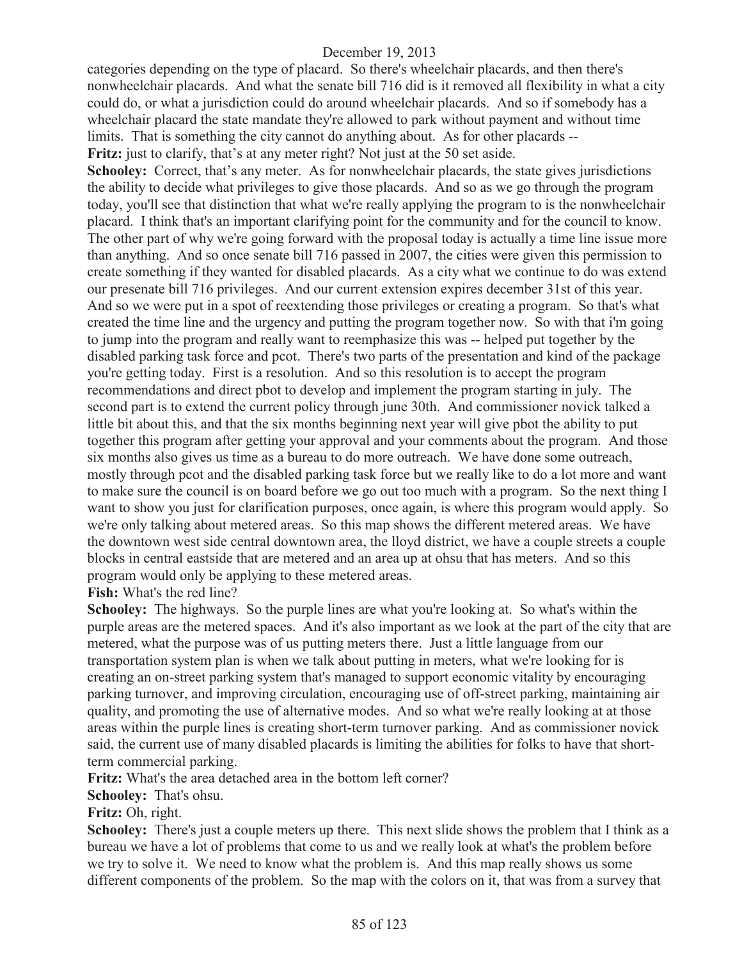categories depending on the type of placard. So there's wheelchair placards, and then there's nonwheelchair placards. And what the senate bill 716 did is it removed all flexibility in what a city could do, or what a jurisdiction could do around wheelchair placards. And so if somebody has a wheelchair placard the state mandate they're allowed to park without payment and without time limits. That is something the city cannot do anything about. As for other placards -- **Fritz:** just to clarify, that's at any meter right? Not just at the 50 set aside.

**Schooley:** Correct, that's any meter. As for nonwheelchair placards, the state gives jurisdictions the ability to decide what privileges to give those placards. And so as we go through the program today, you'll see that distinction that what we're really applying the program to is the nonwheelchair placard. I think that's an important clarifying point for the community and for the council to know. The other part of why we're going forward with the proposal today is actually a time line issue more than anything. And so once senate bill 716 passed in 2007, the cities were given this permission to create something if they wanted for disabled placards. As a city what we continue to do was extend our presenate bill 716 privileges. And our current extension expires december 31st of this year. And so we were put in a spot of reextending those privileges or creating a program. So that's what created the time line and the urgency and putting the program together now. So with that i'm going to jump into the program and really want to reemphasize this was -- helped put together by the disabled parking task force and pcot. There's two parts of the presentation and kind of the package you're getting today. First is a resolution. And so this resolution is to accept the program recommendations and direct pbot to develop and implement the program starting in july. The second part is to extend the current policy through june 30th. And commissioner novick talked a little bit about this, and that the six months beginning next year will give pbot the ability to put together this program after getting your approval and your comments about the program. And those six months also gives us time as a bureau to do more outreach. We have done some outreach, mostly through pcot and the disabled parking task force but we really like to do a lot more and want to make sure the council is on board before we go out too much with a program. So the next thing I want to show you just for clarification purposes, once again, is where this program would apply. So we're only talking about metered areas. So this map shows the different metered areas. We have the downtown west side central downtown area, the lloyd district, we have a couple streets a couple blocks in central eastside that are metered and an area up at ohsu that has meters. And so this program would only be applying to these metered areas.

**Fish:** What's the red line?

**Schooley:** The highways. So the purple lines are what you're looking at. So what's within the purple areas are the metered spaces. And it's also important as we look at the part of the city that are metered, what the purpose was of us putting meters there. Just a little language from our transportation system plan is when we talk about putting in meters, what we're looking for is creating an on-street parking system that's managed to support economic vitality by encouraging parking turnover, and improving circulation, encouraging use of off-street parking, maintaining air quality, and promoting the use of alternative modes. And so what we're really looking at at those areas within the purple lines is creating short-term turnover parking. And as commissioner novick said, the current use of many disabled placards is limiting the abilities for folks to have that shortterm commercial parking.

**Fritz:** What's the area detached area in the bottom left corner?

**Schooley:** That's ohsu.

**Fritz:** Oh, right.

**Schooley:** There's just a couple meters up there. This next slide shows the problem that I think as a bureau we have a lot of problems that come to us and we really look at what's the problem before we try to solve it. We need to know what the problem is. And this map really shows us some different components of the problem. So the map with the colors on it, that was from a survey that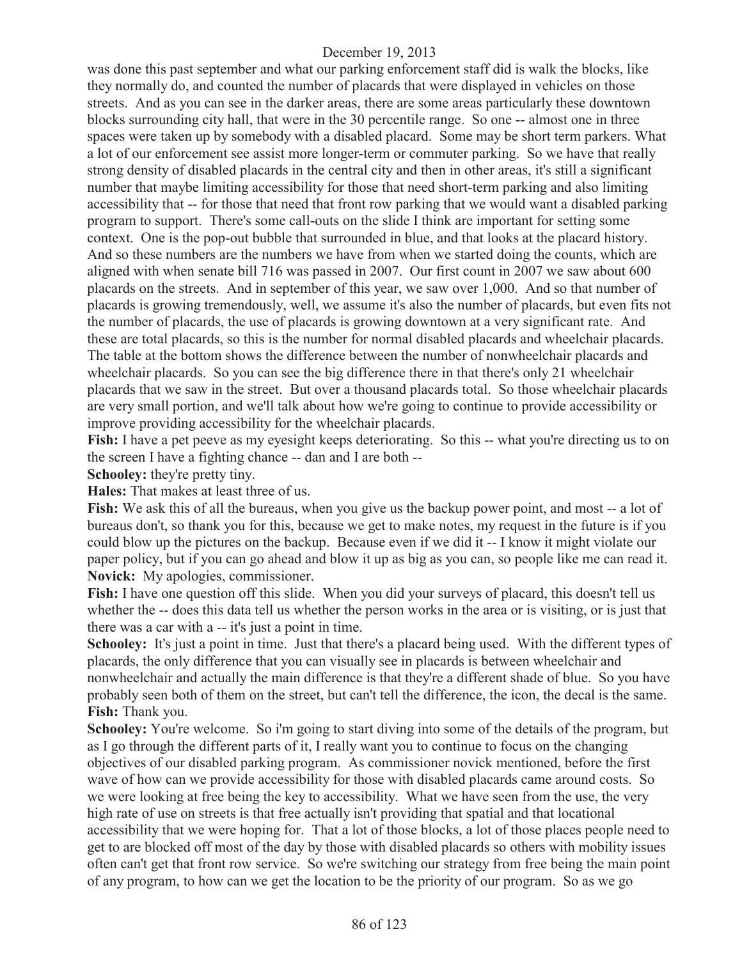was done this past september and what our parking enforcement staff did is walk the blocks, like they normally do, and counted the number of placards that were displayed in vehicles on those streets. And as you can see in the darker areas, there are some areas particularly these downtown blocks surrounding city hall, that were in the 30 percentile range. So one -- almost one in three spaces were taken up by somebody with a disabled placard. Some may be short term parkers. What a lot of our enforcement see assist more longer-term or commuter parking. So we have that really strong density of disabled placards in the central city and then in other areas, it's still a significant number that maybe limiting accessibility for those that need short-term parking and also limiting accessibility that -- for those that need that front row parking that we would want a disabled parking program to support. There's some call-outs on the slide I think are important for setting some context. One is the pop-out bubble that surrounded in blue, and that looks at the placard history. And so these numbers are the numbers we have from when we started doing the counts, which are aligned with when senate bill 716 was passed in 2007. Our first count in 2007 we saw about 600 placards on the streets. And in september of this year, we saw over 1,000. And so that number of placards is growing tremendously, well, we assume it's also the number of placards, but even fits not the number of placards, the use of placards is growing downtown at a very significant rate. And these are total placards, so this is the number for normal disabled placards and wheelchair placards. The table at the bottom shows the difference between the number of nonwheelchair placards and wheelchair placards. So you can see the big difference there in that there's only 21 wheelchair placards that we saw in the street. But over a thousand placards total. So those wheelchair placards are very small portion, and we'll talk about how we're going to continue to provide accessibility or improve providing accessibility for the wheelchair placards.

**Fish:** I have a pet peeve as my eyesight keeps deteriorating. So this -- what you're directing us to on the screen I have a fighting chance -- dan and I are both --

**Schooley:** they're pretty tiny.

**Hales:** That makes at least three of us.

Fish: We ask this of all the bureaus, when you give us the backup power point, and most -- a lot of bureaus don't, so thank you for this, because we get to make notes, my request in the future is if you could blow up the pictures on the backup. Because even if we did it -- I know it might violate our paper policy, but if you can go ahead and blow it up as big as you can, so people like me can read it. **Novick:** My apologies, commissioner.

**Fish:** I have one question off this slide. When you did your surveys of placard, this doesn't tell us whether the -- does this data tell us whether the person works in the area or is visiting, or is just that there was a car with a -- it's just a point in time.

**Schooley:** It's just a point in time. Just that there's a placard being used. With the different types of placards, the only difference that you can visually see in placards is between wheelchair and nonwheelchair and actually the main difference is that they're a different shade of blue. So you have probably seen both of them on the street, but can't tell the difference, the icon, the decal is the same. **Fish:** Thank you.

**Schooley:** You're welcome. So i'm going to start diving into some of the details of the program, but as I go through the different parts of it, I really want you to continue to focus on the changing objectives of our disabled parking program. As commissioner novick mentioned, before the first wave of how can we provide accessibility for those with disabled placards came around costs. So we were looking at free being the key to accessibility. What we have seen from the use, the very high rate of use on streets is that free actually isn't providing that spatial and that locational accessibility that we were hoping for. That a lot of those blocks, a lot of those places people need to get to are blocked off most of the day by those with disabled placards so others with mobility issues often can't get that front row service. So we're switching our strategy from free being the main point of any program, to how can we get the location to be the priority of our program. So as we go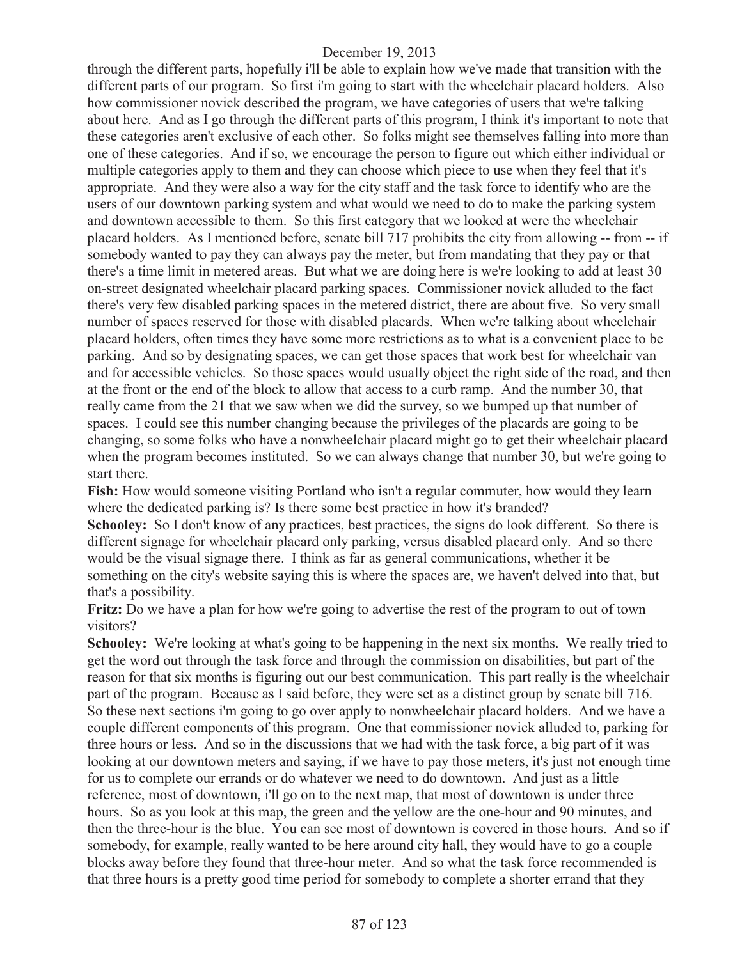through the different parts, hopefully i'll be able to explain how we've made that transition with the different parts of our program. So first i'm going to start with the wheelchair placard holders. Also how commissioner novick described the program, we have categories of users that we're talking about here. And as I go through the different parts of this program, I think it's important to note that these categories aren't exclusive of each other. So folks might see themselves falling into more than one of these categories. And if so, we encourage the person to figure out which either individual or multiple categories apply to them and they can choose which piece to use when they feel that it's appropriate. And they were also a way for the city staff and the task force to identify who are the users of our downtown parking system and what would we need to do to make the parking system and downtown accessible to them. So this first category that we looked at were the wheelchair placard holders. As I mentioned before, senate bill 717 prohibits the city from allowing -- from -- if somebody wanted to pay they can always pay the meter, but from mandating that they pay or that there's a time limit in metered areas. But what we are doing here is we're looking to add at least 30 on-street designated wheelchair placard parking spaces. Commissioner novick alluded to the fact there's very few disabled parking spaces in the metered district, there are about five. So very small number of spaces reserved for those with disabled placards. When we're talking about wheelchair placard holders, often times they have some more restrictions as to what is a convenient place to be parking. And so by designating spaces, we can get those spaces that work best for wheelchair van and for accessible vehicles. So those spaces would usually object the right side of the road, and then at the front or the end of the block to allow that access to a curb ramp. And the number 30, that really came from the 21 that we saw when we did the survey, so we bumped up that number of spaces. I could see this number changing because the privileges of the placards are going to be changing, so some folks who have a nonwheelchair placard might go to get their wheelchair placard when the program becomes instituted. So we can always change that number 30, but we're going to start there.

**Fish:** How would someone visiting Portland who isn't a regular commuter, how would they learn where the dedicated parking is? Is there some best practice in how it's branded?

**Schooley:** So I don't know of any practices, best practices, the signs do look different. So there is different signage for wheelchair placard only parking, versus disabled placard only. And so there would be the visual signage there. I think as far as general communications, whether it be something on the city's website saying this is where the spaces are, we haven't delved into that, but that's a possibility.

**Fritz:** Do we have a plan for how we're going to advertise the rest of the program to out of town visitors?

**Schooley:** We're looking at what's going to be happening in the next six months. We really tried to get the word out through the task force and through the commission on disabilities, but part of the reason for that six months is figuring out our best communication. This part really is the wheelchair part of the program. Because as I said before, they were set as a distinct group by senate bill 716. So these next sections i'm going to go over apply to nonwheelchair placard holders. And we have a couple different components of this program. One that commissioner novick alluded to, parking for three hours or less. And so in the discussions that we had with the task force, a big part of it was looking at our downtown meters and saying, if we have to pay those meters, it's just not enough time for us to complete our errands or do whatever we need to do downtown. And just as a little reference, most of downtown, i'll go on to the next map, that most of downtown is under three hours. So as you look at this map, the green and the yellow are the one-hour and 90 minutes, and then the three-hour is the blue. You can see most of downtown is covered in those hours. And so if somebody, for example, really wanted to be here around city hall, they would have to go a couple blocks away before they found that three-hour meter. And so what the task force recommended is that three hours is a pretty good time period for somebody to complete a shorter errand that they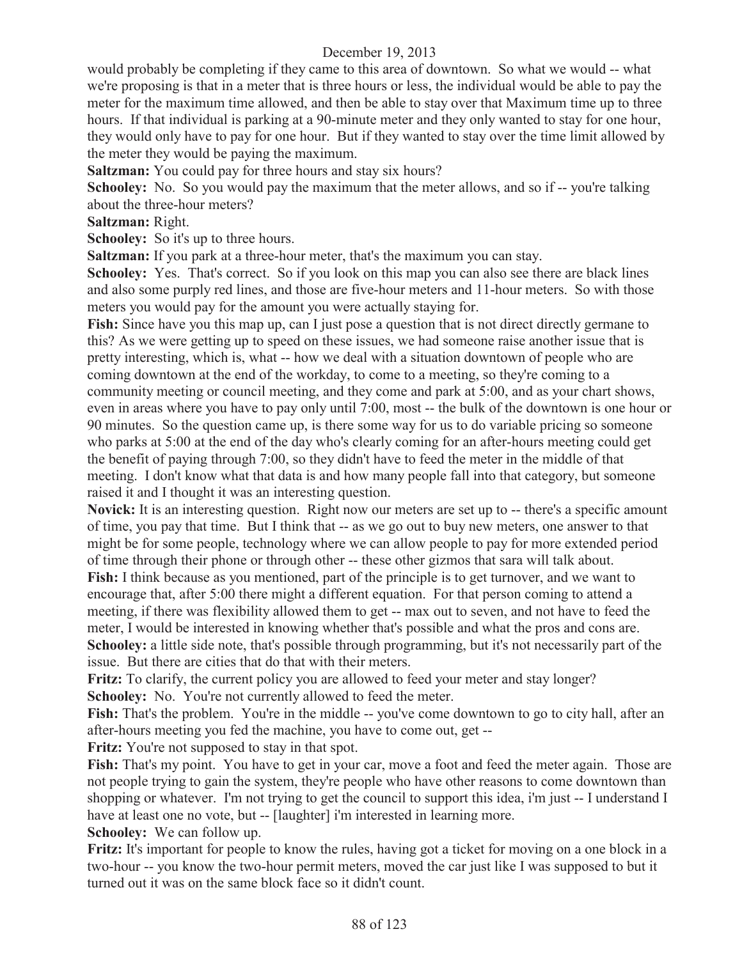would probably be completing if they came to this area of downtown. So what we would -- what we're proposing is that in a meter that is three hours or less, the individual would be able to pay the meter for the maximum time allowed, and then be able to stay over that Maximum time up to three hours. If that individual is parking at a 90-minute meter and they only wanted to stay for one hour, they would only have to pay for one hour. But if they wanted to stay over the time limit allowed by the meter they would be paying the maximum.

**Saltzman:** You could pay for three hours and stay six hours?

**Schooley:** No. So you would pay the maximum that the meter allows, and so if -- you're talking about the three-hour meters?

**Saltzman:** Right.

**Schooley:** So it's up to three hours.

**Saltzman:** If you park at a three-hour meter, that's the maximum you can stay.

**Schooley:** Yes. That's correct. So if you look on this map you can also see there are black lines and also some purply red lines, and those are five-hour meters and 11-hour meters. So with those meters you would pay for the amount you were actually staying for.

**Fish:** Since have you this map up, can I just pose a question that is not direct directly germane to this? As we were getting up to speed on these issues, we had someone raise another issue that is pretty interesting, which is, what -- how we deal with a situation downtown of people who are coming downtown at the end of the workday, to come to a meeting, so they're coming to a community meeting or council meeting, and they come and park at 5:00, and as your chart shows, even in areas where you have to pay only until 7:00, most -- the bulk of the downtown is one hour or 90 minutes. So the question came up, is there some way for us to do variable pricing so someone who parks at 5:00 at the end of the day who's clearly coming for an after-hours meeting could get the benefit of paying through 7:00, so they didn't have to feed the meter in the middle of that meeting. I don't know what that data is and how many people fall into that category, but someone raised it and I thought it was an interesting question.

**Novick:** It is an interesting question. Right now our meters are set up to -- there's a specific amount of time, you pay that time. But I think that -- as we go out to buy new meters, one answer to that might be for some people, technology where we can allow people to pay for more extended period of time through their phone or through other -- these other gizmos that sara will talk about.

**Fish:** I think because as you mentioned, part of the principle is to get turnover, and we want to encourage that, after 5:00 there might a different equation. For that person coming to attend a meeting, if there was flexibility allowed them to get -- max out to seven, and not have to feed the meter, I would be interested in knowing whether that's possible and what the pros and cons are. **Schooley:** a little side note, that's possible through programming, but it's not necessarily part of the issue. But there are cities that do that with their meters.

**Fritz:** To clarify, the current policy you are allowed to feed your meter and stay longer? **Schooley:** No. You're not currently allowed to feed the meter.

**Fish:** That's the problem. You're in the middle -- you've come downtown to go to city hall, after an after-hours meeting you fed the machine, you have to come out, get --

**Fritz:** You're not supposed to stay in that spot.

Fish: That's my point. You have to get in your car, move a foot and feed the meter again. Those are not people trying to gain the system, they're people who have other reasons to come downtown than shopping or whatever. I'm not trying to get the council to support this idea, i'm just -- I understand I have at least one no vote, but -- [laughter] i'm interested in learning more.

**Schooley:** We can follow up.

**Fritz:** It's important for people to know the rules, having got a ticket for moving on a one block in a two-hour -- you know the two-hour permit meters, moved the car just like I was supposed to but it turned out it was on the same block face so it didn't count.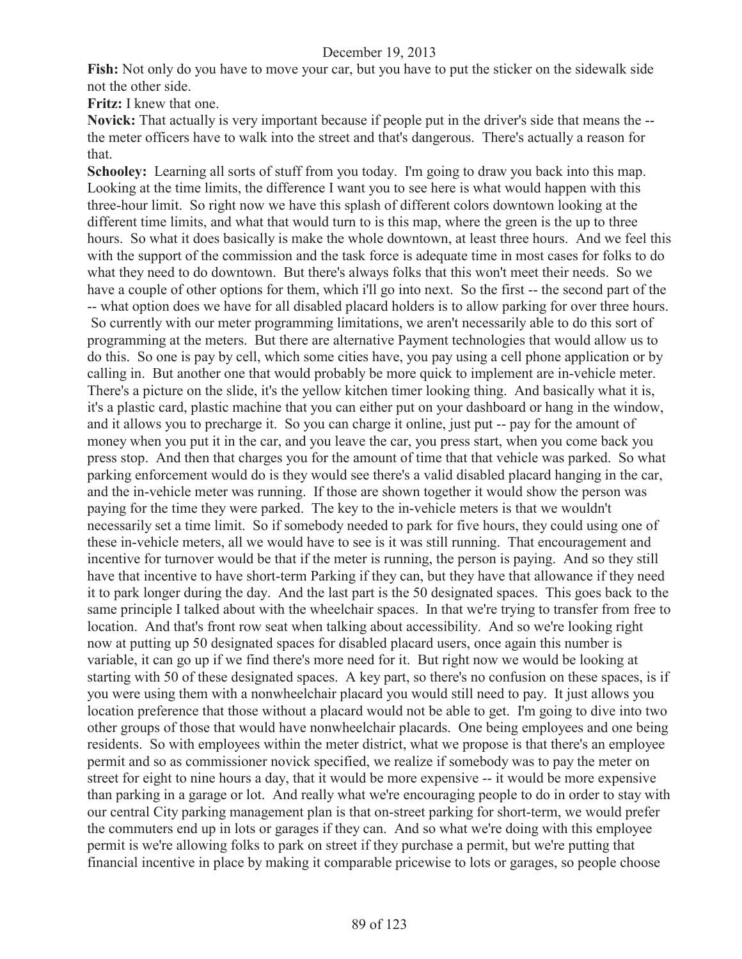**Fish:** Not only do you have to move your car, but you have to put the sticker on the sidewalk side not the other side.

**Fritz:** I knew that one.

**Novick:** That actually is very important because if people put in the driver's side that means the - the meter officers have to walk into the street and that's dangerous. There's actually a reason for that.

**Schooley:** Learning all sorts of stuff from you today. I'm going to draw you back into this map. Looking at the time limits, the difference I want you to see here is what would happen with this three-hour limit. So right now we have this splash of different colors downtown looking at the different time limits, and what that would turn to is this map, where the green is the up to three hours. So what it does basically is make the whole downtown, at least three hours. And we feel this with the support of the commission and the task force is adequate time in most cases for folks to do what they need to do downtown. But there's always folks that this won't meet their needs. So we have a couple of other options for them, which i'll go into next. So the first -- the second part of the -- what option does we have for all disabled placard holders is to allow parking for over three hours. So currently with our meter programming limitations, we aren't necessarily able to do this sort of programming at the meters. But there are alternative Payment technologies that would allow us to do this. So one is pay by cell, which some cities have, you pay using a cell phone application or by calling in. But another one that would probably be more quick to implement are in-vehicle meter. There's a picture on the slide, it's the yellow kitchen timer looking thing. And basically what it is, it's a plastic card, plastic machine that you can either put on your dashboard or hang in the window, and it allows you to precharge it. So you can charge it online, just put -- pay for the amount of money when you put it in the car, and you leave the car, you press start, when you come back you press stop. And then that charges you for the amount of time that that vehicle was parked. So what parking enforcement would do is they would see there's a valid disabled placard hanging in the car, and the in-vehicle meter was running. If those are shown together it would show the person was paying for the time they were parked. The key to the in-vehicle meters is that we wouldn't necessarily set a time limit. So if somebody needed to park for five hours, they could using one of these in-vehicle meters, all we would have to see is it was still running. That encouragement and incentive for turnover would be that if the meter is running, the person is paying. And so they still have that incentive to have short-term Parking if they can, but they have that allowance if they need it to park longer during the day. And the last part is the 50 designated spaces. This goes back to the same principle I talked about with the wheelchair spaces. In that we're trying to transfer from free to location. And that's front row seat when talking about accessibility. And so we're looking right now at putting up 50 designated spaces for disabled placard users, once again this number is variable, it can go up if we find there's more need for it. But right now we would be looking at starting with 50 of these designated spaces. A key part, so there's no confusion on these spaces, is if you were using them with a nonwheelchair placard you would still need to pay. It just allows you location preference that those without a placard would not be able to get. I'm going to dive into two other groups of those that would have nonwheelchair placards. One being employees and one being residents. So with employees within the meter district, what we propose is that there's an employee permit and so as commissioner novick specified, we realize if somebody was to pay the meter on street for eight to nine hours a day, that it would be more expensive -- it would be more expensive than parking in a garage or lot. And really what we're encouraging people to do in order to stay with our central City parking management plan is that on-street parking for short-term, we would prefer the commuters end up in lots or garages if they can. And so what we're doing with this employee permit is we're allowing folks to park on street if they purchase a permit, but we're putting that financial incentive in place by making it comparable pricewise to lots or garages, so people choose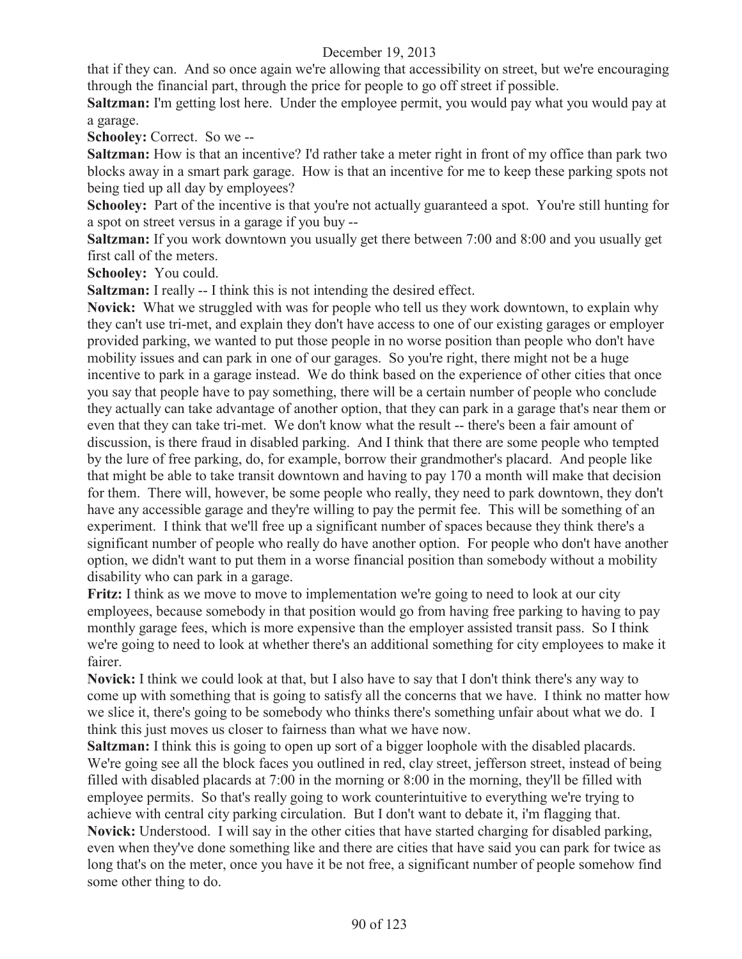that if they can. And so once again we're allowing that accessibility on street, but we're encouraging through the financial part, through the price for people to go off street if possible.

**Saltzman:** I'm getting lost here. Under the employee permit, you would pay what you would pay at a garage.

**Schooley:** Correct. So we --

**Saltzman:** How is that an incentive? I'd rather take a meter right in front of my office than park two blocks away in a smart park garage. How is that an incentive for me to keep these parking spots not being tied up all day by employees?

Schooley: Part of the incentive is that you're not actually guaranteed a spot. You're still hunting for a spot on street versus in a garage if you buy --

**Saltzman:** If you work downtown you usually get there between 7:00 and 8:00 and you usually get first call of the meters.

**Schooley:** You could.

**Saltzman:** I really -- I think this is not intending the desired effect.

**Novick:** What we struggled with was for people who tell us they work downtown, to explain why they can't use tri-met, and explain they don't have access to one of our existing garages or employer provided parking, we wanted to put those people in no worse position than people who don't have mobility issues and can park in one of our garages. So you're right, there might not be a huge incentive to park in a garage instead. We do think based on the experience of other cities that once you say that people have to pay something, there will be a certain number of people who conclude they actually can take advantage of another option, that they can park in a garage that's near them or even that they can take tri-met. We don't know what the result -- there's been a fair amount of discussion, is there fraud in disabled parking. And I think that there are some people who tempted by the lure of free parking, do, for example, borrow their grandmother's placard. And people like that might be able to take transit downtown and having to pay 170 a month will make that decision for them. There will, however, be some people who really, they need to park downtown, they don't have any accessible garage and they're willing to pay the permit fee. This will be something of an experiment. I think that we'll free up a significant number of spaces because they think there's a significant number of people who really do have another option. For people who don't have another option, we didn't want to put them in a worse financial position than somebody without a mobility disability who can park in a garage.

**Fritz:** I think as we move to move to implementation we're going to need to look at our city employees, because somebody in that position would go from having free parking to having to pay monthly garage fees, which is more expensive than the employer assisted transit pass. So I think we're going to need to look at whether there's an additional something for city employees to make it fairer.

**Novick:** I think we could look at that, but I also have to say that I don't think there's any way to come up with something that is going to satisfy all the concerns that we have. I think no matter how we slice it, there's going to be somebody who thinks there's something unfair about what we do. I think this just moves us closer to fairness than what we have now.

**Saltzman:** I think this is going to open up sort of a bigger loophole with the disabled placards. We're going see all the block faces you outlined in red, clay street, jefferson street, instead of being filled with disabled placards at 7:00 in the morning or 8:00 in the morning, they'll be filled with employee permits. So that's really going to work counterintuitive to everything we're trying to achieve with central city parking circulation. But I don't want to debate it, i'm flagging that. **Novick:** Understood. I will say in the other cities that have started charging for disabled parking, even when they've done something like and there are cities that have said you can park for twice as long that's on the meter, once you have it be not free, a significant number of people somehow find some other thing to do.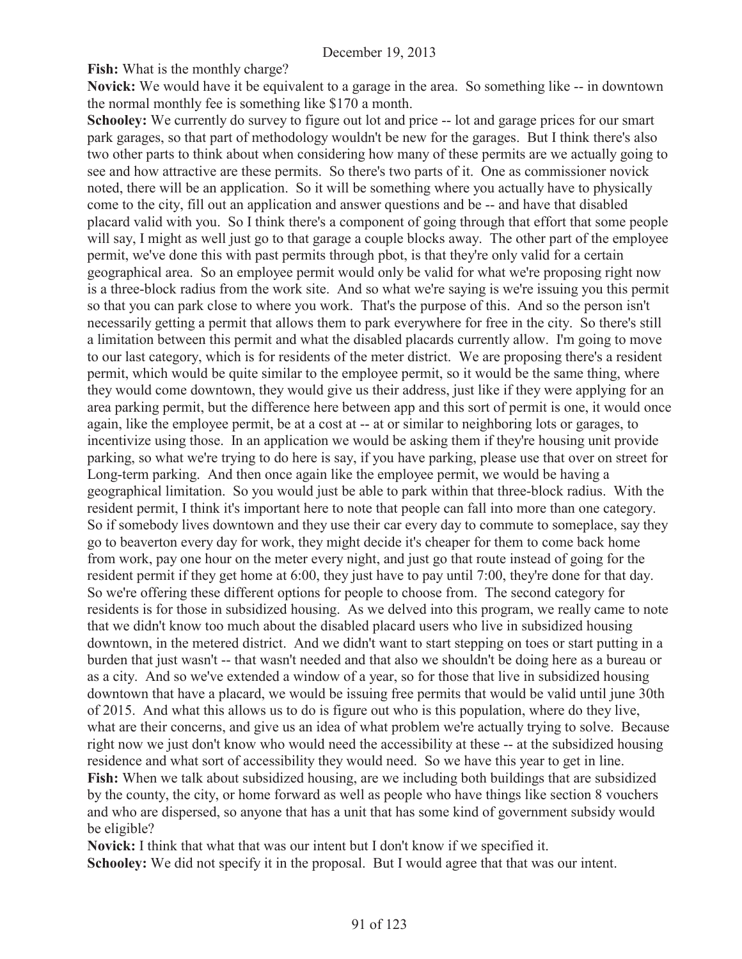**Fish:** What is the monthly charge?

**Novick:** We would have it be equivalent to a garage in the area. So something like -- in downtown the normal monthly fee is something like \$170 a month.

**Schooley:** We currently do survey to figure out lot and price -- lot and garage prices for our smart park garages, so that part of methodology wouldn't be new for the garages. But I think there's also two other parts to think about when considering how many of these permits are we actually going to see and how attractive are these permits. So there's two parts of it. One as commissioner novick noted, there will be an application. So it will be something where you actually have to physically come to the city, fill out an application and answer questions and be -- and have that disabled placard valid with you. So I think there's a component of going through that effort that some people will say, I might as well just go to that garage a couple blocks away. The other part of the employee permit, we've done this with past permits through pbot, is that they're only valid for a certain geographical area. So an employee permit would only be valid for what we're proposing right now is a three-block radius from the work site. And so what we're saying is we're issuing you this permit so that you can park close to where you work. That's the purpose of this. And so the person isn't necessarily getting a permit that allows them to park everywhere for free in the city. So there's still a limitation between this permit and what the disabled placards currently allow. I'm going to move to our last category, which is for residents of the meter district. We are proposing there's a resident permit, which would be quite similar to the employee permit, so it would be the same thing, where they would come downtown, they would give us their address, just like if they were applying for an area parking permit, but the difference here between app and this sort of permit is one, it would once again, like the employee permit, be at a cost at -- at or similar to neighboring lots or garages, to incentivize using those. In an application we would be asking them if they're housing unit provide parking, so what we're trying to do here is say, if you have parking, please use that over on street for Long-term parking. And then once again like the employee permit, we would be having a geographical limitation. So you would just be able to park within that three-block radius. With the resident permit, I think it's important here to note that people can fall into more than one category. So if somebody lives downtown and they use their car every day to commute to someplace, say they go to beaverton every day for work, they might decide it's cheaper for them to come back home from work, pay one hour on the meter every night, and just go that route instead of going for the resident permit if they get home at 6:00, they just have to pay until 7:00, they're done for that day. So we're offering these different options for people to choose from. The second category for residents is for those in subsidized housing. As we delved into this program, we really came to note that we didn't know too much about the disabled placard users who live in subsidized housing downtown, in the metered district. And we didn't want to start stepping on toes or start putting in a burden that just wasn't -- that wasn't needed and that also we shouldn't be doing here as a bureau or as a city. And so we've extended a window of a year, so for those that live in subsidized housing downtown that have a placard, we would be issuing free permits that would be valid until june 30th of 2015. And what this allows us to do is figure out who is this population, where do they live, what are their concerns, and give us an idea of what problem we're actually trying to solve. Because right now we just don't know who would need the accessibility at these -- at the subsidized housing residence and what sort of accessibility they would need. So we have this year to get in line. **Fish:** When we talk about subsidized housing, are we including both buildings that are subsidized by the county, the city, or home forward as well as people who have things like section 8 vouchers and who are dispersed, so anyone that has a unit that has some kind of government subsidy would be eligible?

**Novick:** I think that what that was our intent but I don't know if we specified it. **Schooley:** We did not specify it in the proposal. But I would agree that that was our intent.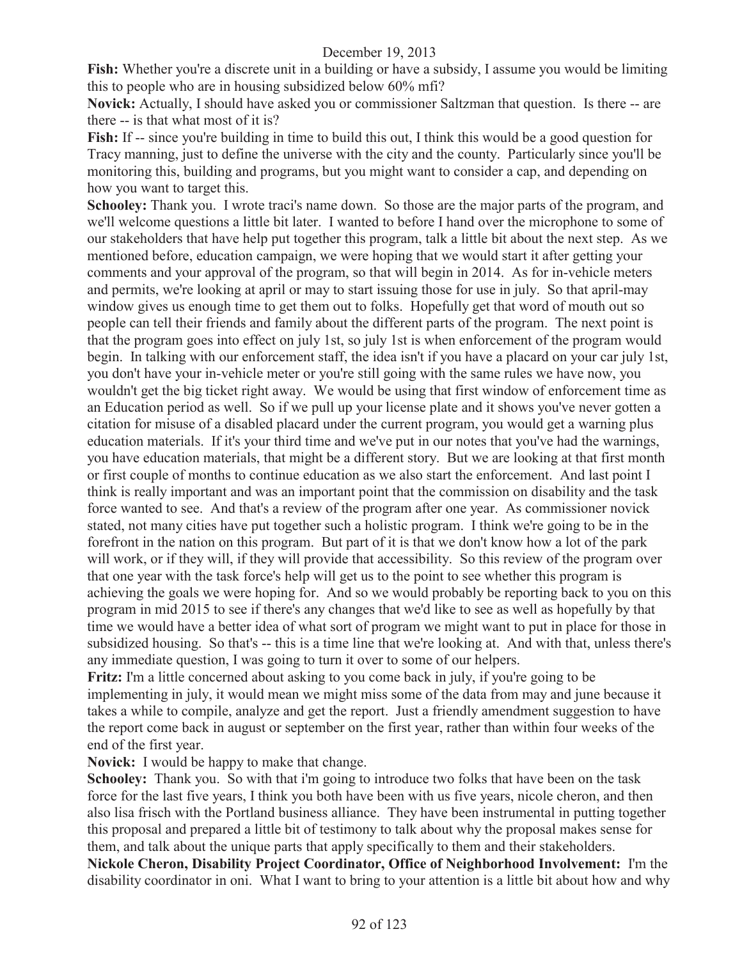**Fish:** Whether you're a discrete unit in a building or have a subsidy, I assume you would be limiting this to people who are in housing subsidized below 60% mfi?

**Novick:** Actually, I should have asked you or commissioner Saltzman that question. Is there -- are there -- is that what most of it is?

**Fish:** If -- since you're building in time to build this out, I think this would be a good question for Tracy manning, just to define the universe with the city and the county. Particularly since you'll be monitoring this, building and programs, but you might want to consider a cap, and depending on how you want to target this.

**Schooley:** Thank you. I wrote traci's name down. So those are the major parts of the program, and we'll welcome questions a little bit later. I wanted to before I hand over the microphone to some of our stakeholders that have help put together this program, talk a little bit about the next step. As we mentioned before, education campaign, we were hoping that we would start it after getting your comments and your approval of the program, so that will begin in 2014. As for in-vehicle meters and permits, we're looking at april or may to start issuing those for use in july. So that april-may window gives us enough time to get them out to folks. Hopefully get that word of mouth out so people can tell their friends and family about the different parts of the program. The next point is that the program goes into effect on july 1st, so july 1st is when enforcement of the program would begin. In talking with our enforcement staff, the idea isn't if you have a placard on your car july 1st, you don't have your in-vehicle meter or you're still going with the same rules we have now, you wouldn't get the big ticket right away. We would be using that first window of enforcement time as an Education period as well. So if we pull up your license plate and it shows you've never gotten a citation for misuse of a disabled placard under the current program, you would get a warning plus education materials. If it's your third time and we've put in our notes that you've had the warnings, you have education materials, that might be a different story. But we are looking at that first month or first couple of months to continue education as we also start the enforcement. And last point I think is really important and was an important point that the commission on disability and the task force wanted to see. And that's a review of the program after one year. As commissioner novick stated, not many cities have put together such a holistic program. I think we're going to be in the forefront in the nation on this program. But part of it is that we don't know how a lot of the park will work, or if they will, if they will provide that accessibility. So this review of the program over that one year with the task force's help will get us to the point to see whether this program is achieving the goals we were hoping for. And so we would probably be reporting back to you on this program in mid 2015 to see if there's any changes that we'd like to see as well as hopefully by that time we would have a better idea of what sort of program we might want to put in place for those in subsidized housing. So that's -- this is a time line that we're looking at. And with that, unless there's any immediate question, I was going to turn it over to some of our helpers.

**Fritz:** I'm a little concerned about asking to you come back in july, if you're going to be implementing in july, it would mean we might miss some of the data from may and june because it takes a while to compile, analyze and get the report. Just a friendly amendment suggestion to have the report come back in august or september on the first year, rather than within four weeks of the end of the first year.

**Novick:** I would be happy to make that change.

**Schooley:** Thank you. So with that i'm going to introduce two folks that have been on the task force for the last five years, I think you both have been with us five years, nicole cheron, and then also lisa frisch with the Portland business alliance. They have been instrumental in putting together this proposal and prepared a little bit of testimony to talk about why the proposal makes sense for them, and talk about the unique parts that apply specifically to them and their stakeholders.

**Nickole Cheron, Disability Project Coordinator, Office of Neighborhood Involvement:** I'm the disability coordinator in oni. What I want to bring to your attention is a little bit about how and why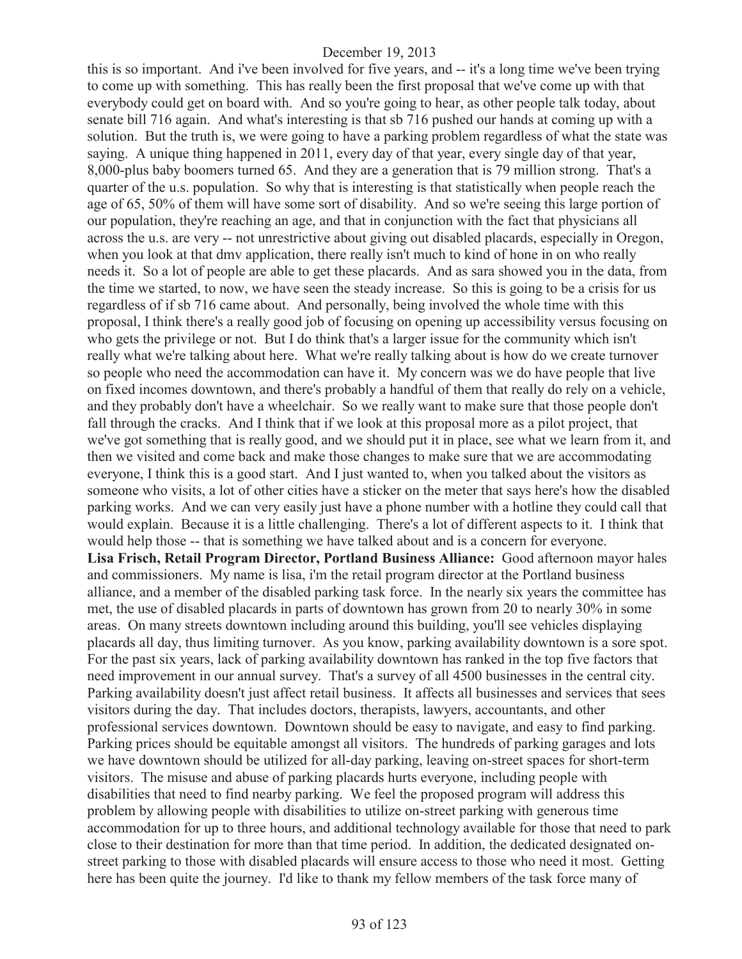this is so important. And i've been involved for five years, and -- it's a long time we've been trying to come up with something. This has really been the first proposal that we've come up with that everybody could get on board with. And so you're going to hear, as other people talk today, about senate bill 716 again. And what's interesting is that sb 716 pushed our hands at coming up with a solution. But the truth is, we were going to have a parking problem regardless of what the state was saying. A unique thing happened in 2011, every day of that year, every single day of that year, 8,000-plus baby boomers turned 65. And they are a generation that is 79 million strong. That's a quarter of the u.s. population. So why that is interesting is that statistically when people reach the age of 65, 50% of them will have some sort of disability. And so we're seeing this large portion of our population, they're reaching an age, and that in conjunction with the fact that physicians all across the u.s. are very -- not unrestrictive about giving out disabled placards, especially in Oregon, when you look at that dmy application, there really isn't much to kind of hone in on who really needs it. So a lot of people are able to get these placards. And as sara showed you in the data, from the time we started, to now, we have seen the steady increase. So this is going to be a crisis for us regardless of if sb 716 came about. And personally, being involved the whole time with this proposal, I think there's a really good job of focusing on opening up accessibility versus focusing on who gets the privilege or not. But I do think that's a larger issue for the community which isn't really what we're talking about here. What we're really talking about is how do we create turnover so people who need the accommodation can have it. My concern was we do have people that live on fixed incomes downtown, and there's probably a handful of them that really do rely on a vehicle, and they probably don't have a wheelchair. So we really want to make sure that those people don't fall through the cracks. And I think that if we look at this proposal more as a pilot project, that we've got something that is really good, and we should put it in place, see what we learn from it, and then we visited and come back and make those changes to make sure that we are accommodating everyone, I think this is a good start. And I just wanted to, when you talked about the visitors as someone who visits, a lot of other cities have a sticker on the meter that says here's how the disabled parking works. And we can very easily just have a phone number with a hotline they could call that would explain. Because it is a little challenging. There's a lot of different aspects to it. I think that would help those -- that is something we have talked about and is a concern for everyone. **Lisa Frisch, Retail Program Director, Portland Business Alliance:** Good afternoon mayor hales and commissioners. My name is lisa, i'm the retail program director at the Portland business alliance, and a member of the disabled parking task force. In the nearly six years the committee has met, the use of disabled placards in parts of downtown has grown from 20 to nearly 30% in some areas. On many streets downtown including around this building, you'll see vehicles displaying placards all day, thus limiting turnover. As you know, parking availability downtown is a sore spot. For the past six years, lack of parking availability downtown has ranked in the top five factors that need improvement in our annual survey. That's a survey of all 4500 businesses in the central city. Parking availability doesn't just affect retail business. It affects all businesses and services that sees visitors during the day. That includes doctors, therapists, lawyers, accountants, and other professional services downtown. Downtown should be easy to navigate, and easy to find parking. Parking prices should be equitable amongst all visitors. The hundreds of parking garages and lots we have downtown should be utilized for all-day parking, leaving on-street spaces for short-term visitors. The misuse and abuse of parking placards hurts everyone, including people with disabilities that need to find nearby parking. We feel the proposed program will address this problem by allowing people with disabilities to utilize on-street parking with generous time accommodation for up to three hours, and additional technology available for those that need to park close to their destination for more than that time period. In addition, the dedicated designated onstreet parking to those with disabled placards will ensure access to those who need it most. Getting here has been quite the journey. I'd like to thank my fellow members of the task force many of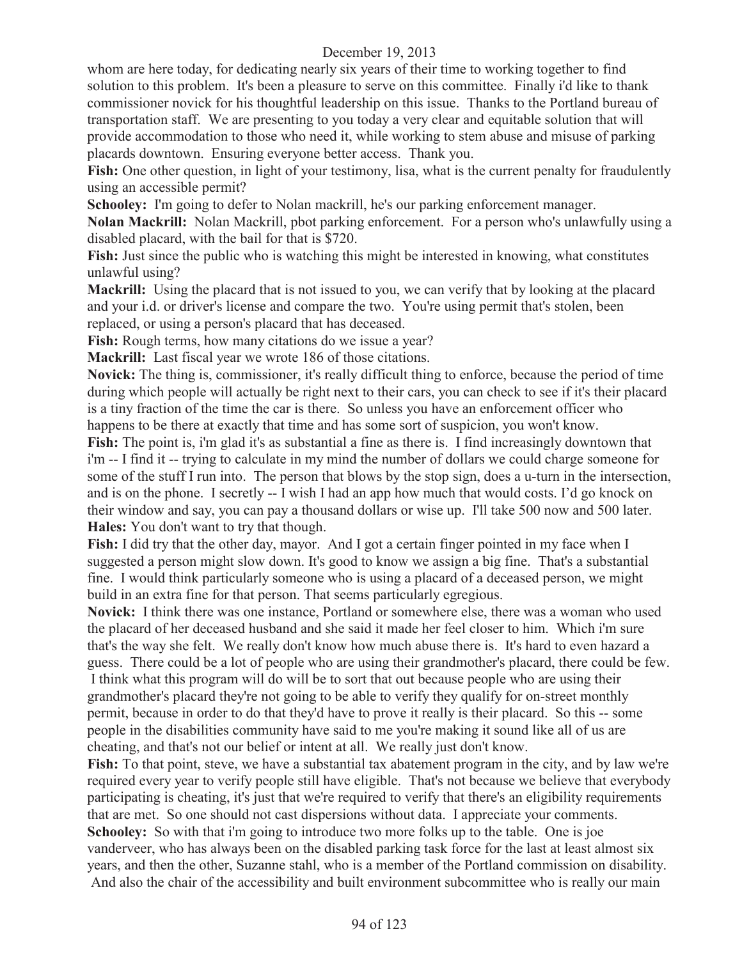whom are here today, for dedicating nearly six years of their time to working together to find solution to this problem. It's been a pleasure to serve on this committee. Finally i'd like to thank commissioner novick for his thoughtful leadership on this issue. Thanks to the Portland bureau of transportation staff. We are presenting to you today a very clear and equitable solution that will provide accommodation to those who need it, while working to stem abuse and misuse of parking placards downtown. Ensuring everyone better access. Thank you.

Fish: One other question, in light of your testimony, lisa, what is the current penalty for fraudulently using an accessible permit?

**Schooley:** I'm going to defer to Nolan mackrill, he's our parking enforcement manager.

**Nolan Mackrill:** Nolan Mackrill, pbot parking enforcement. For a person who's unlawfully using a disabled placard, with the bail for that is \$720.

**Fish:** Just since the public who is watching this might be interested in knowing, what constitutes unlawful using?

**Mackrill:** Using the placard that is not issued to you, we can verify that by looking at the placard and your i.d. or driver's license and compare the two. You're using permit that's stolen, been replaced, or using a person's placard that has deceased.

**Fish:** Rough terms, how many citations do we issue a year?

**Mackrill:** Last fiscal year we wrote 186 of those citations.

**Novick:** The thing is, commissioner, it's really difficult thing to enforce, because the period of time during which people will actually be right next to their cars, you can check to see if it's their placard is a tiny fraction of the time the car is there. So unless you have an enforcement officer who happens to be there at exactly that time and has some sort of suspicion, you won't know.

**Fish:** The point is, i'm glad it's as substantial a fine as there is. I find increasingly downtown that i'm -- I find it -- trying to calculate in my mind the number of dollars we could charge someone for some of the stuff I run into. The person that blows by the stop sign, does a u-turn in the intersection, and is on the phone. I secretly -- I wish I had an app how much that would costs. I'd go knock on their window and say, you can pay a thousand dollars or wise up. I'll take 500 now and 500 later. **Hales:** You don't want to try that though.

**Fish:** I did try that the other day, mayor. And I got a certain finger pointed in my face when I suggested a person might slow down. It's good to know we assign a big fine. That's a substantial fine. I would think particularly someone who is using a placard of a deceased person, we might build in an extra fine for that person. That seems particularly egregious.

**Novick:** I think there was one instance, Portland or somewhere else, there was a woman who used the placard of her deceased husband and she said it made her feel closer to him. Which i'm sure that's the way she felt. We really don't know how much abuse there is. It's hard to even hazard a guess. There could be a lot of people who are using their grandmother's placard, there could be few. I think what this program will do will be to sort that out because people who are using their grandmother's placard they're not going to be able to verify they qualify for on-street monthly permit, because in order to do that they'd have to prove it really is their placard. So this -- some people in the disabilities community have said to me you're making it sound like all of us are cheating, and that's not our belief or intent at all. We really just don't know.

**Fish:** To that point, steve, we have a substantial tax abatement program in the city, and by law we're required every year to verify people still have eligible. That's not because we believe that everybody participating is cheating, it's just that we're required to verify that there's an eligibility requirements that are met. So one should not cast dispersions without data. I appreciate your comments. **Schooley:** So with that i'm going to introduce two more folks up to the table. One is joe vanderveer, who has always been on the disabled parking task force for the last at least almost six years, and then the other, Suzanne stahl, who is a member of the Portland commission on disability. And also the chair of the accessibility and built environment subcommittee who is really our main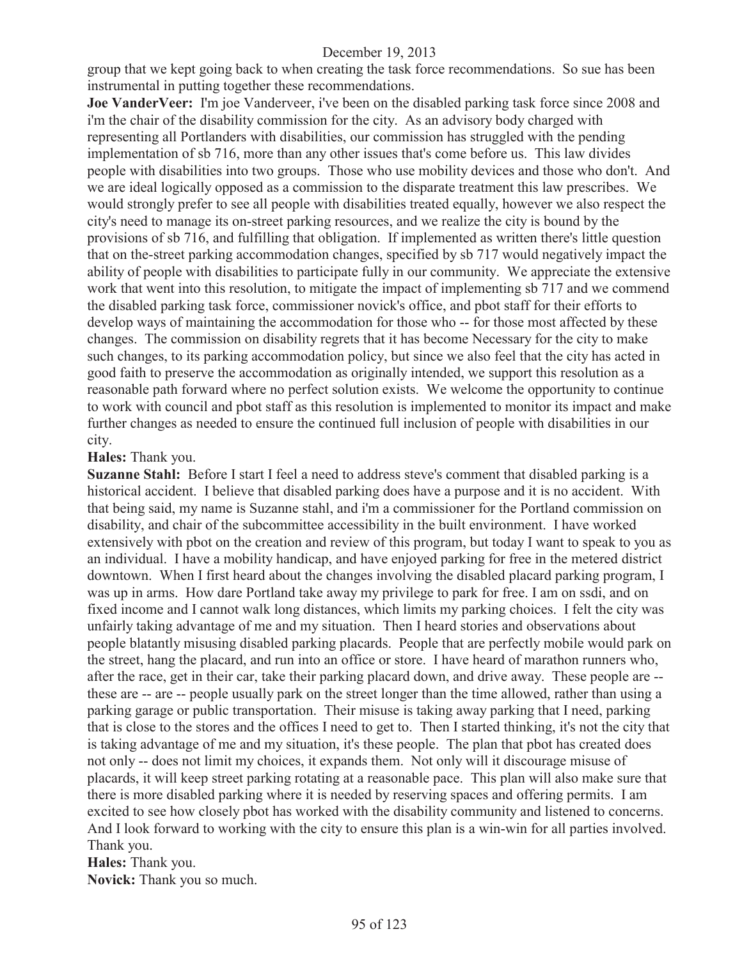group that we kept going back to when creating the task force recommendations. So sue has been instrumental in putting together these recommendations.

**Joe VanderVeer:** I'm joe Vanderveer, i've been on the disabled parking task force since 2008 and i'm the chair of the disability commission for the city. As an advisory body charged with representing all Portlanders with disabilities, our commission has struggled with the pending implementation of sb 716, more than any other issues that's come before us. This law divides people with disabilities into two groups. Those who use mobility devices and those who don't. And we are ideal logically opposed as a commission to the disparate treatment this law prescribes. We would strongly prefer to see all people with disabilities treated equally, however we also respect the city's need to manage its on-street parking resources, and we realize the city is bound by the provisions of sb 716, and fulfilling that obligation. If implemented as written there's little question that on the-street parking accommodation changes, specified by sb 717 would negatively impact the ability of people with disabilities to participate fully in our community. We appreciate the extensive work that went into this resolution, to mitigate the impact of implementing sb 717 and we commend the disabled parking task force, commissioner novick's office, and pbot staff for their efforts to develop ways of maintaining the accommodation for those who -- for those most affected by these changes. The commission on disability regrets that it has become Necessary for the city to make such changes, to its parking accommodation policy, but since we also feel that the city has acted in good faith to preserve the accommodation as originally intended, we support this resolution as a reasonable path forward where no perfect solution exists. We welcome the opportunity to continue to work with council and pbot staff as this resolution is implemented to monitor its impact and make further changes as needed to ensure the continued full inclusion of people with disabilities in our city.

#### **Hales:** Thank you.

**Suzanne Stahl:** Before I start I feel a need to address steve's comment that disabled parking is a historical accident. I believe that disabled parking does have a purpose and it is no accident. With that being said, my name is Suzanne stahl, and i'm a commissioner for the Portland commission on disability, and chair of the subcommittee accessibility in the built environment. I have worked extensively with pbot on the creation and review of this program, but today I want to speak to you as an individual. I have a mobility handicap, and have enjoyed parking for free in the metered district downtown. When I first heard about the changes involving the disabled placard parking program, I was up in arms. How dare Portland take away my privilege to park for free. I am on ssdi, and on fixed income and I cannot walk long distances, which limits my parking choices. I felt the city was unfairly taking advantage of me and my situation. Then I heard stories and observations about people blatantly misusing disabled parking placards. People that are perfectly mobile would park on the street, hang the placard, and run into an office or store. I have heard of marathon runners who, after the race, get in their car, take their parking placard down, and drive away. These people are - these are -- are -- people usually park on the street longer than the time allowed, rather than using a parking garage or public transportation. Their misuse is taking away parking that I need, parking that is close to the stores and the offices I need to get to. Then I started thinking, it's not the city that is taking advantage of me and my situation, it's these people. The plan that pbot has created does not only -- does not limit my choices, it expands them. Not only will it discourage misuse of placards, it will keep street parking rotating at a reasonable pace. This plan will also make sure that there is more disabled parking where it is needed by reserving spaces and offering permits. I am excited to see how closely pbot has worked with the disability community and listened to concerns. And I look forward to working with the city to ensure this plan is a win-win for all parties involved. Thank you.

**Hales:** Thank you. **Novick:** Thank you so much.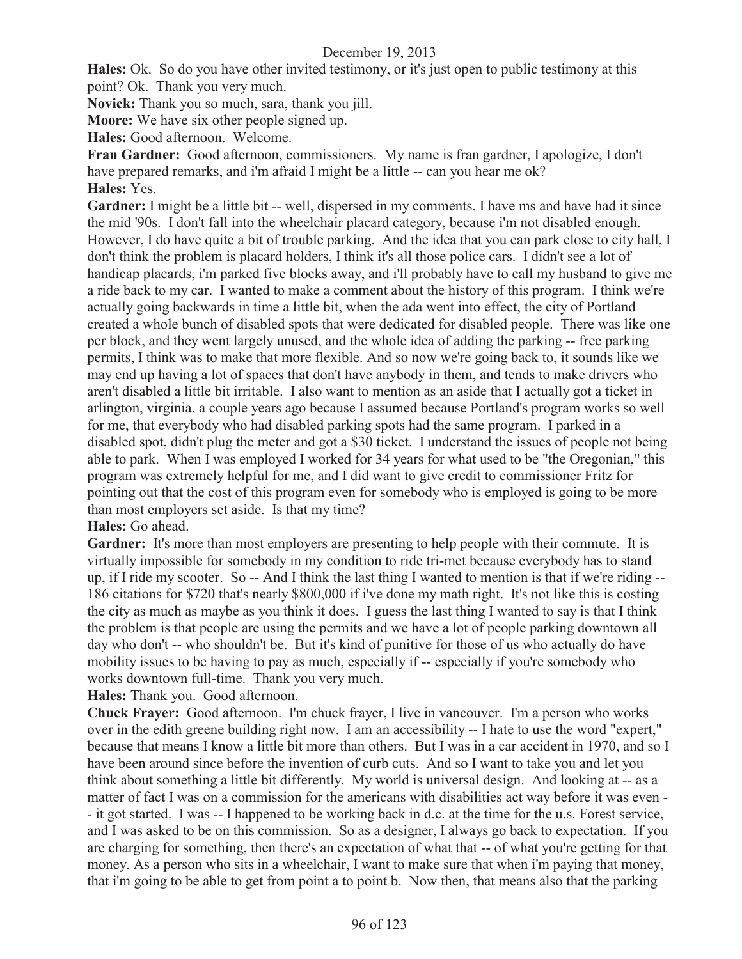**Hales:** Ok. So do you have other invited testimony, or it's just open to public testimony at this point? Ok. Thank you very much.

**Novick:** Thank you so much, sara, thank you jill.

**Moore:** We have six other people signed up.

**Hales:** Good afternoon. Welcome.

**Fran Gardner:** Good afternoon, commissioners. My name is fran gardner, I apologize, I don't have prepared remarks, and i'm afraid I might be a little -- can you hear me ok? **Hales:** Yes.

Gardner: I might be a little bit -- well, dispersed in my comments. I have ms and have had it since the mid '90s. I don't fall into the wheelchair placard category, because i'm not disabled enough. However, I do have quite a bit of trouble parking. And the idea that you can park close to city hall, I don't think the problem is placard holders, I think it's all those police cars. I didn't see a lot of handicap placards, i'm parked five blocks away, and i'll probably have to call my husband to give me a ride back to my car. I wanted to make a comment about the history of this program. I think we're actually going backwards in time a little bit, when the ada went into effect, the city of Portland created a whole bunch of disabled spots that were dedicated for disabled people. There was like one per block, and they went largely unused, and the whole idea of adding the parking -- free parking permits, I think was to make that more flexible. And so now we're going back to, it sounds like we may end up having a lot of spaces that don't have anybody in them, and tends to make drivers who aren't disabled a little bit irritable. I also want to mention as an aside that I actually got a ticket in arlington, virginia, a couple years ago because I assumed because Portland's program works so well for me, that everybody who had disabled parking spots had the same program. I parked in a disabled spot, didn't plug the meter and got a \$30 ticket. I understand the issues of people not being able to park. When I was employed I worked for 34 years for what used to be "the Oregonian," this program was extremely helpful for me, and I did want to give credit to commissioner Fritz for pointing out that the cost of this program even for somebody who is employed is going to be more than most employers set aside. Is that my time?

### **Hales:** Go ahead.

Gardner: It's more than most employers are presenting to help people with their commute. It is virtually impossible for somebody in my condition to ride tri-met because everybody has to stand up, if I ride my scooter. So -- And I think the last thing I wanted to mention is that if we're riding -- 186 citations for \$720 that's nearly \$800,000 if i've done my math right. It's not like this is costing the city as much as maybe as you think it does. I guess the last thing I wanted to say is that I think the problem is that people are using the permits and we have a lot of people parking downtown all day who don't -- who shouldn't be. But it's kind of punitive for those of us who actually do have mobility issues to be having to pay as much, especially if -- especially if you're somebody who works downtown full-time. Thank you very much.

**Hales:** Thank you. Good afternoon.

**Chuck Frayer:** Good afternoon. I'm chuck frayer, I live in vancouver. I'm a person who works over in the edith greene building right now. I am an accessibility -- I hate to use the word "expert," because that means I know a little bit more than others. But I was in a car accident in 1970, and so I have been around since before the invention of curb cuts. And so I want to take you and let you think about something a little bit differently. My world is universal design. And looking at -- as a matter of fact I was on a commission for the americans with disabilities act way before it was even - - it got started. I was -- I happened to be working back in d.c. at the time for the u.s. Forest service, and I was asked to be on this commission. So as a designer, I always go back to expectation. If you are charging for something, then there's an expectation of what that -- of what you're getting for that money. As a person who sits in a wheelchair, I want to make sure that when i'm paying that money, that i'm going to be able to get from point a to point b. Now then, that means also that the parking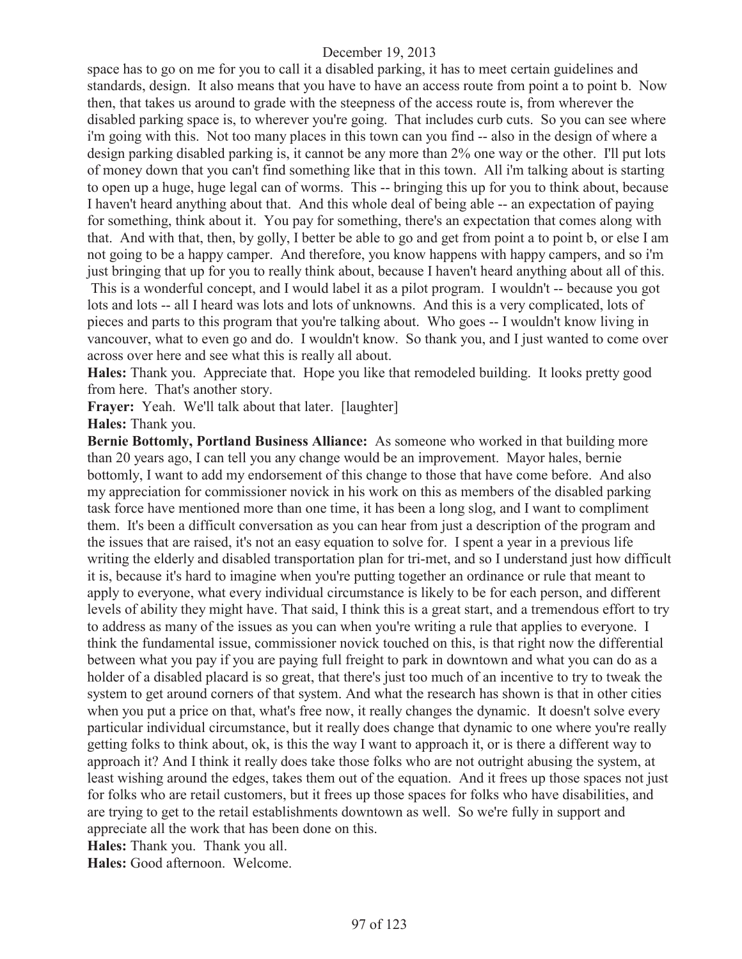space has to go on me for you to call it a disabled parking, it has to meet certain guidelines and standards, design. It also means that you have to have an access route from point a to point b. Now then, that takes us around to grade with the steepness of the access route is, from wherever the disabled parking space is, to wherever you're going. That includes curb cuts. So you can see where i'm going with this. Not too many places in this town can you find -- also in the design of where a design parking disabled parking is, it cannot be any more than 2% one way or the other. I'll put lots of money down that you can't find something like that in this town. All i'm talking about is starting to open up a huge, huge legal can of worms. This -- bringing this up for you to think about, because I haven't heard anything about that. And this whole deal of being able -- an expectation of paying for something, think about it. You pay for something, there's an expectation that comes along with that. And with that, then, by golly, I better be able to go and get from point a to point b, or else I am not going to be a happy camper. And therefore, you know happens with happy campers, and so i'm just bringing that up for you to really think about, because I haven't heard anything about all of this.

This is a wonderful concept, and I would label it as a pilot program. I wouldn't -- because you got lots and lots -- all I heard was lots and lots of unknowns. And this is a very complicated, lots of pieces and parts to this program that you're talking about. Who goes -- I wouldn't know living in vancouver, what to even go and do. I wouldn't know. So thank you, and I just wanted to come over across over here and see what this is really all about.

**Hales:** Thank you. Appreciate that. Hope you like that remodeled building. It looks pretty good from here. That's another story.

Frayer: Yeah. We'll talk about that later. [laughter]

**Hales:** Thank you.

**Bernie Bottomly, Portland Business Alliance:** As someone who worked in that building more than 20 years ago, I can tell you any change would be an improvement. Mayor hales, bernie bottomly, I want to add my endorsement of this change to those that have come before. And also my appreciation for commissioner novick in his work on this as members of the disabled parking task force have mentioned more than one time, it has been a long slog, and I want to compliment them. It's been a difficult conversation as you can hear from just a description of the program and the issues that are raised, it's not an easy equation to solve for. I spent a year in a previous life writing the elderly and disabled transportation plan for tri-met, and so I understand just how difficult it is, because it's hard to imagine when you're putting together an ordinance or rule that meant to apply to everyone, what every individual circumstance is likely to be for each person, and different levels of ability they might have. That said, I think this is a great start, and a tremendous effort to try to address as many of the issues as you can when you're writing a rule that applies to everyone. I think the fundamental issue, commissioner novick touched on this, is that right now the differential between what you pay if you are paying full freight to park in downtown and what you can do as a holder of a disabled placard is so great, that there's just too much of an incentive to try to tweak the system to get around corners of that system. And what the research has shown is that in other cities when you put a price on that, what's free now, it really changes the dynamic. It doesn't solve every particular individual circumstance, but it really does change that dynamic to one where you're really getting folks to think about, ok, is this the way I want to approach it, or is there a different way to approach it? And I think it really does take those folks who are not outright abusing the system, at least wishing around the edges, takes them out of the equation. And it frees up those spaces not just for folks who are retail customers, but it frees up those spaces for folks who have disabilities, and are trying to get to the retail establishments downtown as well. So we're fully in support and appreciate all the work that has been done on this.

**Hales:** Thank you. Thank you all.

**Hales:** Good afternoon. Welcome.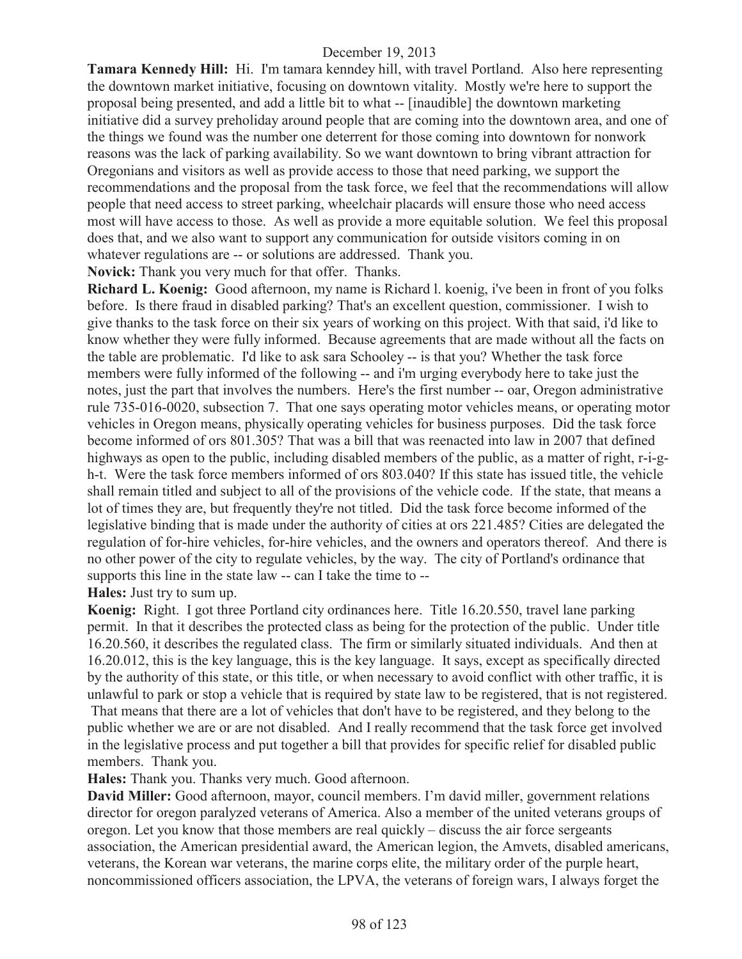**Tamara Kennedy Hill:** Hi. I'm tamara kenndey hill, with travel Portland. Also here representing the downtown market initiative, focusing on downtown vitality. Mostly we're here to support the proposal being presented, and add a little bit to what -- [inaudible] the downtown marketing initiative did a survey preholiday around people that are coming into the downtown area, and one of the things we found was the number one deterrent for those coming into downtown for nonwork reasons was the lack of parking availability. So we want downtown to bring vibrant attraction for Oregonians and visitors as well as provide access to those that need parking, we support the recommendations and the proposal from the task force, we feel that the recommendations will allow people that need access to street parking, wheelchair placards will ensure those who need access most will have access to those. As well as provide a more equitable solution. We feel this proposal does that, and we also want to support any communication for outside visitors coming in on whatever regulations are -- or solutions are addressed. Thank you.

**Novick:** Thank you very much for that offer. Thanks.

**Richard L. Koenig:** Good afternoon, my name is Richard l. koenig, i've been in front of you folks before. Is there fraud in disabled parking? That's an excellent question, commissioner. I wish to give thanks to the task force on their six years of working on this project. With that said, i'd like to know whether they were fully informed. Because agreements that are made without all the facts on the table are problematic. I'd like to ask sara Schooley -- is that you? Whether the task force members were fully informed of the following -- and i'm urging everybody here to take just the notes, just the part that involves the numbers. Here's the first number -- oar, Oregon administrative rule 735-016-0020, subsection 7. That one says operating motor vehicles means, or operating motor vehicles in Oregon means, physically operating vehicles for business purposes. Did the task force become informed of ors 801.305? That was a bill that was reenacted into law in 2007 that defined highways as open to the public, including disabled members of the public, as a matter of right, r-i-gh-t. Were the task force members informed of ors 803.040? If this state has issued title, the vehicle shall remain titled and subject to all of the provisions of the vehicle code. If the state, that means a lot of times they are, but frequently they're not titled. Did the task force become informed of the legislative binding that is made under the authority of cities at ors 221.485? Cities are delegated the regulation of for-hire vehicles, for-hire vehicles, and the owners and operators thereof. And there is no other power of the city to regulate vehicles, by the way. The city of Portland's ordinance that supports this line in the state law -- can I take the time to --

**Hales:** Just try to sum up.

**Koenig:** Right. I got three Portland city ordinances here. Title 16.20.550, travel lane parking permit. In that it describes the protected class as being for the protection of the public. Under title 16.20.560, it describes the regulated class. The firm or similarly situated individuals. And then at 16.20.012, this is the key language, this is the key language. It says, except as specifically directed by the authority of this state, or this title, or when necessary to avoid conflict with other traffic, it is unlawful to park or stop a vehicle that is required by state law to be registered, that is not registered.

That means that there are a lot of vehicles that don't have to be registered, and they belong to the public whether we are or are not disabled. And I really recommend that the task force get involved in the legislative process and put together a bill that provides for specific relief for disabled public members. Thank you.

**Hales:** Thank you. Thanks very much. Good afternoon.

**David Miller:** Good afternoon, mayor, council members. I'm david miller, government relations director for oregon paralyzed veterans of America. Also a member of the united veterans groups of oregon. Let you know that those members are real quickly – discuss the air force sergeants association, the American presidential award, the American legion, the Amvets, disabled americans, veterans, the Korean war veterans, the marine corps elite, the military order of the purple heart, noncommissioned officers association, the LPVA, the veterans of foreign wars, I always forget the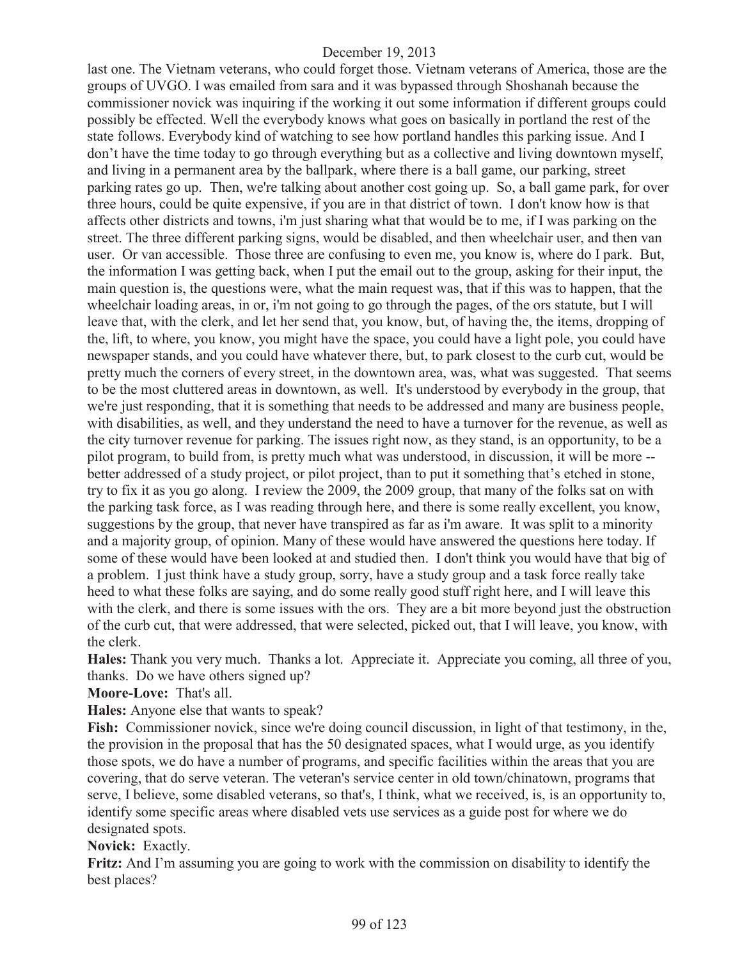last one. The Vietnam veterans, who could forget those. Vietnam veterans of America, those are the groups of UVGO. I was emailed from sara and it was bypassed through Shoshanah because the commissioner novick was inquiring if the working it out some information if different groups could possibly be effected. Well the everybody knows what goes on basically in portland the rest of the state follows. Everybody kind of watching to see how portland handles this parking issue. And I don't have the time today to go through everything but as a collective and living downtown myself, and living in a permanent area by the ballpark, where there is a ball game, our parking, street parking rates go up. Then, we're talking about another cost going up. So, a ball game park, for over three hours, could be quite expensive, if you are in that district of town. I don't know how is that affects other districts and towns, i'm just sharing what that would be to me, if I was parking on the street. The three different parking signs, would be disabled, and then wheelchair user, and then van user. Or van accessible. Those three are confusing to even me, you know is, where do I park. But, the information I was getting back, when I put the email out to the group, asking for their input, the main question is, the questions were, what the main request was, that if this was to happen, that the wheelchair loading areas, in or, i'm not going to go through the pages, of the ors statute, but I will leave that, with the clerk, and let her send that, you know, but, of having the, the items, dropping of the, lift, to where, you know, you might have the space, you could have a light pole, you could have newspaper stands, and you could have whatever there, but, to park closest to the curb cut, would be pretty much the corners of every street, in the downtown area, was, what was suggested. That seems to be the most cluttered areas in downtown, as well. It's understood by everybody in the group, that we're just responding, that it is something that needs to be addressed and many are business people, with disabilities, as well, and they understand the need to have a turnover for the revenue, as well as the city turnover revenue for parking. The issues right now, as they stand, is an opportunity, to be a pilot program, to build from, is pretty much what was understood, in discussion, it will be more - better addressed of a study project, or pilot project, than to put it something that's etched in stone, try to fix it as you go along. I review the 2009, the 2009 group, that many of the folks sat on with the parking task force, as I was reading through here, and there is some really excellent, you know, suggestions by the group, that never have transpired as far as i'm aware. It was split to a minority and a majority group, of opinion. Many of these would have answered the questions here today. If some of these would have been looked at and studied then. I don't think you would have that big of a problem. I just think have a study group, sorry, have a study group and a task force really take heed to what these folks are saying, and do some really good stuff right here, and I will leave this with the clerk, and there is some issues with the ors. They are a bit more beyond just the obstruction of the curb cut, that were addressed, that were selected, picked out, that I will leave, you know, with the clerk.

**Hales:** Thank you very much. Thanks a lot. Appreciate it. Appreciate you coming, all three of you, thanks. Do we have others signed up?

**Moore-Love:** That's all.

**Hales:** Anyone else that wants to speak?

**Fish:** Commissioner novick, since we're doing council discussion, in light of that testimony, in the, the provision in the proposal that has the 50 designated spaces, what I would urge, as you identify those spots, we do have a number of programs, and specific facilities within the areas that you are covering, that do serve veteran. The veteran's service center in old town/chinatown, programs that serve, I believe, some disabled veterans, so that's, I think, what we received, is, is an opportunity to, identify some specific areas where disabled vets use services as a guide post for where we do designated spots.

**Novick:** Exactly.

**Fritz:** And I'm assuming you are going to work with the commission on disability to identify the best places?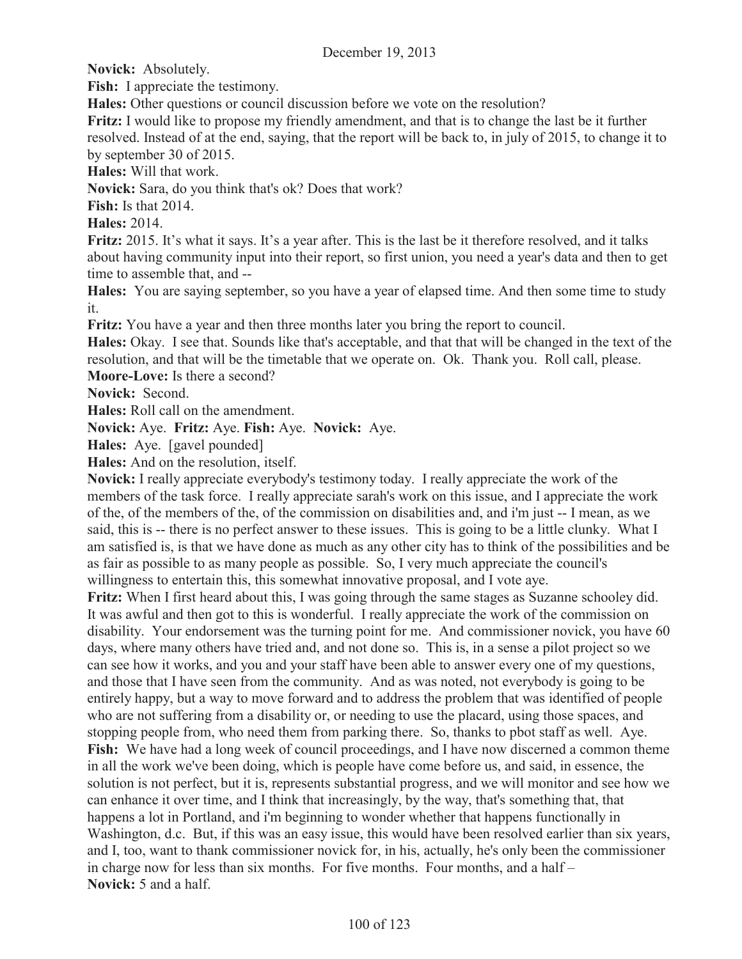**Novick:** Absolutely.

**Fish:** I appreciate the testimony.

**Hales:** Other questions or council discussion before we vote on the resolution?

**Fritz:** I would like to propose my friendly amendment, and that is to change the last be it further resolved. Instead of at the end, saying, that the report will be back to, in july of 2015, to change it to by september 30 of 2015.

**Hales:** Will that work.

**Novick:** Sara, do you think that's ok? Does that work?

**Fish:** Is that 2014.

**Hales:** 2014.

**Fritz:** 2015. It's what it says. It's a year after. This is the last be it therefore resolved, and it talks about having community input into their report, so first union, you need a year's data and then to get time to assemble that, and --

**Hales:** You are saying september, so you have a year of elapsed time. And then some time to study it.

**Fritz:** You have a year and then three months later you bring the report to council.

**Hales:** Okay. I see that. Sounds like that's acceptable, and that that will be changed in the text of the resolution, and that will be the timetable that we operate on. Ok. Thank you. Roll call, please. **Moore-Love:** Is there a second?

**Novick:** Second.

**Hales:** Roll call on the amendment.

**Novick:** Aye. **Fritz:** Aye. **Fish:** Aye. **Novick:** Aye.

**Hales:** Aye. [gavel pounded]

**Hales:** And on the resolution, itself.

**Novick:** I really appreciate everybody's testimony today. I really appreciate the work of the members of the task force. I really appreciate sarah's work on this issue, and I appreciate the work of the, of the members of the, of the commission on disabilities and, and i'm just -- I mean, as we said, this is -- there is no perfect answer to these issues. This is going to be a little clunky. What I am satisfied is, is that we have done as much as any other city has to think of the possibilities and be as fair as possible to as many people as possible. So, I very much appreciate the council's willingness to entertain this, this somewhat innovative proposal, and I vote aye.

**Fritz:** When I first heard about this, I was going through the same stages as Suzanne schooley did. It was awful and then got to this is wonderful. I really appreciate the work of the commission on disability. Your endorsement was the turning point for me. And commissioner novick, you have 60 days, where many others have tried and, and not done so. This is, in a sense a pilot project so we can see how it works, and you and your staff have been able to answer every one of my questions, and those that I have seen from the community. And as was noted, not everybody is going to be entirely happy, but a way to move forward and to address the problem that was identified of people who are not suffering from a disability or, or needing to use the placard, using those spaces, and stopping people from, who need them from parking there. So, thanks to pbot staff as well. Aye. **Fish:** We have had a long week of council proceedings, and I have now discerned a common theme in all the work we've been doing, which is people have come before us, and said, in essence, the solution is not perfect, but it is, represents substantial progress, and we will monitor and see how we can enhance it over time, and I think that increasingly, by the way, that's something that, that happens a lot in Portland, and i'm beginning to wonder whether that happens functionally in Washington, d.c. But, if this was an easy issue, this would have been resolved earlier than six years, and I, too, want to thank commissioner novick for, in his, actually, he's only been the commissioner in charge now for less than six months. For five months. Four months, and a half – **Novick:** 5 and a half.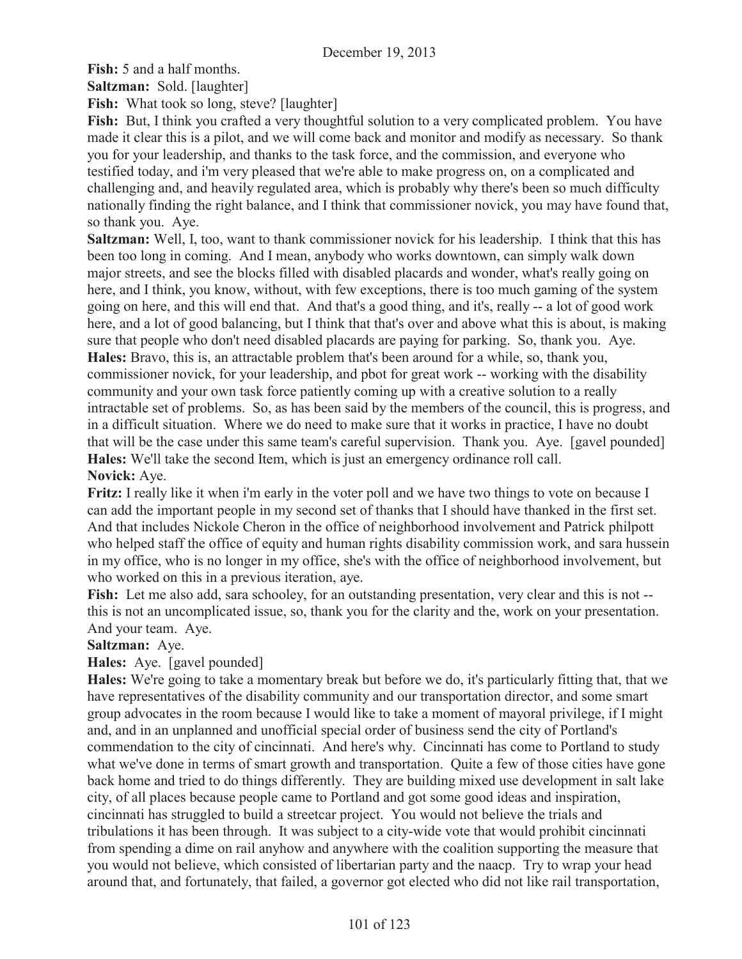**Fish:** 5 and a half months.

**Saltzman:** Sold. [laughter]

**Fish:** What took so long, steve? [laughter]

Fish: But, I think you crafted a very thoughtful solution to a very complicated problem. You have made it clear this is a pilot, and we will come back and monitor and modify as necessary. So thank you for your leadership, and thanks to the task force, and the commission, and everyone who testified today, and i'm very pleased that we're able to make progress on, on a complicated and challenging and, and heavily regulated area, which is probably why there's been so much difficulty nationally finding the right balance, and I think that commissioner novick, you may have found that, so thank you. Aye.

**Saltzman:** Well, I, too, want to thank commissioner novick for his leadership. I think that this has been too long in coming. And I mean, anybody who works downtown, can simply walk down major streets, and see the blocks filled with disabled placards and wonder, what's really going on here, and I think, you know, without, with few exceptions, there is too much gaming of the system going on here, and this will end that. And that's a good thing, and it's, really -- a lot of good work here, and a lot of good balancing, but I think that that's over and above what this is about, is making sure that people who don't need disabled placards are paying for parking. So, thank you. Aye. **Hales:** Bravo, this is, an attractable problem that's been around for a while, so, thank you, commissioner novick, for your leadership, and pbot for great work -- working with the disability community and your own task force patiently coming up with a creative solution to a really intractable set of problems. So, as has been said by the members of the council, this is progress, and in a difficult situation. Where we do need to make sure that it works in practice, I have no doubt that will be the case under this same team's careful supervision. Thank you. Aye. [gavel pounded] **Hales:** We'll take the second Item, which is just an emergency ordinance roll call.

## **Novick:** Aye.

**Fritz:** I really like it when i'm early in the voter poll and we have two things to vote on because I can add the important people in my second set of thanks that I should have thanked in the first set. And that includes Nickole Cheron in the office of neighborhood involvement and Patrick philpott who helped staff the office of equity and human rights disability commission work, and sara hussein in my office, who is no longer in my office, she's with the office of neighborhood involvement, but who worked on this in a previous iteration, aye.

**Fish:** Let me also add, sara schooley, for an outstanding presentation, very clear and this is not - this is not an uncomplicated issue, so, thank you for the clarity and the, work on your presentation. And your team. Aye.

## **Saltzman:** Aye.

# **Hales:** Aye. [gavel pounded]

**Hales:** We're going to take a momentary break but before we do, it's particularly fitting that, that we have representatives of the disability community and our transportation director, and some smart group advocates in the room because I would like to take a moment of mayoral privilege, if I might and, and in an unplanned and unofficial special order of business send the city of Portland's commendation to the city of cincinnati. And here's why. Cincinnati has come to Portland to study what we've done in terms of smart growth and transportation. Quite a few of those cities have gone back home and tried to do things differently. They are building mixed use development in salt lake city, of all places because people came to Portland and got some good ideas and inspiration, cincinnati has struggled to build a streetcar project. You would not believe the trials and tribulations it has been through. It was subject to a city-wide vote that would prohibit cincinnati from spending a dime on rail anyhow and anywhere with the coalition supporting the measure that you would not believe, which consisted of libertarian party and the naacp. Try to wrap your head around that, and fortunately, that failed, a governor got elected who did not like rail transportation,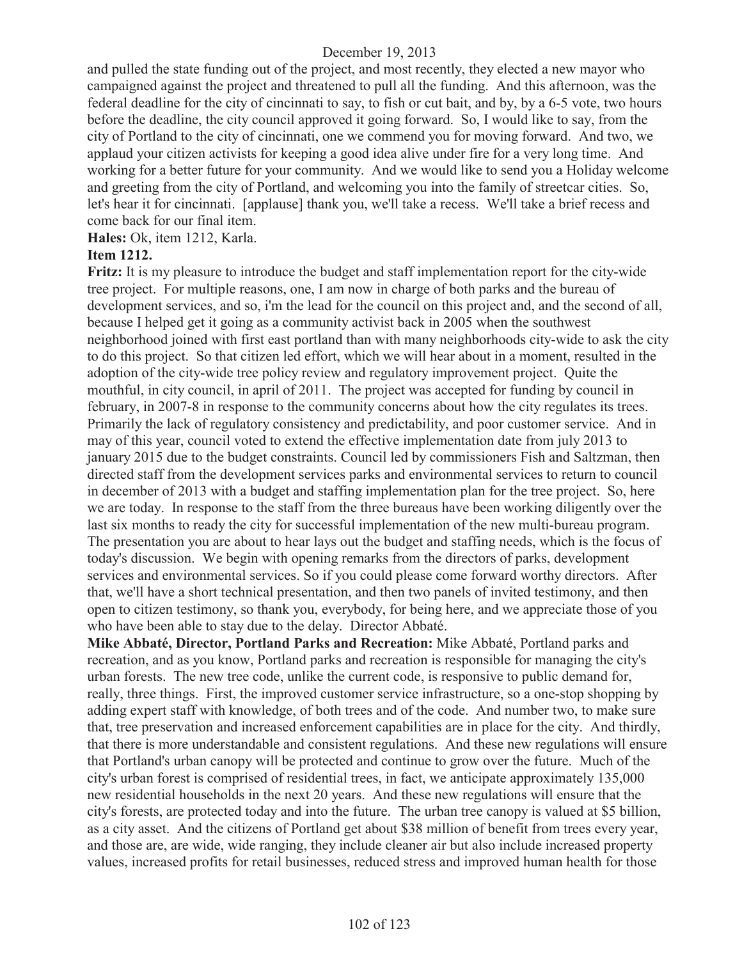and pulled the state funding out of the project, and most recently, they elected a new mayor who campaigned against the project and threatened to pull all the funding. And this afternoon, was the federal deadline for the city of cincinnati to say, to fish or cut bait, and by, by a 6-5 vote, two hours before the deadline, the city council approved it going forward. So, I would like to say, from the city of Portland to the city of cincinnati, one we commend you for moving forward. And two, we applaud your citizen activists for keeping a good idea alive under fire for a very long time. And working for a better future for your community. And we would like to send you a Holiday welcome and greeting from the city of Portland, and welcoming you into the family of streetcar cities. So, let's hear it for cincinnati. [applause] thank you, we'll take a recess. We'll take a brief recess and come back for our final item.

**Hales:** Ok, item 1212, Karla.

## **Item 1212.**

**Fritz:** It is my pleasure to introduce the budget and staff implementation report for the city-wide tree project. For multiple reasons, one, I am now in charge of both parks and the bureau of development services, and so, i'm the lead for the council on this project and, and the second of all, because I helped get it going as a community activist back in 2005 when the southwest neighborhood joined with first east portland than with many neighborhoods city-wide to ask the city to do this project. So that citizen led effort, which we will hear about in a moment, resulted in the adoption of the city-wide tree policy review and regulatory improvement project. Quite the mouthful, in city council, in april of 2011. The project was accepted for funding by council in february, in 2007-8 in response to the community concerns about how the city regulates its trees. Primarily the lack of regulatory consistency and predictability, and poor customer service. And in may of this year, council voted to extend the effective implementation date from july 2013 to january 2015 due to the budget constraints. Council led by commissioners Fish and Saltzman, then directed staff from the development services parks and environmental services to return to council in december of 2013 with a budget and staffing implementation plan for the tree project. So, here we are today. In response to the staff from the three bureaus have been working diligently over the last six months to ready the city for successful implementation of the new multi-bureau program. The presentation you are about to hear lays out the budget and staffing needs, which is the focus of today's discussion. We begin with opening remarks from the directors of parks, development services and environmental services. So if you could please come forward worthy directors. After that, we'll have a short technical presentation, and then two panels of invited testimony, and then open to citizen testimony, so thank you, everybody, for being here, and we appreciate those of you who have been able to stay due to the delay. Director Abbaté.

**Mike Abbaté, Director, Portland Parks and Recreation:** Mike Abbaté, Portland parks and recreation, and as you know, Portland parks and recreation is responsible for managing the city's urban forests. The new tree code, unlike the current code, is responsive to public demand for, really, three things. First, the improved customer service infrastructure, so a one-stop shopping by adding expert staff with knowledge, of both trees and of the code. And number two, to make sure that, tree preservation and increased enforcement capabilities are in place for the city. And thirdly, that there is more understandable and consistent regulations. And these new regulations will ensure that Portland's urban canopy will be protected and continue to grow over the future. Much of the city's urban forest is comprised of residential trees, in fact, we anticipate approximately 135,000 new residential households in the next 20 years. And these new regulations will ensure that the city's forests, are protected today and into the future. The urban tree canopy is valued at \$5 billion, as a city asset. And the citizens of Portland get about \$38 million of benefit from trees every year, and those are, are wide, wide ranging, they include cleaner air but also include increased property values, increased profits for retail businesses, reduced stress and improved human health for those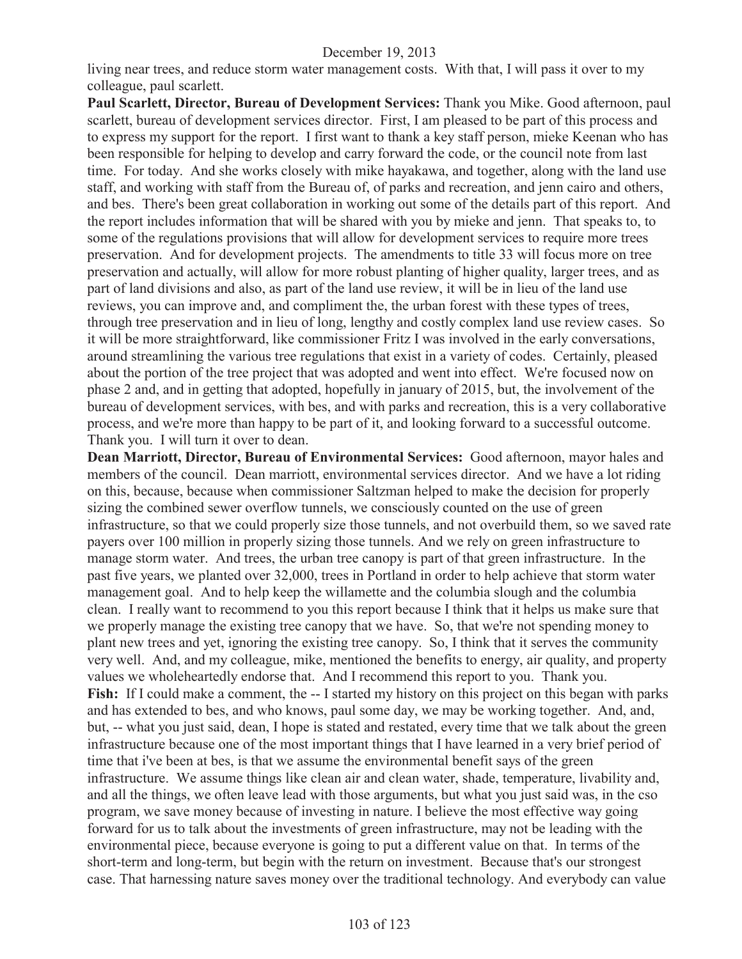living near trees, and reduce storm water management costs. With that, I will pass it over to my colleague, paul scarlett.

**Paul Scarlett, Director, Bureau of Development Services:** Thank you Mike. Good afternoon, paul scarlett, bureau of development services director. First, I am pleased to be part of this process and to express my support for the report. I first want to thank a key staff person, mieke Keenan who has been responsible for helping to develop and carry forward the code, or the council note from last time. For today. And she works closely with mike hayakawa, and together, along with the land use staff, and working with staff from the Bureau of, of parks and recreation, and jenn cairo and others, and bes. There's been great collaboration in working out some of the details part of this report. And the report includes information that will be shared with you by mieke and jenn. That speaks to, to some of the regulations provisions that will allow for development services to require more trees preservation. And for development projects. The amendments to title 33 will focus more on tree preservation and actually, will allow for more robust planting of higher quality, larger trees, and as part of land divisions and also, as part of the land use review, it will be in lieu of the land use reviews, you can improve and, and compliment the, the urban forest with these types of trees, through tree preservation and in lieu of long, lengthy and costly complex land use review cases. So it will be more straightforward, like commissioner Fritz I was involved in the early conversations, around streamlining the various tree regulations that exist in a variety of codes. Certainly, pleased about the portion of the tree project that was adopted and went into effect. We're focused now on phase 2 and, and in getting that adopted, hopefully in january of 2015, but, the involvement of the bureau of development services, with bes, and with parks and recreation, this is a very collaborative process, and we're more than happy to be part of it, and looking forward to a successful outcome. Thank you. I will turn it over to dean.

**Dean Marriott, Director, Bureau of Environmental Services:** Good afternoon, mayor hales and members of the council. Dean marriott, environmental services director. And we have a lot riding on this, because, because when commissioner Saltzman helped to make the decision for properly sizing the combined sewer overflow tunnels, we consciously counted on the use of green infrastructure, so that we could properly size those tunnels, and not overbuild them, so we saved rate payers over 100 million in properly sizing those tunnels. And we rely on green infrastructure to manage storm water. And trees, the urban tree canopy is part of that green infrastructure. In the past five years, we planted over 32,000, trees in Portland in order to help achieve that storm water management goal. And to help keep the willamette and the columbia slough and the columbia clean. I really want to recommend to you this report because I think that it helps us make sure that we properly manage the existing tree canopy that we have. So, that we're not spending money to plant new trees and yet, ignoring the existing tree canopy. So, I think that it serves the community very well. And, and my colleague, mike, mentioned the benefits to energy, air quality, and property values we wholeheartedly endorse that. And I recommend this report to you. Thank you. Fish: If I could make a comment, the -- I started my history on this project on this began with parks and has extended to bes, and who knows, paul some day, we may be working together. And, and, but, -- what you just said, dean, I hope is stated and restated, every time that we talk about the green infrastructure because one of the most important things that I have learned in a very brief period of time that i've been at bes, is that we assume the environmental benefit says of the green infrastructure. We assume things like clean air and clean water, shade, temperature, livability and, and all the things, we often leave lead with those arguments, but what you just said was, in the cso program, we save money because of investing in nature. I believe the most effective way going forward for us to talk about the investments of green infrastructure, may not be leading with the environmental piece, because everyone is going to put a different value on that. In terms of the short-term and long-term, but begin with the return on investment. Because that's our strongest case. That harnessing nature saves money over the traditional technology. And everybody can value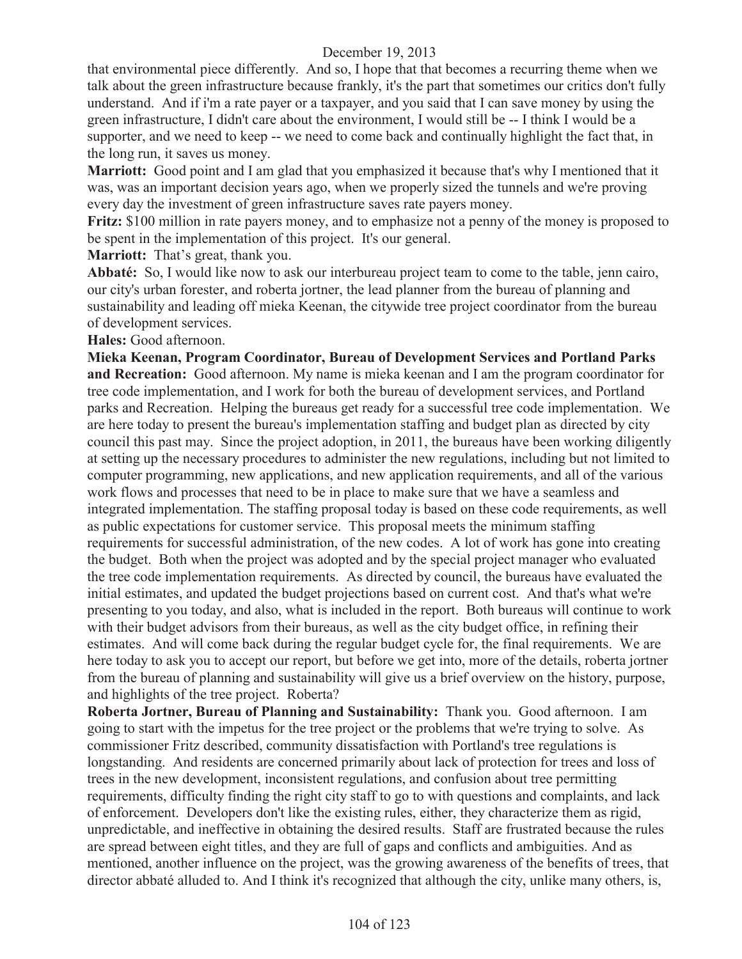that environmental piece differently. And so, I hope that that becomes a recurring theme when we talk about the green infrastructure because frankly, it's the part that sometimes our critics don't fully understand. And if i'm a rate payer or a taxpayer, and you said that I can save money by using the green infrastructure, I didn't care about the environment, I would still be -- I think I would be a supporter, and we need to keep -- we need to come back and continually highlight the fact that, in the long run, it saves us money.

**Marriott:** Good point and I am glad that you emphasized it because that's why I mentioned that it was, was an important decision years ago, when we properly sized the tunnels and we're proving every day the investment of green infrastructure saves rate payers money.

**Fritz:** \$100 million in rate payers money, and to emphasize not a penny of the money is proposed to be spent in the implementation of this project. It's our general.

**Marriott:** That's great, thank you.

**Abbaté:** So, I would like now to ask our interbureau project team to come to the table, jenn cairo, our city's urban forester, and roberta jortner, the lead planner from the bureau of planning and sustainability and leading off mieka Keenan, the citywide tree project coordinator from the bureau of development services.

#### **Hales:** Good afternoon.

**Mieka Keenan, Program Coordinator, Bureau of Development Services and Portland Parks and Recreation:** Good afternoon. My name is mieka keenan and I am the program coordinator for tree code implementation, and I work for both the bureau of development services, and Portland parks and Recreation. Helping the bureaus get ready for a successful tree code implementation. We are here today to present the bureau's implementation staffing and budget plan as directed by city council this past may. Since the project adoption, in 2011, the bureaus have been working diligently at setting up the necessary procedures to administer the new regulations, including but not limited to computer programming, new applications, and new application requirements, and all of the various work flows and processes that need to be in place to make sure that we have a seamless and integrated implementation. The staffing proposal today is based on these code requirements, as well as public expectations for customer service. This proposal meets the minimum staffing requirements for successful administration, of the new codes. A lot of work has gone into creating the budget. Both when the project was adopted and by the special project manager who evaluated the tree code implementation requirements. As directed by council, the bureaus have evaluated the initial estimates, and updated the budget projections based on current cost. And that's what we're presenting to you today, and also, what is included in the report. Both bureaus will continue to work with their budget advisors from their bureaus, as well as the city budget office, in refining their estimates. And will come back during the regular budget cycle for, the final requirements. We are here today to ask you to accept our report, but before we get into, more of the details, roberta jortner from the bureau of planning and sustainability will give us a brief overview on the history, purpose, and highlights of the tree project. Roberta?

**Roberta Jortner, Bureau of Planning and Sustainability:** Thank you. Good afternoon. I am going to start with the impetus for the tree project or the problems that we're trying to solve. As commissioner Fritz described, community dissatisfaction with Portland's tree regulations is longstanding. And residents are concerned primarily about lack of protection for trees and loss of trees in the new development, inconsistent regulations, and confusion about tree permitting requirements, difficulty finding the right city staff to go to with questions and complaints, and lack of enforcement. Developers don't like the existing rules, either, they characterize them as rigid, unpredictable, and ineffective in obtaining the desired results. Staff are frustrated because the rules are spread between eight titles, and they are full of gaps and conflicts and ambiguities. And as mentioned, another influence on the project, was the growing awareness of the benefits of trees, that director abbaté alluded to. And I think it's recognized that although the city, unlike many others, is,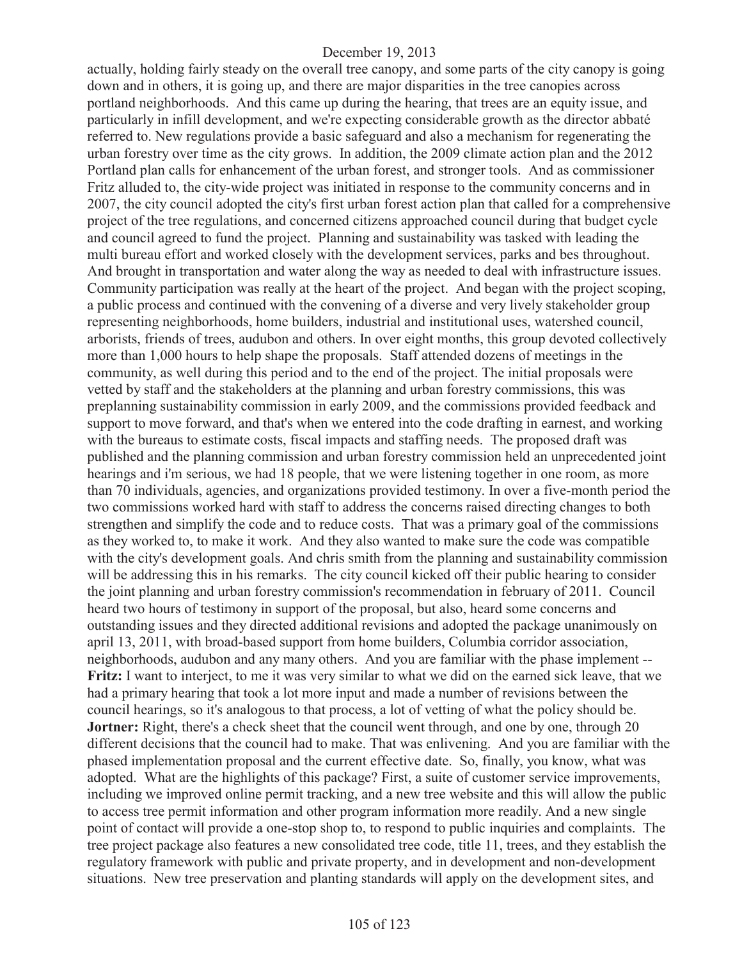actually, holding fairly steady on the overall tree canopy, and some parts of the city canopy is going down and in others, it is going up, and there are major disparities in the tree canopies across portland neighborhoods. And this came up during the hearing, that trees are an equity issue, and particularly in infill development, and we're expecting considerable growth as the director abbaté referred to. New regulations provide a basic safeguard and also a mechanism for regenerating the urban forestry over time as the city grows. In addition, the 2009 climate action plan and the 2012 Portland plan calls for enhancement of the urban forest, and stronger tools. And as commissioner Fritz alluded to, the city-wide project was initiated in response to the community concerns and in 2007, the city council adopted the city's first urban forest action plan that called for a comprehensive project of the tree regulations, and concerned citizens approached council during that budget cycle and council agreed to fund the project. Planning and sustainability was tasked with leading the multi bureau effort and worked closely with the development services, parks and bes throughout. And brought in transportation and water along the way as needed to deal with infrastructure issues. Community participation was really at the heart of the project. And began with the project scoping, a public process and continued with the convening of a diverse and very lively stakeholder group representing neighborhoods, home builders, industrial and institutional uses, watershed council, arborists, friends of trees, audubon and others. In over eight months, this group devoted collectively more than 1,000 hours to help shape the proposals. Staff attended dozens of meetings in the community, as well during this period and to the end of the project. The initial proposals were vetted by staff and the stakeholders at the planning and urban forestry commissions, this was preplanning sustainability commission in early 2009, and the commissions provided feedback and support to move forward, and that's when we entered into the code drafting in earnest, and working with the bureaus to estimate costs, fiscal impacts and staffing needs. The proposed draft was published and the planning commission and urban forestry commission held an unprecedented joint hearings and i'm serious, we had 18 people, that we were listening together in one room, as more than 70 individuals, agencies, and organizations provided testimony. In over a five-month period the two commissions worked hard with staff to address the concerns raised directing changes to both strengthen and simplify the code and to reduce costs. That was a primary goal of the commissions as they worked to, to make it work. And they also wanted to make sure the code was compatible with the city's development goals. And chris smith from the planning and sustainability commission will be addressing this in his remarks. The city council kicked off their public hearing to consider the joint planning and urban forestry commission's recommendation in february of 2011. Council heard two hours of testimony in support of the proposal, but also, heard some concerns and outstanding issues and they directed additional revisions and adopted the package unanimously on april 13, 2011, with broad-based support from home builders, Columbia corridor association, neighborhoods, audubon and any many others. And you are familiar with the phase implement -- **Fritz:** I want to interject, to me it was very similar to what we did on the earned sick leave, that we had a primary hearing that took a lot more input and made a number of revisions between the council hearings, so it's analogous to that process, a lot of vetting of what the policy should be. **Jortner:** Right, there's a check sheet that the council went through, and one by one, through 20 different decisions that the council had to make. That was enlivening. And you are familiar with the phased implementation proposal and the current effective date. So, finally, you know, what was adopted. What are the highlights of this package? First, a suite of customer service improvements, including we improved online permit tracking, and a new tree website and this will allow the public to access tree permit information and other program information more readily. And a new single point of contact will provide a one-stop shop to, to respond to public inquiries and complaints. The tree project package also features a new consolidated tree code, title 11, trees, and they establish the regulatory framework with public and private property, and in development and non-development situations. New tree preservation and planting standards will apply on the development sites, and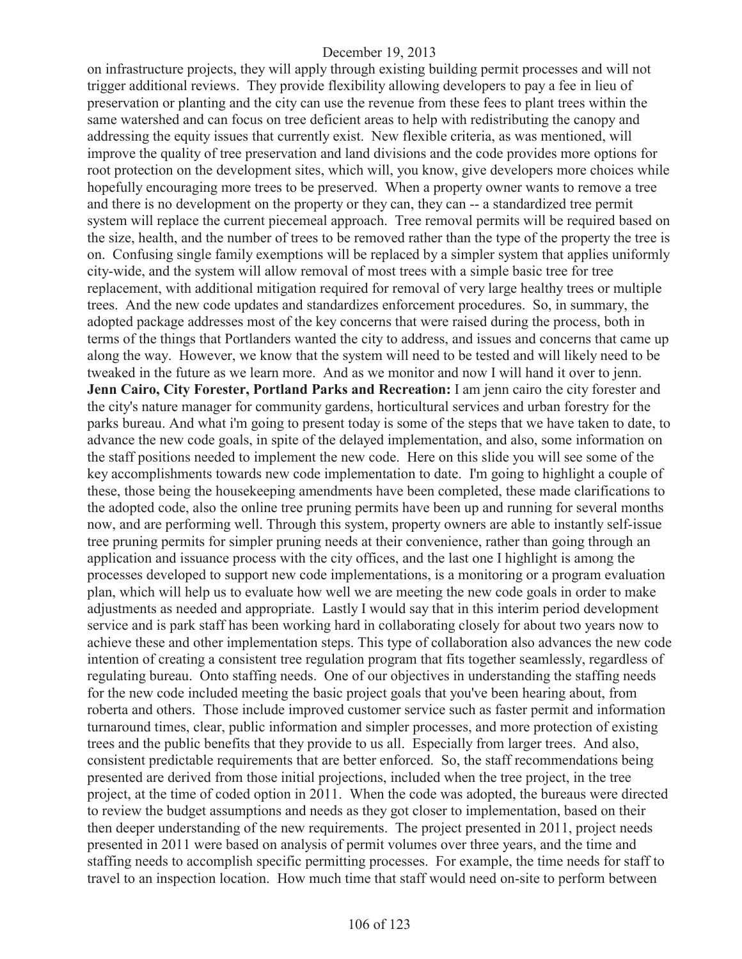on infrastructure projects, they will apply through existing building permit processes and will not trigger additional reviews. They provide flexibility allowing developers to pay a fee in lieu of preservation or planting and the city can use the revenue from these fees to plant trees within the same watershed and can focus on tree deficient areas to help with redistributing the canopy and addressing the equity issues that currently exist. New flexible criteria, as was mentioned, will improve the quality of tree preservation and land divisions and the code provides more options for root protection on the development sites, which will, you know, give developers more choices while hopefully encouraging more trees to be preserved. When a property owner wants to remove a tree and there is no development on the property or they can, they can -- a standardized tree permit system will replace the current piecemeal approach. Tree removal permits will be required based on the size, health, and the number of trees to be removed rather than the type of the property the tree is on. Confusing single family exemptions will be replaced by a simpler system that applies uniformly city-wide, and the system will allow removal of most trees with a simple basic tree for tree replacement, with additional mitigation required for removal of very large healthy trees or multiple trees. And the new code updates and standardizes enforcement procedures. So, in summary, the adopted package addresses most of the key concerns that were raised during the process, both in terms of the things that Portlanders wanted the city to address, and issues and concerns that came up along the way. However, we know that the system will need to be tested and will likely need to be tweaked in the future as we learn more. And as we monitor and now I will hand it over to jenn. **Jenn Cairo, City Forester, Portland Parks and Recreation:** I am jenn cairo the city forester and the city's nature manager for community gardens, horticultural services and urban forestry for the parks bureau. And what i'm going to present today is some of the steps that we have taken to date, to advance the new code goals, in spite of the delayed implementation, and also, some information on the staff positions needed to implement the new code. Here on this slide you will see some of the key accomplishments towards new code implementation to date. I'm going to highlight a couple of these, those being the housekeeping amendments have been completed, these made clarifications to the adopted code, also the online tree pruning permits have been up and running for several months now, and are performing well. Through this system, property owners are able to instantly self-issue tree pruning permits for simpler pruning needs at their convenience, rather than going through an application and issuance process with the city offices, and the last one I highlight is among the processes developed to support new code implementations, is a monitoring or a program evaluation plan, which will help us to evaluate how well we are meeting the new code goals in order to make adjustments as needed and appropriate. Lastly I would say that in this interim period development service and is park staff has been working hard in collaborating closely for about two years now to achieve these and other implementation steps. This type of collaboration also advances the new code intention of creating a consistent tree regulation program that fits together seamlessly, regardless of regulating bureau. Onto staffing needs. One of our objectives in understanding the staffing needs for the new code included meeting the basic project goals that you've been hearing about, from roberta and others. Those include improved customer service such as faster permit and information turnaround times, clear, public information and simpler processes, and more protection of existing trees and the public benefits that they provide to us all. Especially from larger trees. And also, consistent predictable requirements that are better enforced. So, the staff recommendations being presented are derived from those initial projections, included when the tree project, in the tree project, at the time of coded option in 2011. When the code was adopted, the bureaus were directed to review the budget assumptions and needs as they got closer to implementation, based on their then deeper understanding of the new requirements. The project presented in 2011, project needs presented in 2011 were based on analysis of permit volumes over three years, and the time and staffing needs to accomplish specific permitting processes. For example, the time needs for staff to travel to an inspection location. How much time that staff would need on-site to perform between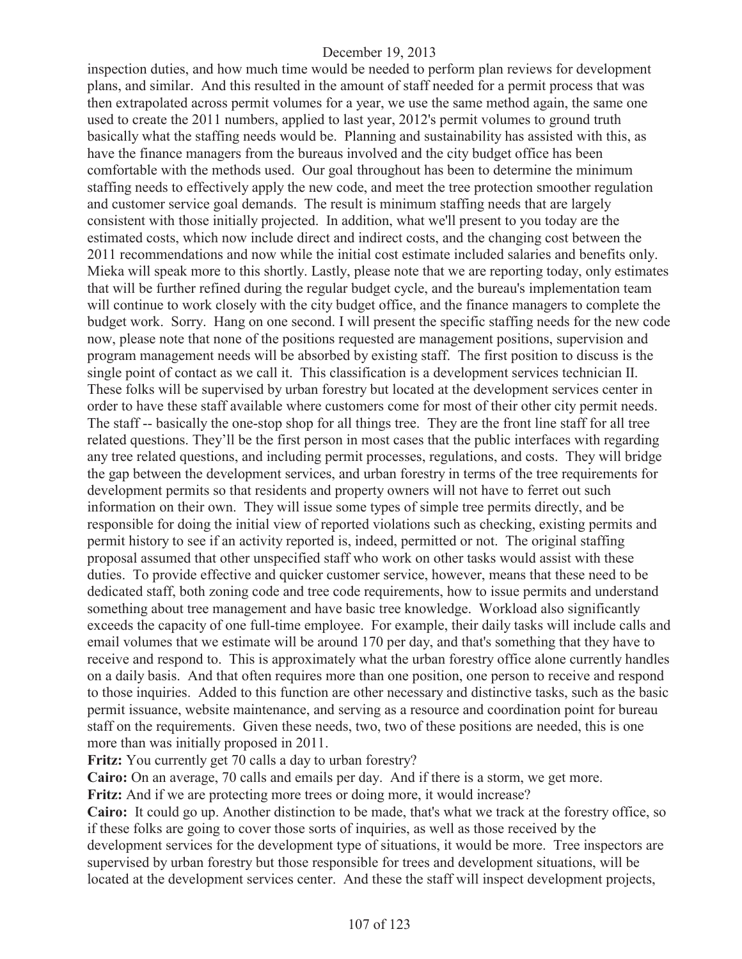inspection duties, and how much time would be needed to perform plan reviews for development plans, and similar. And this resulted in the amount of staff needed for a permit process that was then extrapolated across permit volumes for a year, we use the same method again, the same one used to create the 2011 numbers, applied to last year, 2012's permit volumes to ground truth basically what the staffing needs would be. Planning and sustainability has assisted with this, as have the finance managers from the bureaus involved and the city budget office has been comfortable with the methods used. Our goal throughout has been to determine the minimum staffing needs to effectively apply the new code, and meet the tree protection smoother regulation and customer service goal demands. The result is minimum staffing needs that are largely consistent with those initially projected. In addition, what we'll present to you today are the estimated costs, which now include direct and indirect costs, and the changing cost between the 2011 recommendations and now while the initial cost estimate included salaries and benefits only. Mieka will speak more to this shortly. Lastly, please note that we are reporting today, only estimates that will be further refined during the regular budget cycle, and the bureau's implementation team will continue to work closely with the city budget office, and the finance managers to complete the budget work. Sorry. Hang on one second. I will present the specific staffing needs for the new code now, please note that none of the positions requested are management positions, supervision and program management needs will be absorbed by existing staff. The first position to discuss is the single point of contact as we call it. This classification is a development services technician II. These folks will be supervised by urban forestry but located at the development services center in order to have these staff available where customers come for most of their other city permit needs. The staff -- basically the one-stop shop for all things tree. They are the front line staff for all tree related questions. They'll be the first person in most cases that the public interfaces with regarding any tree related questions, and including permit processes, regulations, and costs. They will bridge the gap between the development services, and urban forestry in terms of the tree requirements for development permits so that residents and property owners will not have to ferret out such information on their own. They will issue some types of simple tree permits directly, and be responsible for doing the initial view of reported violations such as checking, existing permits and permit history to see if an activity reported is, indeed, permitted or not. The original staffing proposal assumed that other unspecified staff who work on other tasks would assist with these duties. To provide effective and quicker customer service, however, means that these need to be dedicated staff, both zoning code and tree code requirements, how to issue permits and understand something about tree management and have basic tree knowledge. Workload also significantly exceeds the capacity of one full-time employee. For example, their daily tasks will include calls and email volumes that we estimate will be around 170 per day, and that's something that they have to receive and respond to. This is approximately what the urban forestry office alone currently handles on a daily basis. And that often requires more than one position, one person to receive and respond to those inquiries. Added to this function are other necessary and distinctive tasks, such as the basic permit issuance, website maintenance, and serving as a resource and coordination point for bureau staff on the requirements. Given these needs, two, two of these positions are needed, this is one more than was initially proposed in 2011.

**Fritz:** You currently get 70 calls a day to urban forestry?

**Cairo:** On an average, 70 calls and emails per day. And if there is a storm, we get more. **Fritz:** And if we are protecting more trees or doing more, it would increase?

**Cairo:** It could go up. Another distinction to be made, that's what we track at the forestry office, so if these folks are going to cover those sorts of inquiries, as well as those received by the development services for the development type of situations, it would be more. Tree inspectors are supervised by urban forestry but those responsible for trees and development situations, will be located at the development services center. And these the staff will inspect development projects,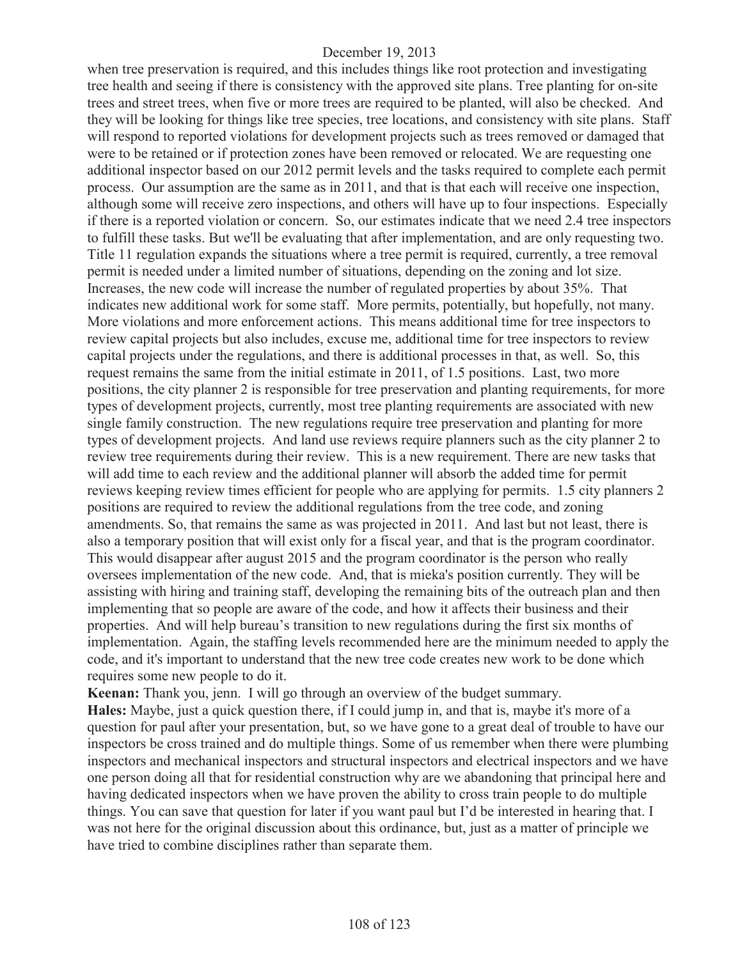when tree preservation is required, and this includes things like root protection and investigating tree health and seeing if there is consistency with the approved site plans. Tree planting for on-site trees and street trees, when five or more trees are required to be planted, will also be checked. And they will be looking for things like tree species, tree locations, and consistency with site plans. Staff will respond to reported violations for development projects such as trees removed or damaged that were to be retained or if protection zones have been removed or relocated. We are requesting one additional inspector based on our 2012 permit levels and the tasks required to complete each permit process. Our assumption are the same as in 2011, and that is that each will receive one inspection, although some will receive zero inspections, and others will have up to four inspections. Especially if there is a reported violation or concern. So, our estimates indicate that we need 2.4 tree inspectors to fulfill these tasks. But we'll be evaluating that after implementation, and are only requesting two. Title 11 regulation expands the situations where a tree permit is required, currently, a tree removal permit is needed under a limited number of situations, depending on the zoning and lot size. Increases, the new code will increase the number of regulated properties by about 35%. That indicates new additional work for some staff. More permits, potentially, but hopefully, not many. More violations and more enforcement actions. This means additional time for tree inspectors to review capital projects but also includes, excuse me, additional time for tree inspectors to review capital projects under the regulations, and there is additional processes in that, as well. So, this request remains the same from the initial estimate in 2011, of 1.5 positions. Last, two more positions, the city planner 2 is responsible for tree preservation and planting requirements, for more types of development projects, currently, most tree planting requirements are associated with new single family construction. The new regulations require tree preservation and planting for more types of development projects. And land use reviews require planners such as the city planner 2 to review tree requirements during their review. This is a new requirement. There are new tasks that will add time to each review and the additional planner will absorb the added time for permit reviews keeping review times efficient for people who are applying for permits. 1.5 city planners 2 positions are required to review the additional regulations from the tree code, and zoning amendments. So, that remains the same as was projected in 2011. And last but not least, there is also a temporary position that will exist only for a fiscal year, and that is the program coordinator. This would disappear after august 2015 and the program coordinator is the person who really oversees implementation of the new code. And, that is mieka's position currently. They will be assisting with hiring and training staff, developing the remaining bits of the outreach plan and then implementing that so people are aware of the code, and how it affects their business and their properties. And will help bureau's transition to new regulations during the first six months of implementation. Again, the staffing levels recommended here are the minimum needed to apply the code, and it's important to understand that the new tree code creates new work to be done which requires some new people to do it.

**Keenan:** Thank you, jenn. I will go through an overview of the budget summary.

**Hales:** Maybe, just a quick question there, if I could jump in, and that is, maybe it's more of a question for paul after your presentation, but, so we have gone to a great deal of trouble to have our inspectors be cross trained and do multiple things. Some of us remember when there were plumbing inspectors and mechanical inspectors and structural inspectors and electrical inspectors and we have one person doing all that for residential construction why are we abandoning that principal here and having dedicated inspectors when we have proven the ability to cross train people to do multiple things. You can save that question for later if you want paul but I'd be interested in hearing that. I was not here for the original discussion about this ordinance, but, just as a matter of principle we have tried to combine disciplines rather than separate them.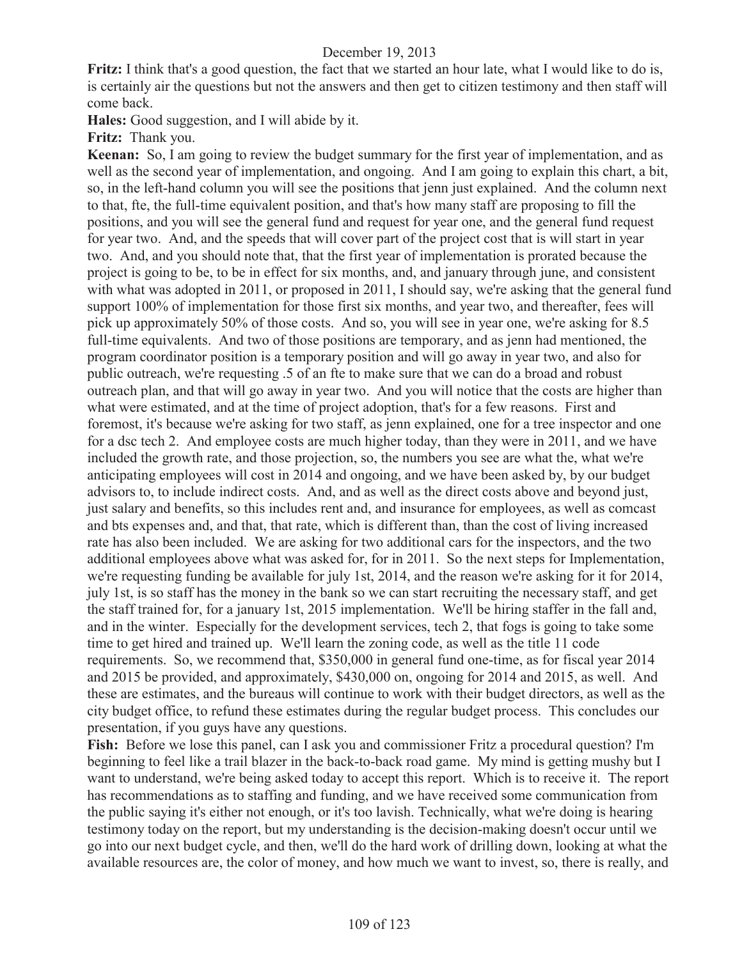**Fritz:** I think that's a good question, the fact that we started an hour late, what I would like to do is, is certainly air the questions but not the answers and then get to citizen testimony and then staff will come back.

**Hales:** Good suggestion, and I will abide by it.

**Fritz:** Thank you.

**Keenan:** So, I am going to review the budget summary for the first year of implementation, and as well as the second year of implementation, and ongoing. And I am going to explain this chart, a bit, so, in the left-hand column you will see the positions that jenn just explained. And the column next to that, fte, the full-time equivalent position, and that's how many staff are proposing to fill the positions, and you will see the general fund and request for year one, and the general fund request for year two. And, and the speeds that will cover part of the project cost that is will start in year two. And, and you should note that, that the first year of implementation is prorated because the project is going to be, to be in effect for six months, and, and january through june, and consistent with what was adopted in 2011, or proposed in 2011, I should say, we're asking that the general fund support 100% of implementation for those first six months, and year two, and thereafter, fees will pick up approximately 50% of those costs. And so, you will see in year one, we're asking for 8.5 full-time equivalents. And two of those positions are temporary, and as jenn had mentioned, the program coordinator position is a temporary position and will go away in year two, and also for public outreach, we're requesting .5 of an fte to make sure that we can do a broad and robust outreach plan, and that will go away in year two. And you will notice that the costs are higher than what were estimated, and at the time of project adoption, that's for a few reasons. First and foremost, it's because we're asking for two staff, as jenn explained, one for a tree inspector and one for a dsc tech 2. And employee costs are much higher today, than they were in 2011, and we have included the growth rate, and those projection, so, the numbers you see are what the, what we're anticipating employees will cost in 2014 and ongoing, and we have been asked by, by our budget advisors to, to include indirect costs. And, and as well as the direct costs above and beyond just, just salary and benefits, so this includes rent and, and insurance for employees, as well as comcast and bts expenses and, and that, that rate, which is different than, than the cost of living increased rate has also been included. We are asking for two additional cars for the inspectors, and the two additional employees above what was asked for, for in 2011. So the next steps for Implementation, we're requesting funding be available for july 1st, 2014, and the reason we're asking for it for 2014, july 1st, is so staff has the money in the bank so we can start recruiting the necessary staff, and get the staff trained for, for a january 1st, 2015 implementation. We'll be hiring staffer in the fall and, and in the winter. Especially for the development services, tech 2, that fogs is going to take some time to get hired and trained up. We'll learn the zoning code, as well as the title 11 code requirements. So, we recommend that, \$350,000 in general fund one-time, as for fiscal year 2014 and 2015 be provided, and approximately, \$430,000 on, ongoing for 2014 and 2015, as well. And these are estimates, and the bureaus will continue to work with their budget directors, as well as the city budget office, to refund these estimates during the regular budget process. This concludes our presentation, if you guys have any questions.

**Fish:** Before we lose this panel, can I ask you and commissioner Fritz a procedural question? I'm beginning to feel like a trail blazer in the back-to-back road game. My mind is getting mushy but I want to understand, we're being asked today to accept this report. Which is to receive it. The report has recommendations as to staffing and funding, and we have received some communication from the public saying it's either not enough, or it's too lavish. Technically, what we're doing is hearing testimony today on the report, but my understanding is the decision-making doesn't occur until we go into our next budget cycle, and then, we'll do the hard work of drilling down, looking at what the available resources are, the color of money, and how much we want to invest, so, there is really, and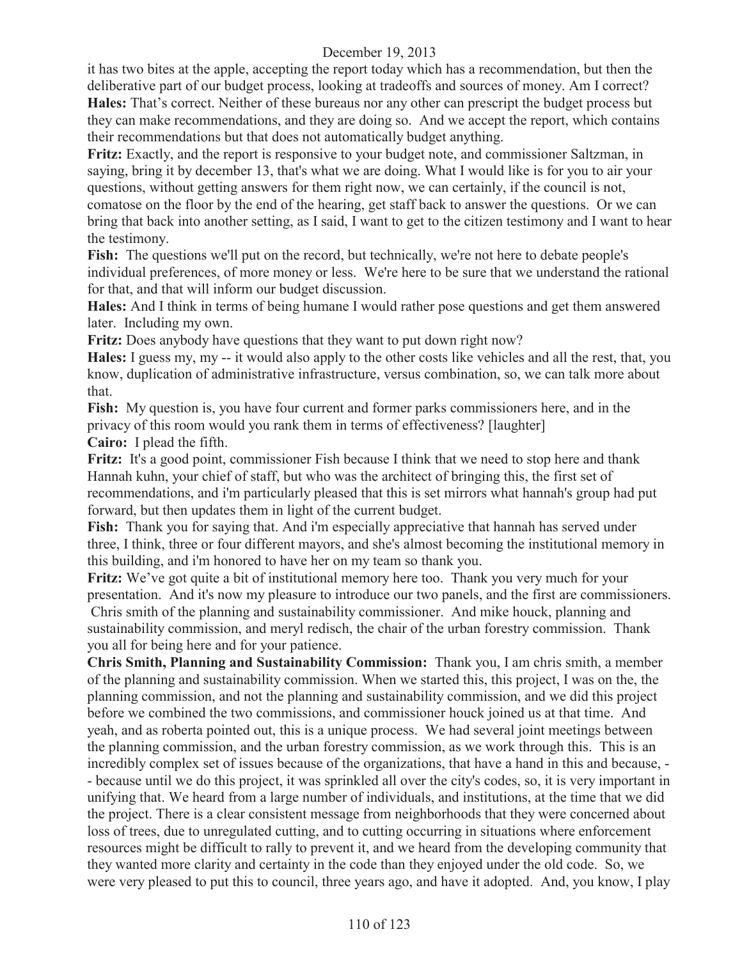it has two bites at the apple, accepting the report today which has a recommendation, but then the deliberative part of our budget process, looking at tradeoffs and sources of money. Am I correct? **Hales:** That's correct. Neither of these bureaus nor any other can prescript the budget process but they can make recommendations, and they are doing so. And we accept the report, which contains their recommendations but that does not automatically budget anything.

**Fritz:** Exactly, and the report is responsive to your budget note, and commissioner Saltzman, in saying, bring it by december 13, that's what we are doing. What I would like is for you to air your questions, without getting answers for them right now, we can certainly, if the council is not, comatose on the floor by the end of the hearing, get staff back to answer the questions. Or we can bring that back into another setting, as I said, I want to get to the citizen testimony and I want to hear the testimony.

**Fish:** The questions we'll put on the record, but technically, we're not here to debate people's individual preferences, of more money or less. We're here to be sure that we understand the rational for that, and that will inform our budget discussion.

**Hales:** And I think in terms of being humane I would rather pose questions and get them answered later. Including my own.

**Fritz:** Does anybody have questions that they want to put down right now?

**Hales:** I guess my, my -- it would also apply to the other costs like vehicles and all the rest, that, you know, duplication of administrative infrastructure, versus combination, so, we can talk more about that.

**Fish:** My question is, you have four current and former parks commissioners here, and in the privacy of this room would you rank them in terms of effectiveness? [laughter]

**Cairo:** I plead the fifth.

**Fritz:** It's a good point, commissioner Fish because I think that we need to stop here and thank Hannah kuhn, your chief of staff, but who was the architect of bringing this, the first set of recommendations, and i'm particularly pleased that this is set mirrors what hannah's group had put forward, but then updates them in light of the current budget.

**Fish:** Thank you for saying that. And i'm especially appreciative that hannah has served under three, I think, three or four different mayors, and she's almost becoming the institutional memory in this building, and i'm honored to have her on my team so thank you.

**Fritz:** We've got quite a bit of institutional memory here too. Thank you very much for your presentation. And it's now my pleasure to introduce our two panels, and the first are commissioners. Chris smith of the planning and sustainability commissioner. And mike houck, planning and sustainability commission, and meryl redisch, the chair of the urban forestry commission. Thank you all for being here and for your patience.

**Chris Smith, Planning and Sustainability Commission:** Thank you, I am chris smith, a member of the planning and sustainability commission. When we started this, this project, I was on the, the planning commission, and not the planning and sustainability commission, and we did this project before we combined the two commissions, and commissioner houck joined us at that time. And yeah, and as roberta pointed out, this is a unique process. We had several joint meetings between the planning commission, and the urban forestry commission, as we work through this. This is an incredibly complex set of issues because of the organizations, that have a hand in this and because, - - because until we do this project, it was sprinkled all over the city's codes, so, it is very important in unifying that. We heard from a large number of individuals, and institutions, at the time that we did the project. There is a clear consistent message from neighborhoods that they were concerned about loss of trees, due to unregulated cutting, and to cutting occurring in situations where enforcement resources might be difficult to rally to prevent it, and we heard from the developing community that they wanted more clarity and certainty in the code than they enjoyed under the old code. So, we were very pleased to put this to council, three years ago, and have it adopted. And, you know, I play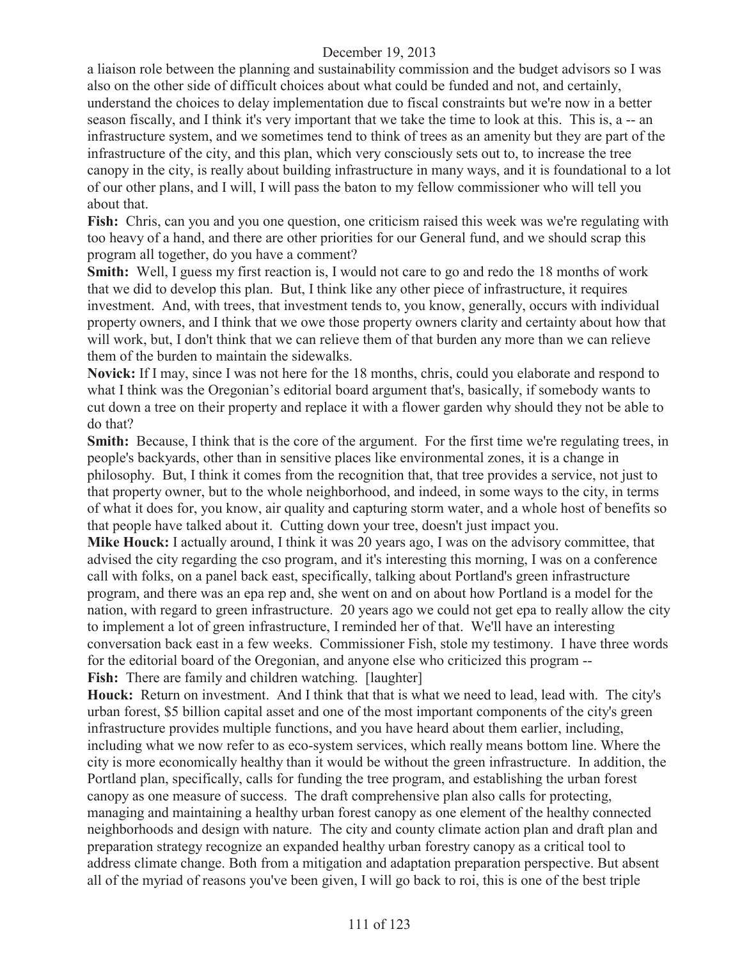a liaison role between the planning and sustainability commission and the budget advisors so I was also on the other side of difficult choices about what could be funded and not, and certainly, understand the choices to delay implementation due to fiscal constraints but we're now in a better season fiscally, and I think it's very important that we take the time to look at this. This is, a -- an infrastructure system, and we sometimes tend to think of trees as an amenity but they are part of the infrastructure of the city, and this plan, which very consciously sets out to, to increase the tree canopy in the city, is really about building infrastructure in many ways, and it is foundational to a lot of our other plans, and I will, I will pass the baton to my fellow commissioner who will tell you about that.

**Fish:** Chris, can you and you one question, one criticism raised this week was we're regulating with too heavy of a hand, and there are other priorities for our General fund, and we should scrap this program all together, do you have a comment?

**Smith:** Well, I guess my first reaction is, I would not care to go and redo the 18 months of work that we did to develop this plan. But, I think like any other piece of infrastructure, it requires investment. And, with trees, that investment tends to, you know, generally, occurs with individual property owners, and I think that we owe those property owners clarity and certainty about how that will work, but, I don't think that we can relieve them of that burden any more than we can relieve them of the burden to maintain the sidewalks.

**Novick:** If I may, since I was not here for the 18 months, chris, could you elaborate and respond to what I think was the Oregonian's editorial board argument that's, basically, if somebody wants to cut down a tree on their property and replace it with a flower garden why should they not be able to do that?

**Smith:** Because, I think that is the core of the argument. For the first time we're regulating trees, in people's backyards, other than in sensitive places like environmental zones, it is a change in philosophy. But, I think it comes from the recognition that, that tree provides a service, not just to that property owner, but to the whole neighborhood, and indeed, in some ways to the city, in terms of what it does for, you know, air quality and capturing storm water, and a whole host of benefits so that people have talked about it. Cutting down your tree, doesn't just impact you.

**Mike Houck:** I actually around, I think it was 20 years ago, I was on the advisory committee, that advised the city regarding the cso program, and it's interesting this morning, I was on a conference call with folks, on a panel back east, specifically, talking about Portland's green infrastructure program, and there was an epa rep and, she went on and on about how Portland is a model for the nation, with regard to green infrastructure. 20 years ago we could not get epa to really allow the city to implement a lot of green infrastructure, I reminded her of that. We'll have an interesting conversation back east in a few weeks. Commissioner Fish, stole my testimony. I have three words for the editorial board of the Oregonian, and anyone else who criticized this program -- Fish: There are family and children watching. [laughter]

**Houck:** Return on investment. And I think that that is what we need to lead, lead with. The city's urban forest, \$5 billion capital asset and one of the most important components of the city's green infrastructure provides multiple functions, and you have heard about them earlier, including, including what we now refer to as eco-system services, which really means bottom line. Where the city is more economically healthy than it would be without the green infrastructure. In addition, the Portland plan, specifically, calls for funding the tree program, and establishing the urban forest canopy as one measure of success. The draft comprehensive plan also calls for protecting, managing and maintaining a healthy urban forest canopy as one element of the healthy connected neighborhoods and design with nature. The city and county climate action plan and draft plan and preparation strategy recognize an expanded healthy urban forestry canopy as a critical tool to address climate change. Both from a mitigation and adaptation preparation perspective. But absent all of the myriad of reasons you've been given, I will go back to roi, this is one of the best triple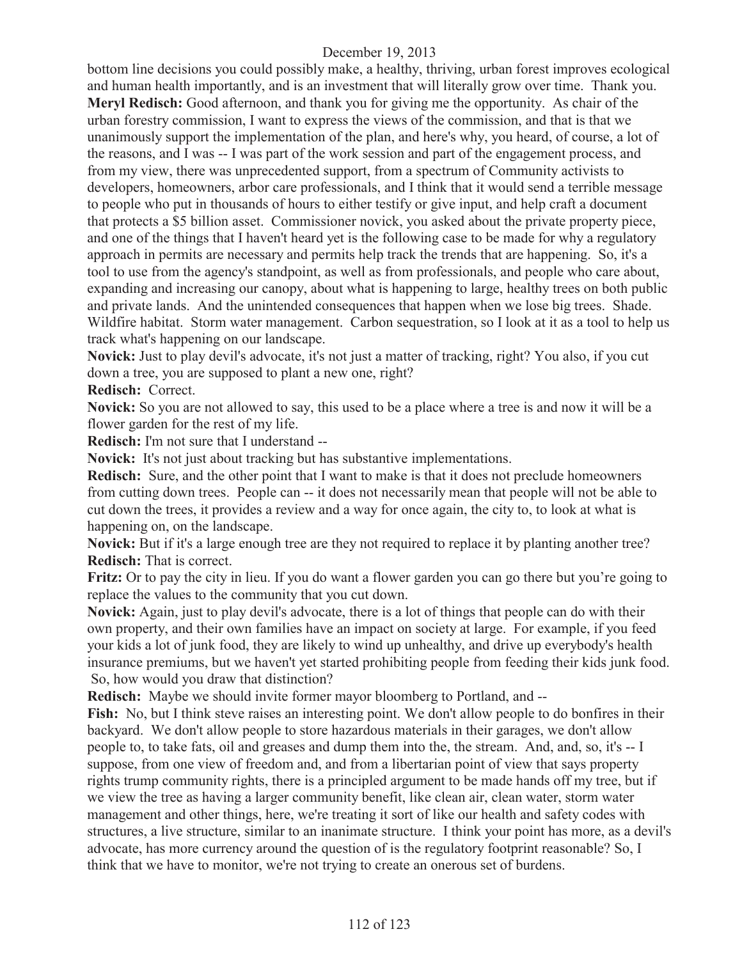bottom line decisions you could possibly make, a healthy, thriving, urban forest improves ecological and human health importantly, and is an investment that will literally grow over time. Thank you. **Meryl Redisch:** Good afternoon, and thank you for giving me the opportunity. As chair of the urban forestry commission, I want to express the views of the commission, and that is that we unanimously support the implementation of the plan, and here's why, you heard, of course, a lot of the reasons, and I was -- I was part of the work session and part of the engagement process, and from my view, there was unprecedented support, from a spectrum of Community activists to developers, homeowners, arbor care professionals, and I think that it would send a terrible message to people who put in thousands of hours to either testify or give input, and help craft a document that protects a \$5 billion asset. Commissioner novick, you asked about the private property piece, and one of the things that I haven't heard yet is the following case to be made for why a regulatory approach in permits are necessary and permits help track the trends that are happening. So, it's a tool to use from the agency's standpoint, as well as from professionals, and people who care about, expanding and increasing our canopy, about what is happening to large, healthy trees on both public and private lands. And the unintended consequences that happen when we lose big trees. Shade. Wildfire habitat. Storm water management. Carbon sequestration, so I look at it as a tool to help us track what's happening on our landscape.

**Novick:** Just to play devil's advocate, it's not just a matter of tracking, right? You also, if you cut down a tree, you are supposed to plant a new one, right?

**Redisch:** Correct.

**Novick:** So you are not allowed to say, this used to be a place where a tree is and now it will be a flower garden for the rest of my life.

**Redisch:** I'm not sure that I understand --

**Novick:** It's not just about tracking but has substantive implementations.

**Redisch:** Sure, and the other point that I want to make is that it does not preclude homeowners from cutting down trees. People can -- it does not necessarily mean that people will not be able to cut down the trees, it provides a review and a way for once again, the city to, to look at what is happening on, on the landscape.

**Novick:** But if it's a large enough tree are they not required to replace it by planting another tree? **Redisch:** That is correct.

**Fritz:** Or to pay the city in lieu. If you do want a flower garden you can go there but you're going to replace the values to the community that you cut down.

**Novick:** Again, just to play devil's advocate, there is a lot of things that people can do with their own property, and their own families have an impact on society at large. For example, if you feed your kids a lot of junk food, they are likely to wind up unhealthy, and drive up everybody's health insurance premiums, but we haven't yet started prohibiting people from feeding their kids junk food. So, how would you draw that distinction?

**Redisch:** Maybe we should invite former mayor bloomberg to Portland, and --

Fish: No, but I think steve raises an interesting point. We don't allow people to do bonfires in their backyard. We don't allow people to store hazardous materials in their garages, we don't allow people to, to take fats, oil and greases and dump them into the, the stream. And, and, so, it's -- I suppose, from one view of freedom and, and from a libertarian point of view that says property rights trump community rights, there is a principled argument to be made hands off my tree, but if we view the tree as having a larger community benefit, like clean air, clean water, storm water management and other things, here, we're treating it sort of like our health and safety codes with structures, a live structure, similar to an inanimate structure. I think your point has more, as a devil's advocate, has more currency around the question of is the regulatory footprint reasonable? So, I think that we have to monitor, we're not trying to create an onerous set of burdens.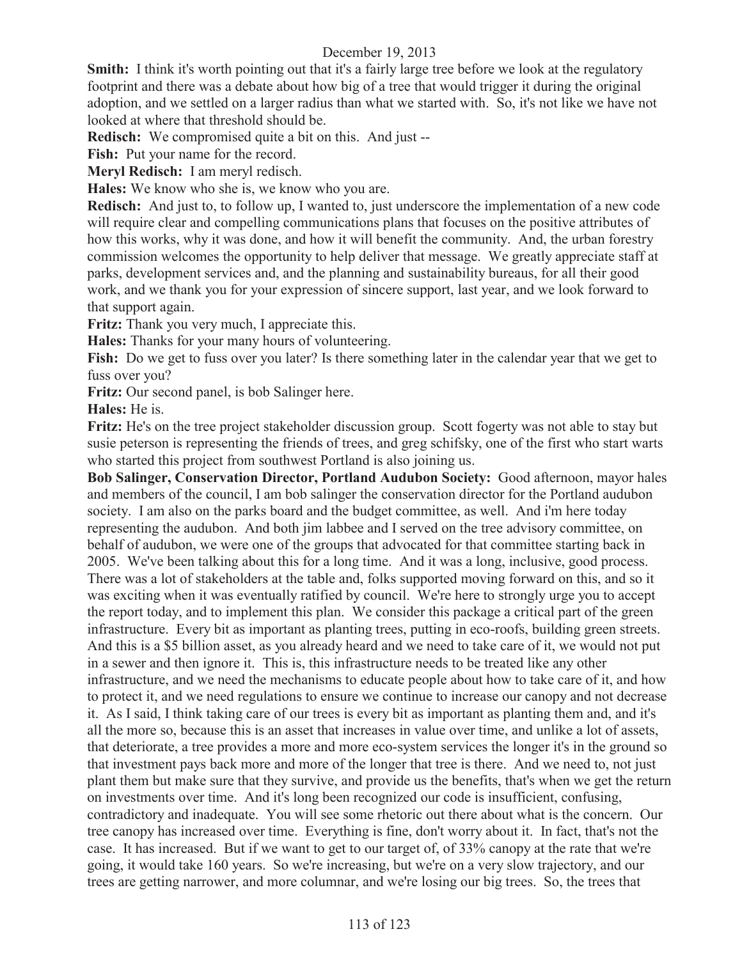**Smith:** I think it's worth pointing out that it's a fairly large tree before we look at the regulatory footprint and there was a debate about how big of a tree that would trigger it during the original adoption, and we settled on a larger radius than what we started with. So, it's not like we have not looked at where that threshold should be.

**Redisch:** We compromised quite a bit on this. And just --

Fish: Put your name for the record.

**Meryl Redisch:** I am meryl redisch.

**Hales:** We know who she is, we know who you are.

**Redisch:** And just to, to follow up, I wanted to, just underscore the implementation of a new code will require clear and compelling communications plans that focuses on the positive attributes of how this works, why it was done, and how it will benefit the community. And, the urban forestry commission welcomes the opportunity to help deliver that message. We greatly appreciate staff at parks, development services and, and the planning and sustainability bureaus, for all their good work, and we thank you for your expression of sincere support, last year, and we look forward to that support again.

**Fritz:** Thank you very much, I appreciate this.

**Hales:** Thanks for your many hours of volunteering.

**Fish:** Do we get to fuss over you later? Is there something later in the calendar year that we get to fuss over you?

**Fritz:** Our second panel, is bob Salinger here.

**Hales:** He is.

**Fritz:** He's on the tree project stakeholder discussion group. Scott fogerty was not able to stay but susie peterson is representing the friends of trees, and greg schifsky, one of the first who start warts who started this project from southwest Portland is also joining us.

**Bob Salinger, Conservation Director, Portland Audubon Society:** Good afternoon, mayor hales and members of the council, I am bob salinger the conservation director for the Portland audubon society. I am also on the parks board and the budget committee, as well. And i'm here today representing the audubon. And both jim labbee and I served on the tree advisory committee, on behalf of audubon, we were one of the groups that advocated for that committee starting back in 2005. We've been talking about this for a long time. And it was a long, inclusive, good process. There was a lot of stakeholders at the table and, folks supported moving forward on this, and so it was exciting when it was eventually ratified by council. We're here to strongly urge you to accept the report today, and to implement this plan. We consider this package a critical part of the green infrastructure. Every bit as important as planting trees, putting in eco-roofs, building green streets. And this is a \$5 billion asset, as you already heard and we need to take care of it, we would not put in a sewer and then ignore it. This is, this infrastructure needs to be treated like any other infrastructure, and we need the mechanisms to educate people about how to take care of it, and how to protect it, and we need regulations to ensure we continue to increase our canopy and not decrease it. As I said, I think taking care of our trees is every bit as important as planting them and, and it's all the more so, because this is an asset that increases in value over time, and unlike a lot of assets, that deteriorate, a tree provides a more and more eco-system services the longer it's in the ground so that investment pays back more and more of the longer that tree is there. And we need to, not just plant them but make sure that they survive, and provide us the benefits, that's when we get the return on investments over time. And it's long been recognized our code is insufficient, confusing, contradictory and inadequate. You will see some rhetoric out there about what is the concern. Our tree canopy has increased over time. Everything is fine, don't worry about it. In fact, that's not the case. It has increased. But if we want to get to our target of, of 33% canopy at the rate that we're going, it would take 160 years. So we're increasing, but we're on a very slow trajectory, and our trees are getting narrower, and more columnar, and we're losing our big trees. So, the trees that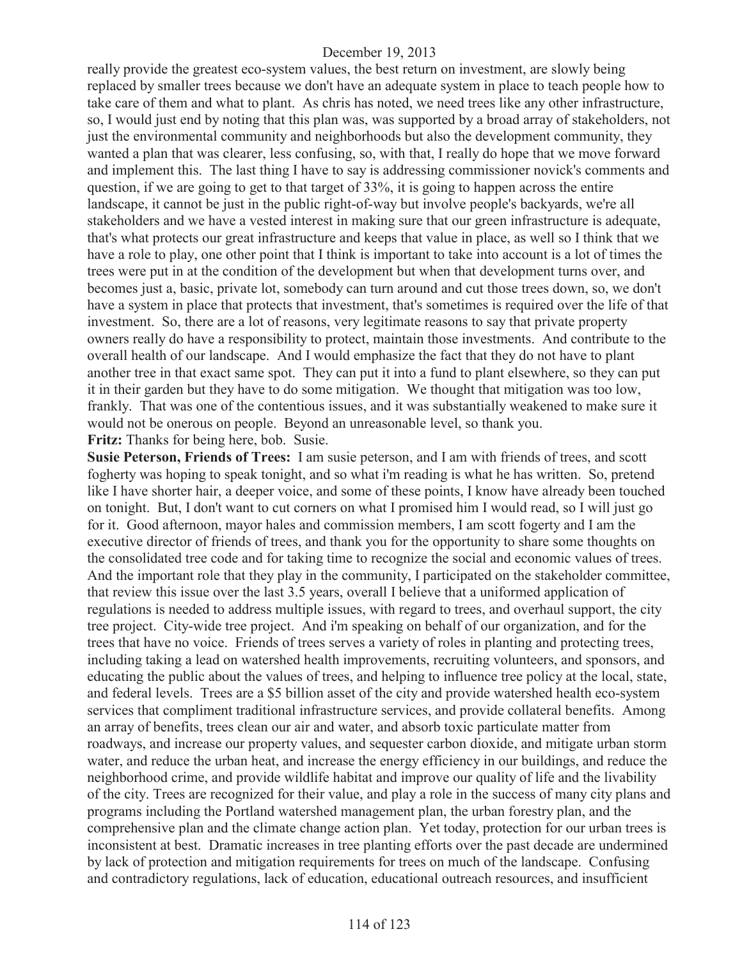really provide the greatest eco-system values, the best return on investment, are slowly being replaced by smaller trees because we don't have an adequate system in place to teach people how to take care of them and what to plant. As chris has noted, we need trees like any other infrastructure, so, I would just end by noting that this plan was, was supported by a broad array of stakeholders, not just the environmental community and neighborhoods but also the development community, they wanted a plan that was clearer, less confusing, so, with that, I really do hope that we move forward and implement this. The last thing I have to say is addressing commissioner novick's comments and question, if we are going to get to that target of 33%, it is going to happen across the entire landscape, it cannot be just in the public right-of-way but involve people's backyards, we're all stakeholders and we have a vested interest in making sure that our green infrastructure is adequate, that's what protects our great infrastructure and keeps that value in place, as well so I think that we have a role to play, one other point that I think is important to take into account is a lot of times the trees were put in at the condition of the development but when that development turns over, and becomes just a, basic, private lot, somebody can turn around and cut those trees down, so, we don't have a system in place that protects that investment, that's sometimes is required over the life of that investment. So, there are a lot of reasons, very legitimate reasons to say that private property owners really do have a responsibility to protect, maintain those investments. And contribute to the overall health of our landscape. And I would emphasize the fact that they do not have to plant another tree in that exact same spot. They can put it into a fund to plant elsewhere, so they can put it in their garden but they have to do some mitigation. We thought that mitigation was too low, frankly. That was one of the contentious issues, and it was substantially weakened to make sure it would not be onerous on people. Beyond an unreasonable level, so thank you. **Fritz:** Thanks for being here, bob. Susie.

**Susie Peterson, Friends of Trees:** I am susie peterson, and I am with friends of trees, and scott fogherty was hoping to speak tonight, and so what i'm reading is what he has written. So, pretend like I have shorter hair, a deeper voice, and some of these points, I know have already been touched on tonight. But, I don't want to cut corners on what I promised him I would read, so I will just go for it. Good afternoon, mayor hales and commission members, I am scott fogerty and I am the executive director of friends of trees, and thank you for the opportunity to share some thoughts on the consolidated tree code and for taking time to recognize the social and economic values of trees. And the important role that they play in the community, I participated on the stakeholder committee, that review this issue over the last 3.5 years, overall I believe that a uniformed application of regulations is needed to address multiple issues, with regard to trees, and overhaul support, the city tree project. City-wide tree project. And i'm speaking on behalf of our organization, and for the trees that have no voice. Friends of trees serves a variety of roles in planting and protecting trees, including taking a lead on watershed health improvements, recruiting volunteers, and sponsors, and educating the public about the values of trees, and helping to influence tree policy at the local, state, and federal levels. Trees are a \$5 billion asset of the city and provide watershed health eco-system services that compliment traditional infrastructure services, and provide collateral benefits. Among an array of benefits, trees clean our air and water, and absorb toxic particulate matter from roadways, and increase our property values, and sequester carbon dioxide, and mitigate urban storm water, and reduce the urban heat, and increase the energy efficiency in our buildings, and reduce the neighborhood crime, and provide wildlife habitat and improve our quality of life and the livability of the city. Trees are recognized for their value, and play a role in the success of many city plans and programs including the Portland watershed management plan, the urban forestry plan, and the comprehensive plan and the climate change action plan. Yet today, protection for our urban trees is inconsistent at best. Dramatic increases in tree planting efforts over the past decade are undermined by lack of protection and mitigation requirements for trees on much of the landscape. Confusing and contradictory regulations, lack of education, educational outreach resources, and insufficient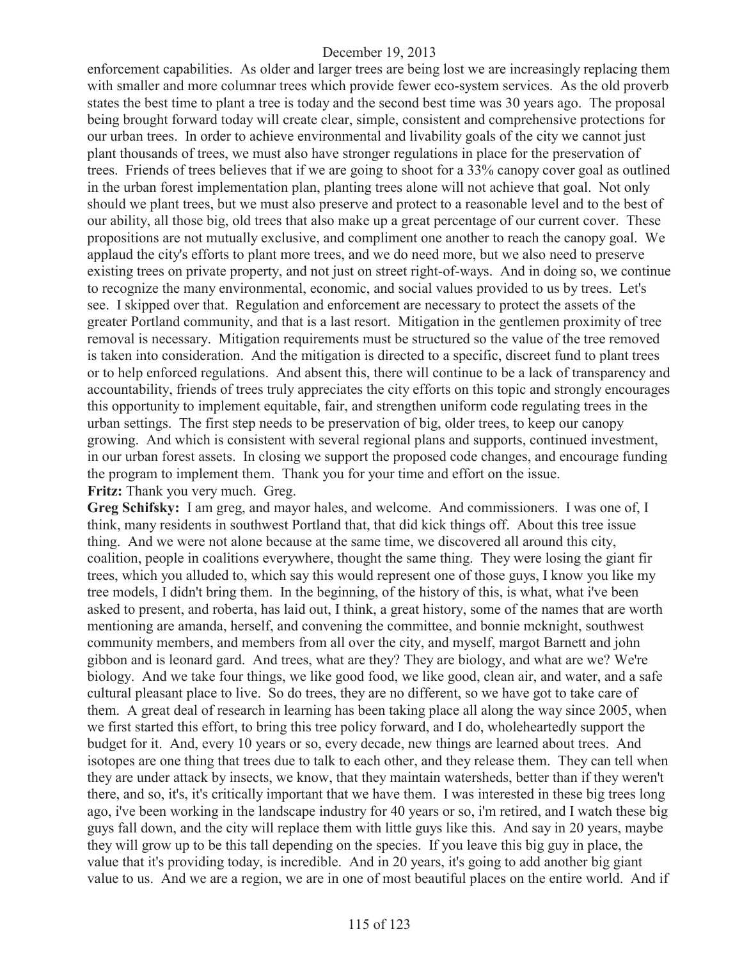enforcement capabilities. As older and larger trees are being lost we are increasingly replacing them with smaller and more columnar trees which provide fewer eco-system services. As the old proverb states the best time to plant a tree is today and the second best time was 30 years ago. The proposal being brought forward today will create clear, simple, consistent and comprehensive protections for our urban trees. In order to achieve environmental and livability goals of the city we cannot just plant thousands of trees, we must also have stronger regulations in place for the preservation of trees. Friends of trees believes that if we are going to shoot for a 33% canopy cover goal as outlined in the urban forest implementation plan, planting trees alone will not achieve that goal. Not only should we plant trees, but we must also preserve and protect to a reasonable level and to the best of our ability, all those big, old trees that also make up a great percentage of our current cover. These propositions are not mutually exclusive, and compliment one another to reach the canopy goal. We applaud the city's efforts to plant more trees, and we do need more, but we also need to preserve existing trees on private property, and not just on street right-of-ways. And in doing so, we continue to recognize the many environmental, economic, and social values provided to us by trees. Let's see. I skipped over that. Regulation and enforcement are necessary to protect the assets of the greater Portland community, and that is a last resort. Mitigation in the gentlemen proximity of tree removal is necessary. Mitigation requirements must be structured so the value of the tree removed is taken into consideration. And the mitigation is directed to a specific, discreet fund to plant trees or to help enforced regulations. And absent this, there will continue to be a lack of transparency and accountability, friends of trees truly appreciates the city efforts on this topic and strongly encourages this opportunity to implement equitable, fair, and strengthen uniform code regulating trees in the urban settings. The first step needs to be preservation of big, older trees, to keep our canopy growing. And which is consistent with several regional plans and supports, continued investment, in our urban forest assets. In closing we support the proposed code changes, and encourage funding the program to implement them. Thank you for your time and effort on the issue. **Fritz:** Thank you very much. Greg.

**Greg Schifsky:** I am greg, and mayor hales, and welcome. And commissioners. I was one of, I think, many residents in southwest Portland that, that did kick things off. About this tree issue thing. And we were not alone because at the same time, we discovered all around this city, coalition, people in coalitions everywhere, thought the same thing. They were losing the giant fir trees, which you alluded to, which say this would represent one of those guys, I know you like my tree models, I didn't bring them. In the beginning, of the history of this, is what, what i've been asked to present, and roberta, has laid out, I think, a great history, some of the names that are worth mentioning are amanda, herself, and convening the committee, and bonnie mcknight, southwest community members, and members from all over the city, and myself, margot Barnett and john gibbon and is leonard gard. And trees, what are they? They are biology, and what are we? We're biology. And we take four things, we like good food, we like good, clean air, and water, and a safe cultural pleasant place to live. So do trees, they are no different, so we have got to take care of them. A great deal of research in learning has been taking place all along the way since 2005, when we first started this effort, to bring this tree policy forward, and I do, wholeheartedly support the budget for it. And, every 10 years or so, every decade, new things are learned about trees. And isotopes are one thing that trees due to talk to each other, and they release them. They can tell when they are under attack by insects, we know, that they maintain watersheds, better than if they weren't there, and so, it's, it's critically important that we have them. I was interested in these big trees long ago, i've been working in the landscape industry for 40 years or so, i'm retired, and I watch these big guys fall down, and the city will replace them with little guys like this. And say in 20 years, maybe they will grow up to be this tall depending on the species. If you leave this big guy in place, the value that it's providing today, is incredible. And in 20 years, it's going to add another big giant value to us. And we are a region, we are in one of most beautiful places on the entire world. And if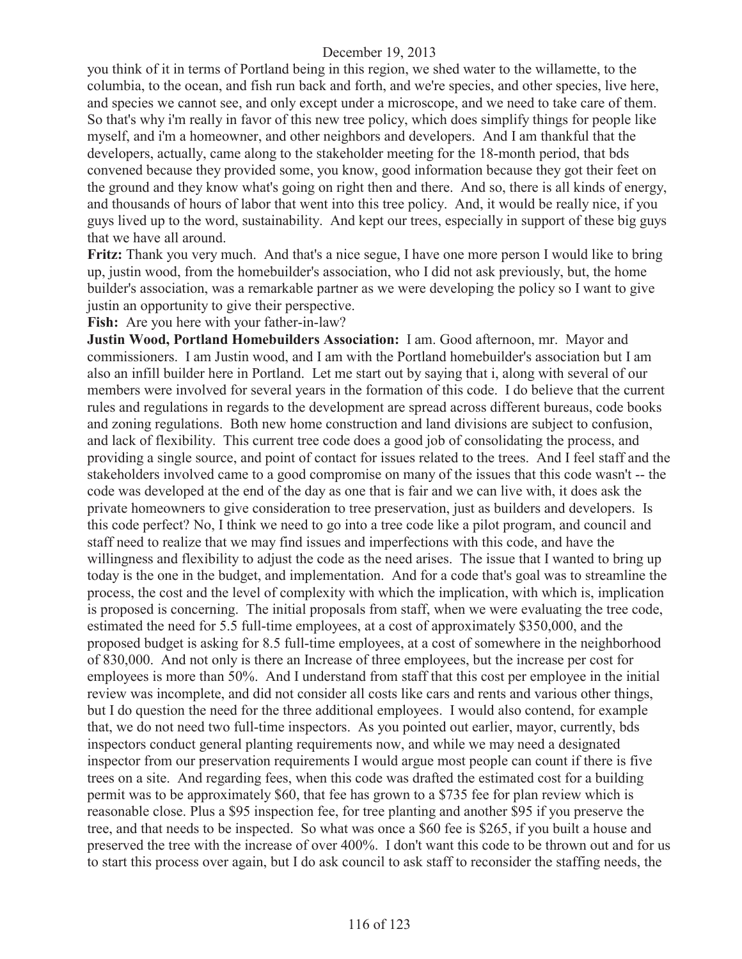you think of it in terms of Portland being in this region, we shed water to the willamette, to the columbia, to the ocean, and fish run back and forth, and we're species, and other species, live here, and species we cannot see, and only except under a microscope, and we need to take care of them. So that's why i'm really in favor of this new tree policy, which does simplify things for people like myself, and i'm a homeowner, and other neighbors and developers. And I am thankful that the developers, actually, came along to the stakeholder meeting for the 18-month period, that bds convened because they provided some, you know, good information because they got their feet on the ground and they know what's going on right then and there. And so, there is all kinds of energy, and thousands of hours of labor that went into this tree policy. And, it would be really nice, if you guys lived up to the word, sustainability. And kept our trees, especially in support of these big guys that we have all around.

**Fritz:** Thank you very much. And that's a nice segue, I have one more person I would like to bring up, justin wood, from the homebuilder's association, who I did not ask previously, but, the home builder's association, was a remarkable partner as we were developing the policy so I want to give justin an opportunity to give their perspective.

**Fish:** Are you here with your father-in-law?

**Justin Wood, Portland Homebuilders Association:** I am. Good afternoon, mr. Mayor and commissioners. I am Justin wood, and I am with the Portland homebuilder's association but I am also an infill builder here in Portland. Let me start out by saying that i, along with several of our members were involved for several years in the formation of this code. I do believe that the current rules and regulations in regards to the development are spread across different bureaus, code books and zoning regulations. Both new home construction and land divisions are subject to confusion, and lack of flexibility. This current tree code does a good job of consolidating the process, and providing a single source, and point of contact for issues related to the trees. And I feel staff and the stakeholders involved came to a good compromise on many of the issues that this code wasn't -- the code was developed at the end of the day as one that is fair and we can live with, it does ask the private homeowners to give consideration to tree preservation, just as builders and developers. Is this code perfect? No, I think we need to go into a tree code like a pilot program, and council and staff need to realize that we may find issues and imperfections with this code, and have the willingness and flexibility to adjust the code as the need arises. The issue that I wanted to bring up today is the one in the budget, and implementation. And for a code that's goal was to streamline the process, the cost and the level of complexity with which the implication, with which is, implication is proposed is concerning. The initial proposals from staff, when we were evaluating the tree code, estimated the need for 5.5 full-time employees, at a cost of approximately \$350,000, and the proposed budget is asking for 8.5 full-time employees, at a cost of somewhere in the neighborhood of 830,000. And not only is there an Increase of three employees, but the increase per cost for employees is more than 50%. And I understand from staff that this cost per employee in the initial review was incomplete, and did not consider all costs like cars and rents and various other things, but I do question the need for the three additional employees. I would also contend, for example that, we do not need two full-time inspectors. As you pointed out earlier, mayor, currently, bds inspectors conduct general planting requirements now, and while we may need a designated inspector from our preservation requirements I would argue most people can count if there is five trees on a site. And regarding fees, when this code was drafted the estimated cost for a building permit was to be approximately \$60, that fee has grown to a \$735 fee for plan review which is reasonable close. Plus a \$95 inspection fee, for tree planting and another \$95 if you preserve the tree, and that needs to be inspected. So what was once a \$60 fee is \$265, if you built a house and preserved the tree with the increase of over 400%. I don't want this code to be thrown out and for us to start this process over again, but I do ask council to ask staff to reconsider the staffing needs, the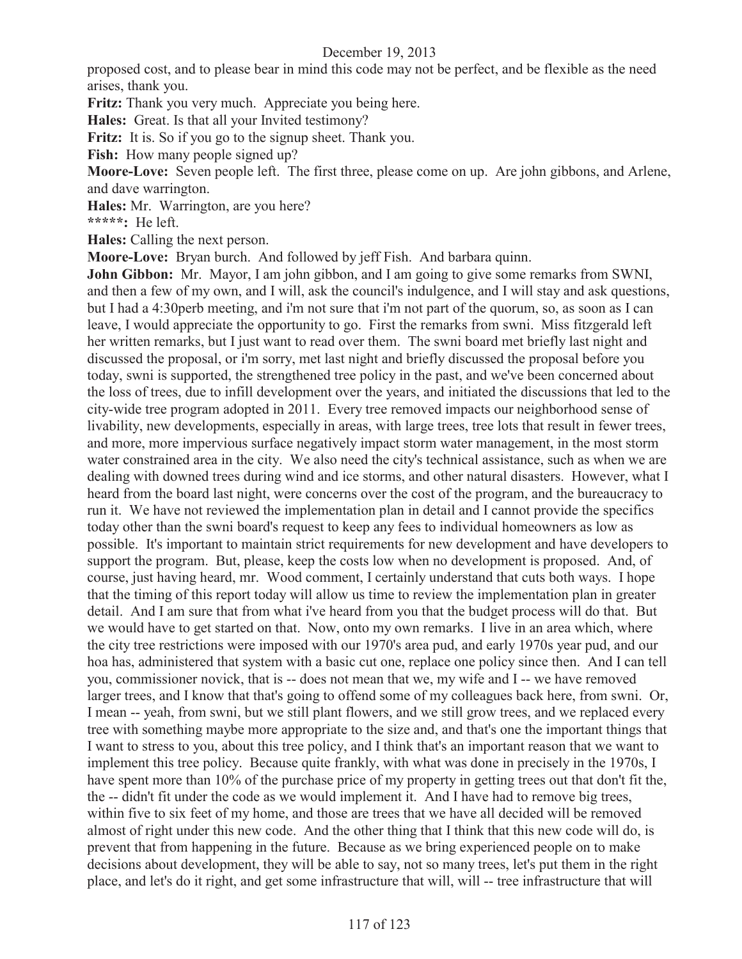proposed cost, and to please bear in mind this code may not be perfect, and be flexible as the need arises, thank you.

**Fritz:** Thank you very much. Appreciate you being here.

**Hales:** Great. Is that all your Invited testimony?

Fritz: It is. So if you go to the signup sheet. Thank you.

**Fish:** How many people signed up?

**Moore-Love:** Seven people left. The first three, please come on up. Are john gibbons, and Arlene, and dave warrington.

**Hales:** Mr. Warrington, are you here?

**\*\*\*\*\*:** He left.

**Hales:** Calling the next person.

**Moore-Love:** Bryan burch. And followed by jeff Fish. And barbara quinn.

**John Gibbon:** Mr. Mayor, I am john gibbon, and I am going to give some remarks from SWNI, and then a few of my own, and I will, ask the council's indulgence, and I will stay and ask questions, but I had a 4:30perb meeting, and i'm not sure that i'm not part of the quorum, so, as soon as I can leave, I would appreciate the opportunity to go. First the remarks from swni. Miss fitzgerald left her written remarks, but I just want to read over them. The swni board met briefly last night and discussed the proposal, or i'm sorry, met last night and briefly discussed the proposal before you today, swni is supported, the strengthened tree policy in the past, and we've been concerned about the loss of trees, due to infill development over the years, and initiated the discussions that led to the city-wide tree program adopted in 2011. Every tree removed impacts our neighborhood sense of livability, new developments, especially in areas, with large trees, tree lots that result in fewer trees, and more, more impervious surface negatively impact storm water management, in the most storm water constrained area in the city. We also need the city's technical assistance, such as when we are dealing with downed trees during wind and ice storms, and other natural disasters. However, what I heard from the board last night, were concerns over the cost of the program, and the bureaucracy to run it. We have not reviewed the implementation plan in detail and I cannot provide the specifics today other than the swni board's request to keep any fees to individual homeowners as low as possible. It's important to maintain strict requirements for new development and have developers to support the program. But, please, keep the costs low when no development is proposed. And, of course, just having heard, mr. Wood comment, I certainly understand that cuts both ways. I hope that the timing of this report today will allow us time to review the implementation plan in greater detail. And I am sure that from what i've heard from you that the budget process will do that. But we would have to get started on that. Now, onto my own remarks. I live in an area which, where the city tree restrictions were imposed with our 1970's area pud, and early 1970s year pud, and our hoa has, administered that system with a basic cut one, replace one policy since then. And I can tell you, commissioner novick, that is -- does not mean that we, my wife and I -- we have removed larger trees, and I know that that's going to offend some of my colleagues back here, from swni. Or, I mean -- yeah, from swni, but we still plant flowers, and we still grow trees, and we replaced every tree with something maybe more appropriate to the size and, and that's one the important things that I want to stress to you, about this tree policy, and I think that's an important reason that we want to implement this tree policy. Because quite frankly, with what was done in precisely in the 1970s, I have spent more than 10% of the purchase price of my property in getting trees out that don't fit the, the -- didn't fit under the code as we would implement it. And I have had to remove big trees, within five to six feet of my home, and those are trees that we have all decided will be removed almost of right under this new code. And the other thing that I think that this new code will do, is prevent that from happening in the future. Because as we bring experienced people on to make decisions about development, they will be able to say, not so many trees, let's put them in the right place, and let's do it right, and get some infrastructure that will, will -- tree infrastructure that will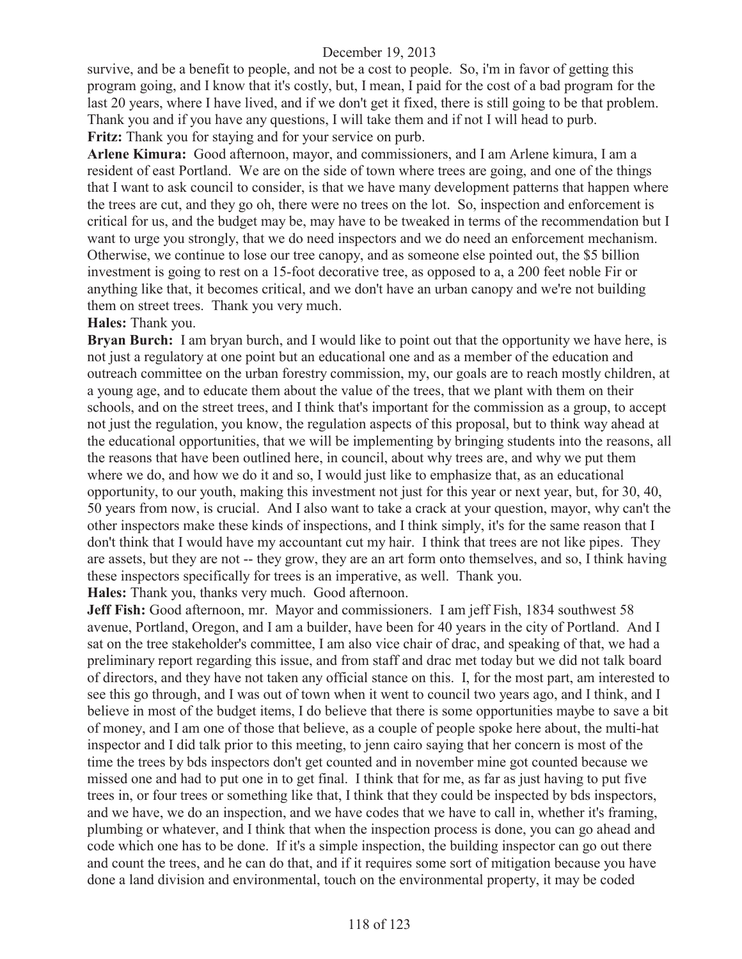survive, and be a benefit to people, and not be a cost to people. So, i'm in favor of getting this program going, and I know that it's costly, but, I mean, I paid for the cost of a bad program for the last 20 years, where I have lived, and if we don't get it fixed, there is still going to be that problem. Thank you and if you have any questions, I will take them and if not I will head to purb. **Fritz:** Thank you for staying and for your service on purb.

**Arlene Kimura:** Good afternoon, mayor, and commissioners, and I am Arlene kimura, I am a resident of east Portland. We are on the side of town where trees are going, and one of the things that I want to ask council to consider, is that we have many development patterns that happen where the trees are cut, and they go oh, there were no trees on the lot. So, inspection and enforcement is critical for us, and the budget may be, may have to be tweaked in terms of the recommendation but I want to urge you strongly, that we do need inspectors and we do need an enforcement mechanism. Otherwise, we continue to lose our tree canopy, and as someone else pointed out, the \$5 billion investment is going to rest on a 15-foot decorative tree, as opposed to a, a 200 feet noble Fir or anything like that, it becomes critical, and we don't have an urban canopy and we're not building them on street trees. Thank you very much.

#### **Hales:** Thank you.

**Bryan Burch:** I am bryan burch, and I would like to point out that the opportunity we have here, is not just a regulatory at one point but an educational one and as a member of the education and outreach committee on the urban forestry commission, my, our goals are to reach mostly children, at a young age, and to educate them about the value of the trees, that we plant with them on their schools, and on the street trees, and I think that's important for the commission as a group, to accept not just the regulation, you know, the regulation aspects of this proposal, but to think way ahead at the educational opportunities, that we will be implementing by bringing students into the reasons, all the reasons that have been outlined here, in council, about why trees are, and why we put them where we do, and how we do it and so, I would just like to emphasize that, as an educational opportunity, to our youth, making this investment not just for this year or next year, but, for 30, 40, 50 years from now, is crucial. And I also want to take a crack at your question, mayor, why can't the other inspectors make these kinds of inspections, and I think simply, it's for the same reason that I don't think that I would have my accountant cut my hair. I think that trees are not like pipes. They are assets, but they are not -- they grow, they are an art form onto themselves, and so, I think having these inspectors specifically for trees is an imperative, as well. Thank you. **Hales:** Thank you, thanks very much. Good afternoon.

**Jeff Fish:** Good afternoon, mr. Mayor and commissioners. I am jeff Fish, 1834 southwest 58 avenue, Portland, Oregon, and I am a builder, have been for 40 years in the city of Portland. And I sat on the tree stakeholder's committee, I am also vice chair of drac, and speaking of that, we had a preliminary report regarding this issue, and from staff and drac met today but we did not talk board of directors, and they have not taken any official stance on this. I, for the most part, am interested to see this go through, and I was out of town when it went to council two years ago, and I think, and I believe in most of the budget items, I do believe that there is some opportunities maybe to save a bit of money, and I am one of those that believe, as a couple of people spoke here about, the multi-hat inspector and I did talk prior to this meeting, to jenn cairo saying that her concern is most of the time the trees by bds inspectors don't get counted and in november mine got counted because we missed one and had to put one in to get final. I think that for me, as far as just having to put five trees in, or four trees or something like that, I think that they could be inspected by bds inspectors, and we have, we do an inspection, and we have codes that we have to call in, whether it's framing, plumbing or whatever, and I think that when the inspection process is done, you can go ahead and code which one has to be done. If it's a simple inspection, the building inspector can go out there and count the trees, and he can do that, and if it requires some sort of mitigation because you have done a land division and environmental, touch on the environmental property, it may be coded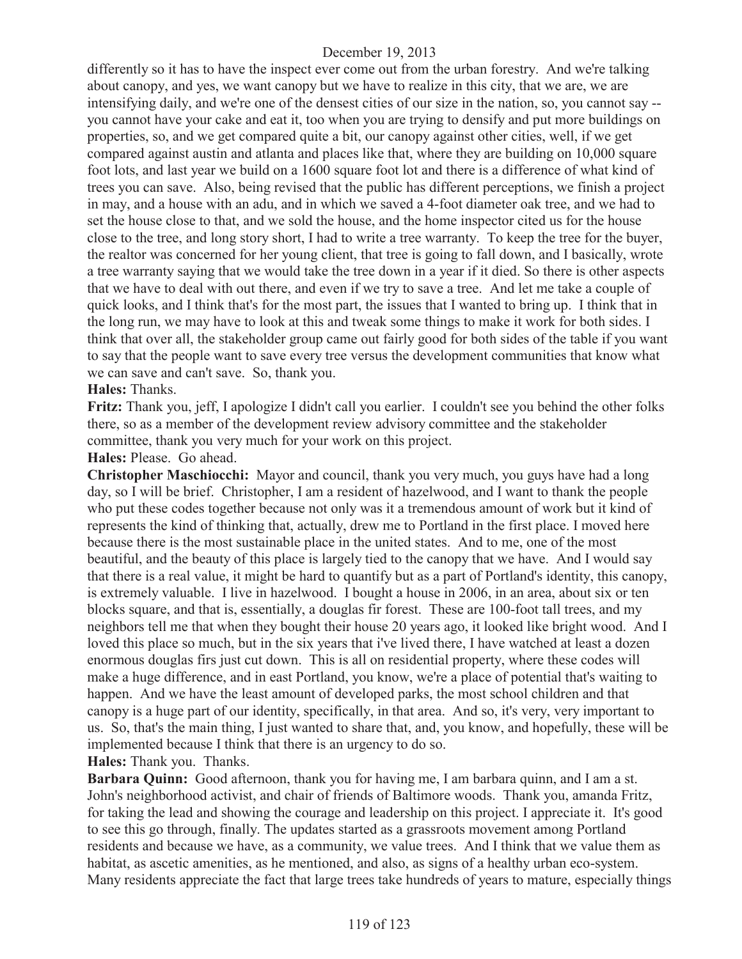differently so it has to have the inspect ever come out from the urban forestry. And we're talking about canopy, and yes, we want canopy but we have to realize in this city, that we are, we are intensifying daily, and we're one of the densest cities of our size in the nation, so, you cannot say - you cannot have your cake and eat it, too when you are trying to densify and put more buildings on properties, so, and we get compared quite a bit, our canopy against other cities, well, if we get compared against austin and atlanta and places like that, where they are building on 10,000 square foot lots, and last year we build on a 1600 square foot lot and there is a difference of what kind of trees you can save. Also, being revised that the public has different perceptions, we finish a project in may, and a house with an adu, and in which we saved a 4-foot diameter oak tree, and we had to set the house close to that, and we sold the house, and the home inspector cited us for the house close to the tree, and long story short, I had to write a tree warranty. To keep the tree for the buyer, the realtor was concerned for her young client, that tree is going to fall down, and I basically, wrote a tree warranty saying that we would take the tree down in a year if it died. So there is other aspects that we have to deal with out there, and even if we try to save a tree. And let me take a couple of quick looks, and I think that's for the most part, the issues that I wanted to bring up. I think that in the long run, we may have to look at this and tweak some things to make it work for both sides. I think that over all, the stakeholder group came out fairly good for both sides of the table if you want to say that the people want to save every tree versus the development communities that know what we can save and can't save. So, thank you.

### **Hales:** Thanks.

**Fritz:** Thank you, jeff, I apologize I didn't call you earlier. I couldn't see you behind the other folks there, so as a member of the development review advisory committee and the stakeholder committee, thank you very much for your work on this project.

#### **Hales:** Please. Go ahead.

**Christopher Maschiocchi:** Mayor and council, thank you very much, you guys have had a long day, so I will be brief. Christopher, I am a resident of hazelwood, and I want to thank the people who put these codes together because not only was it a tremendous amount of work but it kind of represents the kind of thinking that, actually, drew me to Portland in the first place. I moved here because there is the most sustainable place in the united states. And to me, one of the most beautiful, and the beauty of this place is largely tied to the canopy that we have. And I would say that there is a real value, it might be hard to quantify but as a part of Portland's identity, this canopy, is extremely valuable. I live in hazelwood. I bought a house in 2006, in an area, about six or ten blocks square, and that is, essentially, a douglas fir forest. These are 100-foot tall trees, and my neighbors tell me that when they bought their house 20 years ago, it looked like bright wood. And I loved this place so much, but in the six years that i've lived there, I have watched at least a dozen enormous douglas firs just cut down. This is all on residential property, where these codes will make a huge difference, and in east Portland, you know, we're a place of potential that's waiting to happen. And we have the least amount of developed parks, the most school children and that canopy is a huge part of our identity, specifically, in that area. And so, it's very, very important to us. So, that's the main thing, I just wanted to share that, and, you know, and hopefully, these will be implemented because I think that there is an urgency to do so.

### **Hales:** Thank you. Thanks.

**Barbara Quinn:** Good afternoon, thank you for having me, I am barbara quinn, and I am a st. John's neighborhood activist, and chair of friends of Baltimore woods. Thank you, amanda Fritz, for taking the lead and showing the courage and leadership on this project. I appreciate it. It's good to see this go through, finally. The updates started as a grassroots movement among Portland residents and because we have, as a community, we value trees. And I think that we value them as habitat, as ascetic amenities, as he mentioned, and also, as signs of a healthy urban eco-system. Many residents appreciate the fact that large trees take hundreds of years to mature, especially things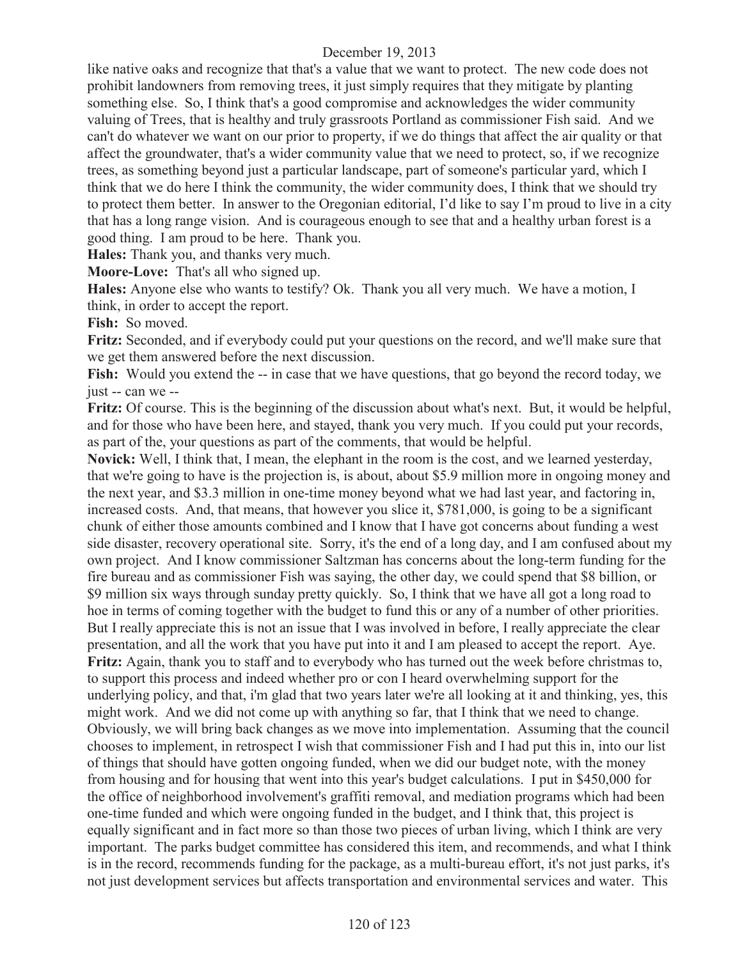like native oaks and recognize that that's a value that we want to protect. The new code does not prohibit landowners from removing trees, it just simply requires that they mitigate by planting something else. So, I think that's a good compromise and acknowledges the wider community valuing of Trees, that is healthy and truly grassroots Portland as commissioner Fish said. And we can't do whatever we want on our prior to property, if we do things that affect the air quality or that affect the groundwater, that's a wider community value that we need to protect, so, if we recognize trees, as something beyond just a particular landscape, part of someone's particular yard, which I think that we do here I think the community, the wider community does, I think that we should try to protect them better. In answer to the Oregonian editorial, I'd like to say I'm proud to live in a city that has a long range vision. And is courageous enough to see that and a healthy urban forest is a good thing. I am proud to be here. Thank you.

**Hales:** Thank you, and thanks very much.

**Moore-Love:** That's all who signed up.

**Hales:** Anyone else who wants to testify? Ok. Thank you all very much. We have a motion, I think, in order to accept the report.

**Fish:** So moved.

**Fritz:** Seconded, and if everybody could put your questions on the record, and we'll make sure that we get them answered before the next discussion.

**Fish:** Would you extend the -- in case that we have questions, that go beyond the record today, we just -- can we --

**Fritz:** Of course. This is the beginning of the discussion about what's next. But, it would be helpful, and for those who have been here, and stayed, thank you very much. If you could put your records, as part of the, your questions as part of the comments, that would be helpful.

**Novick:** Well, I think that, I mean, the elephant in the room is the cost, and we learned yesterday, that we're going to have is the projection is, is about, about \$5.9 million more in ongoing money and the next year, and \$3.3 million in one-time money beyond what we had last year, and factoring in, increased costs. And, that means, that however you slice it, \$781,000, is going to be a significant chunk of either those amounts combined and I know that I have got concerns about funding a west side disaster, recovery operational site. Sorry, it's the end of a long day, and I am confused about my own project. And I know commissioner Saltzman has concerns about the long-term funding for the fire bureau and as commissioner Fish was saying, the other day, we could spend that \$8 billion, or \$9 million six ways through sunday pretty quickly. So, I think that we have all got a long road to hoe in terms of coming together with the budget to fund this or any of a number of other priorities. But I really appreciate this is not an issue that I was involved in before, I really appreciate the clear presentation, and all the work that you have put into it and I am pleased to accept the report. Aye. **Fritz:** Again, thank you to staff and to everybody who has turned out the week before christmas to, to support this process and indeed whether pro or con I heard overwhelming support for the underlying policy, and that, i'm glad that two years later we're all looking at it and thinking, yes, this might work. And we did not come up with anything so far, that I think that we need to change. Obviously, we will bring back changes as we move into implementation. Assuming that the council chooses to implement, in retrospect I wish that commissioner Fish and I had put this in, into our list of things that should have gotten ongoing funded, when we did our budget note, with the money from housing and for housing that went into this year's budget calculations. I put in \$450,000 for the office of neighborhood involvement's graffiti removal, and mediation programs which had been one-time funded and which were ongoing funded in the budget, and I think that, this project is equally significant and in fact more so than those two pieces of urban living, which I think are very important. The parks budget committee has considered this item, and recommends, and what I think is in the record, recommends funding for the package, as a multi-bureau effort, it's not just parks, it's not just development services but affects transportation and environmental services and water. This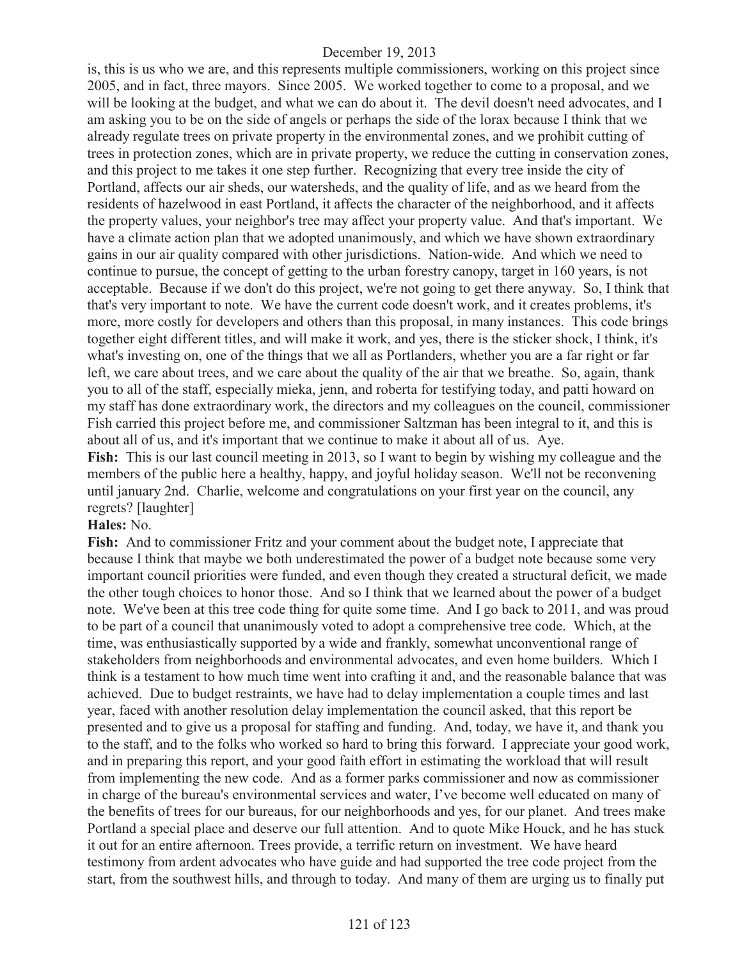is, this is us who we are, and this represents multiple commissioners, working on this project since 2005, and in fact, three mayors. Since 2005. We worked together to come to a proposal, and we will be looking at the budget, and what we can do about it. The devil doesn't need advocates, and I am asking you to be on the side of angels or perhaps the side of the lorax because I think that we already regulate trees on private property in the environmental zones, and we prohibit cutting of trees in protection zones, which are in private property, we reduce the cutting in conservation zones, and this project to me takes it one step further. Recognizing that every tree inside the city of Portland, affects our air sheds, our watersheds, and the quality of life, and as we heard from the residents of hazelwood in east Portland, it affects the character of the neighborhood, and it affects the property values, your neighbor's tree may affect your property value. And that's important. We have a climate action plan that we adopted unanimously, and which we have shown extraordinary gains in our air quality compared with other jurisdictions. Nation-wide. And which we need to continue to pursue, the concept of getting to the urban forestry canopy, target in 160 years, is not acceptable. Because if we don't do this project, we're not going to get there anyway. So, I think that that's very important to note. We have the current code doesn't work, and it creates problems, it's more, more costly for developers and others than this proposal, in many instances. This code brings together eight different titles, and will make it work, and yes, there is the sticker shock, I think, it's what's investing on, one of the things that we all as Portlanders, whether you are a far right or far left, we care about trees, and we care about the quality of the air that we breathe. So, again, thank you to all of the staff, especially mieka, jenn, and roberta for testifying today, and patti howard on my staff has done extraordinary work, the directors and my colleagues on the council, commissioner Fish carried this project before me, and commissioner Saltzman has been integral to it, and this is about all of us, and it's important that we continue to make it about all of us. Aye. **Fish:** This is our last council meeting in 2013, so I want to begin by wishing my colleague and the members of the public here a healthy, happy, and joyful holiday season. We'll not be reconvening until january 2nd. Charlie, welcome and congratulations on your first year on the council, any regrets? [laughter]

#### **Hales:** No.

Fish: And to commissioner Fritz and your comment about the budget note, I appreciate that because I think that maybe we both underestimated the power of a budget note because some very important council priorities were funded, and even though they created a structural deficit, we made the other tough choices to honor those. And so I think that we learned about the power of a budget note. We've been at this tree code thing for quite some time. And I go back to 2011, and was proud to be part of a council that unanimously voted to adopt a comprehensive tree code. Which, at the time, was enthusiastically supported by a wide and frankly, somewhat unconventional range of stakeholders from neighborhoods and environmental advocates, and even home builders. Which I think is a testament to how much time went into crafting it and, and the reasonable balance that was achieved. Due to budget restraints, we have had to delay implementation a couple times and last year, faced with another resolution delay implementation the council asked, that this report be presented and to give us a proposal for staffing and funding. And, today, we have it, and thank you to the staff, and to the folks who worked so hard to bring this forward. I appreciate your good work, and in preparing this report, and your good faith effort in estimating the workload that will result from implementing the new code. And as a former parks commissioner and now as commissioner in charge of the bureau's environmental services and water, I've become well educated on many of the benefits of trees for our bureaus, for our neighborhoods and yes, for our planet. And trees make Portland a special place and deserve our full attention. And to quote Mike Houck, and he has stuck it out for an entire afternoon. Trees provide, a terrific return on investment. We have heard testimony from ardent advocates who have guide and had supported the tree code project from the start, from the southwest hills, and through to today. And many of them are urging us to finally put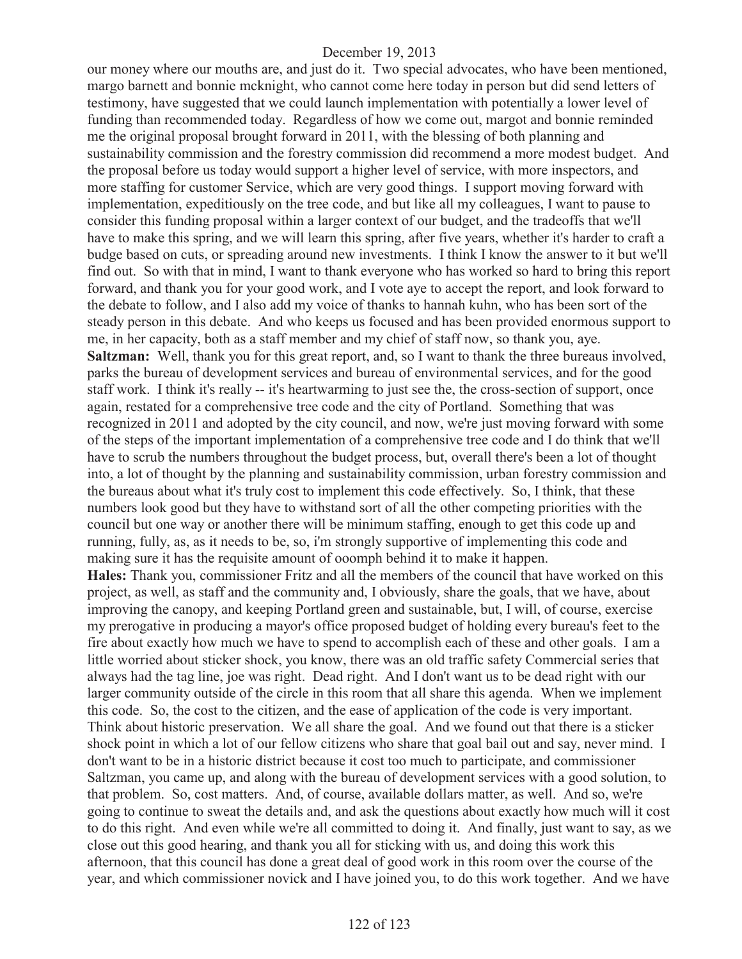our money where our mouths are, and just do it. Two special advocates, who have been mentioned, margo barnett and bonnie mcknight, who cannot come here today in person but did send letters of testimony, have suggested that we could launch implementation with potentially a lower level of funding than recommended today. Regardless of how we come out, margot and bonnie reminded me the original proposal brought forward in 2011, with the blessing of both planning and sustainability commission and the forestry commission did recommend a more modest budget. And the proposal before us today would support a higher level of service, with more inspectors, and more staffing for customer Service, which are very good things. I support moving forward with implementation, expeditiously on the tree code, and but like all my colleagues, I want to pause to consider this funding proposal within a larger context of our budget, and the tradeoffs that we'll have to make this spring, and we will learn this spring, after five years, whether it's harder to craft a budge based on cuts, or spreading around new investments. I think I know the answer to it but we'll find out. So with that in mind, I want to thank everyone who has worked so hard to bring this report forward, and thank you for your good work, and I vote aye to accept the report, and look forward to the debate to follow, and I also add my voice of thanks to hannah kuhn, who has been sort of the steady person in this debate. And who keeps us focused and has been provided enormous support to me, in her capacity, both as a staff member and my chief of staff now, so thank you, aye. **Saltzman:** Well, thank you for this great report, and, so I want to thank the three bureaus involved, parks the bureau of development services and bureau of environmental services, and for the good staff work. I think it's really -- it's heartwarming to just see the, the cross-section of support, once again, restated for a comprehensive tree code and the city of Portland. Something that was recognized in 2011 and adopted by the city council, and now, we're just moving forward with some of the steps of the important implementation of a comprehensive tree code and I do think that we'll have to scrub the numbers throughout the budget process, but, overall there's been a lot of thought into, a lot of thought by the planning and sustainability commission, urban forestry commission and the bureaus about what it's truly cost to implement this code effectively. So, I think, that these numbers look good but they have to withstand sort of all the other competing priorities with the council but one way or another there will be minimum staffing, enough to get this code up and running, fully, as, as it needs to be, so, i'm strongly supportive of implementing this code and making sure it has the requisite amount of ooomph behind it to make it happen. **Hales:** Thank you, commissioner Fritz and all the members of the council that have worked on this project, as well, as staff and the community and, I obviously, share the goals, that we have, about improving the canopy, and keeping Portland green and sustainable, but, I will, of course, exercise my prerogative in producing a mayor's office proposed budget of holding every bureau's feet to the fire about exactly how much we have to spend to accomplish each of these and other goals. I am a little worried about sticker shock, you know, there was an old traffic safety Commercial series that always had the tag line, joe was right. Dead right. And I don't want us to be dead right with our larger community outside of the circle in this room that all share this agenda. When we implement this code. So, the cost to the citizen, and the ease of application of the code is very important. Think about historic preservation. We all share the goal. And we found out that there is a sticker shock point in which a lot of our fellow citizens who share that goal bail out and say, never mind. I don't want to be in a historic district because it cost too much to participate, and commissioner Saltzman, you came up, and along with the bureau of development services with a good solution, to that problem. So, cost matters. And, of course, available dollars matter, as well. And so, we're going to continue to sweat the details and, and ask the questions about exactly how much will it cost to do this right. And even while we're all committed to doing it. And finally, just want to say, as we close out this good hearing, and thank you all for sticking with us, and doing this work this afternoon, that this council has done a great deal of good work in this room over the course of the year, and which commissioner novick and I have joined you, to do this work together. And we have